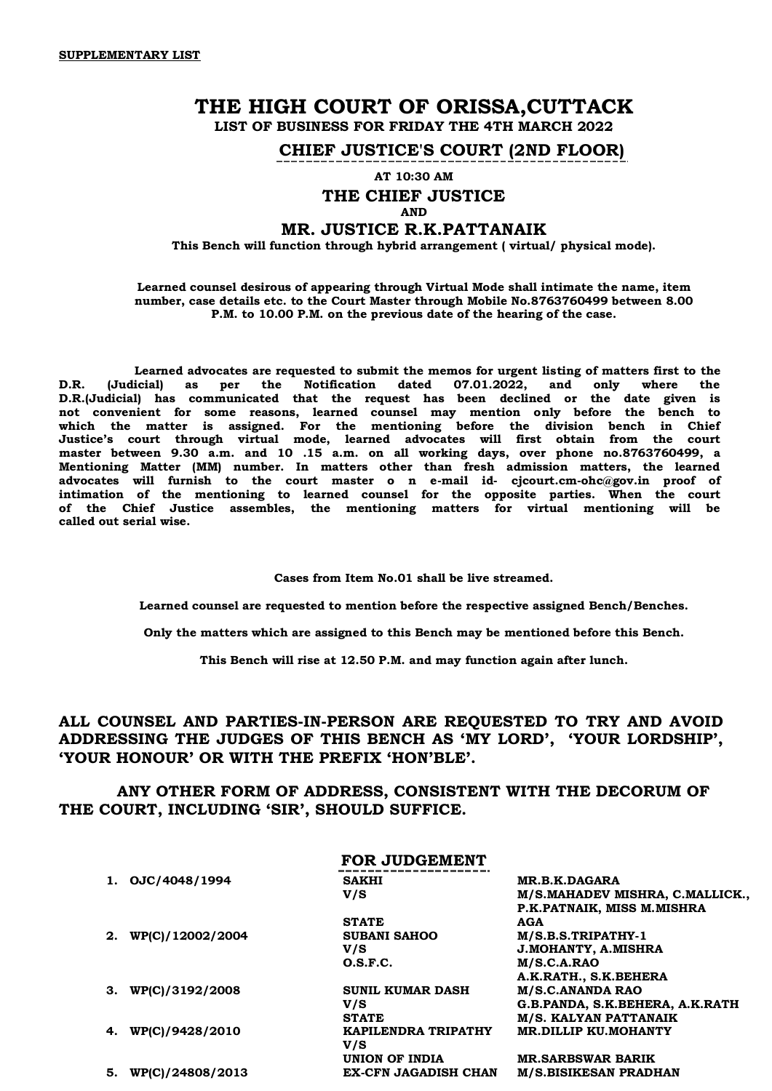# **THE HIGH COURT OF ORISSA,CUTTACK**

**LIST OF BUSINESS FOR FRIDAY THE 4TH MARCH 2022** 

**CHIEF JUSTICE'S COURT (2ND FLOOR)**

**AT 10:30 AM**

# **THE CHIEF JUSTICE**

# **AND**

# **MR. JUSTICE R.K.PATTANAIK**

**This Bench will function through hybrid arrangement ( virtual/ physical mode).**

#### **Learned counsel desirous of appearing through Virtual Mode shall intimate the name, item number, case details etc. to the Court Master through Mobile No.8763760499 between 8.00 P.M. to 10.00 P.M. on the previous date of the hearing of the case.**

 **Learned advocates are requested to submit the memos for urgent listing of matters first to the D.R. (Judicial) as per the Notification dated 07.01.2022, and only where the D.R.(Judicial) has communicated that the request has been declined or the date given is not convenient for some reasons, learned counsel may mention only before the bench to which the matter is assigned. For the mentioning before the division bench in Chief Justice's court through virtual mode, learned advocates will first obtain from the court master between 9.30 a.m. and 10 .15 a.m. on all working days, over phone no.8763760499, a Mentioning Matter (MM) number. In matters other than fresh admission matters, the learned advocates will furnish to the court master o n e-mail id- cjcourt.cm-ohc@gov.in proof of intimation of the mentioning to learned counsel for the opposite parties. When the court of the Chief Justice assembles, the mentioning matters for virtual mentioning will be called out serial wise.**

**Cases from Item No.01 shall be live streamed.**

**Learned counsel are requested to mention before the respective assigned Bench/Benches.**

**Only the matters which are assigned to this Bench may be mentioned before this Bench.**

**This Bench will rise at 12.50 P.M. and may function again after lunch.**

# **ALL COUNSEL AND PARTIES-IN-PERSON ARE REQUESTED TO TRY AND AVOID ADDRESSING THE JUDGES OF THIS BENCH AS 'MY LORD', 'YOUR LORDSHIP', 'YOUR HONOUR' OR WITH THE PREFIX 'HON'BLE'.**

# **ANY OTHER FORM OF ADDRESS, CONSISTENT WITH THE DECORUM OF THE COURT, INCLUDING 'SIR', SHOULD SUFFICE.**

## **FOR JUDGEMENT**

| OJC/4048/1994    | <b>SAKHI</b>               | <b>MR.B.K.DAGARA</b>            |
|------------------|----------------------------|---------------------------------|
|                  | V/S                        | M/S.MAHADEV MISHRA, C.MALLICK., |
|                  |                            | P.K.PATNAIK, MISS M.MISHRA      |
|                  | <b>STATE</b>               | AGA                             |
| WP(C)/12002/2004 | <b>SUBANI SAHOO</b>        | M/S.B.S.TRIPATHY-1              |
|                  | V/S                        | <b>J.MOHANTY, A.MISHRA</b>      |
|                  | O.S.F.C.                   | M/S.C.A.RAO                     |
|                  |                            | A.K.RATH., S.K.BEHERA           |
| WP(C)/3192/2008  | <b>SUNIL KUMAR DASH</b>    | <b>M/S.C.ANANDA RAO</b>         |
|                  | V/S                        | G.B.PANDA, S.K.BEHERA, A.K.RATH |
|                  | <b>STATE</b>               | M/S. KALYAN PATTANAIK           |
| WP(C)/9428/2010  | <b>KAPILENDRA TRIPATHY</b> | <b>MR.DILLIP KU.MOHANTY</b>     |
|                  | V/S                        |                                 |
|                  | UNION OF INDIA             | <b>MR.SARBSWAR BARIK</b>        |
| WPIC1/24808/2013 | EX-CFN JAGADISH CHAN       | <b>M/S.BISIKESAN PRADHAN</b>    |
|                  |                            |                                 |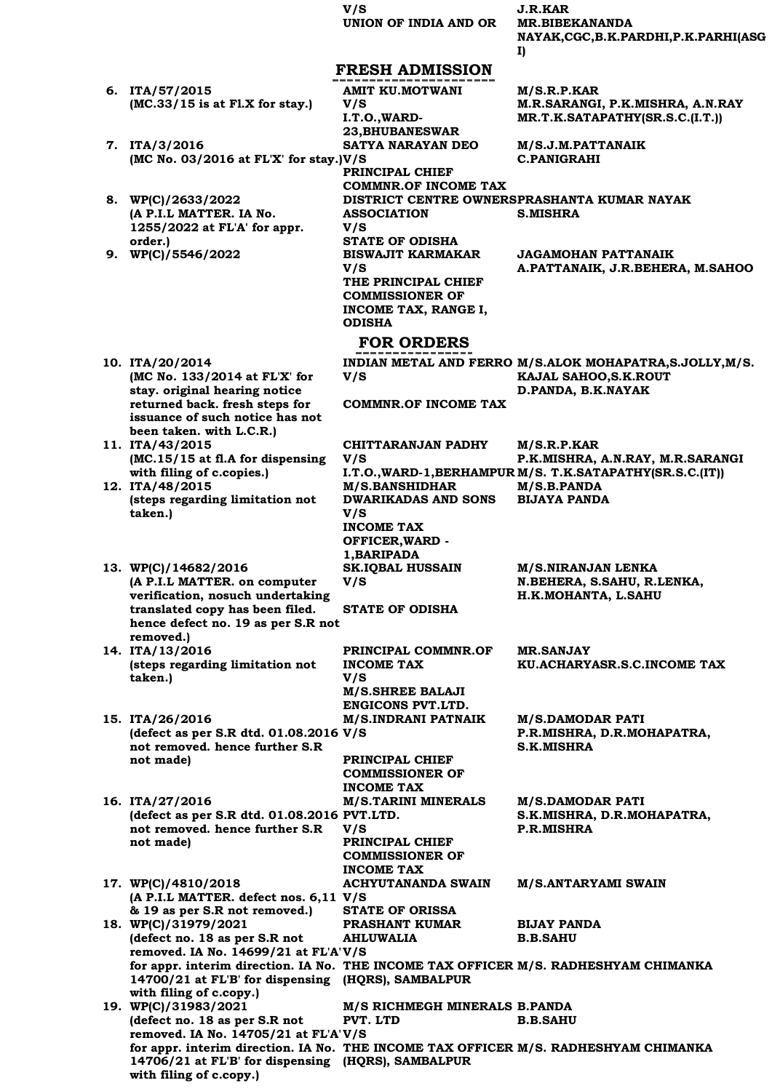**V/S J.R.KAR UNION OF INDIA AND OR MR.BIBEKANANDA** 

**NAYAK,CGC,B.K.PARDHI,P.K.PARHI(ASG**

|                                                                                     |                                                    | I)                                                          |
|-------------------------------------------------------------------------------------|----------------------------------------------------|-------------------------------------------------------------|
|                                                                                     | <b>FRESH ADMISSION</b>                             |                                                             |
| 6. ITA/57/2015                                                                      | <b>AMIT KU.MOTWANI</b>                             | M/S.R.P.KAR                                                 |
| $(MC.33/15$ is at Fl.X for stay.)                                                   | V/S                                                | M.R.SARANGI, P.K.MISHRA, A.N.RAY                            |
|                                                                                     | I.T.O., WARD-                                      | MR.T.K.SATAPATHY(SR.S.C.(I.T.))                             |
|                                                                                     | 23, BHUBANESWAR                                    |                                                             |
| 7. ITA/3/2016                                                                       | SATYA NARAYAN DEO                                  | M/S.J.M.PATTANAIK                                           |
| (MC No. $03/2016$ at FL'X' for stay.) V/S                                           |                                                    | <b>C.PANIGRAHI</b>                                          |
|                                                                                     | PRINCIPAL CHIEF                                    |                                                             |
|                                                                                     | <b>COMMNR.OF INCOME TAX</b>                        |                                                             |
| 8. WP(C)/2633/2022                                                                  |                                                    | DISTRICT CENTRE OWNERSPRASHANTA KUMAR NAYAK                 |
| (A P.I.L MATTER. IA No.                                                             | <b>ASSOCIATION</b>                                 | <b>S.MISHRA</b>                                             |
| 1255/2022 at FL'A' for appr.                                                        | V/S                                                |                                                             |
| order.)<br>9. WP(C)/5546/2022                                                       | <b>STATE OF ODISHA</b><br><b>BISWAJIT KARMAKAR</b> | <b>JAGAMOHAN PATTANAIK</b>                                  |
|                                                                                     | V/S                                                | A.PATTANAIK, J.R.BEHERA, M.SAHOO                            |
|                                                                                     | THE PRINCIPAL CHIEF                                |                                                             |
|                                                                                     | <b>COMMISSIONER OF</b>                             |                                                             |
|                                                                                     | INCOME TAX, RANGE I,                               |                                                             |
|                                                                                     | <b>ODISHA</b>                                      |                                                             |
|                                                                                     | <b>FOR ORDERS</b>                                  |                                                             |
|                                                                                     |                                                    |                                                             |
| 10. ITA/20/2014                                                                     |                                                    | INDIAN METAL AND FERRO M/S.ALOK MOHAPATRA, S.JOLLY, M/S.    |
| (MC No. 133/2014 at FL'X' for<br>stay. original hearing notice                      | V/S                                                | KAJAL SAHOO, S.K. ROUT<br>D.PANDA, B.K.NAYAK                |
| returned back. fresh steps for                                                      | <b>COMMNR.OF INCOME TAX</b>                        |                                                             |
| issuance of such notice has not                                                     |                                                    |                                                             |
| been taken. with L.C.R.)                                                            |                                                    |                                                             |
| 11. ITA/43/2015                                                                     | <b>CHITTARANJAN PADHY</b>                          | M/S.R.P.KAR                                                 |
| (MC.15/15 at fl.A for dispensing                                                    | V/S                                                | P.K.MISHRA, A.N.RAY, M.R.SARANGI                            |
| with filing of c.copies.)                                                           |                                                    | I.T.O., WARD-1, BERHAMPUR M/S. T.K.SATAPATHY (SR.S.C. (IT)) |
| 12. ITA/48/2015                                                                     | <b>M/S.BANSHIDHAR</b>                              | M/S.B.PANDA                                                 |
| (steps regarding limitation not<br>taken.)                                          | <b>DWARIKADAS AND SONS</b><br>V/S                  | <b>BIJAYA PANDA</b>                                         |
|                                                                                     | <b>INCOME TAX</b>                                  |                                                             |
|                                                                                     | OFFICER, WARD -                                    |                                                             |
|                                                                                     | 1, BARIPADA                                        |                                                             |
| 13. WP(C)/14682/2016                                                                | <b>SK.IQBAL HUSSAIN</b>                            | M/S.NIRANJAN LENKA                                          |
| (A P.I.L MATTER. on computer                                                        | V/S                                                | N.BEHERA, S.SAHU, R.LENKA,                                  |
| verification, nosuch undertaking                                                    |                                                    | H.K.MOHANTA, L.SAHU                                         |
| translated copy has been filed.                                                     | <b>STATE OF ODISHA</b>                             |                                                             |
| hence defect no. 19 as per S.R not<br>removed.)                                     |                                                    |                                                             |
| 14. ITA/13/2016                                                                     | PRINCIPAL COMMNR.OF                                | <b>MR.SANJAY</b>                                            |
| (steps regarding limitation not                                                     | <b>INCOME TAX</b>                                  | KU.ACHARYASR.S.C.INCOME TAX                                 |
| taken.)                                                                             | V/S                                                |                                                             |
|                                                                                     | M/S.SHREE BALAJI                                   |                                                             |
|                                                                                     | ENGICONS PVT.LTD.                                  |                                                             |
| 15. ITA/26/2016                                                                     | <b>M/S.INDRANI PATNAIK</b>                         | <b>M/S.DAMODAR PATI</b>                                     |
| (defect as per S.R dtd. 01.08.2016 V/S<br>not removed. hence further S.R            |                                                    | P.R.MISHRA, D.R.MOHAPATRA,<br><b>S.K.MISHRA</b>             |
| not made)                                                                           | PRINCIPAL CHIEF                                    |                                                             |
|                                                                                     | <b>COMMISSIONER OF</b>                             |                                                             |
|                                                                                     | <b>INCOME TAX</b>                                  |                                                             |
| 16. ITA/27/2016                                                                     | <b>M/S.TARINI MINERALS</b>                         | <b>M/S.DAMODAR PATI</b>                                     |
| (defect as per S.R dtd. 01.08.2016 PVT.LTD.                                         |                                                    | S.K.MISHRA, D.R.MOHAPATRA,                                  |
| not removed. hence further S.R                                                      | V/S                                                | P.R.MISHRA                                                  |
| not made)                                                                           | PRINCIPAL CHIEF                                    |                                                             |
|                                                                                     | <b>COMMISSIONER OF</b><br><b>INCOME TAX</b>        |                                                             |
| 17. WP(C)/4810/2018                                                                 | <b>ACHYUTANANDA SWAIN</b>                          | <b>M/S.ANTARYAMI SWAIN</b>                                  |
| (A P.I.L MATTER. defect nos. 6,11 V/S                                               |                                                    |                                                             |
| & 19 as per S.R not removed.)                                                       | <b>STATE OF ORISSA</b>                             |                                                             |
| 18. WP(C)/31979/2021                                                                | <b>PRASHANT KUMAR</b>                              | <b>BIJAY PANDA</b>                                          |
| (defect no. 18 as per S.R not                                                       | <b>AHLUWALIA</b>                                   | <b>B.B.SAHU</b>                                             |
| removed. IA No. 14699/21 at FL'A'V/S                                                |                                                    |                                                             |
| for appr. interim direction. IA No. THE INCOME TAX OFFICER M/S. RADHESHYAM CHIMANKA |                                                    |                                                             |
| 14700/21 at FL'B' for dispensing (HQRS), SAMBALPUR<br>with filing of c.copy.)       |                                                    |                                                             |
| 19. WP(C)/31983/2021                                                                | M/S RICHMEGH MINERALS B.PANDA                      |                                                             |
| (defect no. 18 as per S.R not                                                       | PVT. LTD                                           | <b>B.B.SAHU</b>                                             |
| removed. IA No. 14705/21 at FL'A'V/S                                                |                                                    |                                                             |
| for appr. interim direction. IA No. THE INCOME TAX OFFICER M/S. RADHESHYAM CHIMANKA |                                                    |                                                             |
| 14706/21 at FL'B' for dispensing (HQRS), SAMBALPUR                                  |                                                    |                                                             |
| with filing of c.copy.)                                                             |                                                    |                                                             |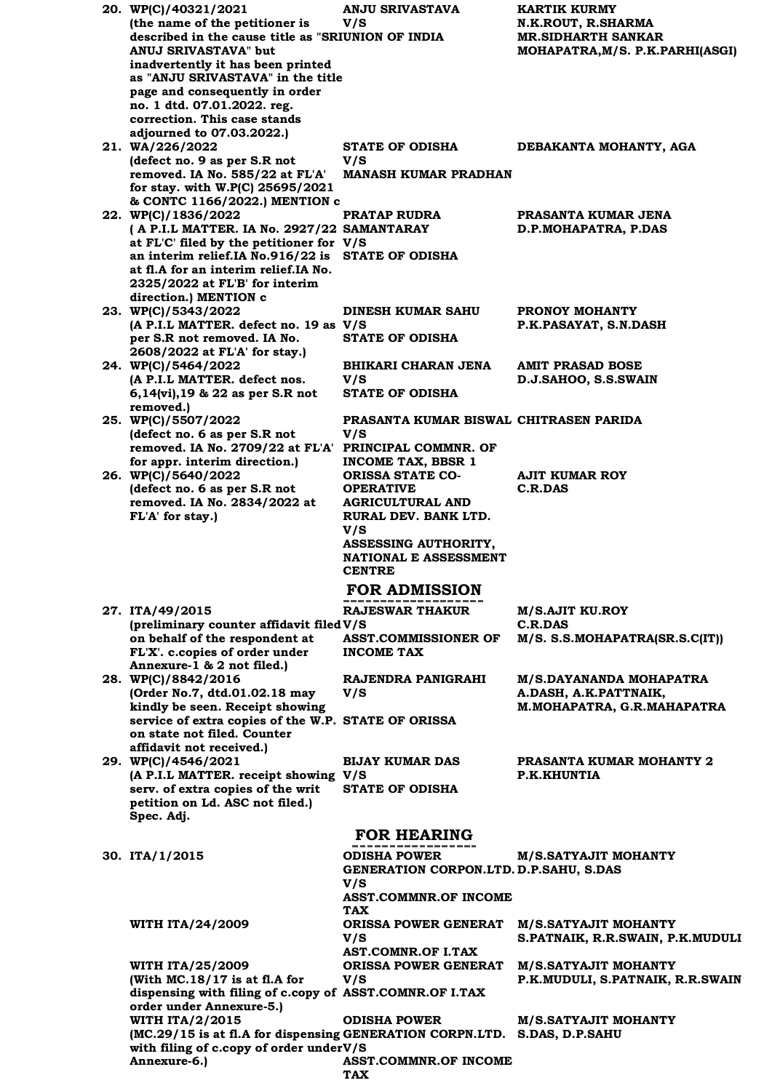| 20. WP(C)/40321/2021                                        | <b>ANJU SRIVASTAVA</b>                        | <b>KARTIK KURMY</b>               |
|-------------------------------------------------------------|-----------------------------------------------|-----------------------------------|
| (the name of the petitioner is                              | V/S                                           | N.K.ROUT, R.SHARMA                |
| described in the cause title as "SRIUNION OF INDIA          |                                               | MR.SIDHARTH SANKAR                |
| ANUJ SRIVASTAVA" but                                        |                                               | MOHAPATRA, M/S. P.K. PARHI (ASGI) |
| inadvertently it has been printed                           |                                               |                                   |
| as "ANJU SRIVASTAVA" in the title                           |                                               |                                   |
| page and consequently in order                              |                                               |                                   |
| no. 1 dtd. 07.01.2022. reg.<br>correction. This case stands |                                               |                                   |
| adjourned to 07.03.2022.)                                   |                                               |                                   |
| 21. WA/226/2022                                             | <b>STATE OF ODISHA</b>                        | DEBAKANTA MOHANTY, AGA            |
| (defect no. 9 as per S.R not                                | V/S                                           |                                   |
| removed. IA No. 585/22 at FL'A'                             | <b>MANASH KUMAR PRADHAN</b>                   |                                   |
| for stay. with W.P(C) 25695/2021                            |                                               |                                   |
| & CONTC 1166/2022.) MENTION c                               |                                               |                                   |
| 22. WP(C)/1836/2022                                         | <b>PRATAP RUDRA</b>                           | PRASANTA KUMAR JENA               |
| (A P.I.L MATTER. IA No. 2927/22 SAMANTARAY                  |                                               | D.P.MOHAPATRA, P.DAS              |
| at FL'C' filed by the petitioner for V/S                    |                                               |                                   |
| an interim relief.IA No.916/22 is STATE OF ODISHA           |                                               |                                   |
| at fl.A for an interim relief.IA No.                        |                                               |                                   |
| 2325/2022 at FL'B' for interim                              |                                               |                                   |
| direction.) MENTION c                                       |                                               |                                   |
| 23. WP(C)/5343/2022                                         | <b>DINESH KUMAR SAHU</b>                      | PRONOY MOHANTY                    |
| (A P.I.L MATTER. defect no. 19 as V/S                       |                                               | P.K.PASAYAT, S.N.DASH             |
| per S.R not removed. IA No.                                 | <b>STATE OF ODISHA</b>                        |                                   |
| 2608/2022 at FL'A' for stay.)                               |                                               |                                   |
| 24. WP(C)/5464/2022<br>(A P.I.L MATTER. defect nos.         | BHIKARI CHARAN JENA<br>V/S                    | <b>AMIT PRASAD BOSE</b>           |
| 6,14(vi),19 & 22 as per S.R not                             | <b>STATE OF ODISHA</b>                        | D.J.SAHOO, S.S.SWAIN              |
| removed.)                                                   |                                               |                                   |
| 25. WP(C)/5507/2022                                         | PRASANTA KUMAR BISWAL CHITRASEN PARIDA        |                                   |
| (defect no. 6 as per S.R not                                | V/S                                           |                                   |
| removed. IA No. 2709/22 at FL'A' PRINCIPAL COMMNR. OF       |                                               |                                   |
| for appr. interim direction.)                               | <b>INCOME TAX, BBSR 1</b>                     |                                   |
| 26. WP(C)/5640/2022                                         | <b>ORISSA STATE CO-</b>                       | <b>AJIT KUMAR ROY</b>             |
| (defect no. 6 as per S.R not                                | <b>OPERATIVE</b>                              | <b>C.R.DAS</b>                    |
| removed. IA No. 2834/2022 at                                | <b>AGRICULTURAL AND</b>                       |                                   |
| FL'A' for stay.)                                            | RURAL DEV. BANK LTD.                          |                                   |
|                                                             | V/S                                           |                                   |
|                                                             | <b>ASSESSING AUTHORITY,</b>                   |                                   |
|                                                             | <b>NATIONAL E ASSESSMENT</b><br><b>CENTRE</b> |                                   |
|                                                             |                                               |                                   |
|                                                             | <b>FOR ADMISSION</b>                          |                                   |
| 27. ITA/49/2015                                             | <b>RAJESWAR THAKUR</b>                        | <b>M/S.AJIT KU.ROY</b>            |
| (preliminary counter affidavit filed V/S                    |                                               | C.R.DAS                           |
| on behalf of the respondent at                              | <b>ASST.COMMISSIONER OF</b>                   | M/S. S.S.MOHAPATRA(SR.S.C(IT))    |
| FL'X'. c.copies of order under                              | <b>INCOME TAX</b>                             |                                   |
| Annexure-1 & 2 not filed.)                                  |                                               |                                   |
| 28. WP(C)/8842/2016                                         | RAJENDRA PANIGRAHI                            | <b>M/S.DAYANANDA MOHAPATRA</b>    |
| (Order No.7, dtd.01.02.18 may                               | V/S                                           | A.DASH, A.K.PATTNAIK,             |
| kindly be seen. Receipt showing                             |                                               | M. MOHAPATRA, G.R. MAHAPATRA      |
| service of extra copies of the W.P. STATE OF ORISSA         |                                               |                                   |
| on state not filed. Counter                                 |                                               |                                   |
| affidavit not received.)<br>29. WP(C)/4546/2021             | <b>BIJAY KUMAR DAS</b>                        | <b>PRASANTA KUMAR MOHANTY 2</b>   |
| (A P.I.L MATTER. receipt showing V/S                        |                                               | P.K.KHUNTIA                       |
| serv. of extra copies of the writ                           | <b>STATE OF ODISHA</b>                        |                                   |
| petition on Ld. ASC not filed.)                             |                                               |                                   |
| Spec. Adj.                                                  |                                               |                                   |
|                                                             | <b>FOR HEARING</b>                            |                                   |
|                                                             |                                               |                                   |
| 30. ITA/1/2015                                              | <b>ODISHA POWER</b>                           | M/S.SATYAJIT MOHANTY              |
|                                                             | GENERATION CORPON.LTD. D.P.SAHU, S.DAS        |                                   |
|                                                             | V/S                                           |                                   |
|                                                             | <b>ASST.COMMNR.OF INCOME</b>                  |                                   |
|                                                             | <b>TAX</b>                                    |                                   |
| <b>WITH ITA/24/2009</b>                                     | <b>ORISSA POWER GENERAT</b>                   | <b>M/S.SATYAJIT MOHANTY</b>       |
|                                                             | V/S<br><b>AST.COMNR.OF I.TAX</b>              | S.PATNAIK, R.R.SWAIN, P.K.MUDULI  |
| <b>WITH ITA/25/2009</b>                                     | <b>ORISSA POWER GENERAT</b>                   | <b>M/S.SATYAJIT MOHANTY</b>       |
| (With $MC.18/17$ is at fl.A for                             | V/S                                           | P.K.MUDULI, S.PATNAIK, R.R.SWAIN  |
| dispensing with filing of c.copy of ASST.COMNR.OF I.TAX     |                                               |                                   |
| order under Annexure-5.)                                    |                                               |                                   |
| <b>WITH ITA/2/2015</b>                                      | <b>ODISHA POWER</b>                           | <b>M/S.SATYAJIT MOHANTY</b>       |
| (MC.29/15 is at fl.A for dispensing GENERATION CORPN.LTD.   |                                               | S.DAS, D.P.SAHU                   |
| with filing of c.copy of order underV/S                     |                                               |                                   |
| Annexure-6.)                                                | <b>ASST.COMMNR.OF INCOME</b>                  |                                   |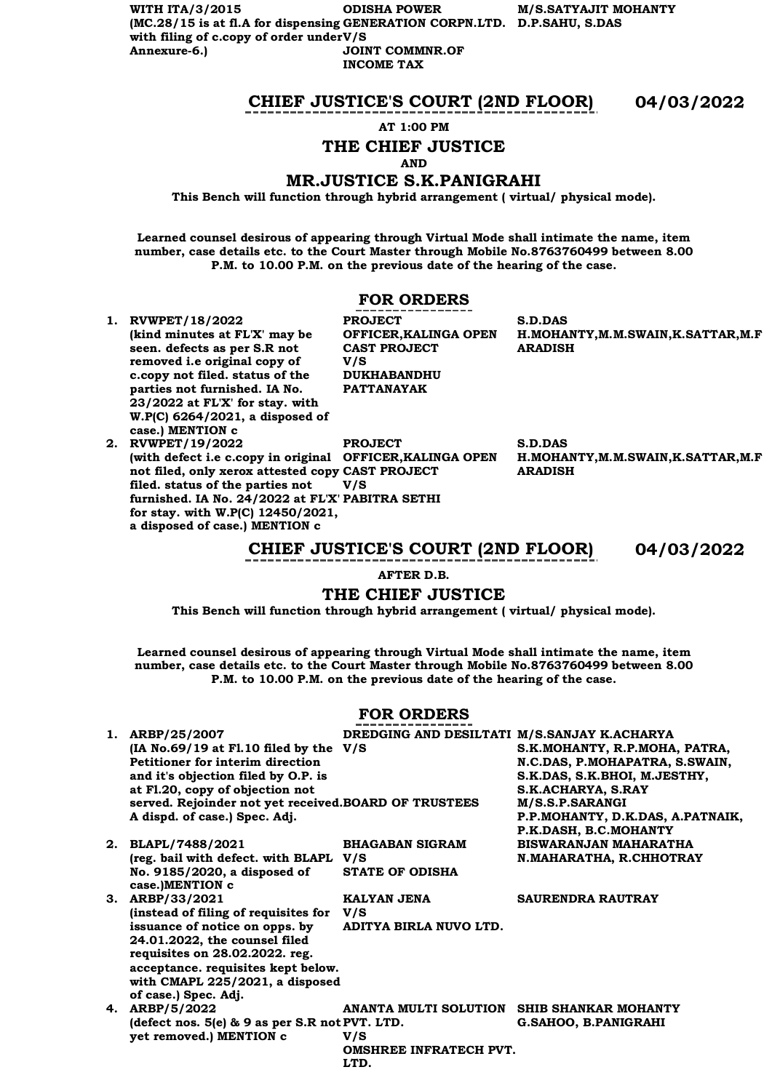**WITH ITA/3/2015 (MC.28/15 is at fl.A for dispensing GENERATION CORPN.LTD. D.P.SAHU, S.DAS** with filing of c.copy of order under V/S **Annexure-6.) ODISHA POWER M/S.SATYAJIT MOHANTY JOINT COMMNR.OF INCOME TAX**

## **CHIEF JUSTICE'S COURT (2ND FLOOR) 04/03/2022**

**AT 1:00 PM**

# **THE CHIEF JUSTICE**

**AND**

### **MR.JUSTICE S.K.PANIGRAHI**

**This Bench will function through hybrid arrangement ( virtual/ physical mode).**

**Learned counsel desirous of appearing through Virtual Mode shall intimate the name, item number, case details etc. to the Court Master through Mobile No.8763760499 between 8.00 P.M. to 10.00 P.M. on the previous date of the hearing of the case.**

# **FOR ORDERS**

**OFFICER,KALINGA OPEN** 

**PROJECT** 

**V/S** 

**CAST PROJECT** 

**DUKHABANDHU PATTANAYAK**

**1. RVWPET/18/2022 (kind minutes at FL'X' may be seen. defects as per S.R not removed i.e original copy of c.copy not filed. status of the parties not furnished. IA No. 23/2022 at FL'X' for stay. with W.P(C) 6264/2021, a disposed of case.) MENTION c**

**2. RVWPET/19/2022 (with defect i.e c.copy in original OFFICER,KALINGA OPEN not filed, only xerox attested copy CAST PROJECT filed. status of the parties not furnished. IA No. 24/2022 at FL'X' PABITRA SETHI for stay. with W.P(C) 12450/2021, a disposed of case.) MENTION c PROJECT V/S** 

**S.D.DAS H.MOHANTY,M.M.SWAIN,K.SATTAR,M.F ARADISH**

**S.D.DAS H.MOHANTY,M.M.SWAIN,K.SATTAR,M.F ARADISH**

**CHIEF JUSTICE'S COURT (2ND FLOOR) 04/03/2022**

**AFTER D.B.**

# **THE CHIEF JUSTICE**

**This Bench will function through hybrid arrangement ( virtual/ physical mode).**

**Learned counsel desirous of appearing through Virtual Mode shall intimate the name, item number, case details etc. to the Court Master through Mobile No.8763760499 between 8.00 P.M. to 10.00 P.M. on the previous date of the hearing of the case.**

# **FOR ORDERS**

| 1. ARBP/25/2007                                       | DREDGING AND DESILTATI M/S.SANJAY K.ACHARYA |                                  |
|-------------------------------------------------------|---------------------------------------------|----------------------------------|
| $(IA No.69/19 at F1.10 filed by the V/S)$             |                                             | S.K.MOHANTY, R.P.MOHA, PATRA,    |
| Petitioner for interim direction                      |                                             | N.C.DAS, P.MOHAPATRA, S.SWAIN,   |
| and it's objection filed by O.P. is                   |                                             | S.K.DAS, S.K.BHOI, M.JESTHY,     |
| at Fl.20, copy of objection not                       |                                             | S.K.ACHARYA, S.RAY               |
| served. Rejoinder not yet received. BOARD OF TRUSTEES |                                             | M/S.S.P.SARANGI                  |
| A dispd. of case.) Spec. Adj.                         |                                             | P.P.MOHANTY, D.K.DAS, A.PATNAIK, |
|                                                       |                                             | P.K.DASH, B.C.MOHANTY            |
| 2. BLAPL/7488/2021                                    | <b>BHAGABAN SIGRAM</b>                      | <b>BISWARANJAN MAHARATHA</b>     |
| (reg. bail with defect. with BLAPL V/S                |                                             | N.MAHARATHA, R.CHHOTRAY          |
| No. 9185/2020, a disposed of                          | <b>STATE OF ODISHA</b>                      |                                  |
| case.)MENTION c                                       |                                             |                                  |
| 3. ARBP/33/2021                                       | KALYAN JENA                                 | <b>SAURENDRA RAUTRAY</b>         |
| (instead of filing of requisites for                  | V/S                                         |                                  |
| issuance of notice on opps. by                        | ADITYA BIRLA NUVO LTD.                      |                                  |
| 24.01.2022, the counsel filed                         |                                             |                                  |
| requisites on 28.02.2022. reg.                        |                                             |                                  |
| acceptance. requisites kept below.                    |                                             |                                  |
| with CMAPL 225/2021, a disposed                       |                                             |                                  |
| of case.) Spec. Adj.                                  |                                             |                                  |
| 4. ARBP/5/2022                                        | ANANTA MULTI SOLUTION                       | SHIB SHANKAR MOHANTY             |
| (defect nos. $5(e)$ & 9 as per S.R not PVT. LTD.      |                                             | <b>G.SAHOO, B.PANIGRAHI</b>      |
| yet removed.) MENTION c                               | V/S                                         |                                  |
|                                                       | <b>OMSHREE INFRATECH PVT.</b>               |                                  |
|                                                       | LTD.                                        |                                  |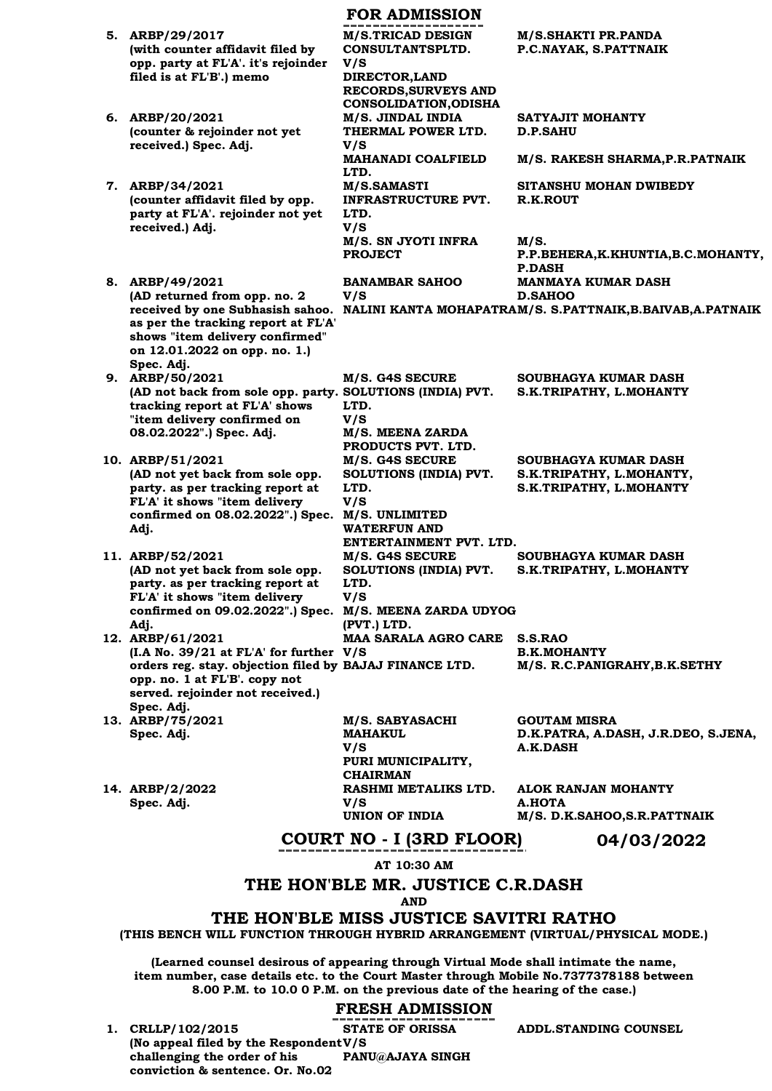|                                                                                          | <b>FOR ADMISSION</b>                          |                                                            |
|------------------------------------------------------------------------------------------|-----------------------------------------------|------------------------------------------------------------|
| 5. ARBP/29/2017<br>(with counter affidavit filed by                                      | <b>M/S.TRICAD DESIGN</b><br>CONSULTANTSPLTD.  | <b>M/S.SHAKTI PR.PANDA</b><br>P.C.NAYAK, S.PATTNAIK        |
| opp. party at FL'A'. it's rejoinder                                                      | V/S                                           |                                                            |
| filed is at FL'B'.) memo                                                                 | DIRECTOR, LAND<br><b>RECORDS, SURVEYS AND</b> |                                                            |
|                                                                                          | <b>CONSOLIDATION, ODISHA</b>                  |                                                            |
| 6. ARBP/20/2021<br>(counter & rejoinder not yet                                          | M/S. JINDAL INDIA<br>THERMAL POWER LTD.       | SATYAJIT MOHANTY<br><b>D.P.SAHU</b>                        |
| received.) Spec. Adj.                                                                    | V/S                                           |                                                            |
|                                                                                          | <b>MAHANADI COALFIELD</b><br>LTD.             | M/S. RAKESH SHARMA, P.R. PATNAIK                           |
| 7. ARBP/34/2021                                                                          | M/S.SAMASTI                                   | SITANSHU MOHAN DWIBEDY                                     |
| (counter affidavit filed by opp.<br>party at FL'A'. rejoinder not yet                    | <b>INFRASTRUCTURE PVT.</b><br>LTD.            | R.K.ROUT                                                   |
| received.) Adj.                                                                          | V/S                                           |                                                            |
|                                                                                          | M/S. SN JYOTI INFRA<br><b>PROJECT</b>         | M/S.<br>P.P.BEHERA, K.KHUNTIA, B.C.MOHANTY,                |
|                                                                                          |                                               | <b>P.DASH</b>                                              |
| 8. ARBP/49/2021<br>(AD returned from opp. no. 2                                          | <b>BANAMBAR SAHOO</b><br>V/S                  | <b>MANMAYA KUMAR DASH</b><br><b>D.SAHOO</b>                |
| received by one Subhasish sahoo.                                                         |                                               | NALINI KANTA MOHAPATRAM/S. S.PATTNAIK, B.BAIVAB, A.PATNAIK |
| as per the tracking report at FL'A'<br>shows "item delivery confirmed"                   |                                               |                                                            |
| on 12.01.2022 on opp. no. 1.)                                                            |                                               |                                                            |
| Spec. Adj.<br>9. ARBP/50/2021                                                            | M/S. G4S SECURE                               | SOUBHAGYA KUMAR DASH                                       |
| (AD not back from sole opp. party. SOLUTIONS (INDIA) PVT.                                |                                               | S.K.TRIPATHY, L.MOHANTY                                    |
| tracking report at FL'A' shows<br>"item delivery confirmed on                            | LTD.<br>V/S                                   |                                                            |
| 08.02.2022".) Spec. Adj.                                                                 | M/S. MEENA ZARDA<br>PRODUCTS PVT. LTD.        |                                                            |
| 10. ARBP/51/2021                                                                         | M/S. G4S SECURE                               | SOUBHAGYA KUMAR DASH                                       |
| (AD not yet back from sole opp.                                                          | SOLUTIONS (INDIA) PVT.                        | S.K.TRIPATHY, L.MOHANTY,                                   |
| party. as per tracking report at<br>FL'A' it shows "item delivery                        | LTD.<br>V/S                                   | S.K.TRIPATHY, L.MOHANTY                                    |
| confirmed on 08.02.2022".) Spec.                                                         | M/S. UNLIMITED<br><b>WATERFUN AND</b>         |                                                            |
| Adj.                                                                                     | ENTERTAINMENT PVT. LTD.                       |                                                            |
| 11. ARBP/52/2021<br>(AD not yet back from sole opp.                                      | M/S. G4S SECURE                               | SOUBHAGYA KUMAR DASH                                       |
| party. as per tracking report at                                                         | SOLUTIONS (INDIA) PVT.<br>LTD.                | S.K.TRIPATHY, L.MOHANTY                                    |
| FL'A' it shows "item delivery<br>confirmed on 09.02.2022".) Spec. M/S. MEENA ZARDA UDYOG | V/S                                           |                                                            |
| Adj.                                                                                     | (PVT.) LTD.                                   |                                                            |
| 12. ARBP/61/2021<br>$(I.A No. 39/21 at FL'A' for further V/S$                            | <b>MAA SARALA AGRO CARE</b>                   | S.S.RAO<br><b>B.K.MOHANTY</b>                              |
| orders reg. stay. objection filed by BAJAJ FINANCE LTD.                                  |                                               | M/S. R.C.PANIGRAHY, B.K.SETHY                              |
| opp. no. 1 at FL'B'. copy not<br>served. rejoinder not received.)                        |                                               |                                                            |
| Spec. Adj.                                                                               |                                               |                                                            |
| 13. ARBP/75/2021<br>Spec. Adj.                                                           | M/S. SABYASACHI<br><b>MAHAKUL</b>             | <b>GOUTAM MISRA</b><br>D.K.PATRA, A.DASH, J.R.DEO, S.JENA, |
|                                                                                          | V/S                                           | A.K.DASH                                                   |
|                                                                                          | PURI MUNICIPALITY,<br><b>CHAIRMAN</b>         |                                                            |
| 14. ARBP/2/2022                                                                          | RASHMI METALIKS LTD.                          | ALOK RANJAN MOHANTY                                        |
| Spec. Adj.                                                                               | V/S<br>UNION OF INDIA                         | A.HOTA<br>M/S. D.K.SAHOO,S.R.PATTNAIK                      |
|                                                                                          | COURT NO . I (3RD FLOOR)                      | 04/03/2022                                                 |

# **COURT NO - I (3RD FLOOR) 04/03/2022**

**AT 10:30 AM**

### **THE HON'BLE MR. JUSTICE C.R.DASH**

**AND**

# **THE HON'BLE MISS JUSTICE SAVITRI RATHO**

**(THIS BENCH WILL FUNCTION THROUGH HYBRID ARRANGEMENT (VIRTUAL/PHYSICAL MODE.)** 

**(Learned counsel desirous of appearing through Virtual Mode shall intimate the name, item number, case details etc. to the Court Master through Mobile No.7377378188 between 8.00 P.M. to 10.0 0 P.M. on the previous date of the hearing of the case.)**

# **FRESH ADMISSION**

**1. CRLLP/102/2015 (No appeal filed by the Respondent V/S challenging the order of his conviction & sentence. Or. No.02 STATE OF ORISSA PANU@AJAYA SINGH**

**ADDL.STANDING COUNSEL**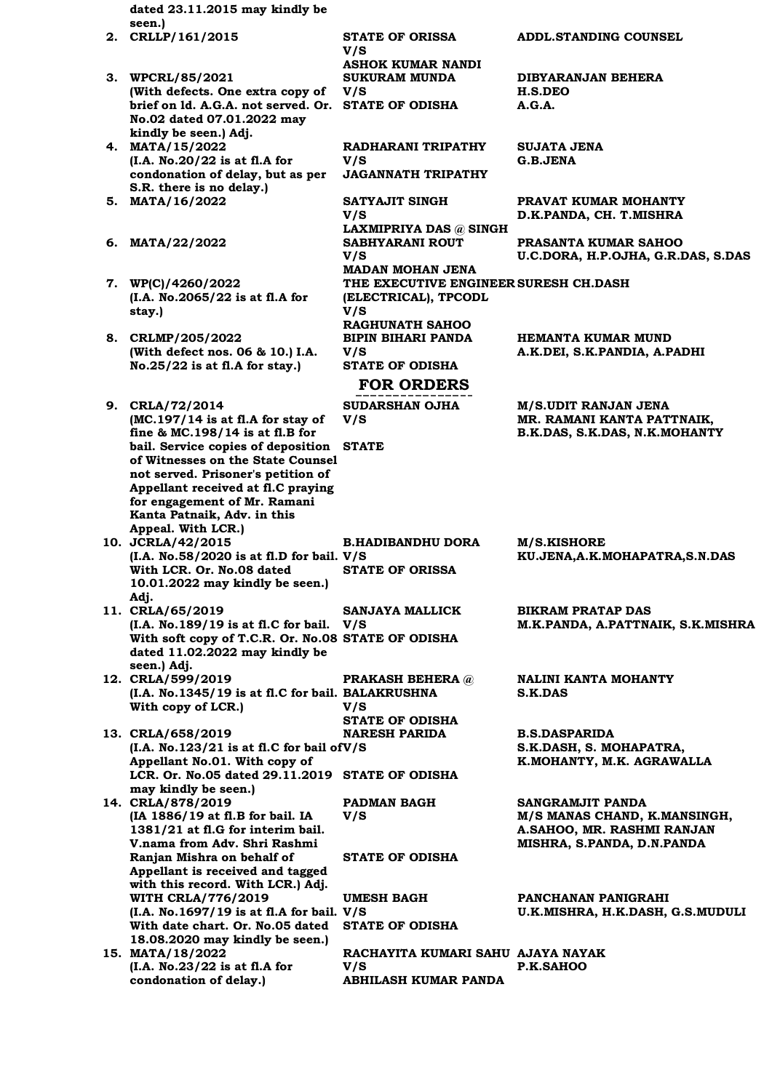**dated 23.11.2015 may kindly be seen.) 2. CRLLP/161/2015 STATE OF ORISSA** 

**V/S** 

**V/S** 

**V/S** 

**V/S** 

**V/S** 

**V/S** 

**V/S** 

**PRAKASH BEHERA @** 

**V/S** 

**V/S** 

- **3. WPCRL/85/2021 (With defects. One extra copy of brief on ld. A.G.A. not served. Or. STATE OF ODISHA A.G.A. No.02 dated 07.01.2022 may kindly be seen.) Adj.**
- **4. MATA/15/2022 (I.A. No.20/22 is at fl.A for condonation of delay, but as per S.R. there is no delay.) 5. MATA/16/2022 SATYAJIT SINGH**
- **6. MATA/22/2022 SABHYARANI ROUT**
- **7. WP(C)/4260/2022 (I.A. No.2065/22 is at fl.A for stay.)**
- **8. CRLMP/205/2022 (With defect nos. 06 & 10.) I.A. No.25/22 is at fl.A for stay.)**
- **9. CRLA/72/2014 (MC.197/14 is at fl.A for stay of fine & MC.198/14 is at fl.B for bail. Service copies of deposition STATE of Witnesses on the State Counsel not served. Prisoner's petition of Appellant received at fl.C praying for engagement of Mr. Ramani Kanta Patnaik, Adv. in this Appeal. With LCR.) V/S**
- **10. JCRLA/42/2015 (I.A. No.58/2020 is at fl.D for bail. V/S With LCR. Or. No.08 dated 10.01.2022 may kindly be seen.) Adj.**
- **11. CRLA/65/2019 (I.A. No.189/19 is at fl.C for bail. With soft copy of T.C.R. Or. No.08 STATE OF ODISHA dated 11.02.2022 may kindly be seen.) Adj. V/S**
- **12. CRLA/599/2019 (I.A. No.1345/19 is at fl.C for bail. BALAKRUSHNA With copy of LCR.)**
- **STATE OF ODISHA 13. CRLA/658/2019 (I.A. No.123/21 is at fl.C for bail of V/S Appellant No.01. With copy of LCR. Or. No.05 dated 29.11.2019 STATE OF ODISHA may kindly be seen.) NARESH PARIDA**
- **14. CRLA/878/2019 (IA 1886/19 at fl.B for bail. IA 1381/21 at fl.G for interim bail. V.nama from Adv. Shri Rashmi Ranjan Mishra on behalf of Appellant is received and tagged with this record. With LCR.) Adj. PADMAN BAGH V/S STATE OF ODISHA WITH CRLA/776/2019 (I.A. No.1697/19 is at fl.A for bail. V/S With date chart. Or. No.05 dated 18.08.2020 may kindly be seen.) UMESH BAGH STATE OF ODISHA 15. MATA/18/2022**
- **(I.A. No.23/22 is at fl.A for condonation of delay.)**

**ADDL.STANDING COUNSEL ASHOK KUMAR NANDI SUKURAM MUNDA DIBYARANJAN BEHERA H.S.DEO RADHARANI TRIPATHY SUJATA JENA G.B.JENA JAGANNATH TRIPATHY PRAVAT KUMAR MOHANTY D.K.PANDA, CH. T.MISHRA LAXMIPRIYA DAS @ SINGH PRASANTA KUMAR SAHOO U.C.DORA, H.P.OJHA, G.R.DAS, S.DAS MADAN MOHAN JENA THE EXECUTIVE ENGINEER SURESH CH.DASH (ELECTRICAL), TPCODL RAGHUNATH SAHOO BIPIN BIHARI PANDA HEMANTA KUMAR MUND A.K.DEI, S.K.PANDIA, A.PADHI STATE OF ODISHA FOR ORDERS SUDARSHAN OJHA M/S.UDIT RANJAN JENA MR. RAMANI KANTA PATTNAIK, B.K.DAS, S.K.DAS, N.K.MOHANTY B.HADIBANDHU DORA M/S.KISHORE KU.JENA,A.K.MOHAPATRA,S.N.DAS STATE OF ORISSA SANJAYA MALLICK BIKRAM PRATAP DAS M.K.PANDA, A.PATTNAIK, S.K.MISHRA**

> **NALINI KANTA MOHANTY S.K.DAS**

**B.S.DASPARIDA S.K.DASH, S. MOHAPATRA, K.MOHANTY, M.K. AGRAWALLA**

**SANGRAMJIT PANDA M/S MANAS CHAND, K.MANSINGH, A.SAHOO, MR. RASHMI RANJAN MISHRA, S.PANDA, D.N.PANDA**

**PANCHANAN PANIGRAHI U.K.MISHRA, H.K.DASH, G.S.MUDULI**

**RACHAYITA KUMARI SAHU AJAYA NAYAK P.K.SAHOO ABHILASH KUMAR PANDA**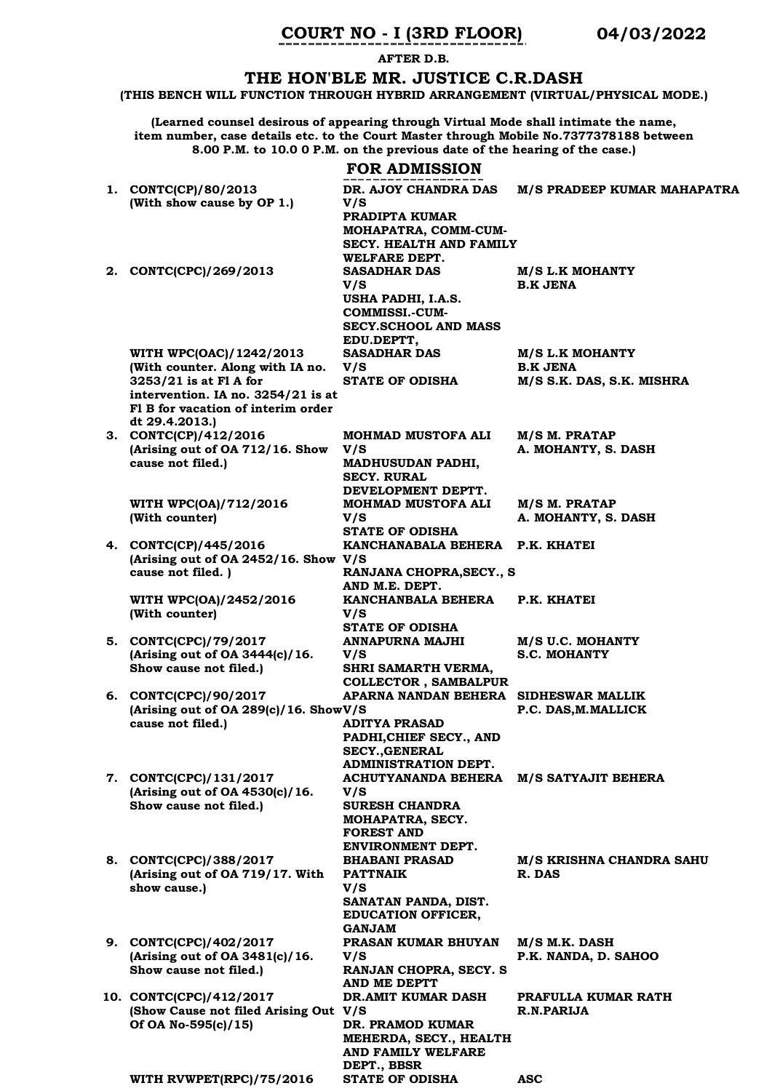# **COURT NO - I (3RD FLOOR) 04/03/2022**

**AFTER D.B.**

# **THE HON'BLE MR. JUSTICE C.R.DASH**

**(THIS BENCH WILL FUNCTION THROUGH HYBRID ARRANGEMENT (VIRTUAL/PHYSICAL MODE.)**

**(Learned counsel desirous of appearing through Virtual Mode shall intimate the name, item number, case details etc. to the Court Master through Mobile No.7377378188 between 8.00 P.M. to 10.0 0 P.M. on the previous date of the hearing of the case.)**

|                                                                          | <b>FOR ADMISSION</b>                              |                                                 |
|--------------------------------------------------------------------------|---------------------------------------------------|-------------------------------------------------|
| 1. CONTC(CP)/80/2013<br>(With show cause by OP 1.)                       | DR. AJOY CHANDRA DAS<br>V/S                       | M/S PRADEEP KUMAR MAHAPATRA                     |
|                                                                          | PRADIPTA KUMAR<br>MOHAPATRA, COMM-CUM-            |                                                 |
|                                                                          | SECY. HEALTH AND FAMILY                           |                                                 |
| 2. CONTC(CPC)/269/2013                                                   | WELFARE DEPT.<br><b>SASADHAR DAS</b>              | <b>M/S L.K MOHANTY</b>                          |
|                                                                          | V/S                                               | <b>B.K JENA</b>                                 |
|                                                                          | USHA PADHI, I.A.S.<br><b>COMMISSI.-CUM-</b>       |                                                 |
|                                                                          | <b>SECY.SCHOOL AND MASS</b>                       |                                                 |
| WITH WPC(OAC)/1242/2013                                                  | EDU.DEPTT,<br><b>SASADHAR DAS</b>                 | <b>M/S L.K MOHANTY</b>                          |
| (With counter. Along with IA no.                                         | V/S                                               | <b>B.K JENA</b>                                 |
| 3253/21 is at F1 A for                                                   | <b>STATE OF ODISHA</b>                            | M/S S.K. DAS, S.K. MISHRA                       |
| intervention. IA no. 3254/21 is at<br>F1 B for vacation of interim order |                                                   |                                                 |
| dt 29.4.2013.)                                                           |                                                   |                                                 |
| 3. CONTC(CP)/412/2016<br>(Arising out of OA 712/16. Show                 | <b>MOHMAD MUSTOFA ALI</b><br>V/S                  | M/S M. PRATAP<br>A. MOHANTY, S. DASH            |
| cause not filed.)                                                        | <b>MADHUSUDAN PADHI,</b>                          |                                                 |
|                                                                          | <b>SECY. RURAL</b><br>DEVELOPMENT DEPTT.          |                                                 |
| WITH WPC(OA)/712/2016                                                    | <b>MOHMAD MUSTOFA ALI</b>                         | M/S M. PRATAP                                   |
| (With counter)                                                           | V/S<br><b>STATE OF ODISHA</b>                     | A. MOHANTY, S. DASH                             |
| 4. CONTC(CP)/445/2016                                                    | KANCHANABALA BEHERA P.K. KHATEI                   |                                                 |
| (Arising out of OA 2452/16. Show V/S<br>cause not filed.)                | RANJANA CHOPRA, SECY., S                          |                                                 |
|                                                                          | AND M.E. DEPT.                                    |                                                 |
| WITH WPC(OA)/2452/2016                                                   | KANCHANBALA BEHERA                                | P.K. KHATEI                                     |
| (With counter)                                                           | V/S<br><b>STATE OF ODISHA</b>                     |                                                 |
| 5. CONTC(CPC)/79/2017                                                    | <b>ANNAPURNA MAJHI</b>                            | M/S U.C. MOHANTY                                |
| (Arising out of OA 3444(c)/16.<br>Show cause not filed.)                 | V/S<br>SHRI SAMARTH VERMA,                        | <b>S.C. MOHANTY</b>                             |
|                                                                          | <b>COLLECTOR, SAMBALPUR</b>                       |                                                 |
| 6. CONTC(CPC)/90/2017<br>(Arising out of OA 289(c)/16. ShowV/S           | APARNA NANDAN BEHERA                              | <b>SIDHESWAR MALLIK</b><br>P.C. DAS, M. MALLICK |
| cause not filed.)                                                        | <b>ADITYA PRASAD</b>                              |                                                 |
|                                                                          | PADHI, CHIEF SECY., AND<br><b>SECY., GENERAL</b>  |                                                 |
|                                                                          | <b>ADMINISTRATION DEPT.</b>                       |                                                 |
| 7. CONTC(CPC)/131/2017<br>(Arising out of OA 4530(c)/16.                 | ACHUTYANANDA BEHERA<br>V/S                        | M/S SATYAJIT BEHERA                             |
| Show cause not filed.)                                                   | <b>SURESH CHANDRA</b>                             |                                                 |
|                                                                          | MOHAPATRA, SECY.<br><b>FOREST AND</b>             |                                                 |
|                                                                          | ENVIRONMENT DEPT.                                 |                                                 |
| 8. CONTC(CPC)/388/2017<br>(Arising out of OA 719/17. With                | <b>BHABANI PRASAD</b><br><b>PATTNAIK</b>          | M/S KRISHNA CHANDRA SAHU<br>R. DAS              |
| show cause.)                                                             | V/S                                               |                                                 |
|                                                                          | SANATAN PANDA, DIST.<br><b>EDUCATION OFFICER,</b> |                                                 |
| 9. CONTC(CPC)/402/2017                                                   | <b>GANJAM</b><br>PRASAN KUMAR BHUYAN              | M/S M.K. DASH                                   |
| (Arising out of OA $3481(c)/16$ .                                        | V/S                                               | P.K. NANDA, D. SAHOO                            |
| Show cause not filed.)                                                   | RANJAN CHOPRA, SECY. S<br>AND ME DEPTT            |                                                 |
| 10. CONTC(CPC)/412/2017                                                  | DR.AMIT KUMAR DASH                                | PRAFULLA KUMAR RATH                             |
| (Show Cause not filed Arising Out V/S<br>Of OA No-595(c)/15)             | DR. PRAMOD KUMAR                                  | R.N.PARIJA                                      |
|                                                                          | MEHERDA, SECY., HEALTH                            |                                                 |
|                                                                          | AND FAMILY WELFARE<br>DEPT., BBSR                 |                                                 |
| WITH RVWPET(RPC)/75/2016                                                 | <b>STATE OF ODISHA</b>                            | <b>ASC</b>                                      |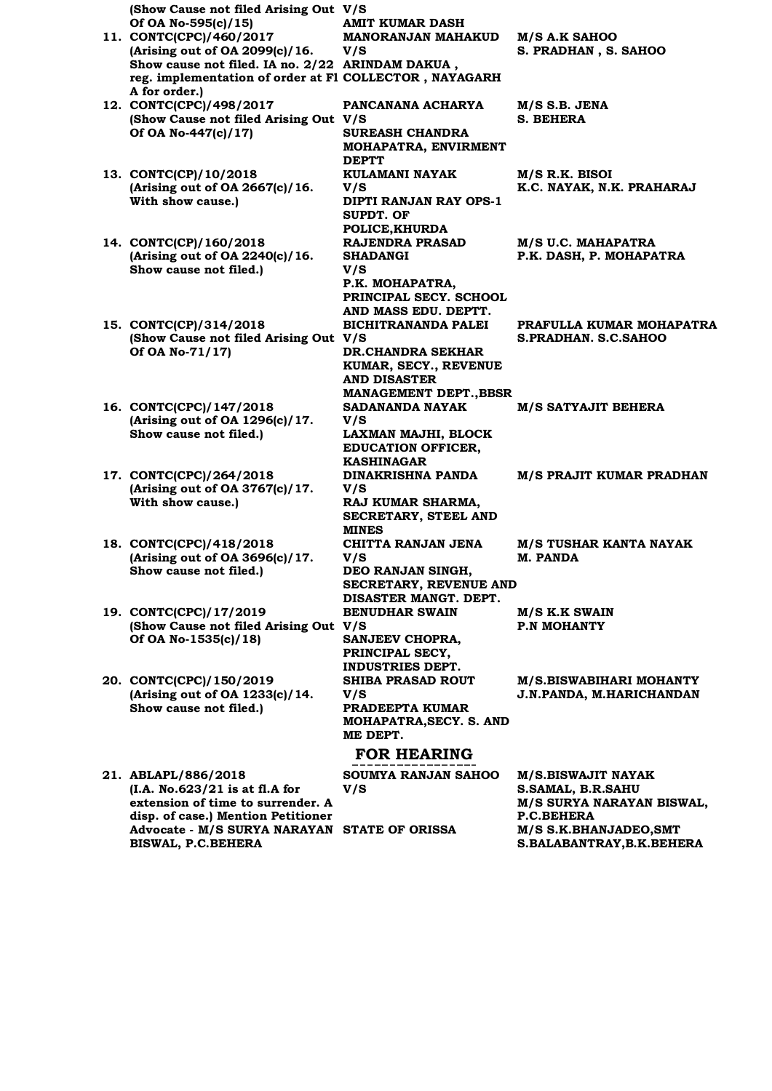**(Show Cause not filed Arising Out V/S Of OA No-595(c)/15) AMIT KUMAR DASH 11. CONTC(CPC)/460/2017 (Arising out of OA 2099(c)/16. Show cause not filed. IA no. 2/22 ARINDAM DAKUA , reg. implementation of order at Fl COLLECTOR , NAYAGARH A for order.) MANORANJAN MAHAKUD V/S M/S A.K SAHOO S. PRADHAN , S. SAHOO 12. CONTC(CPC)/498/2017 (Show Cause not filed Arising Out V/S Of OA No-447(c)/17) PANCANANA ACHARYA M/S S.B. JENA S. BEHERA SUREASH CHANDRA MOHAPATRA, ENVIRMENT DEPTT 13. CONTC(CP)/10/2018 (Arising out of OA 2667(c)/16. With show cause.) KULAMANI NAYAK V/S M/S R.K. BISOI K.C. NAYAK, N.K. PRAHARAJ DIPTI RANJAN RAY OPS-1 SUPDT. OF POLICE,KHURDA 14. CONTC(CP)/160/2018 (Arising out of OA 2240(c)/16. Show cause not filed.) RAJENDRA PRASAD SHADANGI V/S M/S U.C. MAHAPATRA P.K. DASH, P. MOHAPATRA P.K. MOHAPATRA, PRINCIPAL SECY. SCHOOL AND MASS EDU. DEPTT. 15. CONTC(CP)/314/2018 (Show Cause not filed Arising Out V/S Of OA No-71/17) BICHITRANANDA PALEI PRAFULLA KUMAR MOHAPATRA S.PRADHAN. S.C.SAHOO DR.CHANDRA SEKHAR KUMAR, SECY., REVENUE AND DISASTER MANAGEMENT DEPT.,BBSR 16. CONTC(CPC)/147/2018 (Arising out of OA 1296(c)/17. Show cause not filed.) SADANANDA NAYAK V/S M/S SATYAJIT BEHERA LAXMAN MAJHI, BLOCK EDUCATION OFFICER, KASHINAGAR 17. CONTC(CPC)/264/2018 (Arising out of OA 3767(c)/17. With show cause.) DINAKRISHNA PANDA V/S M/S PRAJIT KUMAR PRADHAN RAJ KUMAR SHARMA, SECRETARY, STEEL AND MINES 18. CONTC(CPC)/418/2018 (Arising out of OA 3696(c)/17. Show cause not filed.) CHITTA RANJAN JENA V/S M/S TUSHAR KANTA NAYAK M. PANDA DEO RANJAN SINGH, SECRETARY, REVENUE AND DISASTER MANGT. DEPT. 19. CONTC(CPC)/17/2019 (Show Cause not filed Arising Out V/S Of OA No-1535(c)/18) BENUDHAR SWAIN M/S K.K SWAIN P.N MOHANTY SANJEEV CHOPRA, PRINCIPAL SECY, INDUSTRIES DEPT. 20. CONTC(CPC)/150/2019 (Arising out of OA 1233(c)/14. Show cause not filed.) SHIBA PRASAD ROUT V/S M/S.BISWABIHARI MOHANTY J.N.PANDA, M.HARICHANDAN PRADEEPTA KUMAR MOHAPATRA,SECY. S. AND ME DEPT. FOR HEARING 21. ABLAPL/886/2018 (I.A. No.623/21 is at fl.A for extension of time to surrender. A disp. of case.) Mention Petitioner Advocate - M/S SURYA NARAYAN SOUMYA RANJAN SAHOO V/S M/S.BISWAJIT NAYAK S.SAMAL, B.R.SAHU M/S SURYA NARAYAN BISWAL, P.C.BEHERA STATE OF ORISSA M/S S.K.BHANJADEO,SMT** 

**S.BALABANTRAY,B.K.BEHERA** 

**BISWAL, P.C.BEHERA**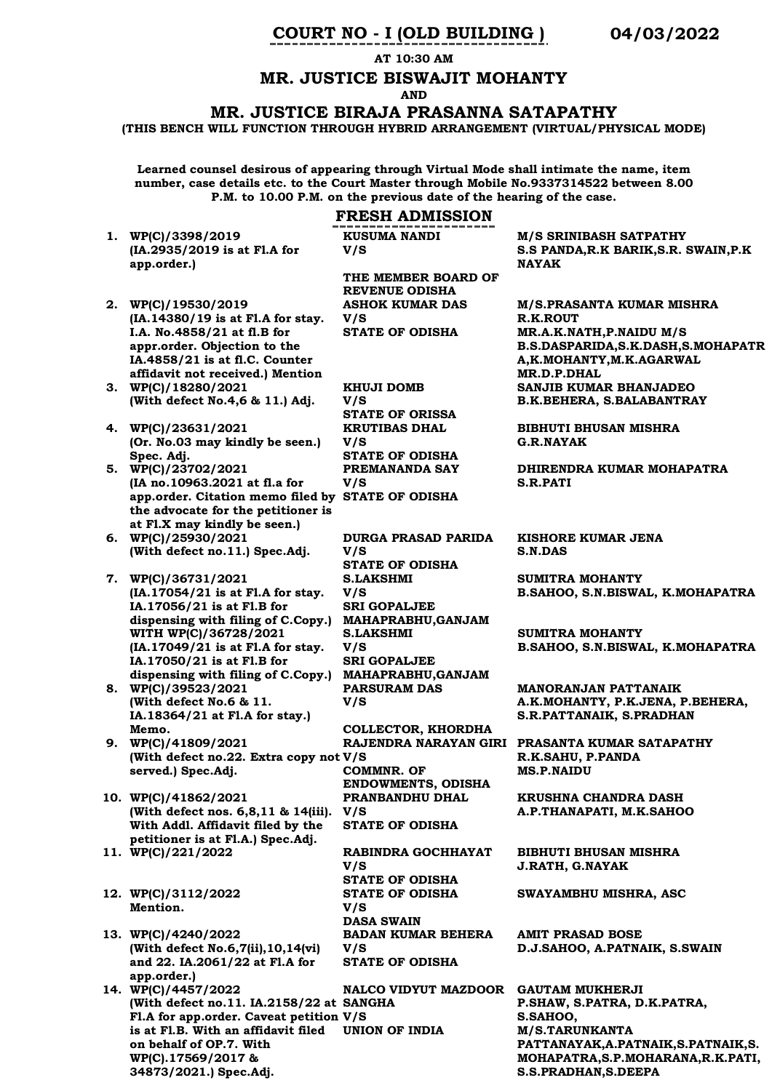# **COURT NO - I (OLD BUILDING ) 04/03/2022**

**AT 10:30 AM**

# **MR. JUSTICE BISWAJIT MOHANTY**

**AND**

#### **MR. JUSTICE BIRAJA PRASANNA SATAPATHY**

**(THIS BENCH WILL FUNCTION THROUGH HYBRID ARRANGEMENT (VIRTUAL/PHYSICAL MODE)**

**Learned counsel desirous of appearing through Virtual Mode shall intimate the name, item number, case details etc. to the Court Master through Mobile No.9337314522 between 8.00 P.M. to 10.00 P.M. on the previous date of the hearing of the case.**

#### **FRESH ADMISSION**

**THE MEMBER BOARD OF REVENUE ODISHA**

**ASHOK KUMAR DAS V/S** 

**KUSUMA NANDI** 

**V/S** 

**1. WP(C)/3398/2019 (IA.2935/2019 is at Fl.A for app.order.)**

- **2. WP(C)/19530/2019 (IA.14380/19 is at Fl.A for stay. I.A. No.4858/21 at fl.B for appr.order. Objection to the IA.4858/21 is at fl.C. Counter affidavit not received.) Mention**
- **3. WP(C)/18280/2021 (With defect No.4,6 & 11.) Adj.**
- **4. WP(C)/23631/2021 (Or. No.03 may kindly be seen.) Spec. Adj.**
- **5. WP(C)/23702/2021 (IA no.10963.2021 at fl.a for app.order. Citation memo filed by STATE OF ODISHA the advocate for the petitioner is at Fl.X may kindly be seen.)**
- **6. WP(C)/25930/2021 (With defect no.11.) Spec.Adj.**
- **7. WP(C)/36731/2021 (IA.17054/21 is at Fl.A for stay. IA.17056/21 is at Fl.B for dispensing with filing of C.Copy.) MAHAPRABHU,GANJAM WITH WP(C)/36728/2021 (IA.17049/21 is at Fl.A for stay. IA.17050/21 is at Fl.B for dispensing with filing of C.Copy.)**
- **8. WP(C)/39523/2021 (With defect No.6 & 11. IA.18364/21 at Fl.A for stay.) Memo.**
- **9. WP(C)/41809/2021 (With defect no.22. Extra copy not V/S served.) Spec.Adj.**
- **10. WP(C)/41862/2021 (With defect nos. 6,8,11 & 14(iii). With Addl. Affidavit filed by the petitioner is at Fl.A.) Spec.Adj.**
- 
- **12. WP(C)/3112/2022 Mention.**
- **13. WP(C)/4240/2022 (With defect No.6,7(ii),10,14(vi) and 22. IA.2061/22 at Fl.A for app.order.)**
- **14. WP(C)/4457/2022 (With defect no.11. IA.2158/22 at SANGHA Fl.A for app.order. Caveat petition V/S is at Fl.B. With an affidavit filed on behalf of OP.7. With WP(C).17569/2017 & 34873/2021.) Spec.Adj.**

**KHUJI DOMB V/S STATE OF ORISSA KRUTIBAS DHAL V/S STATE OF ODISHA PREMANANDA SAY V/S DURGA PRASAD PARIDA V/S STATE OF ODISHA S.LAKSHMI V/S SRI GOPALJEE S.LAKSHMI V/S SRI GOPALJEE MAHAPRABHU,GANJAM PARSURAM DAS V/S COLLECTOR, KHORDHA COMMNR. OF ENDOWMENTS, ODISHA PRANBANDHU DHAL V/S STATE OF ODISHA 11. WP(C)/221/2022 RABINDRA GOCHHAYAT V/S STATE OF ODISHA STATE OF ODISHA** 

> **V/S DASA SWAIN BADAN KUMAR BEHERA V/S STATE OF ODISHA**

**NALCO VIDYUT MAZDOOR GAUTAM MUKHERJI**

**M/S SRINIBASH SATPATHY S.S PANDA,R.K BARIK,S.R. SWAIN,P.K NAYAK**

**M/S.PRASANTA KUMAR MISHRA R.K.ROUT STATE OF ODISHA MR.A.K.NATH,P.NAIDU M/S B.S.DASPARIDA,S.K.DASH,S.MOHAPATR A,K.MOHANTY,M.K.AGARWAL MR.D.P.DHAL SANJIB KUMAR BHANJADEO B.K.BEHERA, S.BALABANTRAY**

**BIBHUTI BHUSAN MISHRA G.R.NAYAK**

**DHIRENDRA KUMAR MOHAPATRA S.R.PATI**

**KISHORE KUMAR JENA S.N.DAS**

**SUMITRA MOHANTY B.SAHOO, S.N.BISWAL, K.MOHAPATRA**

**SUMITRA MOHANTY B.SAHOO, S.N.BISWAL, K.MOHAPATRA**

**MANORANJAN PATTANAIK A.K.MOHANTY, P.K.JENA, P.BEHERA, S.R.PATTANAIK, S.PRADHAN**

**RAJENDRA NARAYAN GIRI PRASANTA KUMAR SATAPATHY R.K.SAHU, P.PANDA MS.P.NAIDU** 

> **KRUSHNA CHANDRA DASH A.P.THANAPATI, M.K.SAHOO**

**BIBHUTI BHUSAN MISHRA J.RATH, G.NAYAK**

**SWAYAMBHU MISHRA, ASC**

**AMIT PRASAD BOSE D.J.SAHOO, A.PATNAIK, S.SWAIN**

**P.SHAW, S.PATRA, D.K.PATRA, S.SAHOO,**  $M/S.TARUNKANTA$ **PATTANAYAK,A.PATNAIK,S.PATNAIK,S. MOHAPATRA,S.P.MOHARANA,R.K.PATI, S.S.PRADHAN,S.DEEPA**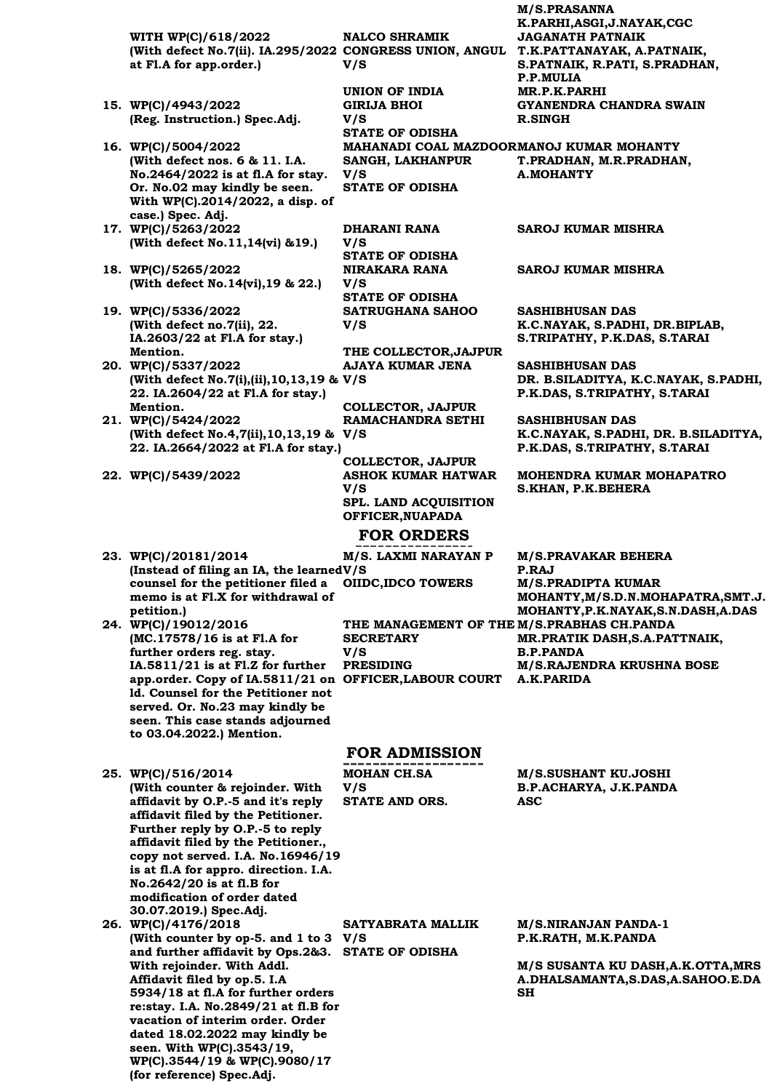**WITH WP(C)/618/2022 (With defect No.7(ii). IA.295/2022 CONGRESS UNION, ANGUL T.K.PATTANAYAK, A.PATNAIK, at Fl.A for app.order.)**

- **15. WP(C)/4943/2022 (Reg. Instruction.) Spec.Adj.**
- **16. WP(C)/5004/2022 (With defect nos. 6 & 11. I.A. No.2464/2022 is at fl.A for stay. Or. No.02 may kindly be seen. With WP(C).2014/2022, a disp. of case.) Spec. Adj.**
- **17. WP(C)/5263/2022 (With defect No.11,14(vi) &19.)**
- **18. WP(C)/5265/2022 (With defect No.14(vi),19 & 22.)**
- **19. WP(C)/5336/2022 (With defect no.7(ii), 22. IA.2603/22 at Fl.A for stay.) Mention.**
- **20. WP(C)/5337/2022 (With defect No.7(i),(ii),10,13,19 & V/S 22. IA.2604/22 at Fl.A for stay.) Mention.**
- **21. WP(C)/5424/2022 (With defect No.4,7(ii),10,13,19 & V/S 22. IA.2664/2022 at Fl.A for stay.)**
- 
- **23. WP(C)/20181/2014 (Instead of filing an IA, the learned V/S counsel for the petitioner filed a**
- **petition.) 24. WP(C)/19012/2016 (MC.17578/16 is at Fl.A for further orders reg. stay. IA.5811/21 is at Fl.Z for further PRESIDING app.order. Copy of IA.5811/21 on OFFICER,LABOUR COURT ld. Counsel for the Petitioner not served. Or. No.23 may kindly be seen. This case stands adjourned to 03.04.2022.) Mention.**

**25. WP(C)/516/2014 (With counter & rejoinder. With affidavit by O.P.-5 and it's reply affidavit filed by the Petitioner. Further reply by O.P.-5 to reply affidavit filed by the Petitioner., copy not served. I.A. No.16946/19 is at fl.A for appro. direction. I.A. No.2642/20 is at fl.B for modification of order dated 30.07.2019.) Spec.Adj.**

**26. WP(C)/4176/2018 (With counter by op-5. and 1 to 3 V/S and further affidavit by Ops.2&3. STATE OF ODISHA With rejoinder. With Addl. Affidavit filed by op.5. I.A 5934/18 at fl.A for further orders re:stay. I.A. No.2849/21 at fl.B for vacation of interim order. Order dated 18.02.2022 may kindly be seen. With WP(C).3543/19, WP(C).3544/19 & WP(C).9080/17 (for reference) Spec.Adj. SATYABRATA MALLIK** 

**NALCO SHRAMIK V/S** 

**UNION OF INDIA MR.P.K.PARHI GIRIJA BHOI V/S STATE OF ODISHA SANGH, LAKHANPUR V/S STATE OF ODISHA**

**DHARANI RANA V/S STATE OF ODISHA NIRAKARA RANA V/S STATE OF ODISHA SATRUGHANA SAHOO V/S** 

**THE COLLECTOR,JAJPUR AJAYA KUMAR JENA** 

**COLLECTOR, JAJPUR RAMACHANDRA SETHI** 

**COLLECTOR, JAJPUR 22. WP(C)/5439/2022 ASHOK KUMAR HATWAR V/S SPL. LAND ACQUISITION OFFICER,NUAPADA**

# **FOR ORDERS**

**memo is at Fl.X for withdrawal of M/S. LAXMI NARAYAN P OIIDC,IDCO TOWERS M/S.PRADIPTA KUMAR THE MANAGEMENT OF THE M/S.PRABHAS CH.PANDA SECRETARY V/S** 

**M/S.PRASANNA K.PARHI,ASGI,J.NAYAK,CGC JAGANATH PATNAIK S.PATNAIK, R.PATI, S.PRADHAN, P.P.MULIA GYANENDRA CHANDRA SWAIN R.SINGH**

**MAHANADI COAL MAZDOOR MANOJ KUMAR MOHANTY T.PRADHAN, M.R.PRADHAN, A.MOHANTY**

**SAROJ KUMAR MISHRA**

**SAROJ KUMAR MISHRA**

**SASHIBHUSAN DAS K.C.NAYAK, S.PADHI, DR.BIPLAB, S.TRIPATHY, P.K.DAS, S.TARAI**

**SASHIBHUSAN DAS DR. B.SILADITYA, K.C.NAYAK, S.PADHI, P.K.DAS, S.TRIPATHY, S.TARAI**

**SASHIBHUSAN DAS K.C.NAYAK, S.PADHI, DR. B.SILADITYA, P.K.DAS, S.TRIPATHY, S.TARAI**

**MOHENDRA KUMAR MOHAPATRO S.KHAN, P.K.BEHERA**

**M/S.PRAVAKAR BEHERA P.RAJ MOHANTY,M/S.D.N.MOHAPATRA,SMT.J. MOHANTY,P.K.NAYAK,S.N.DASH,A.DAS MR.PRATIK DASH,S.A.PATTNAIK, B.P.PANDA M/S.RAJENDRA KRUSHNA BOSE A.K.PARIDA**

## **FOR ADMISSION**

**MOHAN CH.SA V/S STATE AND ORS. ASC** 

**M/S.SUSHANT KU.JOSHI B.P.ACHARYA, J.K.PANDA**

**M/S.NIRANJAN PANDA-1 P.K.RATH, M.K.PANDA**

**M/S SUSANTA KU DASH,A.K.OTTA,MRS A.DHALSAMANTA,S.DAS,A.SAHOO.E.DA SH**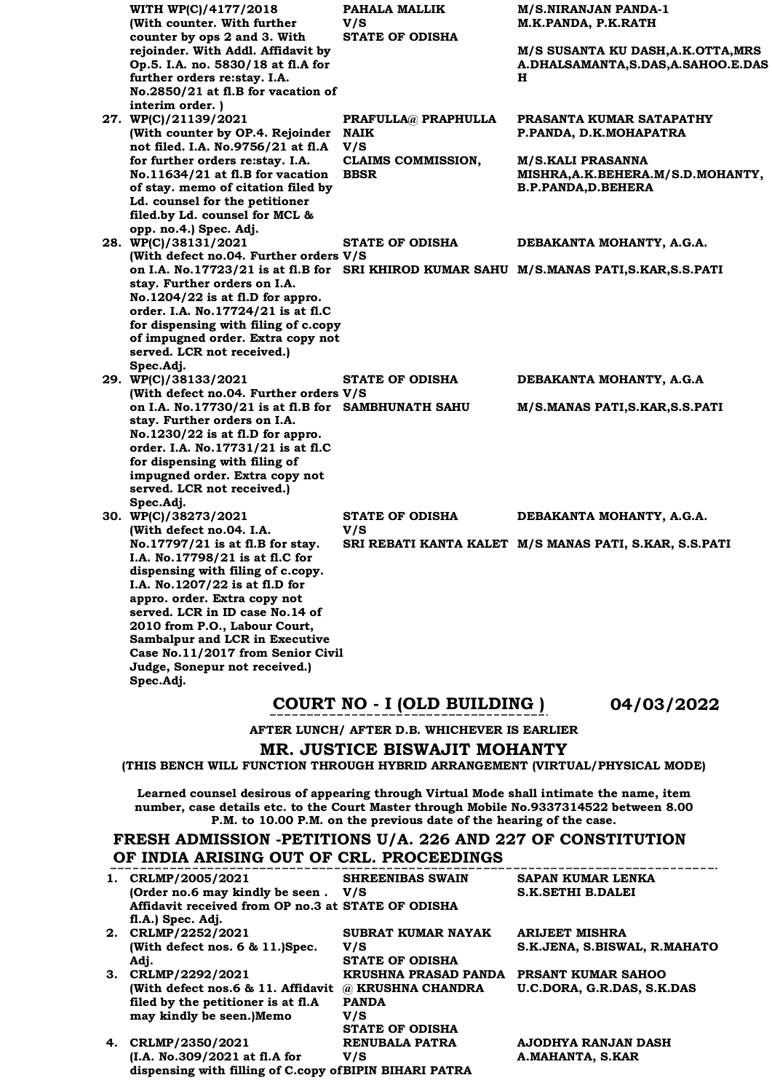| WITH WP(C)/4177/2018                                            | PAHALA MALLIK             | <b>M/S.NIRANJAN PANDA-1</b>                                                            |
|-----------------------------------------------------------------|---------------------------|----------------------------------------------------------------------------------------|
| (With counter. With further                                     | V/S                       | M.K.PANDA, P.K.RATH                                                                    |
| counter by ops 2 and 3. With                                    | <b>STATE OF ODISHA</b>    |                                                                                        |
| rejoinder. With Addl. Affidavit by                              |                           | M/S SUSANTA KU DASH, A.K. OTTA, MRS                                                    |
| Op.5. I.A. no. 5830/18 at fl.A for                              |                           | A.DHALSAMANTA, S.DAS, A.SAHOO.E.DAS                                                    |
| further orders re:stay. I.A.                                    |                           | н                                                                                      |
| No.2850/21 at fl.B for vacation of                              |                           |                                                                                        |
| interim order.)                                                 |                           |                                                                                        |
| 27. WP(C)/21139/2021                                            | PRAFULLA@ PRAPHULLA       | PRASANTA KUMAR SATAPATHY                                                               |
| (With counter by OP.4. Rejoinder                                | NAIK                      | P.PANDA, D.K.MOHAPATRA                                                                 |
| not filed. I.A. No.9756/21 at fl.A                              | V/S                       |                                                                                        |
| for further orders re:stay. I.A.                                | <b>CLAIMS COMMISSION,</b> | <b>M/S.KALI PRASANNA</b>                                                               |
| No.11634/21 at fl.B for vacation                                | <b>BBSR</b>               | MISHRA, A.K. BEHERA.M/S.D. MOHANTY,                                                    |
| of stay. memo of citation filed by                              |                           | <b>B.P.PANDA,D.BEHERA</b>                                                              |
| Ld. counsel for the petitioner                                  |                           |                                                                                        |
| filed.by Ld. counsel for MCL &                                  |                           |                                                                                        |
| opp. no.4.) Spec. Adj.                                          |                           |                                                                                        |
| 28. WP(C)/38131/2021<br>(With defect no.04. Further orders V/S  | <b>STATE OF ODISHA</b>    | DEBAKANTA MOHANTY, A.G.A.                                                              |
|                                                                 |                           | on I.A. No.17723/21 is at fl.B for SRI KHIROD KUMAR SAHU M/S.MANAS PATI,S.KAR,S.S.PATI |
| stay. Further orders on I.A.                                    |                           |                                                                                        |
| $No.1204/22$ is at fl.D for appro.                              |                           |                                                                                        |
| order. I.A. No.17724/21 is at fl.C                              |                           |                                                                                        |
| for dispensing with filing of c.copy                            |                           |                                                                                        |
| of impugned order. Extra copy not                               |                           |                                                                                        |
| served. LCR not received.)                                      |                           |                                                                                        |
| Spec.Adj.                                                       |                           |                                                                                        |
| 29. WP(C)/38133/2021                                            | <b>STATE OF ODISHA</b>    | DEBAKANTA MOHANTY, A.G.A                                                               |
| (With defect no.04. Further orders V/S                          |                           |                                                                                        |
| on I.A. No.17730/21 is at fl.B for SAMBHUNATH SAHU              |                           | M/S.MANAS PATI, S.KAR, S.S. PATI                                                       |
| stay. Further orders on I.A.                                    |                           |                                                                                        |
| $No.1230/22$ is at fl.D for appro.                              |                           |                                                                                        |
| order. I.A. No.17731/21 is at fl.C                              |                           |                                                                                        |
| for dispensing with filing of                                   |                           |                                                                                        |
| impugned order. Extra copy not                                  |                           |                                                                                        |
| served. LCR not received.)                                      |                           |                                                                                        |
| Spec.Adj.                                                       |                           |                                                                                        |
| 30. WP(C)/38273/2021                                            | <b>STATE OF ODISHA</b>    | DEBAKANTA MOHANTY, A.G.A.                                                              |
| (With defect no.04. I.A.                                        | V/S                       |                                                                                        |
| No.17797/21 is at fl.B for stay.                                |                           | SRI REBATI KANTA KALET M/S MANAS PATI, S.KAR, S.S.PATI                                 |
| I.A. No.17798/21 is at fl.C for                                 |                           |                                                                                        |
| dispensing with filing of c.copy.                               |                           |                                                                                        |
| I.A. No.1207/22 is at fl.D for                                  |                           |                                                                                        |
| appro. order. Extra copy not<br>served. LCR in ID case No.14 of |                           |                                                                                        |
|                                                                 |                           |                                                                                        |
| 2010 from P.O., Labour Court,<br>Sambalpur and LCR in Executive |                           |                                                                                        |
| Case No.11/2017 from Senior Civil                               |                           |                                                                                        |
| Judge, Sonepur not received.)                                   |                           |                                                                                        |
| Spec.Adj.                                                       |                           |                                                                                        |
|                                                                 |                           |                                                                                        |

# **COURT NO - I (OLD BUILDING ) 04/03/2022**

**AFTER LUNCH/ AFTER D.B. WHICHEVER IS EARLIER**

# **MR. JUSTICE BISWAJIT MOHANTY**

**(THIS BENCH WILL FUNCTION THROUGH HYBRID ARRANGEMENT (VIRTUAL/PHYSICAL MODE)** 

**Learned counsel desirous of appearing through Virtual Mode shall intimate the name, item number, case details etc. to the Court Master through Mobile No.9337314522 between 8.00 P.M. to 10.00 P.M. on the previous date of the hearing of the case.**

# **FRESH ADMISSION -PETITIONS U/A. 226 AND 227 OF CONSTITUTION OF INDIA ARISING OUT OF CRL. PROCEEDINGS**

| 1. | CRLMP/2005/2021                                         | <b>SHREENIBAS SWAIN</b>   | <b>SAPAN KUMAR LENKA</b>     |
|----|---------------------------------------------------------|---------------------------|------------------------------|
|    | (Order no.6 may kindly be seen. V/S                     |                           | <b>S.K.SETHI B.DALEI</b>     |
|    | Affidavit received from OP no.3 at STATE OF ODISHA      |                           |                              |
|    | fl.A.) Spec. Adj.                                       |                           |                              |
|    | 2. CRLMP/2252/2021                                      | <b>SUBRAT KUMAR NAYAK</b> | <b>ARIJEET MISHRA</b>        |
|    | (With defect nos. 6 & 11.)Spec.                         | V/S                       | S.K.JENA, S.BISWAL, R.MAHATO |
|    | Adj.                                                    | <b>STATE OF ODISHA</b>    |                              |
| 3. | CRLMP/2292/2021                                         | KRUSHNA PRASAD PANDA      | <b>PRSANT KUMAR SAHOO</b>    |
|    | (With defect nos.6 & 11. Affidavit                      | @ KRUSHNA CHANDRA         | U.C.DORA, G.R.DAS, S.K.DAS   |
|    | filed by the petitioner is at fl.A                      | <b>PANDA</b>              |                              |
|    | may kindly be seen.)Memo                                | V/S                       |                              |
|    |                                                         | <b>STATE OF ODISHA</b>    |                              |
|    | 4. CRLMP/2350/2021                                      | <b>RENUBALA PATRA</b>     | AJODHYA RANJAN DASH          |
|    | (I.A. No.309/2021 at fl.A for                           | V/S                       | A.MAHANTA, S.KAR             |
|    | dispensing with filling of C.copy of BIPIN BIHARI PATRA |                           |                              |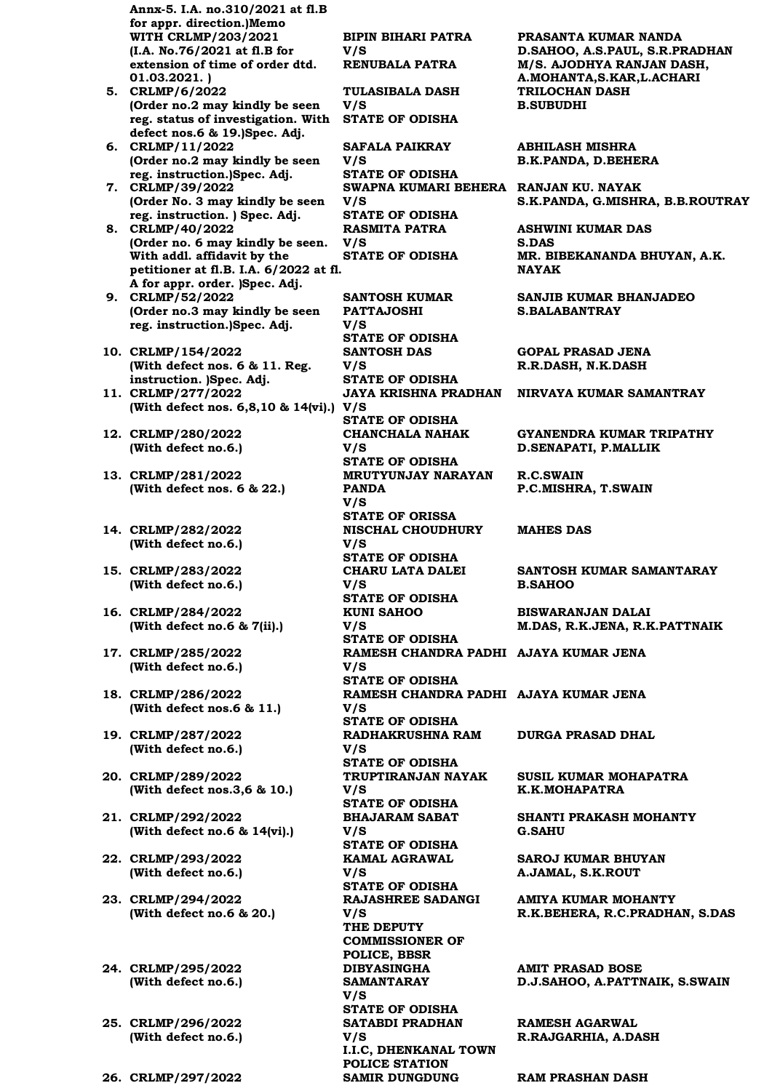**Annx-5. I.A. no.310/2021 at fl.B for appr. direction.)Memo WITH CRLMP/203/2021 (I.A. No.76/2021 at fl.B for extension of time of order dtd. 01.03.2021. )**

- **5. CRLMP/6/2022 (Order no.2 may kindly be seen reg. status of investigation. With STATE OF ODISHA defect nos.6 & 19.)Spec. Adj.**
- **6. CRLMP/11/2022 (Order no.2 may kindly be seen reg. instruction.)Spec. Adj.**
- **7. CRLMP/39/2022 (Order No. 3 may kindly be seen reg. instruction. ) Spec. Adj.**
- **8. CRLMP/40/2022 (Order no. 6 may kindly be seen. With addl. affidavit by the petitioner at fl.B. I.A. 6/2022 at fl. A for appr. order. )Spec. Adj.**
- **9. CRLMP/52/2022 (Order no.3 may kindly be seen reg. instruction.)Spec. Adj.**
- **10. CRLMP/154/2022 (With defect nos. 6 & 11. Reg. instruction. )Spec. Adj.**
- **11. CRLMP/277/2022 (With defect nos. 6,8,10 & 14(vi).) V/S**
- **12. CRLMP/280/2022 (With defect no.6.)**
- **13. CRLMP/281/2022 (With defect nos. 6 & 22.)**
- **14. CRLMP/282/2022 (With defect no.6.)**
- **15. CRLMP/283/2022 (With defect no.6.)**
- **16. CRLMP/284/2022 (With defect no.6 & 7(ii).)**
- **17. CRLMP/285/2022 (With defect no.6.)**
- **18. CRLMP/286/2022 (With defect nos.6 & 11.)**
- **19. CRLMP/287/2022 (With defect no.6.)**
- **20. CRLMP/289/2022 (With defect nos.3,6 & 10.)**
- **21. CRLMP/292/2022 (With defect no.6 & 14(vi).)**
- **22. CRLMP/293/2022 (With defect no.6.)**
- **23. CRLMP/294/2022 (With defect no.6 & 20.)**
- **24. CRLMP/295/2022 (With defect no.6.)**
- **25. CRLMP/296/2022 (With defect no.6.)**
- **26. CRLMP/297/2022 SAMIR DUNGDUNG RAM PRASHAN DASH**

**BIPIN BIHARI PATRA V/S TULASIBALA DASH V/S SAFALA PAIKRAY V/S STATE OF ODISHA SWAPNA KUMARI BEHERA RANJAN KU. NAYAK V/S STATE OF ODISHA RASMITA PATRA V/S SANTOSH KUMAR PATTAJOSHI V/S STATE OF ODISHA SANTOSH DAS V/S STATE OF ODISHA STATE OF ODISHA CHANCHALA NAHAK V/S STATE OF ODISHA MRUTYUNJAY NARAYAN PANDA V/S STATE OF ORISSA NISCHAL CHOUDHURY V/S STATE OF ODISHA CHARU LATA DALEI V/S STATE OF ODISHA KUNI SAHOO V/S STATE OF ODISHA RAMESH CHANDRA PADHI AJAYA KUMAR JENA V/S STATE OF ODISHA RAMESH CHANDRA PADHI AJAYA KUMAR JENA V/S STATE OF ODISHA RADHAKRUSHNA RAM V/S STATE OF ODISHA TRUPTIRANJAN NAYAK V/S STATE OF ODISHA BHAJARAM SABAT V/S STATE OF ODISHA KAMAL AGRAWAL V/S STATE OF ODISHA RAJASHREE SADANGI V/S THE DEPUTY COMMISSIONER OF POLICE, BBSR DIBYASINGHA SAMANTARAY V/S STATE OF ODISHA SATABDI PRADHAN V/S** 

**I.I.C, DHENKANAL TOWN** 

**POLICE STATION**

**PRASANTA KUMAR NANDA D.SAHOO, A.S.PAUL, S.R.PRADHAN RENUBALA PATRA M/S. AJODHYA RANJAN DASH, A.MOHANTA,S.KAR,L.ACHARI TRILOCHAN DASH B.SUBUDHI**

> **ABHILASH MISHRA B.K.PANDA, D.BEHERA**

**S.K.PANDA, G.MISHRA, B.B.ROUTRAY**

**ASHWINI KUMAR DAS S.DAS STATE OF ODISHA MR. BIBEKANANDA BHUYAN, A.K. NAYAK** 

> **SANJIB KUMAR BHANJADEO S.BALABANTRAY**

**GOPAL PRASAD JENA R.R.DASH, N.K.DASH**

**JAYA KRISHNA PRADHAN NIRVAYA KUMAR SAMANTRAY**

**GYANENDRA KUMAR TRIPATHY D.SENAPATI, P.MALLIK**

**R.C.SWAIN P.C.MISHRA, T.SWAIN**

#### **MAHES DAS**

**SANTOSH KUMAR SAMANTARAY B.SAHOO**

**BISWARANJAN DALAI M.DAS, R.K.JENA, R.K.PATTNAIK**

**DURGA PRASAD DHAL**

**SUSIL KUMAR MOHAPATRA K.K.MOHAPATRA**

**SHANTI PRAKASH MOHANTY G.SAHU**

**SAROJ KUMAR BHUYAN A.JAMAL, S.K.ROUT**

**AMIYA KUMAR MOHANTY R.K.BEHERA, R.C.PRADHAN, S.DAS**

**AMIT PRASAD BOSE D.J.SAHOO, A.PATTNAIK, S.SWAIN**

**RAMESH AGARWAL R.RAJGARHIA, A.DASH**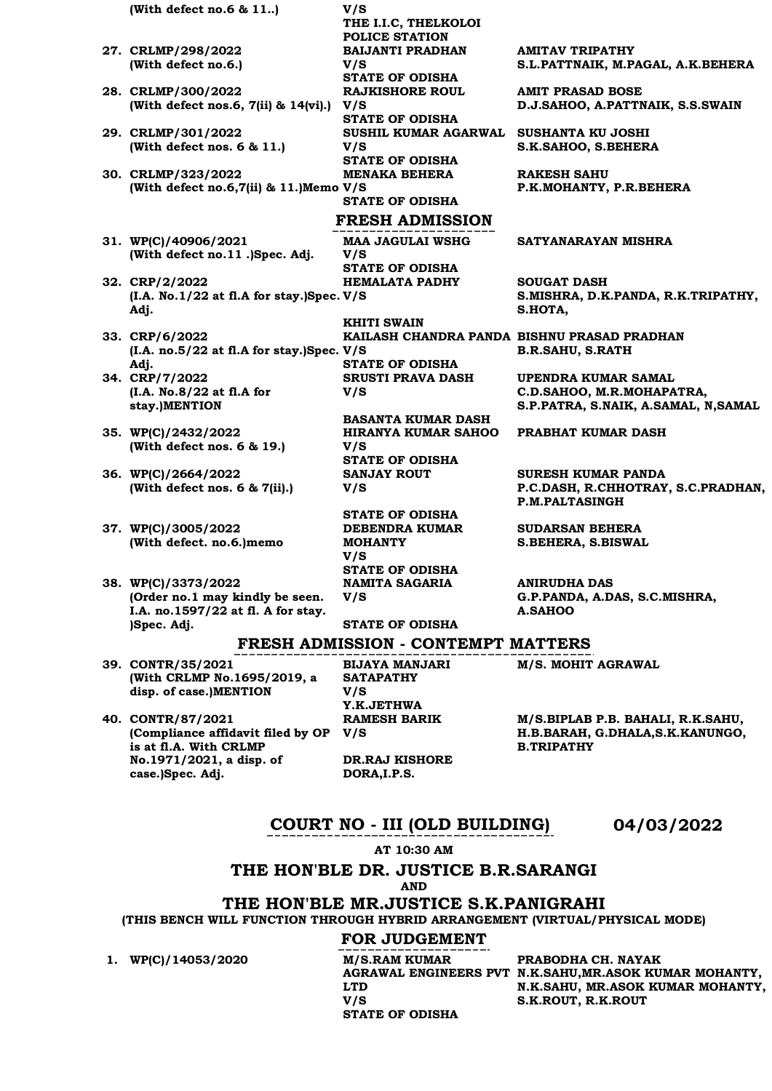**(With defect no.6 & 11..) V/S THE I.I.C, THELKOLOI POLICE STATION 27. CRLMP/298/2022 (With defect no.6.) BAIJANTI PRADHAN V/S AMITAV TRIPATHY S.L.PATTNAIK, M.PAGAL, A.K.BEHERA STATE OF ODISHA 28. CRLMP/300/2022 (With defect nos.6, 7(ii) & 14(vi).) V/S RAJKISHORE ROUL AMIT PRASAD BOSE D.J.SAHOO, A.PATTNAIK, S.S.SWAIN STATE OF ODISHA 29. CRLMP/301/2022 (With defect nos. 6 & 11.) SUSHIL KUMAR AGARWAL SUSHANTA KU JOSHI V/S S.K.SAHOO, S.BEHERA STATE OF ODISHA 30. CRLMP/323/2022 (With defect no.6,7(ii) & 11.)Memo V/S MENAKA BEHERA RAKESH SAHU P.K.MOHANTY, P.R.BEHERA STATE OF ODISHA FRESH ADMISSION 31. WP(C)/40906/2021 (With defect no.11 .)Spec. Adj. MAA JAGULAI WSHG V/S SATYANARAYAN MISHRA STATE OF ODISHA 32. CRP/2/2022 (I.A. No.1/22 at fl.A for stay.)Spec. V/S Adj. HEMALATA PADHY SOUGAT DASH S.MISHRA, D.K.PANDA, R.K.TRIPATHY, S.HOTA, KHITI SWAIN 33. CRP/6/2022 (I.A. no.5/22 at fl.A for stay.)Spec. V/S Adj. KAILASH CHANDRA PANDA BISHNU PRASAD PRADHAN B.R.SAHU, S.RATH STATE OF ODISHA 34. CRP/7/2022 (I.A. No.8/22 at fl.A for stay.)MENTION SRUSTI PRAVA DASH V/S UPENDRA KUMAR SAMAL C.D.SAHOO, M.R.MOHAPATRA, S.P.PATRA, S.NAIK, A.SAMAL, N,SAMAL BASANTA KUMAR DASH 35. WP(C)/2432/2022 (With defect nos. 6 & 19.) HIRANYA KUMAR SAHOO V/S PRABHAT KUMAR DASH STATE OF ODISHA 36. WP(C)/2664/2022 (With defect nos. 6 & 7(ii).) SANJAY ROUT V/S SURESH KUMAR PANDA P.C.DASH, R.CHHOTRAY, S.C.PRADHAN, P.M.PALTASINGH STATE OF ODISHA 37. WP(C)/3005/2022 (With defect. no.6.)memo DEBENDRA KUMAR MOHANTY V/S SUDARSAN BEHERA S.BEHERA, S.BISWAL STATE OF ODISHA 38. WP(C)/3373/2022 (Order no.1 may kindly be seen. I.A. no.1597/22 at fl. A for stay. )Spec. Adj. NAMITA SAGARIA V/S ANIRUDHA DAS G.P.PANDA, A.DAS, S.C.MISHRA, A.SAHOO STATE OF ODISHA FRESH ADMISSION - CONTEMPT MATTERS 39. CONTR/35/2021 M/S. MOHIT AGRAWAL**

**(With CRLMP No.1695/2019, a disp. of case.)MENTION**

**40. CONTR/87/2021 (Compliance affidavit filed by OP V/S is at fl.A. With CRLMP No.1971/2021, a disp. of case.)Spec. Adj.**

**BIJAYA MANJARI SATAPATHY V/S Y.K.JETHWA RAMESH BARIK DR.RAJ KISHORE DORA,I.P.S.**

**M/S.BIPLAB P.B. BAHALI, R.K.SAHU, H.B.BARAH, G.DHALA,S.K.KANUNGO, B.TRIPATHY**

# **COURT NO - III (OLD BUILDING) 04/03/2022**

**AT 10:30 AM**

# **THE HON'BLE DR. JUSTICE B.R.SARANGI AND**

**THE HON'BLE MR.JUSTICE S.K.PANIGRAHI**

**(THIS BENCH WILL FUNCTION THROUGH HYBRID ARRANGEMENT (VIRTUAL/PHYSICAL MODE)**

# **FOR JUDGEMENT**

**1. WP(C)/14053/2020 M/S.RAM KUMAR** 

**LTD V/S STATE OF ODISHA**

**AGRAWAL ENGINEERS PVT N.K.SAHU,MR.ASOK KUMAR MOHANTY, PRABODHA CH. NAYAK N.K.SAHU, MR.ASOK KUMAR MOHANTY, S.K.ROUT, R.K.ROUT**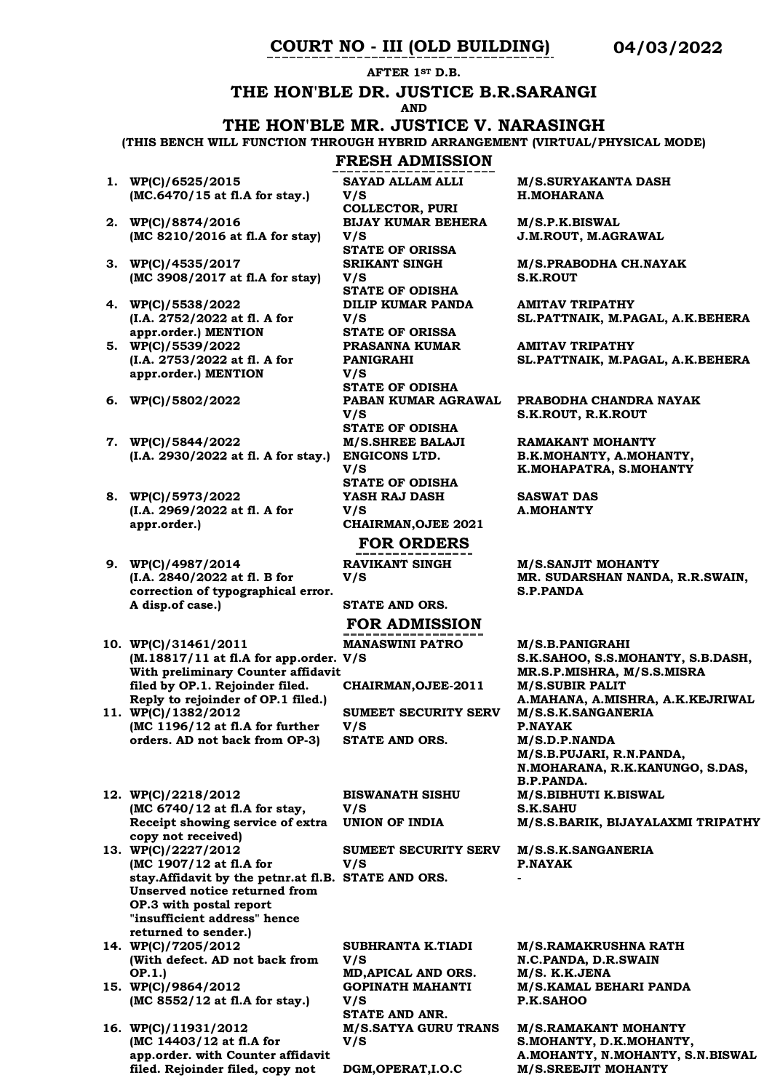**AFTER 1ST D.B.**

# **THE HON'BLE DR. JUSTICE B.R.SARANGI**

**AND**

### **THE HON'BLE MR. JUSTICE V. NARASINGH**

**(THIS BENCH WILL FUNCTION THROUGH HYBRID ARRANGEMENT (VIRTUAL/PHYSICAL MODE)**

# **FRESH ADMISSION**

- **1. WP(C)/6525/2015 (MC.6470/15 at fl.A for stay.)**
- **2. WP(C)/8874/2016 (MC 8210/2016 at fl.A for stay)**
- **3. WP(C)/4535/2017 (MC 3908/2017 at fl.A for stay)**
- **4. WP(C)/5538/2022 (I.A. 2752/2022 at fl. A for appr.order.) MENTION**
- **5. WP(C)/5539/2022 (I.A. 2753/2022 at fl. A for appr.order.) MENTION**
- 
- **7. WP(C)/5844/2022 (I.A. 2930/2022 at fl. A for stay.) ENGICONS LTD.**
- **8. WP(C)/5973/2022 (I.A. 2969/2022 at fl. A for appr.order.)**
- **9. WP(C)/4987/2014 (I.A. 2840/2022 at fl. B for correction of typographical error. A disp.of case.)**
- **10. WP(C)/31461/2011 (M.18817/11 at fl.A for app.order. V/S With preliminary Counter affidavit filed by OP.1. Rejoinder filed. Reply to rejoinder of OP.1 filed.)**
- **11. WP(C)/1382/2012 (MC 1196/12 at fl.A for further orders. AD not back from OP-3)**
- **12. WP(C)/2218/2012 (MC 6740/12 at fl.A for stay, Receipt showing service of extra copy not received)**
- **13. WP(C)/2227/2012 (MC 1907/12 at fl.A for stay.Affidavit by the petnr.at fl.B. STATE AND ORS. - Unserved notice returned from OP.3 with postal report "insufficient address" hence returned to sender.)**
- **14. WP(C)/7205/2012 (With defect. AD not back from OP.1.)**
- **15. WP(C)/9864/2012 (MC 8552/12 at fl.A for stay.)**
- **16. WP(C)/11931/2012 (MC 14403/12 at fl.A for app.order. with Counter affidavit filed. Rejoinder filed, copy not**

**SAYAD ALLAM ALLI V/S COLLECTOR, PURI BIJAY KUMAR BEHERA V/S STATE OF ORISSA SRIKANT SINGH V/S STATE OF ODISHA DILIP KUMAR PANDA V/S STATE OF ORISSA PRASANNA KUMAR PANIGRAHI V/S STATE OF ODISHA 6. WP(C)/5802/2022 PABAN KUMAR AGRAWAL V/S STATE OF ODISHA M/S.SHREE BALAJI V/S STATE OF ODISHA YASH RAJ DASH V/S CHAIRMAN,OJEE 2021 FOR ORDERS RAVIKANT SINGH V/S** 

**STATE AND ORS.**

# **FOR ADMISSION**

**MANASWINI PATRO** 

**CHAIRMAN,OJEE-2011 M/S.SUBIR PALIT** 

**SUMEET SECURITY SERV V/S STATE AND ORS. M/S.D.P.NANDA** 

**BISWANATH SISHU V/S** 

**SUMEET SECURITY SERV V/S** 

**SUBHRANTA K.TIADI V/S MD,APICAL AND ORS. M/S. K.K.JENA GOPINATH MAHANTI V/S STATE AND ANR. M/S.SATYA GURU TRANS V/S** 

**M/S.SURYAKANTA DASH H.MOHARANA**

**M/S.P.K.BISWAL J.M.ROUT, M.AGRAWAL**

**M/S.PRABODHA CH.NAYAK S.K.ROUT**

**AMITAV TRIPATHY SL.PATTNAIK, M.PAGAL, A.K.BEHERA**

**AMITAV TRIPATHY SL.PATTNAIK, M.PAGAL, A.K.BEHERA**

**PRABODHA CHANDRA NAYAK S.K.ROUT, R.K.ROUT**

**RAMAKANT MOHANTY B.K.MOHANTY, A.MOHANTY, K.MOHAPATRA, S.MOHANTY**

**SASWAT DAS A.MOHANTY**

**M/S.SANJIT MOHANTY MR. SUDARSHAN NANDA, R.R.SWAIN, S.P.PANDA**

**M/S.B.PANIGRAHI S.K.SAHOO, S.S.MOHANTY, S.B.DASH, MR.S.P.MISHRA, M/S.S.MISRA A.MAHANA, A.MISHRA, A.K.KEJRIWAL M/S.S.K.SANGANERIA P.NAYAK M/S.B.PUJARI, R.N.PANDA, N.MOHARANA, R.K.KANUNGO, S.DAS, B.P.PANDA. M/S.BIBHUTI K.BISWAL S.K.SAHU UNION OF INDIA M/S.S.BARIK, BIJAYALAXMI TRIPATHY** 

> **M/S.S.K.SANGANERIA P.NAYAK**

**M/S.RAMAKRUSHNA RATH N.C.PANDA, D.R.SWAIN M/S.KAMAL BEHARI PANDA P.K.SAHOO**

**M/S.RAMAKANT MOHANTY S.MOHANTY, D.K.MOHANTY, A.MOHANTY, N.MOHANTY, S.N.BISWAL DGM,OPERAT,I.O.C M/S.SREEJIT MOHANTY**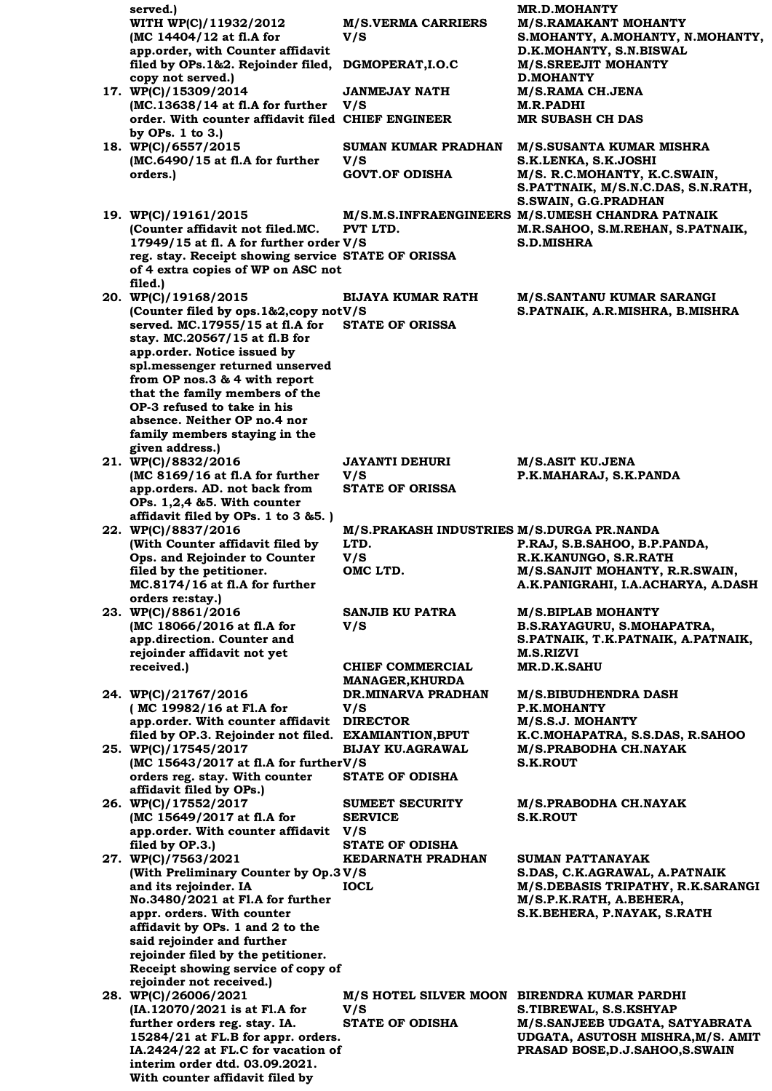| served.)<br>WITH WP(C)/11932/2012                                                             | <b>M/S.VERMA CARRIERS</b>                         | <b>MR.D.MOHANTY</b><br><b>M/S.RAMAKANT MOHANTY</b>                       |
|-----------------------------------------------------------------------------------------------|---------------------------------------------------|--------------------------------------------------------------------------|
| (MC 14404/12 at fl.A for                                                                      | V/S                                               | S.MOHANTY, A.MOHANTY, N.MOHANTY,                                         |
| app.order, with Counter affidavit<br>filed by OPs.1&2. Rejoinder filed,                       | DGMOPERAT, I.O.C                                  | D.K.MOHANTY, S.N.BISWAL<br><b>M/S.SREEJIT MOHANTY</b>                    |
| copy not served.)                                                                             |                                                   | <b>D.MOHANTY</b>                                                         |
| 17. WP(C)/15309/2014<br>(MC.13638/14 at fl.A for further                                      | JANMEJAY NATH<br>V/S                              | M/S.RAMA CH.JENA<br>M.R.PADHI                                            |
| order. With counter affidavit filed CHIEF ENGINEER<br>by OPs. 1 to 3.)                        |                                                   | <b>MR SUBASH CH DAS</b>                                                  |
| 18. WP(C)/6557/2015                                                                           | <b>SUMAN KUMAR PRADHAN</b>                        | <b>M/S.SUSANTA KUMAR MISHRA</b>                                          |
| (MC.6490/15 at fl.A for further<br>orders.)                                                   | V/S<br><b>GOVT.OF ODISHA</b>                      | S.K.LENKA, S.K.JOSHI<br>M/S. R.C.MOHANTY, K.C.SWAIN,                     |
|                                                                                               |                                                   | S.PATTNAIK, M/S.N.C.DAS, S.N.RATH,                                       |
| 19. WP(C)/19161/2015                                                                          |                                                   | S.SWAIN, G.G.PRADHAN<br>M/S.M.S.INFRAENGINEERS M/S.UMESH CHANDRA PATNAIK |
| (Counter affidavit not filed.MC.                                                              | PVT LTD.                                          | M.R.SAHOO, S.M.REHAN, S.PATNAIK,                                         |
| 17949/15 at fl. A for further order V/S<br>reg. stay. Receipt showing service STATE OF ORISSA |                                                   | S.D.MISHRA                                                               |
| of 4 extra copies of WP on ASC not                                                            |                                                   |                                                                          |
| filed.)<br>20. WP(C)/19168/2015                                                               | <b>BIJAYA KUMAR RATH</b>                          | <b>M/S.SANTANU KUMAR SARANGI</b>                                         |
| (Counter filed by ops. 1&2, copy not V/S                                                      | <b>STATE OF ORISSA</b>                            | S.PATNAIK, A.R.MISHRA, B.MISHRA                                          |
| served. MC.17955/15 at fl.A for<br>stay. MC.20567/15 at fl.B for                              |                                                   |                                                                          |
| app.order. Notice issued by<br>spl.messenger returned unserved                                |                                                   |                                                                          |
| from OP nos.3 & 4 with report                                                                 |                                                   |                                                                          |
| that the family members of the<br>OP-3 refused to take in his                                 |                                                   |                                                                          |
| absence. Neither OP no.4 nor                                                                  |                                                   |                                                                          |
| family members staying in the<br>given address.)                                              |                                                   |                                                                          |
| 21. WP(C)/8832/2016                                                                           | <b>JAYANTI DEHURI</b>                             | M/S.ASIT KU.JENA                                                         |
| (MC 8169/16 at fl.A for further<br>app.orders. AD. not back from                              | V/S<br><b>STATE OF ORISSA</b>                     | P.K.MAHARAJ, S.K.PANDA                                                   |
| OPs. $1,2,4$ & 5. With counter                                                                |                                                   |                                                                          |
| affidavit filed by OPs. 1 to $3 & 5$ .)<br>22. WP(C)/8837/2016                                | M/S.PRAKASH INDUSTRIES M/S.DURGA PR.NANDA         |                                                                          |
| (With Counter affidavit filed by<br>Ops. and Rejoinder to Counter                             | LTD.<br>V/S                                       | P.RAJ, S.B.SAHOO, B.P.PANDA,<br>R.K.KANUNGO, S.R.RATH                    |
| filed by the petitioner.                                                                      | OMC LTD.                                          | M/S.SANJIT MOHANTY, R.R.SWAIN,                                           |
| MC.8174/16 at fl.A for further<br>orders re:stay.)                                            |                                                   | A.K.PANIGRAHI, I.A.ACHARYA, A.DASH                                       |
| 23. WP(C)/8861/2016                                                                           | <b>SANJIB KU PATRA</b>                            | <b>M/S.BIPLAB MOHANTY</b>                                                |
| (MC 18066/2016 at fl.A for<br>app.direction. Counter and                                      | V/S                                               | B.S.RAYAGURU, S.MOHAPATRA,<br>S.PATNAIK, T.K.PATNAIK, A.PATNAIK,         |
| rejoinder affidavit not yet                                                                   |                                                   | <b>M.S.RIZVI</b>                                                         |
| received.)                                                                                    | <b>CHIEF COMMERCIAL</b><br><b>MANAGER, KHURDA</b> | <b>MR.D.K.SAHU</b>                                                       |
| 24. WP(C)/21767/2016                                                                          | DR.MINARVA PRADHAN                                | <b>M/S.BIBUDHENDRA DASH</b>                                              |
| (MC 19982/16 at Fl.A for<br>app.order. With counter affidavit                                 | V/S<br><b>DIRECTOR</b>                            | P.K.MOHANTY<br>M/S.S.J. MOHANTY                                          |
| filed by OP.3. Rejoinder not filed. EXAMIANTION, BPUT<br>25. WP(C)/17545/2017                 | <b>BIJAY KU.AGRAWAL</b>                           | K.C.MOHAPATRA, S.S.DAS, R.SAHOO<br>M/S.PRABODHA CH.NAYAK                 |
| (MC 15643/2017 at fl.A for furtherV/S                                                         |                                                   | <b>S.K.ROUT</b>                                                          |
| orders reg. stay. With counter<br>affidavit filed by OPs.)                                    | <b>STATE OF ODISHA</b>                            |                                                                          |
| 26. WP(C)/17552/2017                                                                          | <b>SUMEET SECURITY</b>                            | M/S.PRABODHA CH.NAYAK                                                    |
| (MC 15649/2017 at fl.A for<br>app.order. With counter affidavit V/S                           | <b>SERVICE</b>                                    | <b>S.K.ROUT</b>                                                          |
| filed by OP.3.)                                                                               | <b>STATE OF ODISHA</b>                            |                                                                          |
| 27. WP(C)/7563/2021<br>(With Preliminary Counter by Op.3 V/S                                  | KEDARNATH PRADHAN                                 | <b>SUMAN PATTANAYAK</b><br>S.DAS, C.K.AGRAWAL, A.PATNAIK                 |
| and its rejoinder. IA                                                                         | <b>IOCL</b>                                       | M/S.DEBASIS TRIPATHY, R.K.SARANGI                                        |
| No.3480/2021 at Fl.A for further<br>appr. orders. With counter                                |                                                   | M/S.P.K.RATH, A.BEHERA,<br>S.K.BEHERA, P.NAYAK, S.RATH                   |
| affidavit by OPs. 1 and 2 to the                                                              |                                                   |                                                                          |
| said rejoinder and further<br>rejoinder filed by the petitioner.                              |                                                   |                                                                          |
| Receipt showing service of copy of                                                            |                                                   |                                                                          |
| rejoinder not received.)<br>28. WP(C)/26006/2021                                              |                                                   | M/S HOTEL SILVER MOON BIRENDRA KUMAR PARDHI                              |
| (IA.12070/2021 is at Fl.A for<br>further orders reg. stay. IA.                                | V/S<br><b>STATE OF ODISHA</b>                     | S.TIBREWAL, S.S.KSHYAP<br>M/S.SANJEEB UDGATA, SATYABRATA                 |
| 15284/21 at FL.B for appr. orders.                                                            |                                                   | UDGATA, ASUTOSH MISHRA, M/S. AMIT                                        |
| IA.2424/22 at FL.C for vacation of<br>interim order dtd. 03.09.2021.                          |                                                   | PRASAD BOSE, D.J.SAHOO, S.SWAIN                                          |
| With counter affidavit filed by                                                               |                                                   |                                                                          |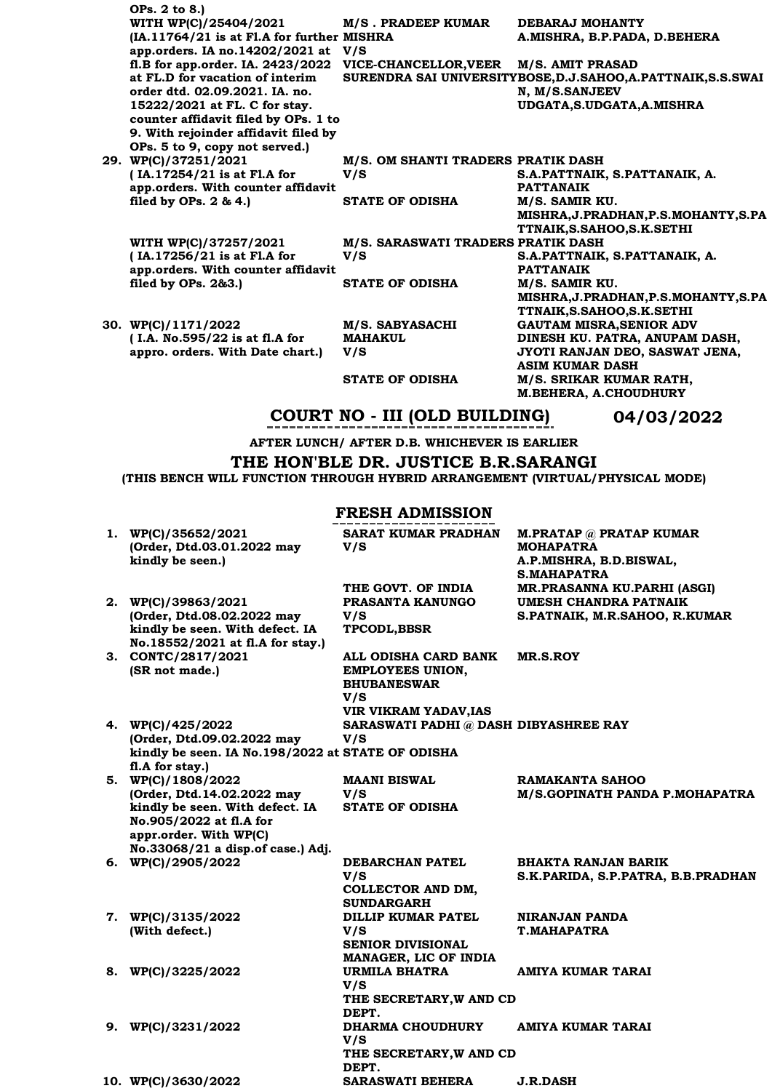| OPs. 2 to 8.)                              |                                    |                                                              |
|--------------------------------------------|------------------------------------|--------------------------------------------------------------|
| WITH WP(C)/25404/2021                      | <b>M/S. PRADEEP KUMAR</b>          | DEBARAJ MOHANTY                                              |
| (IA.11764/21 is at Fl.A for further MISHRA |                                    | A.MISHRA, B.P.PADA, D.BEHERA                                 |
| app.orders. IA no.14202/2021 at            | V/S                                |                                                              |
| fl.B for app.order. IA. 2423/2022          | VICE-CHANCELLOR, VEER              | <b>M/S. AMIT PRASAD</b>                                      |
| at FL.D for vacation of interim            |                                    | SURENDRA SAI UNIVERSITYBOSE, D.J.SAHOO, A.PATTNAIK, S.S.SWAI |
| order dtd. 02.09.2021. IA. no.             |                                    | N, M/S.SANJEEV                                               |
| 15222/2021 at FL. C for stay.              |                                    | UDGATA, S.UDGATA, A. MISHRA                                  |
| counter affidavit filed by OPs. 1 to       |                                    |                                                              |
| 9. With rejoinder affidavit filed by       |                                    |                                                              |
| OPs. 5 to 9, copy not served.)             |                                    |                                                              |
| 29. WP(C)/37251/2021                       | M/S. OM SHANTI TRADERS PRATIK DASH |                                                              |
| (IA.17254/21 is at Fl.A for                | V/S                                | S.A.PATTNAIK, S.PATTANAIK, A.                                |
| app.orders. With counter affidavit         |                                    | <b>PATTANAIK</b>                                             |
| filed by OPs. $2 & 4.$ )                   | <b>STATE OF ODISHA</b>             | M/S. SAMIR KU.                                               |
|                                            |                                    | MISHRA, J. PRADHAN, P.S. MOHANTY, S.PA                       |
|                                            |                                    | TTNAIK, S. SAHOO, S. K. SETHI                                |
| WITH WP(C)/37257/2021                      | M/S. SARASWATI TRADERS PRATIK DASH |                                                              |
| (IA.17256/21 is at Fl.A for                | V/S                                | S.A.PATTNAIK, S.PATTANAIK, A.                                |
| app.orders. With counter affidavit         |                                    | <b>PATTANAIK</b>                                             |
| filed by OPs. 2&3.)                        | <b>STATE OF ODISHA</b>             | M/S. SAMIR KU.                                               |
|                                            |                                    | MISHRA, J. PRADHAN, P.S. MOHANTY, S. PA                      |
|                                            |                                    | TTNAIK, S. SAHOO, S. K. SETHI                                |
| 30. WP(C)/1171/2022                        | M/S. SABYASACHI                    | <b>GAUTAM MISRA.SENIOR ADV</b>                               |
| (I.A. No.595/22 is at fl.A for             | <b>MAHAKUL</b>                     | DINESH KU. PATRA, ANUPAM DASH,                               |
| appro. orders. With Date chart.)           | V/S                                | JYOTI RANJAN DEO, SASWAT JENA,                               |
|                                            |                                    | <b>ASIM KUMAR DASH</b>                                       |
|                                            | <b>STATE OF ODISHA</b>             | M/S. SRIKAR KUMAR RATH,                                      |
|                                            |                                    | <b>M.BEHERA, A.CHOUDHURY</b>                                 |

# **COURT NO - III (OLD BUILDING) 04/03/2022**

**AFTER LUNCH/ AFTER D.B. WHICHEVER IS EARLIER**

**THE HON'BLE DR. JUSTICE B.R.SARANGI**

**(THIS BENCH WILL FUNCTION THROUGH HYBRID ARRANGEMENT (VIRTUAL/PHYSICAL MODE)**

# **FRESH ADMISSION**

| 1. WP(C)/35652/2021<br>(Order, Dtd.03.01.2022 may<br>kindly be seen.) | <b>SARAT KUMAR PRADHAN</b><br>V/S      | M.PRATAP @ PRATAP KUMAR<br><b>MOHAPATRA</b><br>A.P.MISHRA, B.D.BISWAL, |
|-----------------------------------------------------------------------|----------------------------------------|------------------------------------------------------------------------|
|                                                                       |                                        | <b>S.MAHAPATRA</b>                                                     |
|                                                                       | THE GOVT. OF INDIA                     | MR.PRASANNA KU.PARHI (ASGI)                                            |
| 2. WP(C)/39863/2021                                                   | PRASANTA KANUNGO                       | UMESH CHANDRA PATNAIK                                                  |
| (Order, Dtd.08.02.2022 may                                            | V/S                                    | S.PATNAIK, M.R.SAHOO, R.KUMAR                                          |
| kindly be seen. With defect. IA                                       | <b>TPCODL, BBSR</b>                    |                                                                        |
| No.18552/2021 at fl.A for stay.)                                      |                                        |                                                                        |
| 3. CONTC/2817/2021                                                    | ALL ODISHA CARD BANK                   | <b>MR.S.ROY</b>                                                        |
| (SR not made.)                                                        | <b>EMPLOYEES UNION,</b>                |                                                                        |
|                                                                       | <b>BHUBANESWAR</b>                     |                                                                        |
|                                                                       | V/S                                    |                                                                        |
|                                                                       | <b>VIR VIKRAM YADAV, IAS</b>           |                                                                        |
| 4. WP(C)/425/2022                                                     | SARASWATI PADHI @ DASH DIBYASHREE RAY  |                                                                        |
| (Order, Dtd.09.02.2022 may                                            | V/S                                    |                                                                        |
| kindly be seen. IA No.198/2022 at STATE OF ODISHA                     |                                        |                                                                        |
| fl.A for stay.)                                                       |                                        |                                                                        |
| 5. WP(C)/1808/2022                                                    | <b>MAANI BISWAL</b>                    | <b>RAMAKANTA SAHOO</b>                                                 |
| (Order, Dtd.14.02.2022 may                                            | V/S                                    | M/S.GOPINATH PANDA P.MOHAPATRA                                         |
| kindly be seen. With defect. IA                                       | <b>STATE OF ODISHA</b>                 |                                                                        |
| No.905/2022 at fl.A for                                               |                                        |                                                                        |
| appr.order. With WP(C)                                                |                                        |                                                                        |
| No.33068/21 a disp.of case.) Adj.                                     |                                        |                                                                        |
| 6. WP(C)/2905/2022                                                    | <b>DEBARCHAN PATEL</b>                 | BHAKTA RANJAN BARIK                                                    |
|                                                                       | V/S                                    | S.K.PARIDA, S.P.PATRA, B.B.PRADHAN                                     |
|                                                                       | COLLECTOR AND DM,                      |                                                                        |
|                                                                       | <b>SUNDARGARH</b>                      |                                                                        |
| 7. WP(C)/3135/2022                                                    | DILLIP KUMAR PATEL                     | NIRANJAN PANDA                                                         |
| (With defect.)                                                        | V/S                                    | <b>T.MAHAPATRA</b>                                                     |
|                                                                       | <b>SENIOR DIVISIONAL</b>               |                                                                        |
|                                                                       | MANAGER, LIC OF INDIA<br>URMILA BHATRA |                                                                        |
| 8. WP(C)/3225/2022                                                    | V/S                                    | AMIYA KUMAR TARAI                                                      |
|                                                                       | THE SECRETARY, W AND CD                |                                                                        |
|                                                                       | DEPT.                                  |                                                                        |
| 9. $WP(C)/3231/2022$                                                  | <b>DHARMA CHOUDHURY</b>                | AMIYA KUMAR TARAI                                                      |
|                                                                       | V/S                                    |                                                                        |
|                                                                       | THE SECRETARY, W AND CD                |                                                                        |
|                                                                       | DEPT.                                  |                                                                        |
| 10. WP(C)/3630/2022                                                   | <b>SARASWATI BEHERA</b>                | <b>J.R.DASH</b>                                                        |
|                                                                       |                                        |                                                                        |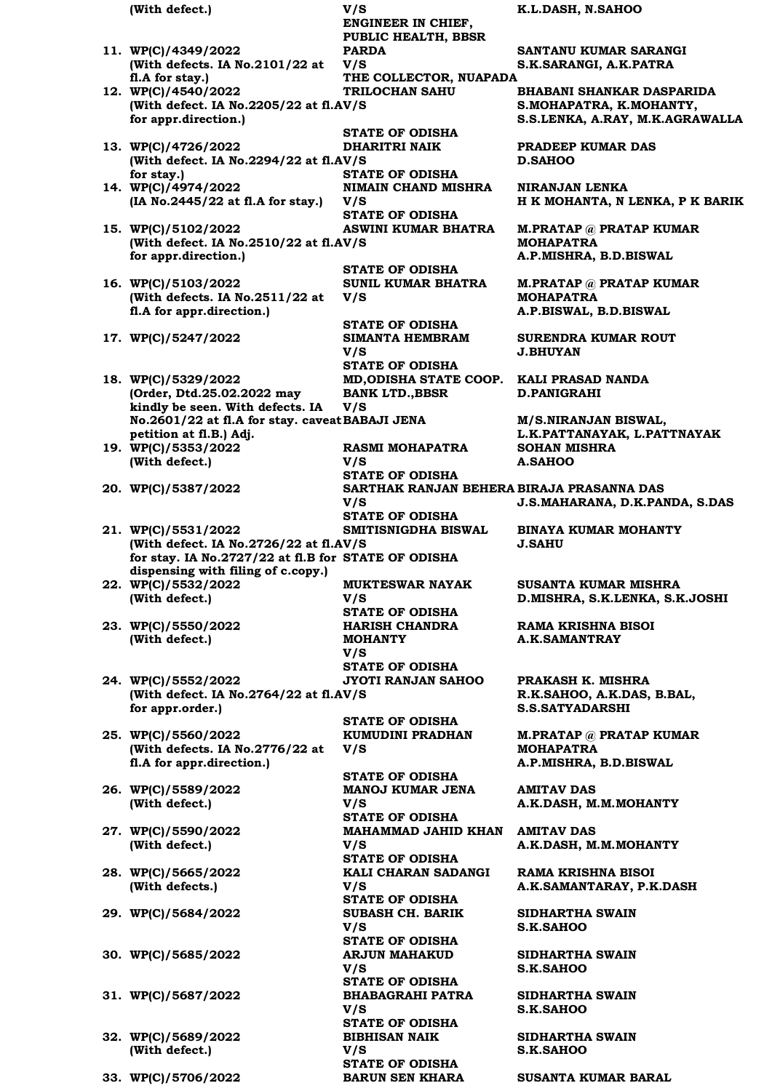**(With defect.) V/S K.L.DASH, N.SAHOO ENGINEER IN CHIEF, PUBLIC HEALTH, BBSR 11. WP(C)/4349/2022 (With defects. IA No.2101/22 at fl.A for stay.) PARDA V/S SANTANU KUMAR SARANGI S.K.SARANGI, A.K.PATRA THE COLLECTOR, NUAPADA 12. WP(C)/4540/2022**  (With defect. IA No.2205/22 at fl.AV/S **for appr.direction.) TRILOCHAN SAHU BHABANI SHANKAR DASPARIDA S.MOHAPATRA, K.MOHANTY, S.S.LENKA, A.RAY, M.K.AGRAWALLA STATE OF ODISHA 13. WP(C)/4726/2022 (With defect. IA No.2294/22 at fl.AV/S for stay.) DHARITRI NAIK PRADEEP KUMAR DAS D.SAHOO STATE OF ODISHA 14. WP(C)/4974/2022 (IA No.2445/22 at fl.A for stay.) NIMAIN CHAND MISHRA V/S NIRANJAN LENKA H K MOHANTA, N LENKA, P K BARIK STATE OF ODISHA 15. WP(C)/5102/2022**  (With defect. IA No.2510/22 at fl.AV/S **for appr.direction.) ASWINI KUMAR BHATRA M.PRATAP @ PRATAP KUMAR MOHAPATRA A.P.MISHRA, B.D.BISWAL STATE OF ODISHA 16. WP(C)/5103/2022 (With defects. IA No.2511/22 at fl.A for appr.direction.) SUNIL KUMAR BHATRA V/S M.PRATAP @ PRATAP KUMAR MOHAPATRA A.P.BISWAL, B.D.BISWAL STATE OF ODISHA 17. WP(C)/5247/2022 SIMANTA HEMBRAM V/S SURENDRA KUMAR ROUT J.BHUYAN STATE OF ODISHA 18. WP(C)/5329/2022 (Order, Dtd.25.02.2022 may kindly be seen. With defects. IA No.2601/22 at fl.A for stay. caveat petition at fl.B.) Adj. MD,ODISHA STATE COOP. KALI PRASAD NANDA BANK LTD.,BBSR V/S D.PANIGRAHI M/S.NIRANJAN BISWAL, L.K.PATTANAYAK, L.PATTNAYAK 19. WP(C)/5353/2022 (With defect.) RASMI MOHAPATRA V/S SOHAN MISHRA A.SAHOO STATE OF ODISHA 20. WP(C)/5387/2022 SARTHAK RANJAN BEHERA BIRAJA PRASANNA DAS V/S J.S.MAHARANA, D.K.PANDA, S.DAS STATE OF ODISHA 21. WP(C)/5531/2022**  (With defect. IA No.2726/22 at fl.AV/S **for stay. IA No.2727/22 at fl.B for STATE OF ODISHA dispensing with filing of c.copy.) SMITISNIGDHA BISWAL BINAYA KUMAR MOHANTY J.SAHU 22. WP(C)/5532/2022 (With defect.) MUKTESWAR NAYAK V/S SUSANTA KUMAR MISHRA D.MISHRA, S.K.LENKA, S.K.JOSHI STATE OF ODISHA 23. WP(C)/5550/2022 (With defect.) HARISH CHANDRA MOHANTY V/S RAMA KRISHNA BISOI A.K.SAMANTRAY STATE OF ODISHA 24. WP(C)/5552/2022**  (With defect. IA No.2764/22 at fl.AV/S **for appr.order.) JYOTI RANJAN SAHOO PRAKASH K. MISHRA R.K.SAHOO, A.K.DAS, B.BAL, S.S.SATYADARSHI STATE OF ODISHA 25. WP(C)/5560/2022 (With defects. IA No.2776/22 at fl.A for appr.direction.) KUMUDINI PRADHAN V/S M.PRATAP @ PRATAP KUMAR MOHAPATRA A.P.MISHRA, B.D.BISWAL STATE OF ODISHA 26. WP(C)/5589/2022 (With defect.) MANOJ KUMAR JENA V/S AMITAV DAS A.K.DASH, M.M.MOHANTY STATE OF ODISHA 27. WP(C)/5590/2022 (With defect.) MAHAMMAD JAHID KHAN AMITAV DAS V/S A.K.DASH, M.M.MOHANTY STATE OF ODISHA 28. WP(C)/5665/2022 (With defects.) KALI CHARAN SADANGI V/S RAMA KRISHNA BISOI A.K.SAMANTARAY, P.K.DASH STATE OF ODISHA 29. WP(C)/5684/2022 SUBASH CH. BARIK V/S SIDHARTHA SWAIN S.K.SAHOO STATE OF ODISHA 30. WP(C)/5685/2022 ARJUN MAHAKUD V/S SIDHARTHA SWAIN S.K.SAHOO STATE OF ODISHA 31. WP(C)/5687/2022 BHABAGRAHI PATRA V/S SIDHARTHA SWAIN S.K.SAHOO STATE OF ODISHA 32. WP(C)/5689/2022 (With defect.) BIBHISAN NAIK V/S SIDHARTHA SWAIN S.K.SAHOO STATE OF ODISHA**

**33. WP(C)/5706/2022 BARUN SEN KHARA SUSANTA KUMAR BARAL**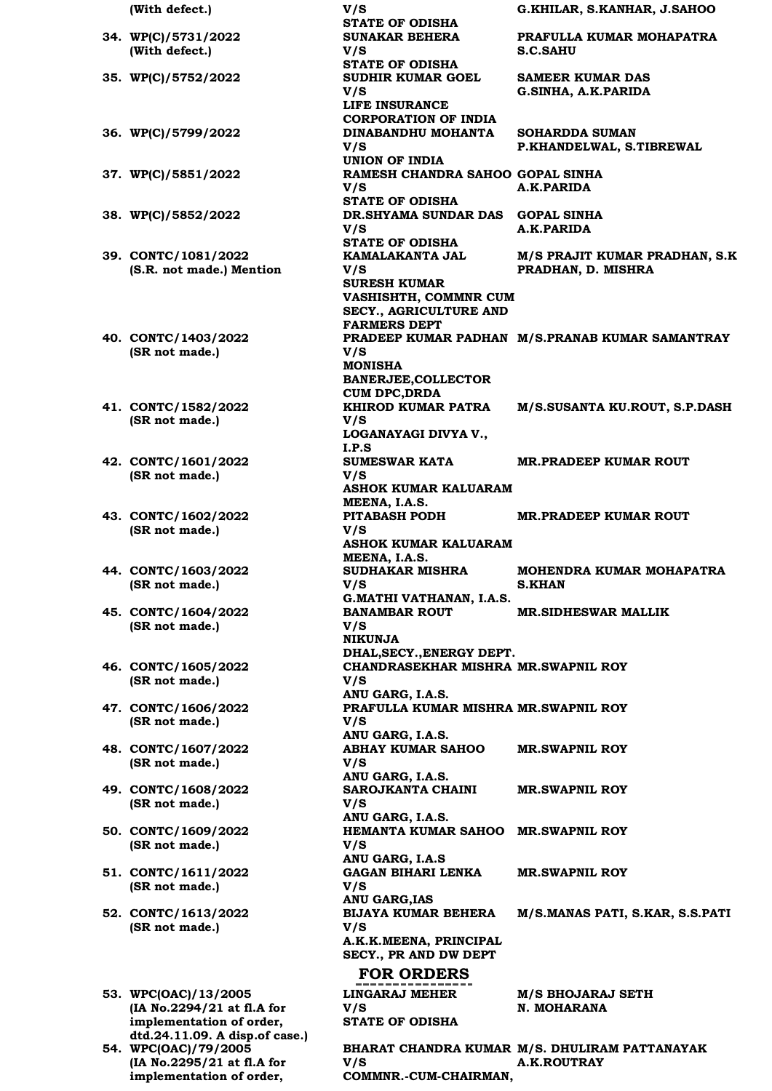|     | (With defect.)                                                                                                   |
|-----|------------------------------------------------------------------------------------------------------------------|
|     | 34. WP(C)/5731/2022<br>(With defect.)                                                                            |
|     | 35. WP(C)/5752/2022                                                                                              |
|     | 36. WP(C)/5799/2022                                                                                              |
|     | 37. WP(C)/5851/2022                                                                                              |
|     | 38. WP(C)/5852/2022                                                                                              |
|     | 39. CONTC/1081/2022<br>(S.R. not made.) Mention                                                                  |
|     | 40. CONTC/1403/2022<br>(SR not made.)                                                                            |
|     | 41. CONTC/1582/2022<br>(SR not made.)                                                                            |
|     | 42. CONTC/1601/2022<br>(SR not made.)                                                                            |
|     | 43. CONTC/1602/2022<br>(SR not made.)                                                                            |
|     | 44. CONTC/1603/2022<br>(SR not made.)                                                                            |
|     | 45. CONTC/1604/2022<br>(SR not made.)                                                                            |
|     | 46. CONTC/1605/2022<br>(SR not made.)                                                                            |
|     | 47. CONTC/1606/2022<br>(SR not made.)                                                                            |
|     | 48. CONTC/1607/2022<br>(SR not made.)                                                                            |
|     | 49. CONTC/1608/2022<br>(SR not made.)                                                                            |
|     | 50. CONTC/1609/2022<br>(SR not made.)                                                                            |
|     | 51. CONTC/1611/2022<br>(SR not made.)                                                                            |
|     | 52. CONTC/1613/2022<br>(SR not made.)                                                                            |
| 53. | WPC(OAC)/13/2005<br>(IA No.2294/21 at fl.A for                                                                   |
|     | implementation of order,<br>dtd.24.11.09. A disp.of case.)<br>54. WPC(OAC)/79/2005<br>(IA No.2295/21 at fl.A for |

**implementation of order,** 

**V/S** 

**COMMNR.-CUM-CHAIRMAN,** 

**(With defect.) V/S G.KHILAR, S.KANHAR, J.SAHOO STATE OF ODISHA SUNAKAR BEHERA V/S PRAFULLA KUMAR MOHAPATRA S.C.SAHU STATE OF ODISHA SUDHIR KUMAR GOEL V/S SAMEER KUMAR DAS G.SINHA, A.K.PARIDA LIFE INSURANCE CORPORATION OF INDIA 36. WP(C)/5799/2022 DINABANDHU MOHANTA V/S SOHARDDA SUMAN P.KHANDELWAL, S.TIBREWAL UNION OF INDIA 37. WP(C)/5851/2022 RAMESH CHANDRA SAHOO GOPAL SINHA V/S A.K.PARIDA STATE OF ODISHA 38. WP(C)/5852/2022 DR.SHYAMA SUNDAR DAS GOPAL SINHA V/S A.K.PARIDA STATE OF ODISHA KAMALAKANTA JAL V/S M/S PRAJIT KUMAR PRADHAN, S.K PRADHAN, D. MISHRA SURESH KUMAR VASHISHTH, COMMNR CUM SECY., AGRICULTURE AND FARMERS DEPT PRADEEP KUMAR PADHAN M/S.PRANAB KUMAR SAMANTRAY V/S MONISHA BANERJEE,COLLECTOR CUM DPC,DRDA KHIROD KUMAR PATRA V/S M/S.SUSANTA KU.ROUT, S.P.DASH LOGANAYAGI DIVYA V., I.P.S SUMESWAR KATA V/S MR.PRADEEP KUMAR ROUT ASHOK KUMAR KALUARAM MEENA, I.A.S. PITABASH PODH V/S MR.PRADEEP KUMAR ROUT ASHOK KUMAR KALUARAM MEENA, I.A.S. SUDHAKAR MISHRA V/S MOHENDRA KUMAR MOHAPATRA S.KHAN G.MATHI VATHANAN, I.A.S. BANAMBAR ROUT V/S MR.SIDHESWAR MALLIK NIKUNJA DHAL,SECY.,ENERGY DEPT. CHANDRASEKHAR MISHRA MR.SWAPNIL ROY V/S ANU GARG, I.A.S. PRAFULLA KUMAR MISHRA MR.SWAPNIL ROY V/S ANU GARG, I.A.S. ABHAY KUMAR SAHOO V/S MR.SWAPNIL ROY ANU GARG, I.A.S. SAROJKANTA CHAINI V/S MR.SWAPNIL ROY ANU GARG, I.A.S. HEMANTA KUMAR SAHOO MR.SWAPNIL ROY V/S ANU GARG, I.A.S GAGAN BIHARI LENKA V/S MR.SWAPNIL ROY ANU GARG,IAS BIJAYA KUMAR BEHERA V/S M/S.MANAS PATI, S.KAR, S.S.PATI A.K.K.MEENA, PRINCIPAL SECY., PR AND DW DEPT FOR ORDERS LINGARAJ MEHER V/S M/S BHOJARAJ SETH N. MOHARANA STATE OF ODISHA**

**BHARAT CHANDRA KUMAR M/S. DHULIRAM PATTANAYAK**

**A.K.ROUTRAY**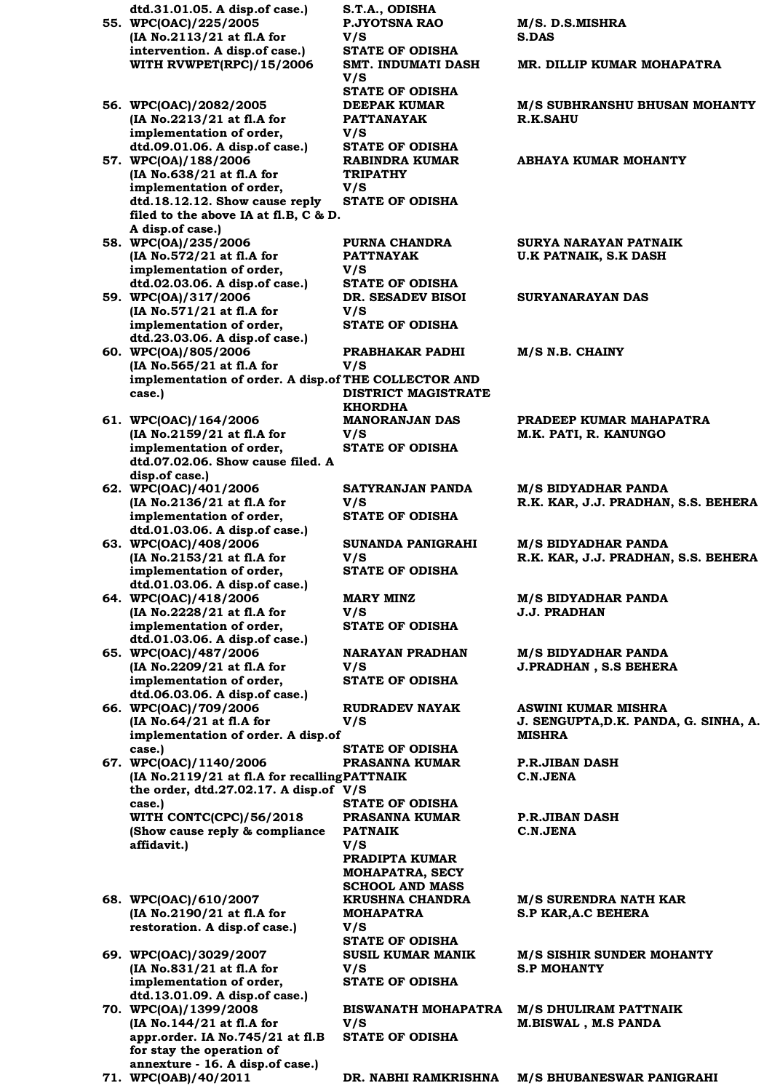**dtd.31.01.05. A disp.of case.) S.T.A., ODISHA 55. WPC(OAC)/225/2005 (IA No.2113/21 at fl.A for intervention. A disp.of case.) V/S WITH RVWPET(RPC)/15/2006 SMT. INDUMATI DASH V/S 56. WPC(OAC)/2082/2005 (IA No.2213/21 at fl.A for implementation of order, dtd.09.01.06. A disp.of case.) V/S 57. WPC(OA)/188/2006 (IA No.638/21 at fl.A for implementation of order, dtd.18.12.12. Show cause reply filed to the above IA at fl.B, C & D. A disp.of case.) V/S 58. WPC(OA)/235/2006 (IA No.572/21 at fl.A for implementation of order, dtd.02.03.06. A disp.of case.) V/S 59. WPC(OA)/317/2006 (IA No.571/21 at fl.A for implementation of order, dtd.23.03.06. A disp.of case.) V/S 60. WPC(OA)/805/2006 (IA No.565/21 at fl.A for implementation of order. A disp.of THE COLLECTOR AND case.) V/S 61. WPC(OAC)/164/2006 (IA No.2159/21 at fl.A for implementation of order, dtd.07.02.06. Show cause filed. A disp.of case.) V/S 62. WPC(OAC)/401/2006 (IA No.2136/21 at fl.A for implementation of order, dtd.01.03.06. A disp.of case.) V/S 63. WPC(OAC)/408/2006 (IA No.2153/21 at fl.A for implementation of order, dtd.01.03.06. A disp.of case.) V/S 64. WPC(OAC)/418/2006 (IA No.2228/21 at fl.A for implementation of order, dtd.01.03.06. A disp.of case.) V/S 65. WPC(OAC)/487/2006 (IA No.2209/21 at fl.A for implementation of order, dtd.06.03.06. A disp.of case.) V/S 66. WPC(OAC)/709/2006 (IA No.64/21 at fl.A for implementation of order. A disp.of case.) V/S 67. WPC(OAC)/1140/2006 (IA No.2119/21 at fl.A for recalling PATTNAIK the order, dtd.27.02.17. A disp.of V/S case.) WITH CONTC(CPC)/56/2018 (Show cause reply & compliance affidavit.) V/S 68. WPC(OAC)/610/2007 (IA No.2190/21 at fl.A for restoration. A disp.of case.) V/S 69. WPC(OAC)/3029/2007 (IA No.831/21 at fl.A for implementation of order, dtd.13.01.09. A disp.of case.) V/S 70. WPC(OA)/1399/2008 (IA No.144/21 at fl.A for appr.order. IA No.745/21 at fl.B for stay the operation of annexture - 16. A disp.of case.) V/S** 

**P.JYOTSNA RAO STATE OF ODISHA STATE OF ODISHA DEEPAK KUMAR PATTANAYAK STATE OF ODISHA RABINDRA KUMAR TRIPATHY STATE OF ODISHA PURNA CHANDRA PATTNAYAK STATE OF ODISHA DR. SESADEV BISOI STATE OF ODISHA PRABHAKAR PADHI DISTRICT MAGISTRATE KHORDHA MANORANJAN DAS STATE OF ODISHA SATYRANJAN PANDA STATE OF ODISHA SUNANDA PANIGRAHI STATE OF ODISHA MARY MINZ STATE OF ODISHA NARAYAN PRADHAN STATE OF ODISHA RUDRADEV NAYAK** 

**STATE OF ODISHA PRASANNA KUMAR STATE OF ODISHA PRASANNA KUMAR PATNAIK PRADIPTA KUMAR MOHAPATRA, SECY SCHOOL AND MASS KRUSHNA CHANDRA MOHAPATRA** 

**STATE OF ODISHA SUSIL KUMAR MANIK STATE OF ODISHA**

**BISWANATH MOHAPATRA M/S DHULIRAM PATTNAIK STATE OF ODISHA**

**M/S. D.S.MISHRA S.DAS MR. DILLIP KUMAR MOHAPATRA**

**M/S SUBHRANSHU BHUSAN MOHANTY R.K.SAHU**

**ABHAYA KUMAR MOHANTY**

**SURYA NARAYAN PATNAIK U.K PATNAIK, S.K DASH**

**SURYANARAYAN DAS**

**M/S N.B. CHAINY**

**PRADEEP KUMAR MAHAPATRA M.K. PATI, R. KANUNGO**

**M/S BIDYADHAR PANDA R.K. KAR, J.J. PRADHAN, S.S. BEHERA**

**M/S BIDYADHAR PANDA R.K. KAR, J.J. PRADHAN, S.S. BEHERA**

**M/S BIDYADHAR PANDA J.J. PRADHAN**

**M/S BIDYADHAR PANDA J.PRADHAN , S.S BEHERA**

**ASWINI KUMAR MISHRA J. SENGUPTA,D.K. PANDA, G. SINHA, A. MISHRA**

**P.R.JIBAN DASH C.N.JENA**

**P.R.JIBAN DASH C.N.JENA**

**M/S SURENDRA NATH KAR S.P KAR,A.C BEHERA**

**M/S SISHIR SUNDER MOHANTY S.P MOHANTY**

**M.BISWAL , M.S PANDA**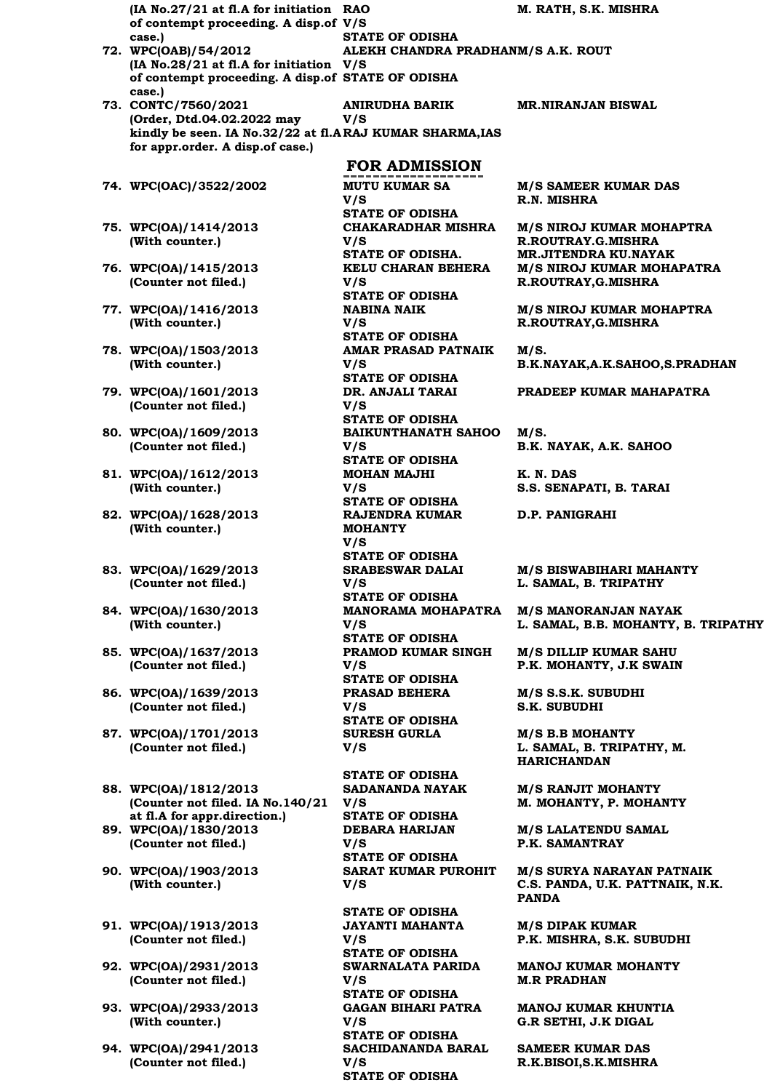**(IA No.27/21 at fl.A for initiation RAO of contempt proceeding. A disp.of V/S case.) STATE OF ODISHA 72. WPC(OAB)/54/2012 (IA No.28/21 at fl.A for initiation V/S of contempt proceeding. A disp.of STATE OF ODISHA case.) ALEKH CHANDRA PRADHANM/S A.K. ROUT 73. CONTC/7560/2021 (Order, Dtd.04.02.2022 may**  kindly be seen. IA No.32/22 at fl.ARAJ KUMAR SHARMA,IAS **for appr.order. A disp.of case.) ANIRUDHA BARIK V/S FOR ADMISSION 74. WPC(OAC)/3522/2002 MUTU KUMAR SA V/S STATE OF ODISHA 75. WPC(OA)/1414/2013 (With counter.) CHAKARADHAR MISHRA V/S 76. WPC(OA)/1415/2013 (Counter not filed.) KELU CHARAN BEHERA V/S STATE OF ODISHA 77. WPC(OA)/1416/2013 (With counter.) NABINA NAIK V/S STATE OF ODISHA 78. WPC(OA)/1503/2013 (With counter.) AMAR PRASAD PATNAIK V/S STATE OF ODISHA 79. WPC(OA)/1601/2013 (Counter not filed.) DR. ANJALI TARAI V/S STATE OF ODISHA 80. WPC(OA)/1609/2013 (Counter not filed.) BAIKUNTHANATH SAHOO V/S STATE OF ODISHA 81. WPC(OA)/1612/2013 (With counter.) MOHAN MAJHI V/S STATE OF ODISHA 82. WPC(OA)/1628/2013 (With counter.) RAJENDRA KUMAR MOHANTY V/S STATE OF ODISHA 83. WPC(OA)/1629/2013 (Counter not filed.) SRABESWAR DALAI V/S STATE OF ODISHA 84. WPC(OA)/1630/2013 (With counter.) MANORAMA MOHAPATRA V/S STATE OF ODISHA 85. WPC(OA)/1637/2013 (Counter not filed.) PRAMOD KUMAR SINGH V/S STATE OF ODISHA 86. WPC(OA)/1639/2013 (Counter not filed.) PRASAD BEHERA V/S STATE OF ODISHA 87. WPC(OA)/1701/2013 (Counter not filed.) SURESH GURLA V/S STATE OF ODISHA 88. WPC(OA)/1812/2013 (Counter not filed. IA No.140/21 V/S at fl.A for appr.direction.) SADANANDA NAYAK STATE OF ODISHA 89. WPC(OA)/1830/2013 (Counter not filed.) DEBARA HARIJAN V/S STATE OF ODISHA 90. WPC(OA)/1903/2013 (With counter.) SARAT KUMAR PUROHIT V/S STATE OF ODISHA 91. WPC(OA)/1913/2013 (Counter not filed.) JAYANTI MAHANTA V/S STATE OF ODISHA 92. WPC(OA)/2931/2013 (Counter not filed.) SWARNALATA PARIDA V/S STATE OF ODISHA 93. WPC(OA)/2933/2013 (With counter.) GAGAN BIHARI PATRA V/S STATE OF ODISHA 94. WPC(OA)/2941/2013 SACHIDANANDA BARAL** 

**(Counter not filed.)**

**V/S** 

**STATE OF ODISHA**

**M. RATH, S.K. MISHRA**

**MR.NIRANJAN BISWAL**

**M/S SAMEER KUMAR DAS R.N. MISHRA**

**M/S NIROJ KUMAR MOHAPTRA R.ROUTRAY.G.MISHRA STATE OF ODISHA. MR.JITENDRA KU.NAYAK M/S NIROJ KUMAR MOHAPATRA R.ROUTRAY,G.MISHRA**

> **M/S NIROJ KUMAR MOHAPTRA R.ROUTRAY,G.MISHRA**

**M/S. B.K.NAYAK,A.K.SAHOO,S.PRADHAN**

**PRADEEP KUMAR MAHAPATRA**

**M/S. B.K. NAYAK, A.K. SAHOO**

**K. N. DAS S.S. SENAPATI, B. TARAI**

**D.P. PANIGRAHI**

**M/S BISWABIHARI MAHANTY L. SAMAL, B. TRIPATHY**

**M/S MANORANJAN NAYAK L. SAMAL, B.B. MOHANTY, B. TRIPATHY**

**M/S DILLIP KUMAR SAHU P.K. MOHANTY, J.K SWAIN**

**M/S S.S.K. SUBUDHI S.K. SUBUDHI**

**M/S B.B MOHANTY L. SAMAL, B. TRIPATHY, M. HARICHANDAN**

**M/S RANJIT MOHANTY M. MOHANTY, P. MOHANTY**

**M/S LALATENDU SAMAL P.K. SAMANTRAY**

**M/S SURYA NARAYAN PATNAIK C.S. PANDA, U.K. PATTNAIK, N.K. PANDA**

**M/S DIPAK KUMAR P.K. MISHRA, S.K. SUBUDHI**

**MANOJ KUMAR MOHANTY M.R PRADHAN**

**MANOJ KUMAR KHUNTIA G.R SETHI, J.K DIGAL**

**SAMEER KUMAR DAS R.K.BISOI,S.K.MISHRA**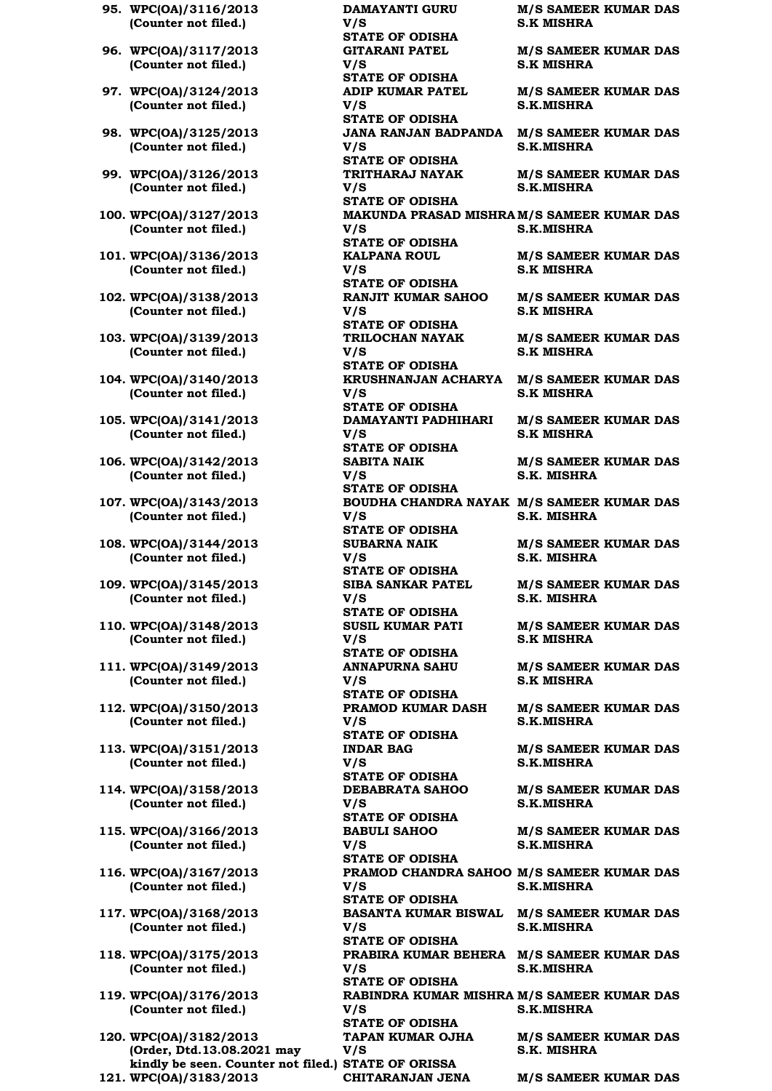- **95. WPC(OA)/3116/2013 (Counter not filed.)**
- **96. WPC(OA)/3117/2013 (Counter not filed.)**
- **97. WPC(OA)/3124/2013 (Counter not filed.)**
- **98. WPC(OA)/3125/2013 (Counter not filed.)**
- **99. WPC(OA)/3126/2013 (Counter not filed.)**
- **100. WPC(OA)/3127/2013 (Counter not filed.)**
- **101. WPC(OA)/3136/2013 (Counter not filed.)**
- **102. WPC(OA)/3138/2013 (Counter not filed.)**
- **103. WPC(OA)/3139/2013 (Counter not filed.)**
- **104. WPC(OA)/3140/2013 (Counter not filed.)**
- **105. WPC(OA)/3141/2013 (Counter not filed.)**
- **106. WPC(OA)/3142/2013 (Counter not filed.)**
- **107. WPC(OA)/3143/2013 (Counter not filed.)**
- **108. WPC(OA)/3144/2013 (Counter not filed.)**
- **109. WPC(OA)/3145/2013 (Counter not filed.)**
- **110. WPC(OA)/3148/2013 (Counter not filed.)**
- **111. WPC(OA)/3149/2013 (Counter not filed.)**
- **112. WPC(OA)/3150/2013 (Counter not filed.)**
- **113. WPC(OA)/3151/2013 (Counter not filed.)**
- **114. WPC(OA)/3158/2013 (Counter not filed.)**
- **115. WPC(OA)/3166/2013 (Counter not filed.)**
- **116. WPC(OA)/3167/2013 (Counter not filed.)**
- **117. WPC(OA)/3168/2013 (Counter not filed.)**
- **118. WPC(OA)/3175/2013 (Counter not filed.)**
- **119. WPC(OA)/3176/2013 (Counter not filed.)**
- **120. WPC(OA)/3182/2013 (Order, Dtd.13.08.2021 may kindly be seen. Counter not filed.) STATE OF ORISSA 121. WPC(OA)/3183/2013 CHITARANJAN JENA M/S SAMEER KUMAR DAS**

**DAMAYANTI GURU V/S M/S SAMEER KUMAR DAS S.K MISHRA STATE OF ODISHA GITARANI PATEL V/S M/S SAMEER KUMAR DAS S.K MISHRA STATE OF ODISHA ADIP KUMAR PATEL V/S M/S SAMEER KUMAR DAS S.K.MISHRA STATE OF ODISHA JANA RANJAN BADPANDA M/S SAMEER KUMAR DAS V/S S.K.MISHRA STATE OF ODISHA TRITHARAJ NAYAK V/S M/S SAMEER KUMAR DAS S.K.MISHRA STATE OF ODISHA MAKUNDA PRASAD MISHRA M/S SAMEER KUMAR DAS V/S S.K.MISHRA STATE OF ODISHA KALPANA ROUL V/S M/S SAMEER KUMAR DAS S.K MISHRA STATE OF ODISHA RANJIT KUMAR SAHOO V/S M/S SAMEER KUMAR DAS S.K MISHRA STATE OF ODISHA TRILOCHAN NAYAK V/S M/S SAMEER KUMAR DAS S.K MISHRA STATE OF ODISHA KRUSHNANJAN ACHARYA M/S SAMEER KUMAR DAS V/S S.K MISHRA STATE OF ODISHA DAMAYANTI PADHIHARI V/S M/S SAMEER KUMAR DAS S.K MISHRA STATE OF ODISHA SABITA NAIK V/S M/S SAMEER KUMAR DAS S.K. MISHRA STATE OF ODISHA BOUDHA CHANDRA NAYAK M/S SAMEER KUMAR DAS V/S S.K. MISHRA STATE OF ODISHA SUBARNA NAIK V/S M/S SAMEER KUMAR DAS S.K. MISHRA STATE OF ODISHA SIBA SANKAR PATEL V/S M/S SAMEER KUMAR DAS S.K. MISHRA STATE OF ODISHA SUSIL KUMAR PATI V/S M/S SAMEER KUMAR DAS S.K MISHRA STATE OF ODISHA ANNAPURNA SAHU V/S M/S SAMEER KUMAR DAS S.K MISHRA STATE OF ODISHA PRAMOD KUMAR DASH V/S M/S SAMEER KUMAR DAS S.K.MISHRA STATE OF ODISHA INDAR BAG V/S M/S SAMEER KUMAR DAS S.K.MISHRA STATE OF ODISHA DEBABRATA SAHOO V/S M/S SAMEER KUMAR DAS S.K.MISHRA STATE OF ODISHA BABULI SAHOO V/S M/S SAMEER KUMAR DAS S.K.MISHRA STATE OF ODISHA PRAMOD CHANDRA SAHOO M/S SAMEER KUMAR DAS V/S S.K.MISHRA STATE OF ODISHA BASANTA KUMAR BISWAL M/S SAMEER KUMAR DAS V/S S.K.MISHRA STATE OF ODISHA PRABIRA KUMAR BEHERA M/S SAMEER KUMAR DAS V/S S.K.MISHRA STATE OF ODISHA RABINDRA KUMAR MISHRA M/S SAMEER KUMAR DAS V/S S.K.MISHRA STATE OF ODISHA TAPAN KUMAR OJHA V/S M/S SAMEER KUMAR DAS S.K. MISHRA**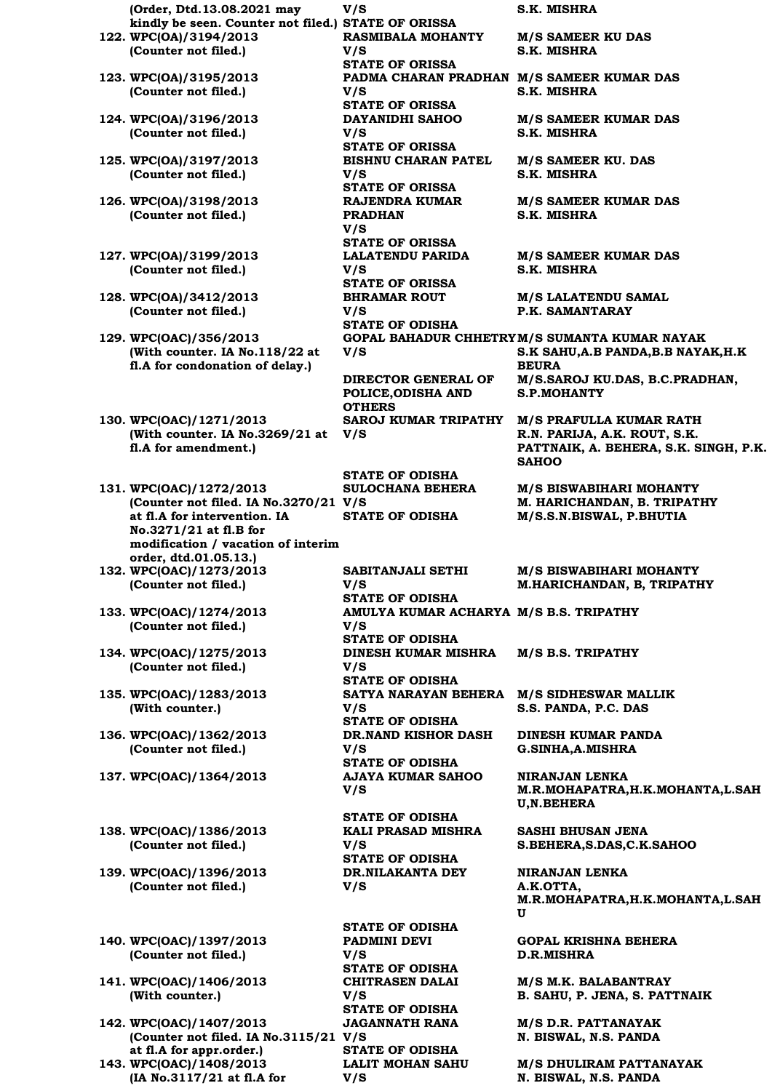**(Order, Dtd.13.08.2021 may kindly be seen. Counter not filed.) STATE OF ORISSA 122. WPC(OA)/3194/2013 (Counter not filed.) 123. WPC(OA)/3195/2013 (Counter not filed.) 124. WPC(OA)/3196/2013 (Counter not filed.) 125. WPC(OA)/3197/2013 (Counter not filed.) 126. WPC(OA)/3198/2013 (Counter not filed.) 127. WPC(OA)/3199/2013 (Counter not filed.) 128. WPC(OA)/3412/2013 (Counter not filed.) 129. WPC(OAC)/356/2013 (With counter. IA No.118/22 at fl.A for condonation of delay.) 130. WPC(OAC)/1271/2013 (With counter. IA No.3269/21 at V/S fl.A for amendment.) 131. WPC(OAC)/1272/2013 (Counter not filed. IA No.3270/21 V/S at fl.A for intervention. IA No.3271/21 at fl.B for modification / vacation of interim order, dtd.01.05.13.) 132. WPC(OAC)/1273/2013 (Counter not filed.) 133. WPC(OAC)/1274/2013 (Counter not filed.) 134. WPC(OAC)/1275/2013 (Counter not filed.) 135. WPC(OAC)/1283/2013 (With counter.) 136. WPC(OAC)/1362/2013 (Counter not filed.) 137. WPC(OAC)/1364/2013 AJAYA KUMAR SAHOO 138. WPC(OAC)/1386/2013 (Counter not filed.)**

**139. WPC(OAC)/1396/2013 (Counter not filed.)**

**140. WPC(OAC)/1397/2013 (Counter not filed.)**

**141. WPC(OAC)/1406/2013 (With counter.)**

**142. WPC(OAC)/1407/2013 (Counter not filed. IA No.3115/21 V/S at fl.A for appr.order.) 143. WPC(OAC)/1408/2013 (IA No.3117/21 at fl.A for** 

**V/S** 

**V/S** 

**V/S S.K. MISHRA RASMIBALA MOHANTY V/S STATE OF ORISSA V/S STATE OF ORISSA DAYANIDHI SAHOO V/S STATE OF ORISSA BISHNU CHARAN PATEL V/S STATE OF ORISSA RAJENDRA KUMAR PRADHAN V/S STATE OF ORISSA LALATENDU PARIDA V/S STATE OF ORISSA BHRAMAR ROUT V/S STATE OF ODISHA V/S DIRECTOR GENERAL OF POLICE,ODISHA AND OTHERS STATE OF ODISHA SULOCHANA BEHERA SABITANJALI SETHI V/S STATE OF ODISHA V/S STATE OF ODISHA DINESH KUMAR MISHRA V/S STATE OF ODISHA V/S STATE OF ODISHA DR.NAND KISHOR DASH V/S STATE OF ODISHA V/S STATE OF ODISHA KALI PRASAD MISHRA V/S STATE OF ODISHA DR.NILAKANTA DEY V/S STATE OF ODISHA PADMINI DEVI V/S** 

**PADMA CHARAN PRADHAN M/S SAMEER KUMAR DAS S.K. MISHRA M/S SAMEER KUMAR DAS S.K. MISHRA M/S SAMEER KU. DAS S.K. MISHRA M/S SAMEER KUMAR DAS S.K. MISHRA M/S SAMEER KUMAR DAS S.K. MISHRA M/S LALATENDU SAMAL P.K. SAMANTARAY GOPAL BAHADUR CHHETRY M/S SUMANTA KUMAR NAYAK S.K SAHU,A.B PANDA,B.B NAYAK,H.K BEURA M/S.SAROJ KU.DAS, B.C.PRADHAN, S.P.MOHANTY SAROJ KUMAR TRIPATHY M/S PRAFULLA KUMAR RATH R.N. PARIJA, A.K. ROUT, S.K. PATTNAIK, A. BEHERA, S.K. SINGH, P.K. SAHOO M/S BISWABIHARI MOHANTY M. HARICHANDAN, B. TRIPATHY STATE OF ODISHA M/S.S.N.BISWAL, P.BHUTIA M/S BISWABIHARI MOHANTY M.HARICHANDAN, B, TRIPATHY AMULYA KUMAR ACHARYA M/S B.S. TRIPATHY M/S B.S. TRIPATHY SATYA NARAYAN BEHERA M/S SIDHESWAR MALLIK S.S. PANDA, P.C. DAS DINESH KUMAR PANDA G.SINHA,A.MISHRA NIRANJAN LENKA M.R.MOHAPATRA,H.K.MOHANTA,L.SAH U,N.BEHERA SASHI BHUSAN JENA S.BEHERA,S.DAS,C.K.SAHOO NIRANJAN LENKA A.K.OTTA, M.R.MOHAPATRA,H.K.MOHANTA,L.SAH U GOPAL KRISHNA BEHERA D.R.MISHRA STATE OF ODISHA CHITRASEN DALAI M/S M.K. BALABANTRAY STATE OF ODISHA JAGANNATH RANA STATE OF ODISHA LALIT MOHAN SAHU** 

**M/S SAMEER KU DAS**

**S.K. MISHRA**

**B. SAHU, P. JENA, S. PATTNAIK M/S D.R. PATTANAYAK N. BISWAL, N.S. PANDA M/S DHULIRAM PATTANAYAK N. BISWAL, N.S. PANDA**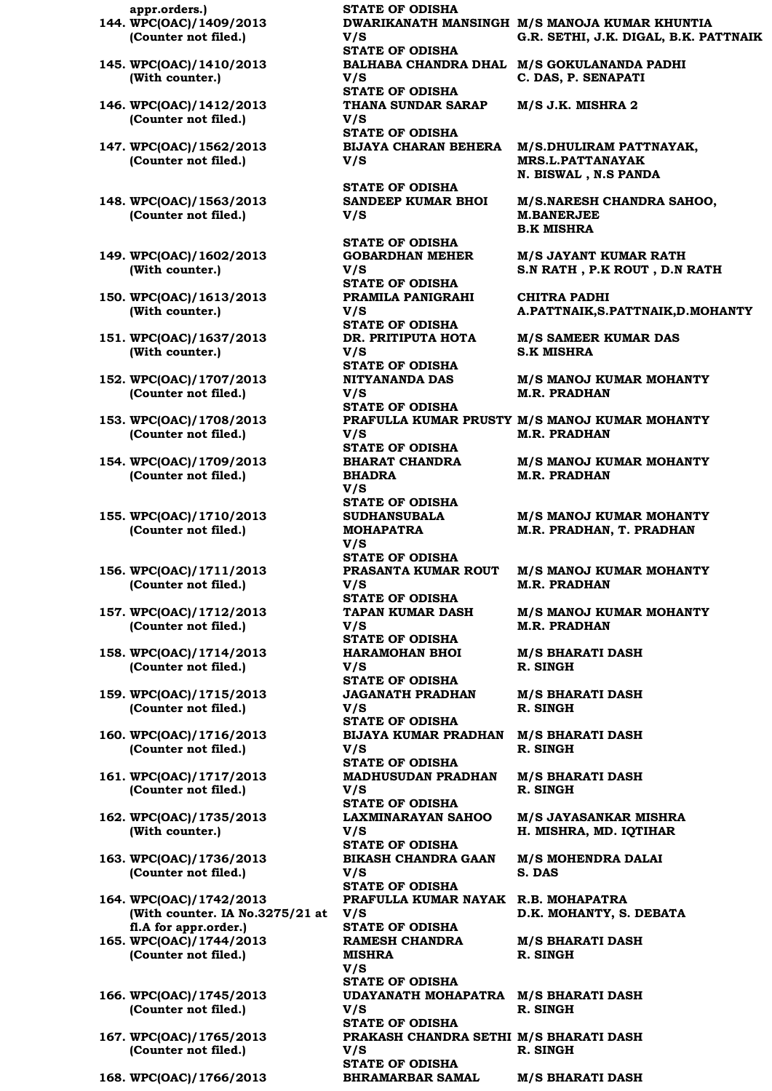**appr.orders.) STATE OF ODISHA 144. WPC(OAC)/1409/2013 (Counter not filed.)**

- **145. WPC(OAC)/1410/2013 (With counter.)**
- **146. WPC(OAC)/1412/2013 (Counter not filed.)**
- **147. WPC(OAC)/1562/2013 (Counter not filed.)**
- **148. WPC(OAC)/1563/2013 (Counter not filed.)**
- **149. WPC(OAC)/1602/2013 (With counter.)**
- **150. WPC(OAC)/1613/2013 (With counter.)**
- **151. WPC(OAC)/1637/2013 (With counter.)**
- **152. WPC(OAC)/1707/2013 (Counter not filed.)**
- **153. WPC(OAC)/1708/2013 (Counter not filed.)**
- **154. WPC(OAC)/1709/2013 (Counter not filed.)**
- **155. WPC(OAC)/1710/2013 (Counter not filed.)**
- **156. WPC(OAC)/1711/2013 (Counter not filed.)**
- **157. WPC(OAC)/1712/2013 (Counter not filed.)**
- **158. WPC(OAC)/1714/2013 (Counter not filed.)**
- **159. WPC(OAC)/1715/2013 (Counter not filed.)**
- **160. WPC(OAC)/1716/2013 (Counter not filed.)**
- **161. WPC(OAC)/1717/2013 (Counter not filed.)**
- **162. WPC(OAC)/1735/2013 (With counter.)**
- **163. WPC(OAC)/1736/2013 (Counter not filed.)**
- **164. WPC(OAC)/1742/2013 (With counter. IA No.3275/21 at V/S fl.A for appr.order.) 165. WPC(OAC)/1744/2013**
- **(Counter not filed.)**
- **166. WPC(OAC)/1745/2013 (Counter not filed.)**
- **167. WPC(OAC)/1765/2013 (Counter not filed.)**

**168. WPC(OAC)/1766/2013 BHRAMARBAR SAMAL M/S BHARATI DASH**

**V/S STATE OF ODISHA BALHABA CHANDRA DHAL M/S GOKULANANDA PADHI V/S STATE OF ODISHA THANA SUNDAR SARAP V/S STATE OF ODISHA V/S** 

**STATE OF ODISHA SANDEEP KUMAR BHOI V/S** 

**STATE OF ODISHA**

**GOBARDHAN MEHER V/S STATE OF ODISHA PRAMILA PANIGRAHI V/S STATE OF ODISHA DR. PRITIPUTA HOTA V/S STATE OF ODISHA NITYANANDA DAS V/S STATE OF ODISHA V/S STATE OF ODISHA BHARAT CHANDRA BHADRA V/S STATE OF ODISHA SUDHANSUBALA MOHAPATRA V/S STATE OF ODISHA PRASANTA KUMAR ROUT V/S STATE OF ODISHA TAPAN KUMAR DASH V/S STATE OF ODISHA HARAMOHAN BHOI V/S STATE OF ODISHA JAGANATH PRADHAN V/S STATE OF ODISHA BIJAYA KUMAR PRADHAN M/S BHARATI DASH V/S STATE OF ODISHA MADHUSUDAN PRADHAN V/S STATE OF ODISHA LAXMINARAYAN SAHOO V/S STATE OF ODISHA BIKASH CHANDRA GAAN V/S STATE OF ODISHA PRAFULLA KUMAR NAYAK R.B. MOHAPATRA STATE OF ODISHA RAMESH CHANDRA MISHRA V/S STATE OF ODISHA UDAYANATH MOHAPATRA M/S BHARATI DASH V/S STATE OF ODISHA PRAKASH CHANDRA SETHI M/S BHARATI DASH V/S STATE OF ODISHA**

**DWARIKANATH MANSINGH M/S MANOJA KUMAR KHUNTIA G.R. SETHI, J.K. DIGAL, B.K. PATTNAIK**

**C. DAS, P. SENAPATI**

**M/S J.K. MISHRA 2**

**BIJAYA CHARAN BEHERA M/S.DHULIRAM PATTNAYAK, MRS.L.PATTANAYAK N. BISWAL , N.S PANDA**

> **M/S.NARESH CHANDRA SAHOO, M.BANERJEE B.K MISHRA**

**M/S JAYANT KUMAR RATH S.N RATH , P.K ROUT , D.N RATH**

**CHITRA PADHI A.PATTNAIK,S.PATTNAIK,D.MOHANTY**

**M/S SAMEER KUMAR DAS S.K MISHRA**

**M/S MANOJ KUMAR MOHANTY M.R. PRADHAN**

**PRAFULLA KUMAR PRUSTY M/S MANOJ KUMAR MOHANTY M.R. PRADHAN**

> **M/S MANOJ KUMAR MOHANTY M.R. PRADHAN**

> **M/S MANOJ KUMAR MOHANTY M.R. PRADHAN, T. PRADHAN**

> **M/S MANOJ KUMAR MOHANTY M.R. PRADHAN**

> **M/S MANOJ KUMAR MOHANTY M.R. PRADHAN**

**M/S BHARATI DASH R. SINGH**

**M/S BHARATI DASH R. SINGH**

**R. SINGH**

**M/S BHARATI DASH R. SINGH**

**M/S JAYASANKAR MISHRA H. MISHRA, MD. IQTIHAR**

**M/S MOHENDRA DALAI S. DAS**

**D.K. MOHANTY, S. DEBATA**

**M/S BHARATI DASH R. SINGH**

**R. SINGH**

**R. SINGH**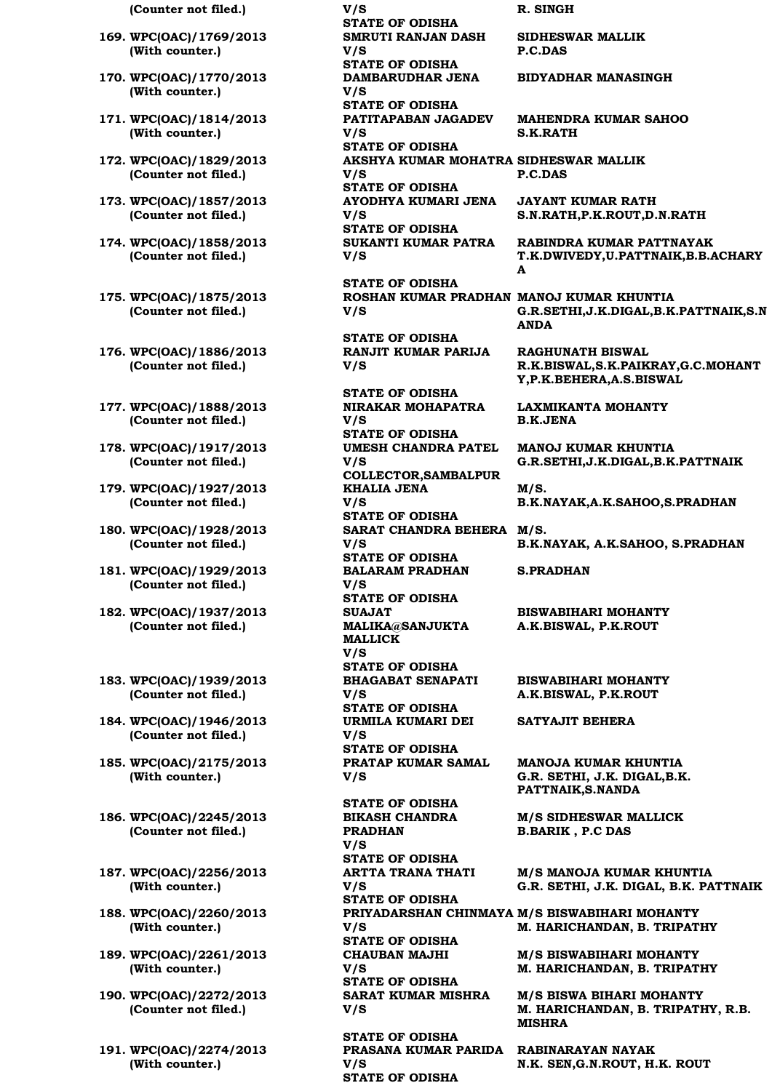**(Counter not filed.) V/S R. SINGH**

- **169. WPC(OAC)/1769/2013 (With counter.)**
- **170. WPC(OAC)/1770/2013 (With counter.)**
- **171. WPC(OAC)/1814/2013 (With counter.)**
- **172. WPC(OAC)/1829/2013 (Counter not filed.)**
- **173. WPC(OAC)/1857/2013 (Counter not filed.)**
- **174. WPC(OAC)/1858/2013 (Counter not filed.)**
- **175. WPC(OAC)/1875/2013 (Counter not filed.)**
- **176. WPC(OAC)/1886/2013 (Counter not filed.)**
- **177. WPC(OAC)/1888/2013 (Counter not filed.)**
- **178. WPC(OAC)/1917/2013 (Counter not filed.)**
- **179. WPC(OAC)/1927/2013 (Counter not filed.)**
- **180. WPC(OAC)/1928/2013 (Counter not filed.)**
- **181. WPC(OAC)/1929/2013 (Counter not filed.)**
- **182. WPC(OAC)/1937/2013 (Counter not filed.)**
- **183. WPC(OAC)/1939/2013 (Counter not filed.)**
- **184. WPC(OAC)/1946/2013 (Counter not filed.)**
- **185. WPC(OAC)/2175/2013 (With counter.)**
- **186. WPC(OAC)/2245/2013 (Counter not filed.)**
- **187. WPC(OAC)/2256/2013 (With counter.)**
- **188. WPC(OAC)/2260/2013 (With counter.)**
- **189. WPC(OAC)/2261/2013 (With counter.)**
- **190. WPC(OAC)/2272/2013 (Counter not filed.)**
- **191. WPC(OAC)/2274/2013 (With counter.)**

**STATE OF ODISHA SMRUTI RANJAN DASH V/S STATE OF ODISHA DAMBARUDHAR JENA V/S STATE OF ODISHA PATITAPABAN JAGADEV V/S STATE OF ODISHA V/S STATE OF ODISHA AYODHYA KUMARI JENA V/S STATE OF ODISHA SUKANTI KUMAR PATRA V/S STATE OF ODISHA**

**V/S** 

**STATE OF ODISHA RANJIT KUMAR PARIJA V/S** 

**STATE OF ODISHA NIRAKAR MOHAPATRA V/S STATE OF ODISHA UMESH CHANDRA PATEL V/S COLLECTOR,SAMBALPUR KHALIA JENA V/S STATE OF ODISHA SARAT CHANDRA BEHERA M/S. V/S STATE OF ODISHA BALARAM PRADHAN V/S STATE OF ODISHA SUAJAT MALIKA@SANJUKTA MALLICK V/S STATE OF ODISHA BHAGABAT SENAPATI V/S STATE OF ODISHA URMILA KUMARI DEI V/S STATE OF ODISHA PRATAP KUMAR SAMAL V/S STATE OF ODISHA BIKASH CHANDRA PRADHAN V/S STATE OF ODISHA ARTTA TRANA THATI V/S STATE OF ODISHA V/S STATE OF ODISHA**

**CHAUBAN MAJHI V/S STATE OF ODISHA SARAT KUMAR MISHRA V/S** 

**STATE OF ODISHA PRASANA KUMAR PARIDA V/S STATE OF ODISHA**

**SIDHESWAR MALLIK P.C.DAS**

**BIDYADHAR MANASINGH**

**MAHENDRA KUMAR SAHOO S.K.RATH**

**AKSHYA KUMAR MOHATRA SIDHESWAR MALLIK P.C.DAS**

> **JAYANT KUMAR RATH S.N.RATH,P.K.ROUT,D.N.RATH**

**RABINDRA KUMAR PATTNAYAK T.K.DWIVEDY,U.PATTNAIK,B.B.ACHARY A**

**ROSHAN KUMAR PRADHAN MANOJ KUMAR KHUNTIA G.R.SETHI,J.K.DIGAL,B.K.PATTNAIK,S.N ANDA**

> **RAGHUNATH BISWAL R.K.BISWAL,S.K.PAIKRAY,G.C.MOHANT Y,P.K.BEHERA,A.S.BISWAL**

**LAXMIKANTA MOHANTY B.K.JENA**

**MANOJ KUMAR KHUNTIA G.R.SETHI,J.K.DIGAL,B.K.PATTNAIK**

**M/S. B.K.NAYAK,A.K.SAHOO,S.PRADHAN**

**B.K.NAYAK, A.K.SAHOO, S.PRADHAN**

**S.PRADHAN**

**BISWABIHARI MOHANTY A.K.BISWAL, P.K.ROUT**

**BISWABIHARI MOHANTY A.K.BISWAL, P.K.ROUT**

**SATYAJIT BEHERA**

**MANOJA KUMAR KHUNTIA G.R. SETHI, J.K. DIGAL,B.K. PATTNAIK,S.NANDA**

**M/S SIDHESWAR MALLICK B.BARIK , P.C DAS**

**M/S MANOJA KUMAR KHUNTIA G.R. SETHI, J.K. DIGAL, B.K. PATTNAIK**

**PRIYADARSHAN CHINMAYA M/S BISWABIHARI MOHANTY M. HARICHANDAN, B. TRIPATHY**

> **M/S BISWABIHARI MOHANTY M. HARICHANDAN, B. TRIPATHY**

**M/S BISWA BIHARI MOHANTY M. HARICHANDAN, B. TRIPATHY, R.B. MISHRA**

**RABINARAYAN NAYAK N.K. SEN,G.N.ROUT, H.K. ROUT**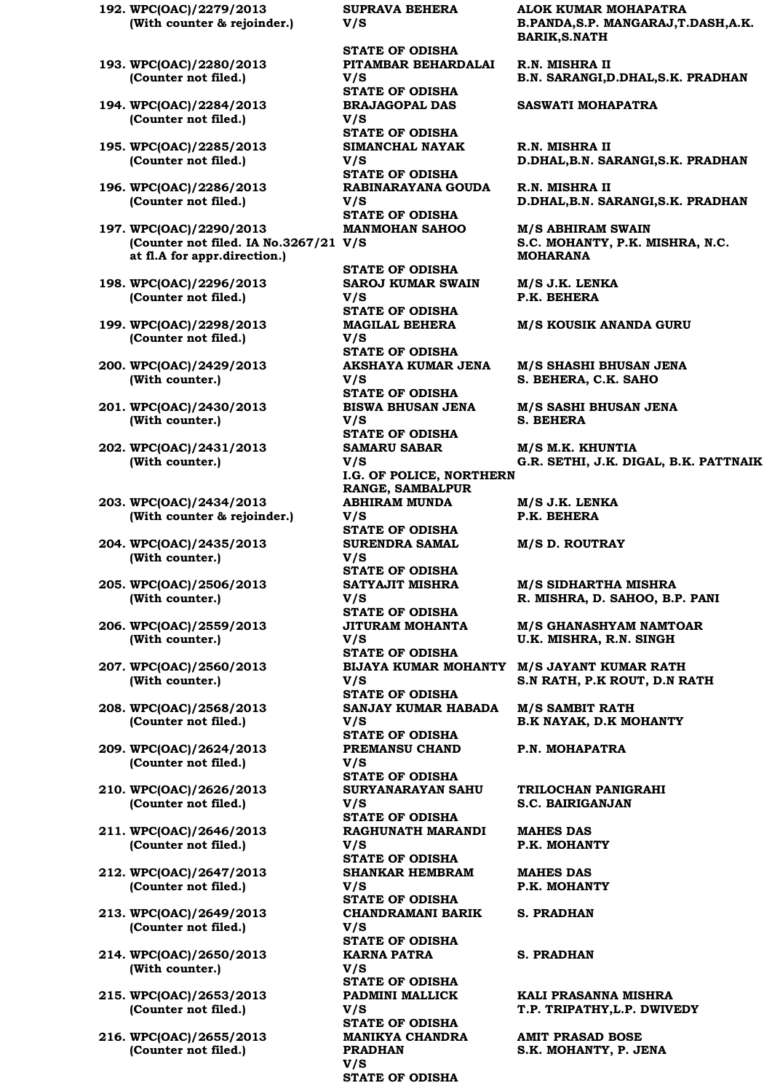**192. WPC(OAC)/2279/2013 (With counter & rejoinder.) 193. WPC(OAC)/2280/2013 (Counter not filed.) 194. WPC(OAC)/2284/2013 (Counter not filed.) 195. WPC(OAC)/2285/2013 (Counter not filed.) 196. WPC(OAC)/2286/2013 (Counter not filed.) 197. WPC(OAC)/2290/2013 (Counter not filed. IA No.3267/21 V/S at fl.A for appr.direction.)**

**198. WPC(OAC)/2296/2013 (Counter not filed.)**

- **199. WPC(OAC)/2298/2013 (Counter not filed.)**
- **200. WPC(OAC)/2429/2013 (With counter.)**
- **201. WPC(OAC)/2430/2013 (With counter.)**
- **202. WPC(OAC)/2431/2013 (With counter.)**
- **203. WPC(OAC)/2434/2013 (With counter & rejoinder.)**
- **204. WPC(OAC)/2435/2013 (With counter.)**
- **205. WPC(OAC)/2506/2013 (With counter.)**
- **206. WPC(OAC)/2559/2013 (With counter.)**
- **207. WPC(OAC)/2560/2013 (With counter.)**
- **208. WPC(OAC)/2568/2013 (Counter not filed.)**
- **209. WPC(OAC)/2624/2013 (Counter not filed.)**
- **210. WPC(OAC)/2626/2013 (Counter not filed.)**
- **211. WPC(OAC)/2646/2013 (Counter not filed.)**
- **212. WPC(OAC)/2647/2013 (Counter not filed.)**
- **213. WPC(OAC)/2649/2013 (Counter not filed.)**
- **214. WPC(OAC)/2650/2013 (With counter.)**
- **215. WPC(OAC)/2653/2013 (Counter not filed.)**
- **216. WPC(OAC)/2655/2013 (Counter not filed.)**

**SUPRAVA BEHERA V/S** 

**STATE OF ODISHA PITAMBAR BEHARDALAI V/S STATE OF ODISHA BRAJAGOPAL DAS V/S STATE OF ODISHA SIMANCHAL NAYAK V/S STATE OF ODISHA RABINARAYANA GOUDA V/S STATE OF ODISHA MANMOHAN SAHOO STATE OF ODISHA SAROJ KUMAR SWAIN V/S STATE OF ODISHA MAGILAL BEHERA V/S STATE OF ODISHA AKSHAYA KUMAR JENA V/S STATE OF ODISHA BISWA BHUSAN JENA V/S STATE OF ODISHA SAMARU SABAR V/S I.G. OF POLICE, NORTHERN RANGE, SAMBALPUR ABHIRAM MUNDA V/S STATE OF ODISHA SURENDRA SAMAL V/S STATE OF ODISHA SATYAJIT MISHRA V/S STATE OF ODISHA JITURAM MOHANTA V/S STATE OF ODISHA V/S STATE OF ODISHA SANJAY KUMAR HABADA V/S STATE OF ODISHA PREMANSU CHAND V/S STATE OF ODISHA SURYANARAYAN SAHU V/S STATE OF ODISHA RAGHUNATH MARANDI V/S STATE OF ODISHA SHANKAR HEMBRAM V/S STATE OF ODISHA CHANDRAMANI BARIK V/S STATE OF ODISHA KARNA PATRA V/S STATE OF ODISHA PADMINI MALLICK V/S STATE OF ODISHA MANIKYA CHANDRA PRADHAN V/S STATE OF ODISHA**

**ALOK KUMAR MOHAPATRA B.PANDA,S.P. MANGARAJ,T.DASH,A.K. BARIK,S.NATH**

**R.N. MISHRA II B.N. SARANGI,D.DHAL,S.K. PRADHAN**

**SASWATI MOHAPATRA**

**R.N. MISHRA II D.DHAL,B.N. SARANGI,S.K. PRADHAN**

**R.N. MISHRA II D.DHAL,B.N. SARANGI,S.K. PRADHAN**

**M/S ABHIRAM SWAIN S.C. MOHANTY, P.K. MISHRA, N.C. MOHARANA**

**M/S J.K. LENKA P.K. BEHERA**

**M/S KOUSIK ANANDA GURU**

**M/S SHASHI BHUSAN JENA S. BEHERA, C.K. SAHO**

**M/S SASHI BHUSAN JENA S. BEHERA**

**M/S M.K. KHUNTIA G.R. SETHI, J.K. DIGAL, B.K. PATTNAIK**

**M/S J.K. LENKA P.K. BEHERA**

**M/S D. ROUTRAY**

**M/S SIDHARTHA MISHRA R. MISHRA, D. SAHOO, B.P. PANI**

**M/S GHANASHYAM NAMTOAR U.K. MISHRA, R.N. SINGH**

**BIJAYA KUMAR MOHANTY M/S JAYANT KUMAR RATH S.N RATH, P.K ROUT, D.N RATH**

> **M/S SAMBIT RATH B.K NAYAK, D.K MOHANTY**

**P.N. MOHAPATRA**

**TRILOCHAN PANIGRAHI S.C. BAIRIGANJAN**

**MAHES DAS P.K. MOHANTY**

**MAHES DAS P.K. MOHANTY**

**S. PRADHAN**

**S. PRADHAN**

**KALI PRASANNA MISHRA T.P. TRIPATHY,L.P. DWIVEDY**

**AMIT PRASAD BOSE S.K. MOHANTY, P. JENA**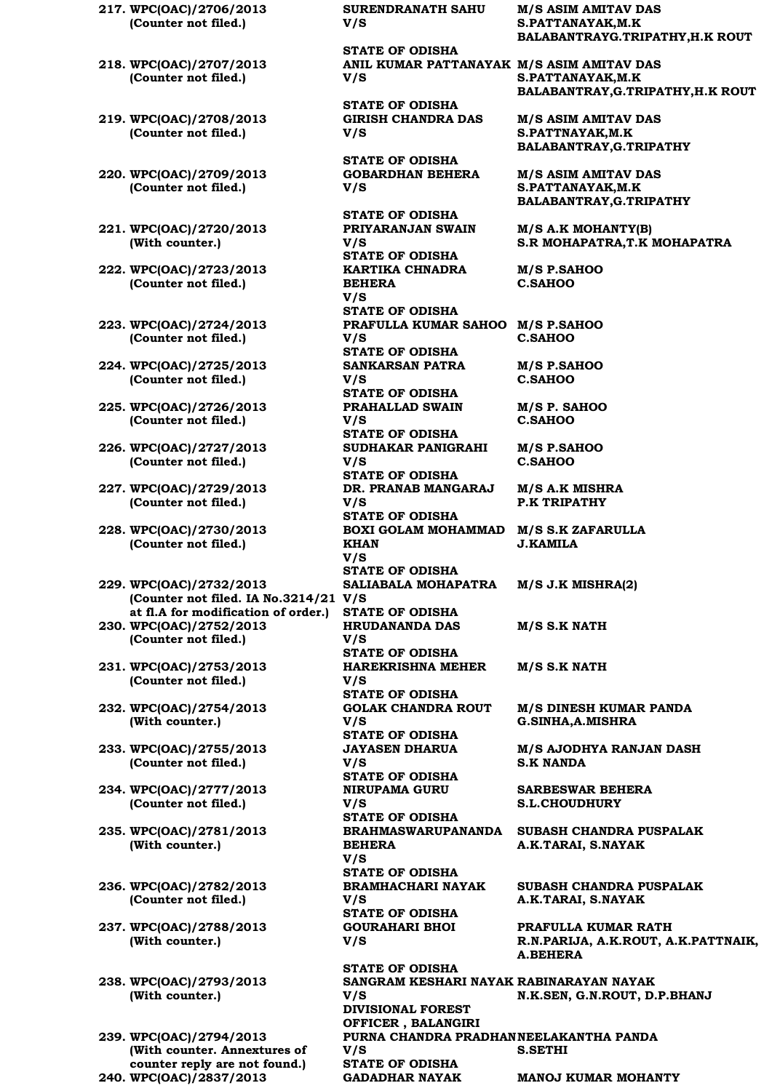**217. WPC(OAC)/2706/2013 (Counter not filed.)**

- **218. WPC(OAC)/2707/2013 (Counter not filed.)**
- **219. WPC(OAC)/2708/2013 (Counter not filed.)**
- **220. WPC(OAC)/2709/2013 (Counter not filed.)**
- **221. WPC(OAC)/2720/2013 (With counter.)**
- **222. WPC(OAC)/2723/2013 (Counter not filed.)**
- **223. WPC(OAC)/2724/2013 (Counter not filed.)**
- **224. WPC(OAC)/2725/2013 (Counter not filed.)**
- **225. WPC(OAC)/2726/2013 (Counter not filed.)**
- **226. WPC(OAC)/2727/2013 (Counter not filed.)**
- **227. WPC(OAC)/2729/2013 (Counter not filed.)**
- **228. WPC(OAC)/2730/2013 (Counter not filed.)**
- **229. WPC(OAC)/2732/2013 (Counter not filed. IA No.3214/21 V/S at fl.A for modification of order.) STATE OF ODISHA 230. WPC(OAC)/2752/2013**
- **(Counter not filed.)**
- **231. WPC(OAC)/2753/2013 (Counter not filed.)**
- **232. WPC(OAC)/2754/2013 (With counter.)**
- **233. WPC(OAC)/2755/2013 (Counter not filed.)**
- **234. WPC(OAC)/2777/2013 (Counter not filed.)**
- **235. WPC(OAC)/2781/2013 (With counter.)**
- **236. WPC(OAC)/2782/2013 (Counter not filed.)**
- **237. WPC(OAC)/2788/2013 (With counter.)**
- **238. WPC(OAC)/2793/2013 (With counter.)**

**239. WPC(OAC)/2794/2013 (With counter. Annextures of counter reply are not found.)**

**SURENDRANATH SAHU V/S** 

**STATE OF ODISHA ANIL KUMAR PATTANAYAK M/S ASIM AMITAV DAS V/S** 

**STATE OF ODISHA GIRISH CHANDRA DAS V/S** 

**STATE OF ODISHA GOBARDHAN BEHERA V/S** 

**STATE OF ODISHA PRIYARANJAN SWAIN V/S STATE OF ODISHA KARTIKA CHNADRA BEHERA V/S STATE OF ODISHA PRAFULLA KUMAR SAHOO M/S P.SAHOO V/S STATE OF ODISHA SANKARSAN PATRA V/S STATE OF ODISHA PRAHALLAD SWAIN V/S STATE OF ODISHA SUDHAKAR PANIGRAHI V/S STATE OF ODISHA DR. PRANAB MANGARAJ V/S STATE OF ODISHA BOXI GOLAM MOHAMMAD M/S S.K ZAFARULLA KHAN V/S STATE OF ODISHA SALIABALA MOHAPATRA HRUDANANDA DAS V/S STATE OF ODISHA HAREKRISHNA MEHER V/S STATE OF ODISHA GOLAK CHANDRA ROUT V/S STATE OF ODISHA JAYASEN DHARUA V/S STATE OF ODISHA NIRUPAMA GURU V/S STATE OF ODISHA BEHERA V/S STATE OF ODISHA BRAMHACHARI NAYAK V/S STATE OF ODISHA GOURAHARI BHOI V/S** 

**STATE OF ODISHA SANGRAM KESHARI NAYAK RABINARAYAN NAYAK V/S DIVISIONAL FOREST OFFICER , BALANGIRI** PURNA CHANDRA PRADHAN NEELAKANTHA PANDA **V/S S.SETHI STATE OF ODISHA 240. WPC(OAC)/2837/2013 GADADHAR NAYAK MANOJ KUMAR MOHANTY**

**M/S ASIM AMITAV DAS S.PATTANAYAK,M.K BALABANTRAYG.TRIPATHY,H.K ROUT**

**S.PATTANAYAK,M.K BALABANTRAY,G.TRIPATHY,H.K ROUT**

**M/S ASIM AMITAV DAS S.PATTNAYAK,M.K BALABANTRAY,G.TRIPATHY**

**M/S ASIM AMITAV DAS S.PATTANAYAK,M.K BALABANTRAY,G.TRIPATHY**

**M/S A.K MOHANTY(B) S.R MOHAPATRA,T.K MOHAPATRA**

**M/S P.SAHOO C.SAHOO**

**C.SAHOO**

**M/S P.SAHOO C.SAHOO**

**M/S P. SAHOO C.SAHOO**

**M/S P.SAHOO C.SAHOO**

**M/S A.K MISHRA P.K TRIPATHY**

**J.KAMILA**

**M/S J.K MISHRA(2)**

**M/S S.K NATH**

**M/S S.K NATH**

**M/S DINESH KUMAR PANDA G.SINHA,A.MISHRA**

**M/S AJODHYA RANJAN DASH S.K NANDA**

**SARBESWAR BEHERA S.L.CHOUDHURY**

**BRAHMASWARUPANANDA SUBASH CHANDRA PUSPALAK A.K.TARAI, S.NAYAK**

> **SUBASH CHANDRA PUSPALAK A.K.TARAI, S.NAYAK**

**PRAFULLA KUMAR RATH R.N.PARIJA, A.K.ROUT, A.K.PATTNAIK, A.BEHERA**

**N.K.SEN, G.N.ROUT, D.P.BHANJ**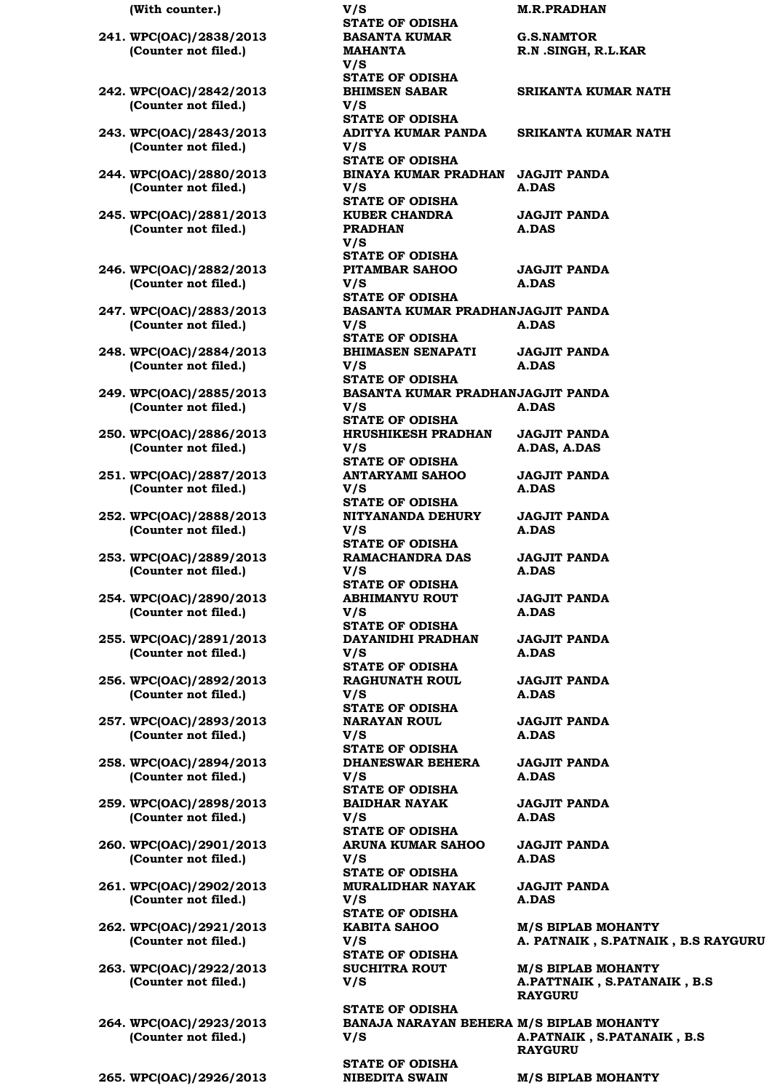- **241. WPC(OAC)/2838/2013 (Counter not filed.)**
- **242. WPC(OAC)/2842/2013 (Counter not filed.)**
- **243. WPC(OAC)/2843/2013 (Counter not filed.)**
- **244. WPC(OAC)/2880/2013 (Counter not filed.)**
- **245. WPC(OAC)/2881/2013 (Counter not filed.)**
- **246. WPC(OAC)/2882/2013 (Counter not filed.)**
- **247. WPC(OAC)/2883/2013 (Counter not filed.)**
- **248. WPC(OAC)/2884/2013 (Counter not filed.)**
- **249. WPC(OAC)/2885/2013 (Counter not filed.)**
- **250. WPC(OAC)/2886/2013 (Counter not filed.)**
- **251. WPC(OAC)/2887/2013 (Counter not filed.)**
- **252. WPC(OAC)/2888/2013 (Counter not filed.)**
- **253. WPC(OAC)/2889/2013 (Counter not filed.)**
- **254. WPC(OAC)/2890/2013 (Counter not filed.)**
- **255. WPC(OAC)/2891/2013 (Counter not filed.)**
- **256. WPC(OAC)/2892/2013 (Counter not filed.)**
- **257. WPC(OAC)/2893/2013 (Counter not filed.)**
- **258. WPC(OAC)/2894/2013 (Counter not filed.)**
- **259. WPC(OAC)/2898/2013 (Counter not filed.)**
- **260. WPC(OAC)/2901/2013 (Counter not filed.)**
- **261. WPC(OAC)/2902/2013 (Counter not filed.)**
- **262. WPC(OAC)/2921/2013 (Counter not filed.)**
- **263. WPC(OAC)/2922/2013 (Counter not filed.)**
- **264. WPC(OAC)/2923/2013 (Counter not filed.)**

**(With counter.) V/S M.R.PRADHAN STATE OF ODISHA BASANTA KUMAR MAHANTA V/S STATE OF ODISHA BHIMSEN SABAR V/S STATE OF ODISHA ADITYA KUMAR PANDA V/S STATE OF ODISHA BINAYA KUMAR PRADHAN JAGJIT PANDA V/S STATE OF ODISHA KUBER CHANDRA PRADHAN V/S STATE OF ODISHA PITAMBAR SAHOO V/S STATE OF ODISHA BASANTA KUMAR PRADHAN JAGJIT PANDA V/S STATE OF ODISHA BHIMASEN SENAPATI V/S STATE OF ODISHA BASANTA KUMAR PRADHAN JAGJIT PANDA V/S STATE OF ODISHA HRUSHIKESH PRADHAN V/S STATE OF ODISHA ANTARYAMI SAHOO V/S STATE OF ODISHA NITYANANDA DEHURY V/S STATE OF ODISHA RAMACHANDRA DAS V/S STATE OF ODISHA ABHIMANYU ROUT V/S STATE OF ODISHA DAYANIDHI PRADHAN V/S STATE OF ODISHA RAGHUNATH ROUL V/S STATE OF ODISHA NARAYAN ROUL V/S STATE OF ODISHA DHANESWAR BEHERA V/S STATE OF ODISHA BAIDHAR NAYAK V/S STATE OF ODISHA ARUNA KUMAR SAHOO V/S STATE OF ODISHA MURALIDHAR NAYAK V/S STATE OF ODISHA KABITA SAHOO V/S STATE OF ODISHA SUCHITRA ROUT V/S STATE OF ODISHA BANAJA NARAYAN BEHERA M/S BIPLAB MOHANTY V/S** 

**STATE OF ODISHA**

**G.S.NAMTOR R.N .SINGH, R.L.KAR SRIKANTA KUMAR NATH SRIKANTA KUMAR NATH A.DAS JAGJIT PANDA A.DAS JAGJIT PANDA A.DAS A.DAS JAGJIT PANDA A.DAS A.DAS JAGJIT PANDA A.DAS, A.DAS JAGJIT PANDA A.DAS JAGJIT PANDA A.DAS JAGJIT PANDA A.DAS JAGJIT PANDA A.DAS JAGJIT PANDA A.DAS JAGJIT PANDA A.DAS JAGJIT PANDA A.DAS JAGJIT PANDA A.DAS JAGJIT PANDA A.DAS JAGJIT PANDA A.DAS JAGJIT PANDA A.DAS M/S BIPLAB MOHANTY A. PATNAIK , S.PATNAIK , B.S RAYGURU**

**M/S BIPLAB MOHANTY A.PATTNAIK , S.PATANAIK , B.S RAYGURU**

**A.PATNAIK , S.PATANAIK , B.S RAYGURU**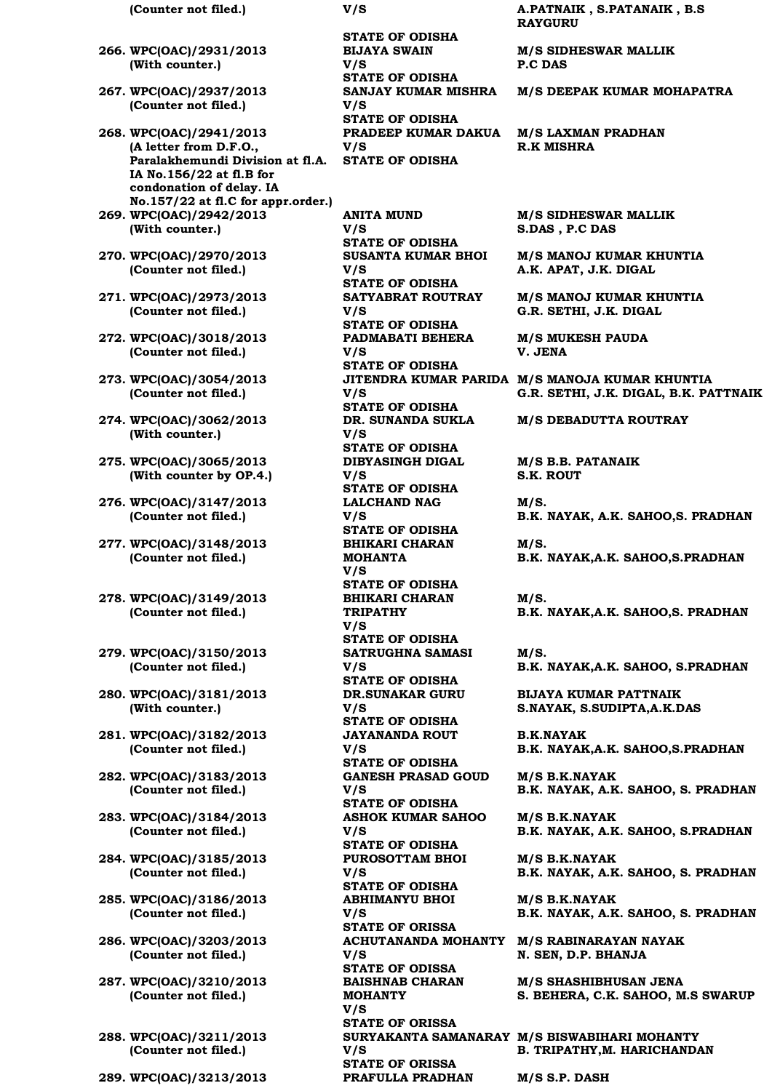| (Counter not filed.)                                                                                                                          | V/S                                                        |
|-----------------------------------------------------------------------------------------------------------------------------------------------|------------------------------------------------------------|
| 266. WPC(OAC)/2931/2013<br>(With counter.)                                                                                                    | STA <sub>1</sub><br><b>BIJA</b><br>V/S                     |
| 267. WPC(OAC)/2937/2013<br>(Counter not filed.)                                                                                               | STA <sub>1</sub><br><b>SAN.</b><br>V/S                     |
| 268. WPC(OAC)/2941/2013<br>(A letter from D.F.O.,<br>Paralakhemundi Division at fl.A.<br>IA No.156/22 at fl.B for<br>condonation of delay. IA | STA <sub>1</sub><br><b>PRAI</b><br>V/S<br>STA <sub>1</sub> |
| No.157/22 at fl.C for appr.order.)<br>269. WPC(OAC)/2942/2013<br>(With counter.)                                                              | <b>ANIT</b><br>V/S                                         |
| 270. WPC(OAC)/2970/2013<br>(Counter not filed.)                                                                                               | <b>STA1</b><br>SUS/<br>V/S                                 |
| 271. WPC(OAC)/2973/2013<br>(Counter not filed.)                                                                                               | <b>STA1</b><br><b>SATY</b><br>V/S<br>STA <sub>1</sub>      |
| 272. WPC(OAC)/3018/2013<br>(Counter not filed.)                                                                                               | <b>PADI</b><br>V/S<br><b>STAT</b>                          |
| 273. WPC(OAC)/3054/2013<br>(Counter not filed.)                                                                                               | <b>JITE</b><br>V/S<br>STA <sub>1</sub>                     |
| 274. WPC(OAC)/3062/2013<br>(With counter.)                                                                                                    | DR. S<br>V/S<br>STA <sub>1</sub>                           |
| 275. WPC(OAC)/3065/2013<br>(With counter by OP.4.)                                                                                            | <b>DIBY</b><br>V/S<br>STA <sub>1</sub>                     |
| 276. WPC(OAC)/3147/2013<br>(Counter not filed.)                                                                                               | LALC<br>V/S<br>STA <sub>1</sub>                            |
| 277. WPC(OAC)/3148/2013<br>(Counter not filed.)                                                                                               | <b>BHIK</b><br><b>MOH</b><br>V/S                           |
| 278. WPC(OAC)/3149/2013<br>(Counter not filed.)                                                                                               | STA <sub>1</sub><br><b>BHIK</b><br><b>TRIP</b><br>V/S      |
| 279. WPC(OAC)/3150/2013<br>(Counter not filed.)                                                                                               | STA <sub>1</sub><br><b>SATH</b><br>V/S<br>STA <sub>1</sub> |
| 280. WPC(OAC)/3181/2013<br>(With counter.)                                                                                                    | DR.S<br>V/S<br>STA <sub>1</sub>                            |
| 281. WPC(OAC)/3182/2013<br>(Counter not filed.)                                                                                               | <b>JAY</b><br>V/S<br>STA <sub>1</sub>                      |
| 282. WPC(OAC)/3183/2013<br>(Counter not filed.)                                                                                               | <b>GAN</b><br>V/S<br>STA <sub>1</sub>                      |
| 283. WPC(OAC)/3184/2013<br>(Counter not filed.)                                                                                               | <b>ASH</b><br>V/S<br>STA <sub>1</sub>                      |
| 284. WPC(OAC)/3185/2013<br>(Counter not filed.)                                                                                               | <b>PUR</b><br>V/S<br>STA <sub>1</sub>                      |
| 285. WPC(OAC)/3186/2013<br>(Counter not filed.)                                                                                               | <b>ABHI</b><br>V/S<br>STA <sub>1</sub>                     |
| 286. WPC(OAC)/3203/2013<br>(Counter not filed.)                                                                                               | ACH<br>V/S<br>STA <sub>1</sub>                             |
| 287. WPC(OAC)/3210/2013<br>(Counter not filed.)                                                                                               | <b>BAIS</b><br><b>MOH</b><br>V/S                           |
| 288. WPC(OAC)/3211/2013<br>(Counter not filed.)                                                                                               | STA <sub>1</sub><br><b>SURY</b><br>V/S                     |

**E OF ODISHA BIJAYA SWAIN TE OF ODISHA SE OF ODISHA PRADEEP KUMAR DAKUA M/S LAXMAN PRADHAN SE OF ODISHA** 

A MUND **TE OF ODISHA SUSANTA KUMAR BHOI TE OF ODISHA SATYABRAT ROUTRAY SE OF ODISHA PADMABATI BEHERA TE OF ODISHA TE OF ODISHA DR. SUNANDA SUKLA SE OF ODISHA ASINGH DIGAL TE OF ODISHA LALCHAND NAG TE OF ODISHA BHIKARI CHARAN MANTA TE OF ODISHA BHIKARI CHARAN ATHY TE OF ODISHA SATRUGHNA SAMASI SE OF ODISHA DR.SUNAKAR GURU SE OF ODISHA JAYANANDA ROUT E OF ODISHA GANESH PRASAD GOUD TE OF ODISHA ASHOK KUMAR SAHOO STATE OF ODISHA PUROSOTTAM BHOI TE OF ODISHA IMANYU BHOI TE OF ORISSA SE OF ODISSA BAINAB CHARAN MANTY SE OF ORISSA STATE OF ORISSA 289. WPC(OAC)/3213/2013 PRAFULLA PRADHAN M/S S.P. DASH**

**(Counter not filed.) V/S A.PATNAIK , S.PATANAIK , B.S RAYGURU**

**M/S SIDHESWAR MALLIK P.C DAS**

**SANJAY KUMAR MISHRA M/S DEEPAK KUMAR MOHAPATRA**

**R.K MISHRA**

**M/S SIDHESWAR MALLIK S.DAS , P.C DAS**

**M/S MANOJ KUMAR KHUNTIA A.K. APAT, J.K. DIGAL**

**M/S MANOJ KUMAR KHUNTIA G.R. SETHI, J.K. DIGAL**

**M/S MUKESH PAUDA V. JENA**

**JITENDRA KUMAR PARIDA M/S MANOJA KUMAR KHUNTIA G.R. SETHI, J.K. DIGAL, B.K. PATTNAIK**

**M/S DEBADUTTA ROUTRAY**

**M/S B.B. PATANAIK S.K. ROUT**

**M/S. B.K. NAYAK, A.K. SAHOO,S. PRADHAN**

**M/S. B.K. NAYAK,A.K. SAHOO,S.PRADHAN**

**M/S. B.K. NAYAK,A.K. SAHOO,S. PRADHAN**

**M/S. B.K. NAYAK,A.K. SAHOO, S.PRADHAN**

**BIJAYA KUMAR PATTNAIK S.NAYAK, S.SUDIPTA,A.K.DAS**

**B.K.NAYAK B.K. NAYAK,A.K. SAHOO,S.PRADHAN**

**M/S B.K.NAYAK B.K. NAYAK, A.K. SAHOO, S. PRADHAN**

**M/S B.K.NAYAK B.K. NAYAK, A.K. SAHOO, S.PRADHAN**

**M/S B.K.NAYAK B.K. NAYAK, A.K. SAHOO, S. PRADHAN**

**M/S B.K.NAYAK B.K. NAYAK, A.K. SAHOO, S. PRADHAN**

**ACHUTANANDA MOHANTY M/S RABINARAYAN NAYAK N. SEN, D.P. BHANJA**

> **M/S SHASHIBHUSAN JENA S. BEHERA, C.K. SAHOO, M.S SWARUP**

**SURYAKANTA SAMANARAY M/S BISWABIHARI MOHANTY B. TRIPATHY,M. HARICHANDAN**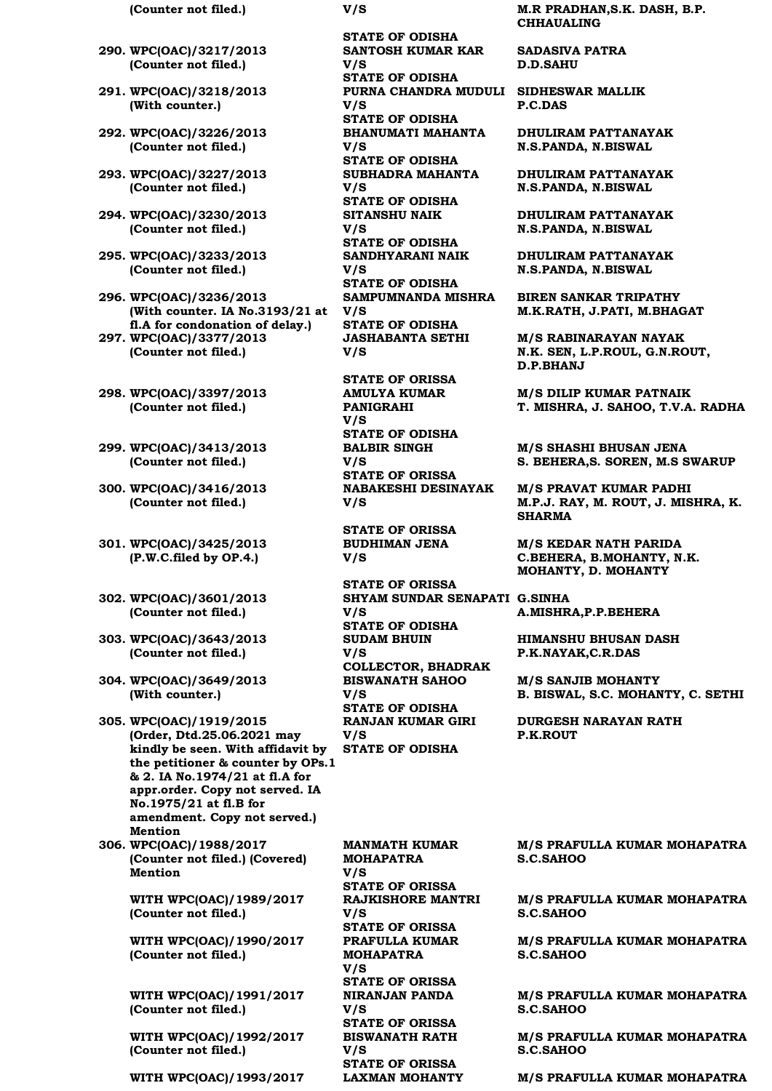- **290. WPC(OAC)/3217/2013 (Counter not filed.)**
- **291. WPC(OAC)/3218/2013 (With counter.)**
- **292. WPC(OAC)/3226/2013 (Counter not filed.)**
- **293. WPC(OAC)/3227/2013 (Counter not filed.)**
- **294. WPC(OAC)/3230/2013 (Counter not filed.)**
- **295. WPC(OAC)/3233/2013 (Counter not filed.)**
- **296. WPC(OAC)/3236/2013 (With counter. IA No.3193/21 at fl.A for condonation of delay.) 297. WPC(OAC)/3377/2013 (Counter not filed.)**
- **298. WPC(OAC)/3397/2013 (Counter not filed.)**
- **299. WPC(OAC)/3413/2013 (Counter not filed.)**
- **300. WPC(OAC)/3416/2013 (Counter not filed.)**
- **301. WPC(OAC)/3425/2013 (P.W.C.filed by OP.4.)**
- **302. WPC(OAC)/3601/2013 (Counter not filed.)**
- **303. WPC(OAC)/3643/2013 (Counter not filed.)**
- **304. WPC(OAC)/3649/2013 (With counter.)**
- **305. WPC(OAC)/1919/2015 (Order, Dtd.25.06.2021 may kindly be seen. With affidavit by the petitioner & counter by OPs.1 & 2. IA No.1974/21 at fl.A for appr.order. Copy not served. IA No.1975/21 at fl.B for amendment. Copy not served.) Mention**
- **306. WPC(OAC)/1988/2017 (Counter not filed.) (Covered) Mention**

**WITH WPC(OAC)/1989/2017 (Counter not filed.)**

**WITH WPC(OAC)/1990/2017 (Counter not filed.)**

**WITH WPC(OAC)/1991/2017 (Counter not filed.)**

**WITH WPC(OAC)/1992/2017 (Counter not filed.)**

**STATE OF ODISHA SANTOSH KUMAR KAR V/S STATE OF ODISHA PURNA CHANDRA MUDULI SIDHESWAR MALLIK V/S STATE OF ODISHA BHANUMATI MAHANTA V/S STATE OF ODISHA SUBHADRA MAHANTA V/S STATE OF ODISHA SITANSHU NAIK V/S STATE OF ODISHA SANDHYARANI NAIK V/S STATE OF ODISHA SAMPUMNANDA MISHRA V/S STATE OF ODISHA JASHABANTA SETHI V/S STATE OF ORISSA**

**AMULYA KUMAR PANIGRAHI V/S STATE OF ODISHA BALBIR SINGH V/S STATE OF ORISSA NABAKESHI DESINAYAK V/S** 

**STATE OF ORISSA BUDHIMAN JENA V/S** 

**STATE OF ORISSA SHYAM SUNDAR SENAPATI G.SINHA V/S STATE OF ODISHA SUDAM BHUIN V/S COLLECTOR, BHADRAK BISWANATH SAHOO V/S STATE OF ODISHA RANJAN KUMAR GIRI V/S STATE OF ODISHA**

**MANMATH KUMAR MOHAPATRA V/S STATE OF ORISSA RAJKISHORE MANTRI V/S STATE OF ORISSA PRAFULLA KUMAR MOHAPATRA V/S STATE OF ORISSA NIRANJAN PANDA V/S STATE OF ORISSA BISWANATH RATH V/S STATE OF ORISSA**

**(Counter not filed.) V/S M.R PRADHAN,S.K. DASH, B.P. CHHAUALING**

> **SADASIVA PATRA D.D.SAHU**

**P.C.DAS**

**DHULIRAM PATTANAYAK N.S.PANDA, N.BISWAL**

**DHULIRAM PATTANAYAK N.S.PANDA, N.BISWAL**

**DHULIRAM PATTANAYAK N.S.PANDA, N.BISWAL**

**DHULIRAM PATTANAYAK N.S.PANDA, N.BISWAL**

**BIREN SANKAR TRIPATHY M.K.RATH, J.PATI, M.BHAGAT**

**M/S RABINARAYAN NAYAK N.K. SEN, L.P.ROUL, G.N.ROUT, D.P.BHANJ**

**M/S DILIP KUMAR PATNAIK T. MISHRA, J. SAHOO, T.V.A. RADHA**

**M/S SHASHI BHUSAN JENA S. BEHERA,S. SOREN, M.S SWARUP**

**M/S PRAVAT KUMAR PADHI M.P.J. RAY, M. ROUT, J. MISHRA, K. SHARMA**

**M/S KEDAR NATH PARIDA C.BEHERA, B.MOHANTY, N.K. MOHANTY, D. MOHANTY**

**A.MISHRA,P.P.BEHERA**

**HIMANSHU BHUSAN DASH P.K.NAYAK,C.R.DAS**

**M/S SANJIB MOHANTY B. BISWAL, S.C. MOHANTY, C. SETHI**

**DURGESH NARAYAN RATH P.K.ROUT**

**M/S PRAFULLA KUMAR MOHAPATRA S.C.SAHOO**

**M/S PRAFULLA KUMAR MOHAPATRA S.C.SAHOO**

**M/S PRAFULLA KUMAR MOHAPATRA S.C.SAHOO**

**M/S PRAFULLA KUMAR MOHAPATRA S.C.SAHOO**

**M/S PRAFULLA KUMAR MOHAPATRA S.C.SAHOO**

**WITH WPC(OAC)/1993/2017 LAXMAN MOHANTY M/S PRAFULLA KUMAR MOHAPATRA**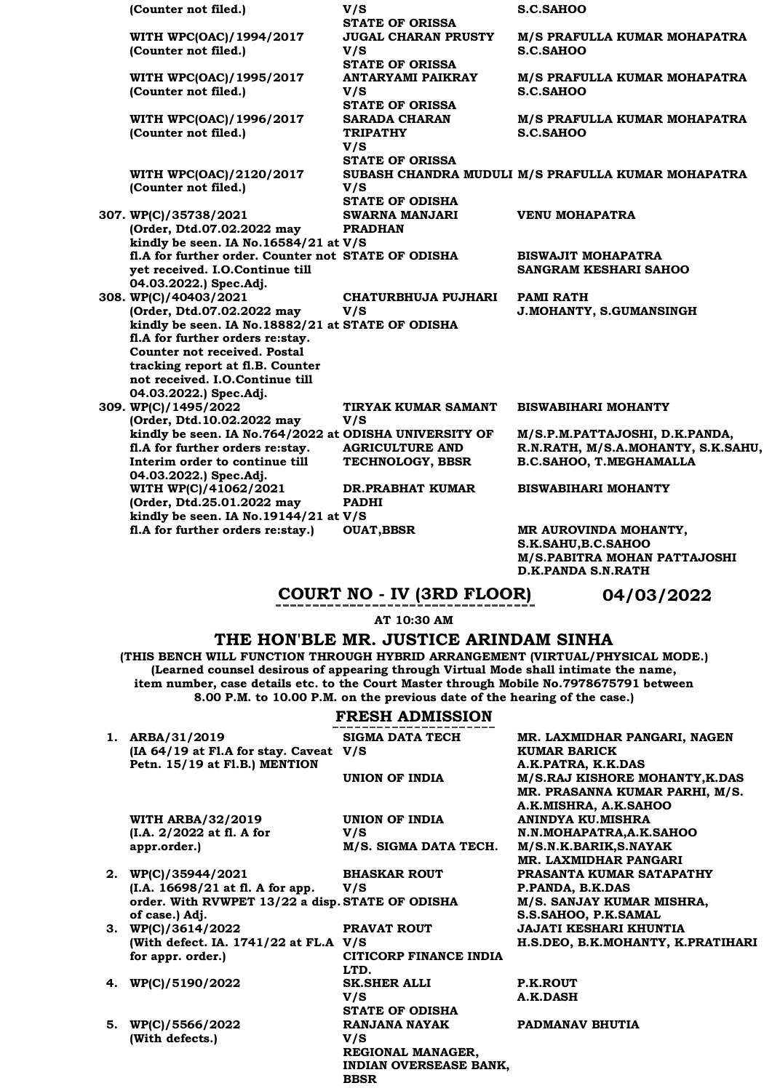| (Counter not filed.)                                   | V/S                        | S.C.SAHOO                                          |
|--------------------------------------------------------|----------------------------|----------------------------------------------------|
|                                                        | <b>STATE OF ORISSA</b>     |                                                    |
| WITH WPC(OAC)/1994/2017                                | <b>JUGAL CHARAN PRUSTY</b> | M/S PRAFULLA KUMAR MOHAPATRA                       |
| (Counter not filed.)                                   | V/S                        | S.C.SAHOO                                          |
|                                                        | <b>STATE OF ORISSA</b>     |                                                    |
| WITH WPC(OAC)/1995/2017                                | <b>ANTARYAMI PAIKRAY</b>   | M/S PRAFULLA KUMAR MOHAPATRA                       |
| (Counter not filed.)                                   | V/S                        | S.C.SAHOO                                          |
|                                                        | <b>STATE OF ORISSA</b>     |                                                    |
| WITH WPC(OAC)/1996/2017                                | <b>SARADA CHARAN</b>       | M/S PRAFULLA KUMAR MOHAPATRA                       |
| (Counter not filed.)                                   | <b>TRIPATHY</b>            | S.C.SAHOO                                          |
|                                                        | V/S                        |                                                    |
|                                                        | <b>STATE OF ORISSA</b>     |                                                    |
| WITH WPC(OAC)/2120/2017                                |                            | SUBASH CHANDRA MUDULI M/S PRAFULLA KUMAR MOHAPATRA |
| (Counter not filed.)                                   | V/S                        |                                                    |
|                                                        | <b>STATE OF ODISHA</b>     |                                                    |
| 307. WP(C)/35738/2021                                  | <b>SWARNA MANJARI</b>      | <b>VENU MOHAPATRA</b>                              |
| (Order, Dtd.07.02.2022 may                             | <b>PRADHAN</b>             |                                                    |
| kindly be seen. IA No.16584/21 at V/S                  |                            |                                                    |
| fl.A for further order. Counter not STATE OF ODISHA    |                            | <b>BISWAJIT MOHAPATRA</b>                          |
| yet received. I.O.Continue till                        |                            | <b>SANGRAM KESHARI SAHOO</b>                       |
| 04.03.2022.) Spec.Adj.                                 |                            |                                                    |
| 308. WP(C)/40403/2021                                  | CHATURBHUJA PUJHARI        | <b>PAMI RATH</b>                                   |
| (Order, Dtd.07.02.2022 may                             | V/S                        | J.MOHANTY, S.GUMANSINGH                            |
| kindly be seen. IA No.18882/21 at STATE OF ODISHA      |                            |                                                    |
| fl.A for further orders re:stay.                       |                            |                                                    |
| <b>Counter not received. Postal</b>                    |                            |                                                    |
| tracking report at fl.B. Counter                       |                            |                                                    |
| not received. I.O.Continue till                        |                            |                                                    |
| 04.03.2022.) Spec.Adj.                                 |                            |                                                    |
| 309. WP(C)/1495/2022                                   | TIRYAK KUMAR SAMANT        | <b>BISWABIHARI MOHANTY</b>                         |
| (Order, Dtd.10.02.2022 may                             | V/S                        |                                                    |
| kindly be seen. IA No.764/2022 at ODISHA UNIVERSITY OF |                            | M/S.P.M.PATTAJOSHI, D.K.PANDA,                     |
| fl.A for further orders re:stay.                       | <b>AGRICULTURE AND</b>     | R.N.RATH, M/S.A.MOHANTY, S.K.SAHU,                 |
| Interim order to continue till                         | TECHNOLOGY, BBSR           | <b>B.C.SAHOO, T.MEGHAMALLA</b>                     |
| 04.03.2022.) Spec.Adj.                                 |                            |                                                    |
| WITH WP(C)/41062/2021                                  | <b>DR.PRABHAT KUMAR</b>    | <b>BISWABIHARI MOHANTY</b>                         |
| (Order, Dtd.25.01.2022 may                             | <b>PADHI</b>               |                                                    |
| kindly be seen. IA No.19144/21 at V/S                  |                            |                                                    |
| fl.A for further orders re:stay.)                      | <b>OUAT, BBSR</b>          | MR AUROVINDA MOHANTY,                              |
|                                                        |                            | S.K.SAHU, B.C.SAHOO                                |

**M/S.PABITRA MOHAN PATTAJOSHI D.K.PANDA S.N.RATH**

**COURT NO - IV (3RD FLOOR) 04/03/2022**

**AT 10:30 AM**

# **THE HON'BLE MR. JUSTICE ARINDAM SINHA**

**(THIS BENCH WILL FUNCTION THROUGH HYBRID ARRANGEMENT (VIRTUAL/PHYSICAL MODE.) (Learned counsel desirous of appearing through Virtual Mode shall intimate the name, item number, case details etc. to the Court Master through Mobile No.7978675791 between 8.00 P.M. to 10.00 P.M. on the previous date of the hearing of the case.)**

|    | <b>FRESH ADMISSION</b>                                       |                                                    |                                                                                        |  |
|----|--------------------------------------------------------------|----------------------------------------------------|----------------------------------------------------------------------------------------|--|
|    | 1. ARBA/31/2019<br>$[IA 64/19 at Fl.A for stay. Caveat V/S]$ | <b>SIGMA DATA TECH</b>                             | MR. LAXMIDHAR PANGARI, NAGEN<br><b>KUMAR BARICK</b>                                    |  |
|    | Petn. 15/19 at Fl.B.) MENTION                                | UNION OF INDIA                                     | A.K.PATRA, K.K.DAS<br>M/S.RAJ KISHORE MOHANTY, K.DAS<br>MR. PRASANNA KUMAR PARHI, M/S. |  |
|    |                                                              | UNION OF INDIA                                     | A.K.MISHRA, A.K.SAHOO<br><b>ANINDYA KU.MISHRA</b>                                      |  |
|    | <b>WITH ARBA/32/2019</b><br>(I.A. 2/2022 at fl. A for        | V/S                                                | N.N.MOHAPATRA,A.K.SAHOO                                                                |  |
|    |                                                              |                                                    | M/S.N.K.BARIK,S.NAYAK                                                                  |  |
|    | appr.order.)                                                 | M/S. SIGMA DATA TECH.                              | MR. LAXMIDHAR PANGARI                                                                  |  |
| 2. | WP(C)/35944/2021                                             | <b>BHASKAR ROUT</b>                                | PRASANTA KUMAR SATAPATHY                                                               |  |
|    | (I.A. 16698/21 at fl. A for app.                             | V/S                                                | P.PANDA, B.K.DAS                                                                       |  |
|    | order. With RVWPET 13/22 a disp. STATE OF ODISHA             |                                                    | M/S. SANJAY KUMAR MISHRA,                                                              |  |
|    | of case.) Adj.                                               |                                                    | S.S.SAHOO, P.K.SAMAL                                                                   |  |
|    | 3. $WP(C)/3614/2022$                                         | <b>PRAVAT ROUT</b>                                 | <b>JAJATI KESHARI KHUNTIA</b>                                                          |  |
|    | (With defect. IA. 1741/22 at FL.A V/S                        |                                                    | H.S.DEO, B.K.MOHANTY, K.PRATIHARI                                                      |  |
|    | for appr. order.)                                            | CITICORP FINANCE INDIA                             |                                                                                        |  |
|    |                                                              | LTD.                                               |                                                                                        |  |
|    | 4. WP(C)/5190/2022                                           | <b>SK.SHER ALLI</b>                                | P.K.ROUT                                                                               |  |
|    |                                                              | V/S                                                | <b>A.K.DASH</b>                                                                        |  |
|    |                                                              | <b>STATE OF ODISHA</b>                             |                                                                                        |  |
| 5. | WP(C)/5566/2022                                              | RANJANA NAYAK                                      | PADMANAV BHUTIA                                                                        |  |
|    | (With defects.)                                              | V/S                                                |                                                                                        |  |
|    |                                                              | REGIONAL MANAGER,<br><b>INDIAN OVERSEASE BANK,</b> |                                                                                        |  |
|    |                                                              |                                                    |                                                                                        |  |

**BBSR**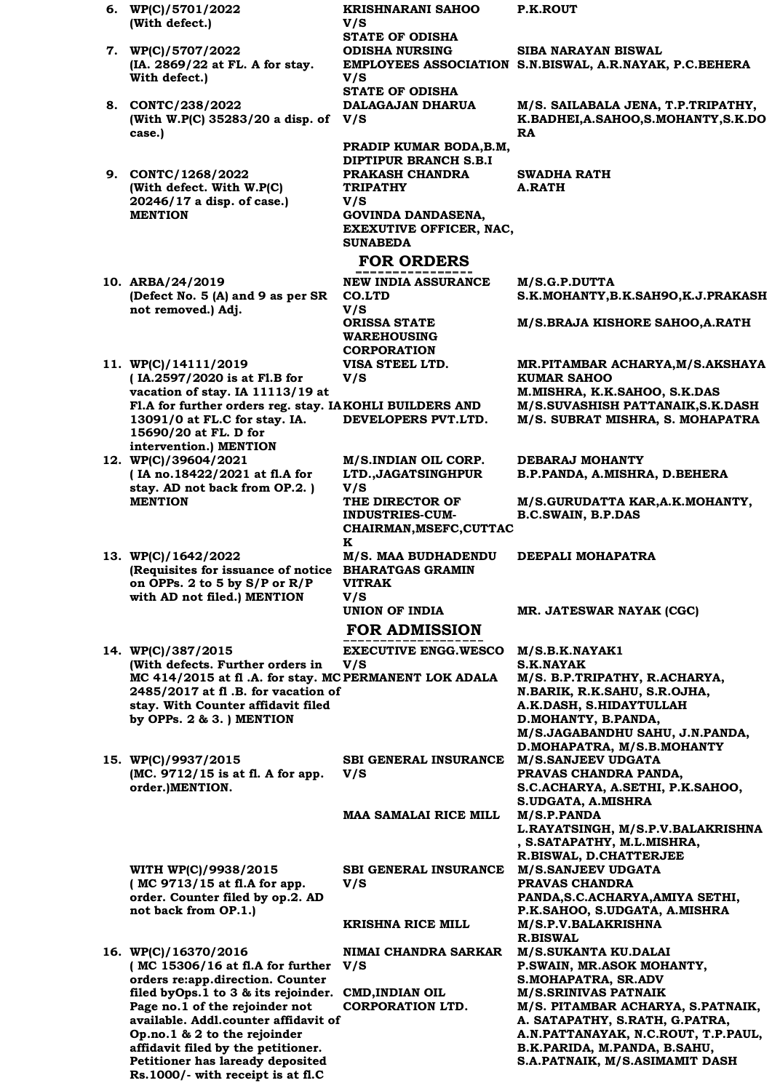**6. WP(C)/5701/2022 (With defect.) KRISHNARANI SAHOO V/S P.K.ROUT STATE OF ODISHA 7. WP(C)/5707/2022 (IA. 2869/22 at FL. A for stay. With defect.) ODISHA NURSING EMPLOYEES ASSOCIATION S.N.BISWAL, A.R.NAYAK, P.C.BEHERA V/S SIBA NARAYAN BISWAL STATE OF ODISHA 8. CONTC/238/2022 (With W.P(C) 35283/20 a disp. of V/S case.) DALAGAJAN DHARUA M/S. SAILABALA JENA, T.P.TRIPATHY, K.BADHEI,A.SAHOO,S.MOHANTY,S.K.DO RA PRADIP KUMAR BODA,B.M, DIPTIPUR BRANCH S.B.I 9. CONTC/1268/2022 (With defect. With W.P(C) 20246/17 a disp. of case.) MENTION PRAKASH CHANDRA TRIPATHY V/S SWADHA RATH A.RATH GOVINDA DANDASENA, EXEXUTIVE OFFICER, NAC, SUNABEDA FOR ORDERS 10. ARBA/24/2019 (Defect No. 5 (A) and 9 as per SR not removed.) Adj. NEW INDIA ASSURANCE CO.LTD V/S M/S.G.P.DUTTA S.K.MOHANTY,B.K.SAH9O,K.J.PRAKASH ORISSA STATE WAREHOUSING CORPORATION M/S.BRAJA KISHORE SAHOO,A.RATH 11. WP(C)/14111/2019 ( IA.2597/2020 is at Fl.B for vacation of stay. IA 11113/19 at Fl.A for further orders reg. stay. IA KOHLI BUILDERS AND 13091/0 at FL.C for stay. IA. 15690/20 at FL. D for intervention.) MENTION VISA STEEL LTD. V/S MR.PITAMBAR ACHARYA,M/S.AKSHAYA KUMAR SAHOO M.MISHRA, K.K.SAHOO, S.K.DAS DEVELOPERS PVT.LTD. M/S.SUVASHISH PATTANAIK,S.K.DASH M/S. SUBRAT MISHRA, S. MOHAPATRA 12. WP(C)/39604/2021 ( IA no.18422/2021 at fl.A for stay. AD not back from OP.2. ) MENTION M/S.INDIAN OIL CORP. LTD.,JAGATSINGHPUR V/S DEBARAJ MOHANTY B.P.PANDA, A.MISHRA, D.BEHERA THE DIRECTOR OF INDUSTRIES-CUM-CHAIRMAN,MSEFC,CUTTAC K M/S.GURUDATTA KAR,A.K.MOHANTY, B.C.SWAIN, B.P.DAS 13. WP(C)/1642/2022 (Requisites for issuance of notice BHARATGAS GRAMIN on OPPs. 2 to 5 by S/P or R/P with AD not filed.) MENTION M/S. MAA BUDHADENDU VITRAK V/S DEEPALI MOHAPATRA UNION OF INDIA MR. JATESWAR NAYAK (CGC) FOR ADMISSION 14. WP(C)/387/2015 (With defects. Further orders in**  MC 414/2015 at fl .A. for stay. MC PERMANENT LOK ADALA **2485/2017 at fl .B. for vacation of stay. With Counter affidavit filed by OPPs. 2 & 3. ) MENTION EXECUTIVE ENGG.WESCO V/S M/S.B.K.NAYAK1 S.K.NAYAK PERMANENT LOK ADALA M/S. B.P.TRIPATHY, R.ACHARYA, N.BARIK, R.K.SAHU, S.R.OJHA, A.K.DASH, S.HIDAYTULLAH D.MOHANTY, B.PANDA, M/S.JAGABANDHU SAHU, J.N.PANDA, D.MOHAPATRA, M/S.B.MOHANTY 15. WP(C)/9937/2015 (MC. 9712/15 is at fl. A for app. order.)MENTION. SBI GENERAL INSURANCE M/S.SANJEEV UDGATA V/S PRAVAS CHANDRA PANDA, S.C.ACHARYA, A.SETHI, P.K.SAHOO, S.UDGATA, A.MISHRA MAA SAMALAI RICE MILL M/S.P.PANDA L.RAYATSINGH, M/S.P.V.BALAKRISHNA , S.SATAPATHY, M.L.MISHRA, R.BISWAL, D.CHATTERJEE WITH WP(C)/9938/2015 ( MC 9713/15 at fl.A for app. order. Counter filed by op.2. AD not back from OP.1.) SBI GENERAL INSURANCE V/S M/S.SANJEEV UDGATA PRAVAS CHANDRA PANDA,S.C.ACHARYA,AMIYA SETHI, P.K.SAHOO, S.UDGATA, A.MISHRA KRISHNA RICE MILL M/S.P.V.BALAKRISHNA R.BISWAL 16. WP(C)/16370/2016 ( MC 15306/16 at fl.A for further orders re:app.direction. Counter filed byOps.1 to 3 & its rejoinder. CMD,INDIAN OIL Page no.1 of the rejoinder not NIMAI CHANDRA SARKAR V/S M/S.SUKANTA KU.DALAI P.SWAIN, MR.ASOK MOHANTY, S.MOHAPATRA, SR.ADV CORPORATION LTD. M/S.SRINIVAS PATNAIK M/S. PITAMBAR ACHARYA, S.PATNAIK,** 

> **A. SATAPATHY, S.RATH, G.PATRA, A.N.PATTANAYAK, N.C.ROUT, T.P.PAUL,**

**B.K.PARIDA, M.PANDA, B.SAHU, S.A.PATNAIK, M/S.ASIMAMIT DASH**

**available. Addl.counter affidavit of Op.no.1 & 2 to the rejoinder affidavit filed by the petitioner. Petitioner has laready deposited Rs.1000/- with receipt is at fl.C**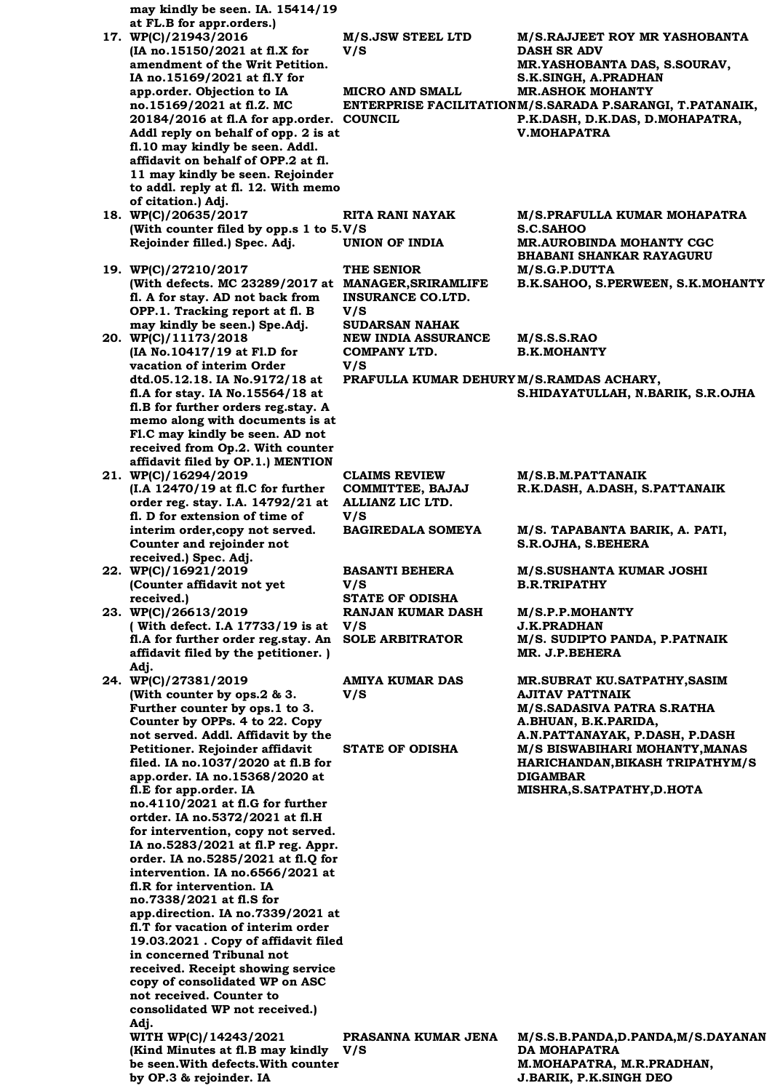| may kindly be seen. IA. 15414/19                                            |                                          |                                                                                             |
|-----------------------------------------------------------------------------|------------------------------------------|---------------------------------------------------------------------------------------------|
| at FL.B for appr.orders.)<br>17. WP(C)/21943/2016                           | M/S.JSW STEEL LTD                        | <b>M/S.RAJJEET ROY MR YASHOBANTA</b>                                                        |
| (IA no.15150/2021 at fl.X for                                               | V/S                                      | <b>DASH SR ADV</b>                                                                          |
| amendment of the Writ Petition.                                             |                                          | MR.YASHOBANTA DAS, S.SOURAV,                                                                |
| IA no.15169/2021 at fl.Y for                                                |                                          | S.K.SINGH, A.PRADHAN                                                                        |
| app.order. Objection to IA                                                  | <b>MICRO AND SMALL</b>                   | <b>MR.ASHOK MOHANTY</b>                                                                     |
| no.15169/2021 at fl.Z. MC<br>20184/2016 at fl.A for app.order. COUNCIL      |                                          | ENTERPRISE FACILITATIONM/S.SARADA P.SARANGI, T.PATANAIK,<br>P.K.DASH, D.K.DAS, D.MOHAPATRA, |
| Addl reply on behalf of opp. 2 is at                                        |                                          | <b>V.MOHAPATRA</b>                                                                          |
| fl.10 may kindly be seen. Addl.                                             |                                          |                                                                                             |
| affidavit on behalf of OPP.2 at fl.                                         |                                          |                                                                                             |
| 11 may kindly be seen. Rejoinder<br>to addl. reply at fl. 12. With memo     |                                          |                                                                                             |
| of citation.) Adj.                                                          |                                          |                                                                                             |
| 18. WP(C)/20635/2017                                                        | <b>RITA RANI NAYAK</b>                   | M/S.PRAFULLA KUMAR MOHAPATRA                                                                |
| (With counter filed by opp.s 1 to 5.V/S                                     |                                          | <b>S.C.SAHOO</b>                                                                            |
| Rejoinder filled.) Spec. Adj.                                               | <b>UNION OF INDIA</b>                    | <b>MR.AUROBINDA MOHANTY CGC</b><br><b>BHABANI SHANKAR RAYAGURU</b>                          |
| 19. WP(C)/27210/2017                                                        | THE SENIOR                               | M/S.G.P.DUTTA                                                                               |
| (With defects. MC 23289/2017 at MANAGER, SRIRAMLIFE                         |                                          | B.K.SAHOO, S.PERWEEN, S.K.MOHANTY                                                           |
| fl. A for stay. AD not back from                                            | <b>INSURANCE CO.LTD.</b>                 |                                                                                             |
| OPP.1. Tracking report at fl. B<br>may kindly be seen.) Spe.Adj.            | V/S<br><b>SUDARSAN NAHAK</b>             |                                                                                             |
| 20. WP(C)/11173/2018                                                        | <b>NEW INDIA ASSURANCE</b>               | M/S.S.S.RAO                                                                                 |
| (IA No.10417/19 at Fl.D for                                                 | COMPANY LTD.                             | <b>B.K.MOHANTY</b>                                                                          |
| vacation of interim Order                                                   | V/S                                      |                                                                                             |
| dtd.05.12.18. IA No.9172/18 at<br>fl.A for stay. IA No.15564/18 at          | PRAFULLA KUMAR DEHURY M/S.RAMDAS ACHARY, | S.HIDAYATULLAH, N.BARIK, S.R.OJHA                                                           |
| fl.B for further orders reg.stay. A                                         |                                          |                                                                                             |
| memo along with documents is at                                             |                                          |                                                                                             |
| Fl.C may kindly be seen. AD not                                             |                                          |                                                                                             |
| received from Op.2. With counter<br>affidavit filed by OP.1.) MENTION       |                                          |                                                                                             |
| 21. WP(C)/16294/2019                                                        | <b>CLAIMS REVIEW</b>                     | M/S.B.M.PATTANAIK                                                                           |
| (I.A 12470/19 at fl.C for further                                           | <b>COMMITTEE, BAJAJ</b>                  | R.K.DASH, A.DASH, S.PATTANAIK                                                               |
| order reg. stay. I.A. 14792/21 at                                           | ALLIANZ LIC LTD.                         |                                                                                             |
| fl. D for extension of time of<br>interim order, copy not served.           | V/S<br><b>BAGIREDALA SOMEYA</b>          | M/S. TAPABANTA BARIK, A. PATI,                                                              |
| Counter and rejoinder not                                                   |                                          | S.R.OJHA, S.BEHERA                                                                          |
| received.) Spec. Adj.                                                       |                                          |                                                                                             |
| 22. WP(C)/16921/2019                                                        | <b>BASANTI BEHERA</b>                    | M/S.SUSHANTA KUMAR JOSHI                                                                    |
| (Counter affidavit not yet<br>received.)                                    | V/S<br><b>STATE OF ODISHA</b>            | <b>B.R.TRIPATHY</b>                                                                         |
| 23. WP(C)/26613/2019                                                        | <b>RANJAN KUMAR DASH</b>                 | M/S.P.P.MOHANTY                                                                             |
| (With defect. I.A 17733/19 is at                                            | V/S                                      | <b>J.K.PRADHAN</b>                                                                          |
| fl.A for further order reg.stay. An<br>affidavit filed by the petitioner. ) | <b>SOLE ARBITRATOR</b>                   | M/S. SUDIPTO PANDA, P.PATNAIK<br>MR. J.P.BEHERA                                             |
| Adj.                                                                        |                                          |                                                                                             |
| 24. WP(C)/27381/2019                                                        | AMIYA KUMAR DAS                          | <b>MR.SUBRAT KU.SATPATHY, SASIM</b>                                                         |
| (With counter by ops.2 & 3.                                                 | V/S                                      | <b>AJITAV PATTNAIK</b>                                                                      |
| Further counter by ops.1 to 3.<br>Counter by OPPs. 4 to 22. Copy            |                                          | <b>M/S.SADASIVA PATRA S.RATHA</b><br>A.BHUAN, B.K.PARIDA,                                   |
| not served. Addl. Affidavit by the                                          |                                          | A.N.PATTANAYAK, P.DASH, P.DASH                                                              |
| Petitioner. Rejoinder affidavit                                             | <b>STATE OF ODISHA</b>                   | M/S BISWABIHARI MOHANTY, MANAS                                                              |
| filed. IA no.1037/2020 at fl.B for                                          |                                          | HARICHANDAN, BIKASH TRIPATHYM/S<br><b>DIGAMBAR</b>                                          |
| app.order. IA no.15368/2020 at<br>fl.E for app.order. IA                    |                                          | MISHRA, S. SATPATHY, D. HOTA                                                                |
| no.4110/2021 at fl.G for further                                            |                                          |                                                                                             |
| ortder. IA no.5372/2021 at fl.H                                             |                                          |                                                                                             |
| for intervention, copy not served.<br>IA no.5283/2021 at fl.P reg. Appr.    |                                          |                                                                                             |
| order. IA no.5285/2021 at fl.Q for                                          |                                          |                                                                                             |
| intervention. IA no.6566/2021 at                                            |                                          |                                                                                             |
| fl.R for intervention. IA                                                   |                                          |                                                                                             |
| no.7338/2021 at fl.S for<br>app.direction. IA no.7339/2021 at               |                                          |                                                                                             |
| fl.T for vacation of interim order                                          |                                          |                                                                                             |
| 19.03.2021 . Copy of affidavit filed                                        |                                          |                                                                                             |
| in concerned Tribunal not                                                   |                                          |                                                                                             |
| received. Receipt showing service<br>copy of consolidated WP on ASC         |                                          |                                                                                             |
| not received. Counter to                                                    |                                          |                                                                                             |
| consolidated WP not received.)                                              |                                          |                                                                                             |
| Adi.                                                                        |                                          |                                                                                             |
| WITH WP(C)/14243/2021<br>(Kind Minutes at fl.B may kindly                   | PRASANNA KUMAR JENA<br>V/S               | M/S.S.B.PANDA,D.PANDA,M/S.DAYANAN<br><b>DA MOHAPATRA</b>                                    |
| be seen. With defects. With counter                                         |                                          | M. MOHAPATRA, M.R. PRADHAN,                                                                 |
| by OP.3 & rejoinder. IA                                                     |                                          | J.BARIK, P.K.SINGH DEO                                                                      |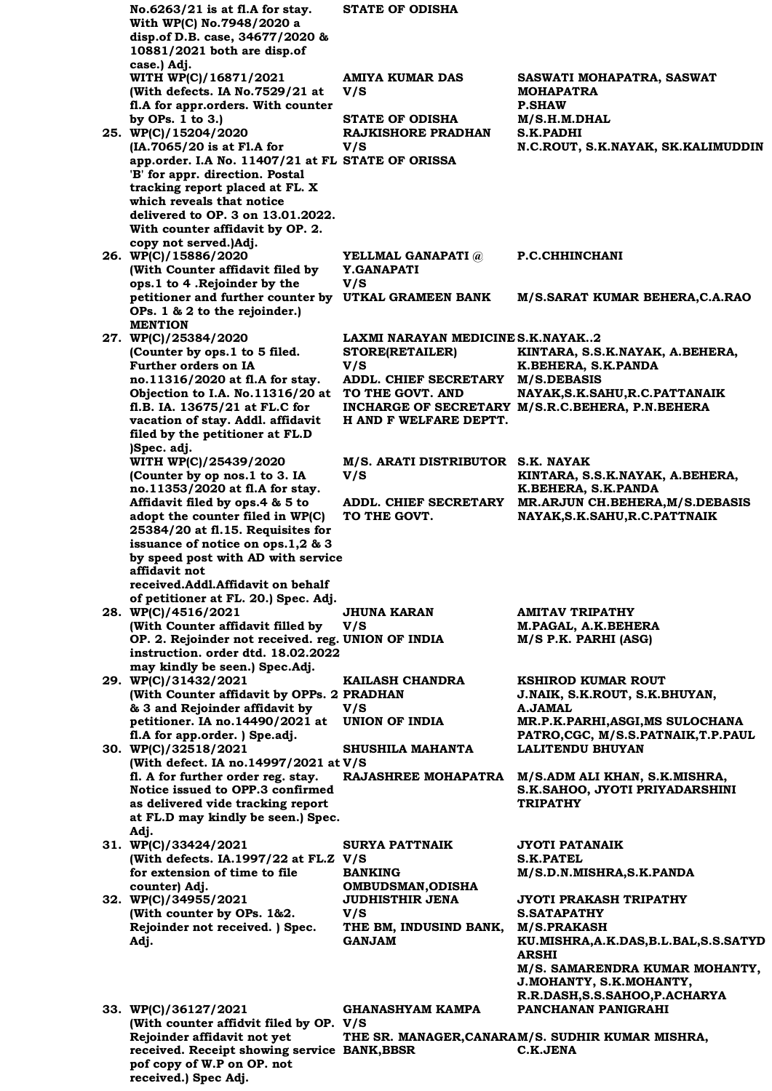| No.6263/21 is at fl.A for stay.<br>With WP(C) No.7948/2020 a<br>disp.of D.B. case, 34677/2020 &<br>10881/2021 both are disp.of                                                             | <b>STATE OF ODISHA</b>                                                     |                                                                                                                                      |
|--------------------------------------------------------------------------------------------------------------------------------------------------------------------------------------------|----------------------------------------------------------------------------|--------------------------------------------------------------------------------------------------------------------------------------|
| case.) Adj.<br>WITH WP(C)/16871/2021<br>(With defects. IA No.7529/21 at                                                                                                                    | AMIYA KUMAR DAS<br>V/S                                                     | SASWATI MOHAPATRA, SASWAT<br><b>MOHAPATRA</b>                                                                                        |
| fl.A for appr.orders. With counter<br>by OPs. 1 to 3.)<br>25. WP(C)/15204/2020                                                                                                             | <b>STATE OF ODISHA</b><br><b>RAJKISHORE PRADHAN</b>                        | <b>P.SHAW</b><br>M/S.H.M.DHAL<br><b>S.K.PADHI</b>                                                                                    |
| (IA.7065/20 is at Fl.A for<br>app.order. I.A No. 11407/21 at FL STATE OF ORISSA<br>'B' for appr. direction. Postal<br>tracking report placed at FL. X                                      | V/S                                                                        | N.C.ROUT, S.K.NAYAK, SK.KALIMUDDIN                                                                                                   |
| which reveals that notice<br>delivered to OP. 3 on 13.01.2022.<br>With counter affidavit by OP. 2.<br>copy not served.)Adj.                                                                |                                                                            |                                                                                                                                      |
| 26. WP(C)/15886/2020<br>(With Counter affidavit filed by<br>ops.1 to 4 . Rejoinder by the                                                                                                  | YELLMAL GANAPATI @<br>Y.GANAPATI<br>V/S                                    | P.C.CHHINCHANI                                                                                                                       |
| petitioner and further counter by UTKAL GRAMEEN BANK<br>OPs. 1 & 2 to the rejoinder.)<br><b>MENTION</b>                                                                                    |                                                                            | M/S.SARAT KUMAR BEHERA, C.A.RAO                                                                                                      |
| 27. WP(C)/25384/2020<br>(Counter by ops.1 to 5 filed.<br>Further orders on IA                                                                                                              | LAXMI NARAYAN MEDICINE S.K.NAYAK2<br>STORE(RETAILER)<br>V/S                | KINTARA, S.S.K.NAYAK, A.BEHERA,<br>K.BEHERA, S.K.PANDA                                                                               |
| no.11316/2020 at fl.A for stay.<br>Objection to I.A. No.11316/20 at<br>fl.B. IA. 13675/21 at FL.C for<br>vacation of stay. Addl. affidavit<br>filed by the petitioner at FL.D              | <b>ADDL. CHIEF SECRETARY</b><br>TO THE GOVT. AND<br>H AND F WELFARE DEPTT. | <b>M/S.DEBASIS</b><br>NAYAK, S.K. SAHU, R.C. PATTANAIK<br>INCHARGE OF SECRETARY M/S.R.C.BEHERA, P.N.BEHERA                           |
| )Spec. adj.<br>WITH WP(C)/25439/2020<br>(Counter by op nos.1 to 3. IA<br>no.11353/2020 at fl.A for stay.                                                                                   | M/S. ARATI DISTRIBUTOR S.K. NAYAK<br>V/S                                   | KINTARA, S.S.K.NAYAK, A.BEHERA,<br>K.BEHERA, S.K.PANDA                                                                               |
| Affidavit filed by ops.4 & 5 to<br>adopt the counter filed in WP(C)<br>25384/20 at fl.15. Requisites for                                                                                   | <b>ADDL. CHIEF SECRETARY</b><br>TO THE GOVT.                               | MR.ARJUN CH.BEHERA, M/S.DEBASIS<br>NAYAK, S.K. SAHU, R.C. PATTNAIK                                                                   |
| issuance of notice on ops.1,2 & 3<br>by speed post with AD with service<br>affidavit not                                                                                                   |                                                                            |                                                                                                                                      |
| received.Addl.Affidavit on behalf<br>of petitioner at FL. 20.) Spec. Adj.<br>28. WP(C)/4516/2021<br>(With Counter affidavit filled by                                                      | <b>JHUNA KARAN</b><br>V/S                                                  | <b>AMITAV TRIPATHY</b><br>M.PAGAL, A.K.BEHERA                                                                                        |
| OP. 2. Rejoinder not received. reg. UNION OF INDIA<br>instruction. order dtd. 18.02.2022<br>may kindly be seen.) Spec.Adj.                                                                 |                                                                            | M/S P.K. PARHI (ASG)                                                                                                                 |
| 29. WP(C)/31432/2021<br>(With Counter affidavit by OPPs. 2 PRADHAN<br>& 3 and Rejoinder affidavit by                                                                                       | KAILASH CHANDRA<br>V/S                                                     | <b>KSHIROD KUMAR ROUT</b><br>J.NAIK, S.K.ROUT, S.K.BHUYAN,<br><b>A.JAMAL</b>                                                         |
| petitioner. IA no.14490/2021 at<br>fl.A for app.order. ) Spe.adj.<br>30. WP(C)/32518/2021                                                                                                  | <b>UNION OF INDIA</b><br>SHUSHILA MAHANTA                                  | MR.P.K.PARHI, ASGI, MS SULOCHANA<br>PATRO, CGC, M/S.S.PATNAIK, T.P.PAUL<br><b>LALITENDU BHUYAN</b>                                   |
| (With defect. IA no.14997/2021 at V/S<br>fl. A for further order reg. stay.<br>Notice issued to OPP.3 confirmed<br>as delivered vide tracking report<br>at FL.D may kindly be seen.) Spec. | <b>RAJASHREE MOHAPATRA</b>                                                 | M/S.ADM ALI KHAN, S.K.MISHRA,<br>S.K.SAHOO, JYOTI PRIYADARSHINI<br><b>TRIPATHY</b>                                                   |
| Adj.<br>31. WP(C)/33424/2021<br>(With defects. IA.1997/22 at FL.Z V/S                                                                                                                      | <b>SURYA PATTNAIK</b>                                                      | JYOTI PATANAIK<br><b>S.K.PATEL</b>                                                                                                   |
| for extension of time to file<br>counter) Adj.<br>32. WP(C)/34955/2021                                                                                                                     | <b>BANKING</b><br><b>OMBUDSMAN, ODISHA</b><br><b>JUDHISTHIR JENA</b>       | M/S.D.N.MISHRA,S.K.PANDA<br><b>JYOTI PRAKASH TRIPATHY</b>                                                                            |
| (With counter by OPs. 1&2.<br>Rejoinder not received. ) Spec.<br>Adj.                                                                                                                      | V/S<br>THE BM, INDUSIND BANK,<br><b>GANJAM</b>                             | <b>S.SATAPATHY</b><br><b>M/S.PRAKASH</b><br>KU.MISHRA, A.K.DAS, B.L.BAL, S.S.SATYD<br><b>ARSHI</b><br>M/S. SAMARENDRA KUMAR MOHANTY, |
| 33. WP(C)/36127/2021                                                                                                                                                                       | <b>GHANASHYAM KAMPA</b>                                                    | J.MOHANTY, S.K.MOHANTY,<br>R.R.DASH, S.S.SAHOO, P.ACHARYA<br>PANCHANAN PANIGRAHI                                                     |
| (With counter affidvit filed by OP. V/S<br>Rejoinder affidavit not yet<br>received. Receipt showing service BANK, BBSR                                                                     |                                                                            | THE SR. MANAGER, CANARAM/S. SUDHIR KUMAR MISHRA,<br>C.K.JENA                                                                         |

**pof copy of W.P on OP. not** 

**received.) Spec Adj.**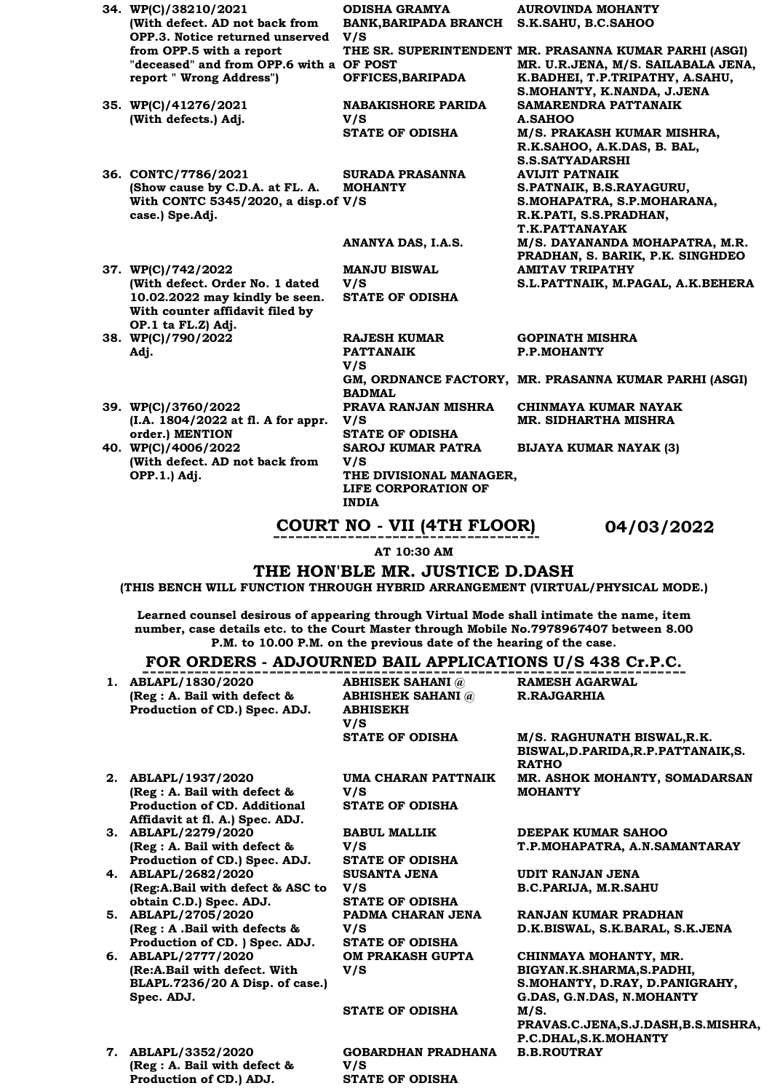| 34. WP(C)/38210/2021                                  | <b>ODISHA GRAMYA</b>         | <b>AUROVINDA MOHANTY</b>                                   |
|-------------------------------------------------------|------------------------------|------------------------------------------------------------|
| (With defect. AD not back from                        | <b>BANK, BARIPADA BRANCH</b> | S.K.SAHU, B.C.SAHOO                                        |
| OPP.3. Notice returned unserved                       | V/S                          |                                                            |
| from OPP.5 with a report                              |                              | THE SR. SUPERINTENDENT MR. PRASANNA KUMAR PARHI (ASGI)     |
| "deceased" and from OPP.6 with a OF POST              |                              | MR. U.R.JENA, M/S. SAILABALA JENA,                         |
| report " Wrong Address")                              | OFFICES, BARIPADA            | K.BADHEI, T.P.TRIPATHY, A.SAHU,                            |
|                                                       |                              | S.MOHANTY, K.NANDA, J.JENA                                 |
| 35. WP(C)/41276/2021                                  | <b>NABAKISHORE PARIDA</b>    | <b>SAMARENDRA PATTANAIK</b>                                |
| (With defects.) Adj.                                  | V/S                          | <b>A.SAHOO</b>                                             |
|                                                       | <b>STATE OF ODISHA</b>       | M/S. PRAKASH KUMAR MISHRA,                                 |
|                                                       |                              | R.K.SAHOO, A.K.DAS, B. BAL,                                |
|                                                       |                              | <b>S.S.SATYADARSHI</b>                                     |
| 36. CONTC/7786/2021                                   | <b>SURADA PRASANNA</b>       | <b>AVIJIT PATNAIK</b>                                      |
| (Show cause by C.D.A. at FL. A.                       | <b>MOHANTY</b>               | S.PATNAIK, B.S.RAYAGURU,                                   |
| With CONTC 5345/2020, a disp.of V/S                   |                              | S.MOHAPATRA, S.P.MOHARANA,                                 |
| case.) Spe.Adj.                                       |                              | R.K.PATI, S.S.PRADHAN,                                     |
|                                                       |                              | <b>T.K.PATTANAYAK</b>                                      |
|                                                       | ANANYA DAS, I.A.S.           | M/S. DAYANANDA MOHAPATRA, M.R.                             |
|                                                       |                              | PRADHAN, S. BARIK, P.K. SINGHDEO<br><b>AMITAV TRIPATHY</b> |
| 37. WP(C)/742/2022<br>(With defect. Order No. 1 dated | <b>MANJU BISWAL</b><br>V/S   |                                                            |
| 10.02.2022 may kindly be seen.                        | <b>STATE OF ODISHA</b>       | S.L.PATTNAIK, M.PAGAL, A.K.BEHERA                          |
| With counter affidavit filed by                       |                              |                                                            |
| OP.1 ta FL.Z) Adj.                                    |                              |                                                            |
| 38. WP(C)/790/2022                                    | <b>RAJESH KUMAR</b>          | <b>GOPINATH MISHRA</b>                                     |
| Adj.                                                  | <b>PATTANAIK</b>             | <b>P.P.MOHANTY</b>                                         |
|                                                       | V/S                          |                                                            |
|                                                       |                              | GM, ORDNANCE FACTORY, MR. PRASANNA KUMAR PARHI (ASGI)      |
|                                                       | <b>BADMAL</b>                |                                                            |
| 39. WP(C)/3760/2022                                   | PRAVA RANJAN MISHRA          | CHINMAYA KUMAR NAYAK                                       |
| (I.A. 1804/2022 at fl. A for appr.                    | V/S                          | <b>MR. SIDHARTHA MISHRA</b>                                |
| order.) MENTION                                       | <b>STATE OF ODISHA</b>       |                                                            |
| 40. WP(C)/4006/2022                                   | <b>SAROJ KUMAR PATRA</b>     | <b>BIJAYA KUMAR NAYAK (3)</b>                              |
| (With defect. AD not back from                        | V/S                          |                                                            |
| OPP.1.) Adj.                                          | THE DIVISIONAL MANAGER,      |                                                            |
|                                                       | LIFE CORPORATION OF          |                                                            |
|                                                       | <b>INDIA</b>                 |                                                            |

**COURT NO - VII (4TH FLOOR) 04/03/2022**

**AT 10:30 AM**

**THE HON'BLE MR. JUSTICE D.DASH**

**(THIS BENCH WILL FUNCTION THROUGH HYBRID ARRANGEMENT (VIRTUAL/PHYSICAL MODE.)**

**Learned counsel desirous of appearing through Virtual Mode shall intimate the name, item number, case details etc. to the Court Master through Mobile No.7978967407 between 8.00 P.M. to 10.00 P.M. on the previous date of the hearing of the case.**

# **FOR ORDERS - ADJOURNED BAIL APPLICATIONS U/S 438 Cr.P.C.**

|    | <u> FUR URDERS - ADJUURNED BAIL AFFLICATIUNS 0/8 730 CH.F.C.</u>                                                       |                                                                               |                                                                                                                  |
|----|------------------------------------------------------------------------------------------------------------------------|-------------------------------------------------------------------------------|------------------------------------------------------------------------------------------------------------------|
|    | 1. ABLAPL/1830/2020<br>(Reg : A. Bail with defect &<br>Production of CD.) Spec. ADJ.                                   | <b>ABHISEK SAHANI</b> @<br><b>ABHISHEK SAHANI</b> @<br><b>ABHISEKH</b><br>V/S | <b>RAMESH AGARWAL</b><br><b>R.RAJGARHIA</b>                                                                      |
|    |                                                                                                                        | <b>STATE OF ODISHA</b>                                                        | M/S. RAGHUNATH BISWAL, R.K.<br>BISWAL, D. PARIDA, R. P. PATTANAIK, S.<br><b>RATHO</b>                            |
|    | 2. ABLAPL/1937/2020<br>(Reg : A. Bail with defect &<br>Production of CD. Additional<br>Affidavit at fl. A.) Spec. ADJ. | UMA CHARAN PATTNAIK<br>V/S<br><b>STATE OF ODISHA</b>                          | MR. ASHOK MOHANTY, SOMADARSAN<br><b>MOHANTY</b>                                                                  |
|    | 3. ABLAPL/2279/2020<br>(Reg : A. Bail with defect &<br>Production of CD.) Spec. ADJ.                                   | <b>BABUL MALLIK</b><br>V/S<br><b>STATE OF ODISHA</b>                          | DEEPAK KUMAR SAHOO<br>T.P.MOHAPATRA, A.N.SAMANTARAY                                                              |
|    | 4. ABLAPL/2682/2020<br>(Reg:A.Bail with defect & ASC to<br>obtain C.D.) Spec. ADJ.                                     | <b>SUSANTA JENA</b><br>V/S<br><b>STATE OF ODISHA</b>                          | UDIT RANJAN JENA<br><b>B.C.PARIJA, M.R.SAHU</b>                                                                  |
| 5. | ABLAPL/2705/2020<br>$(Reg : A$ . Bail with defects $\&$<br>Production of CD. ) Spec. ADJ.                              | PADMA CHARAN JENA<br>V/S<br><b>STATE OF ODISHA</b>                            | <b>RANJAN KUMAR PRADHAN</b><br>D.K.BISWAL, S.K.BARAL, S.K.JENA                                                   |
| 6. | ABLAPL/2777/2020<br>(Re:A.Bail with defect. With<br>BLAPL.7236/20 A Disp. of case.)<br>Spec. ADJ.                      | OM PRAKASH GUPTA<br>V/S                                                       | CHINMAYA MOHANTY, MR.<br>BIGYAN.K.SHARMA,S.PADHI,<br>S.MOHANTY, D.RAY, D.PANIGRAHY,<br>G.DAS, G.N.DAS, N.MOHANTY |
|    |                                                                                                                        | <b>STATE OF ODISHA</b>                                                        | M/S.<br>PRAVAS.C.JENA,S.J.DASH,B.S.MISHRA,<br>P.C.DHAL, S.K. MOHANTY                                             |
|    | 7. ABLAPL/3352/2020<br>(Reg : A. Bail with defect &<br>Production of CD.) ADJ.                                         | <b>GOBARDHAN PRADHANA</b><br>V/S<br><b>STATE OF ODISHA</b>                    | <b>B.B.ROUTRAY</b>                                                                                               |
|    |                                                                                                                        |                                                                               |                                                                                                                  |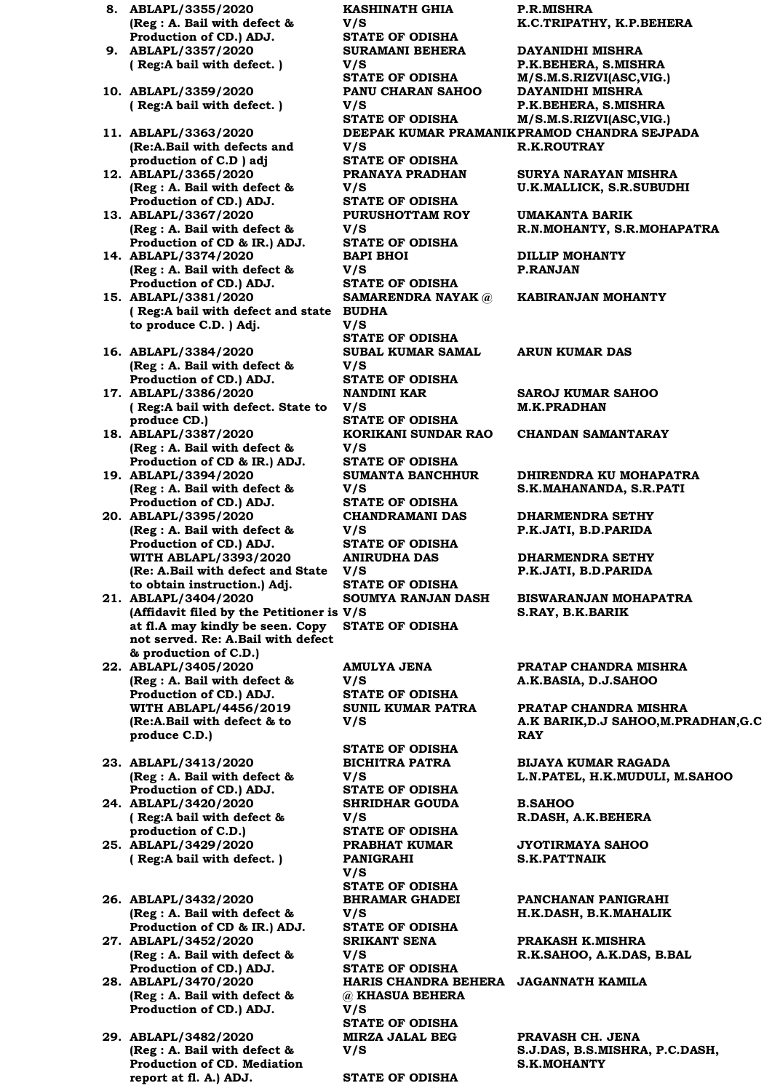- **8. ABLAPL/3355/2020 (Reg : A. Bail with defect & Production of CD.) ADJ.**
- **9. ABLAPL/3357/2020 ( Reg:A bail with defect. )**
- **10. ABLAPL/3359/2020 ( Reg:A bail with defect. )**
- **11. ABLAPL/3363/2020 (Re:A.Bail with defects and production of C.D ) adj**
- **12. ABLAPL/3365/2020 (Reg : A. Bail with defect & Production of CD.) ADJ.**
- **13. ABLAPL/3367/2020 (Reg : A. Bail with defect & Production of CD & IR.) ADJ.**
- **14. ABLAPL/3374/2020 (Reg : A. Bail with defect & Production of CD.) ADJ.**
- **15. ABLAPL/3381/2020 ( Reg:A bail with defect and state BUDHA to produce C.D. ) Adj.**
- **16. ABLAPL/3384/2020 (Reg : A. Bail with defect & Production of CD.) ADJ.**
- **17. ABLAPL/3386/2020 ( Reg:A bail with defect. State to produce CD.)**
- **18. ABLAPL/3387/2020 (Reg : A. Bail with defect & Production of CD & IR.) ADJ.**
- **19. ABLAPL/3394/2020 (Reg : A. Bail with defect & Production of CD.) ADJ.**
- **20. ABLAPL/3395/2020 (Reg : A. Bail with defect & Production of CD.) ADJ. WITH ABLAPL/3393/2020 (Re: A.Bail with defect and State V/S to obtain instruction.) Adj.**
- **21. ABLAPL/3404/2020 (Affidavit filed by the Petitioner is V/S at fl.A may kindly be seen. Copy STATE OF ODISHA not served. Re: A.Bail with defect & production of C.D.)**
- **22. ABLAPL/3405/2020 (Reg : A. Bail with defect & Production of CD.) ADJ. WITH ABLAPL/4456/2019 (Re:A.Bail with defect & to produce C.D.)**
- **23. ABLAPL/3413/2020 (Reg : A. Bail with defect & Production of CD.) ADJ.**
- **24. ABLAPL/3420/2020 ( Reg:A bail with defect & production of C.D.)**
- **25. ABLAPL/3429/2020 ( Reg:A bail with defect. )**
- **26. ABLAPL/3432/2020 (Reg : A. Bail with defect & Production of CD & IR.) ADJ.**
- **27. ABLAPL/3452/2020 (Reg : A. Bail with defect & Production of CD.) ADJ.**
- **28. ABLAPL/3470/2020 (Reg : A. Bail with defect & Production of CD.) ADJ.**
- **29. ABLAPL/3482/2020 (Reg : A. Bail with defect & Production of CD. Mediation report at fl. A.) ADJ.**

**KASHINATH GHIA V/S STATE OF ODISHA SURAMANI BEHERA V/S PANU CHARAN SAHOO V/S V/S STATE OF ODISHA PRANAYA PRADHAN V/S STATE OF ODISHA PURUSHOTTAM ROY V/S STATE OF ODISHA BAPI BHOI V/S STATE OF ODISHA SAMARENDRA NAYAK @ V/S STATE OF ODISHA SUBAL KUMAR SAMAL V/S STATE OF ODISHA NANDINI KAR V/S STATE OF ODISHA KORIKANI SUNDAR RAO V/S STATE OF ODISHA SUMANTA BANCHHUR V/S STATE OF ODISHA CHANDRAMANI DAS V/S STATE OF ODISHA ANIRUDHA DAS STATE OF ODISHA SOUMYA RANJAN DASH AMULYA JENA V/S STATE OF ODISHA SUNIL KUMAR PATRA V/S STATE OF ODISHA BICHITRA PATRA V/S STATE OF ODISHA SHRIDHAR GOUDA V/S STATE OF ODISHA PRABHAT KUMAR PANIGRAHI** 

**STATE OF ODISHA**

**STATE OF ODISHA**

**BHRAMAR GHADEI** 

**STATE OF ODISHA**

**STATE OF ODISHA**

**@ KHASUA BEHERA** 

**STATE OF ODISHA**

**MIRZA JALAL BEG** 

**SRIKANT SENA** 

**V/S** 

**V/S** 

**V/S** 

**V/S** 

**V/S** 

**P.R.MISHRA K.C.TRIPATHY, K.P.BEHERA**

**DAYANIDHI MISHRA P.K.BEHERA, S.MISHRA STATE OF ODISHA M/S.M.S.RIZVI(ASC,VIG.) DAYANIDHI MISHRA P.K.BEHERA, S.MISHRA STATE OF ODISHA M/S.M.S.RIZVI(ASC,VIG.) DEEPAK KUMAR PRAMANIK PRAMOD CHANDRA SEJPADA R.K.ROUTRAY**

> **SURYA NARAYAN MISHRA U.K.MALLICK, S.R.SUBUDHI**

**UMAKANTA BARIK R.N.MOHANTY, S.R.MOHAPATRA**

**DILLIP MOHANTY P.RANJAN**

**KABIRANJAN MOHANTY**

**ARUN KUMAR DAS**

**SAROJ KUMAR SAHOO M.K.PRADHAN**

**CHANDAN SAMANTARAY**

**DHIRENDRA KU MOHAPATRA S.K.MAHANANDA, S.R.PATI**

**DHARMENDRA SETHY P.K.JATI, B.D.PARIDA**

**DHARMENDRA SETHY P.K.JATI, B.D.PARIDA**

**BISWARANJAN MOHAPATRA S.RAY, B.K.BARIK**

**PRATAP CHANDRA MISHRA A.K.BASIA, D.J.SAHOO**

**PRATAP CHANDRA MISHRA A.K BARIK,D.J SAHOO,M.PRADHAN,G.C RAY**

**BIJAYA KUMAR RAGADA L.N.PATEL, H.K.MUDULI, M.SAHOO**

**B.SAHOO R.DASH, A.K.BEHERA**

**JYOTIRMAYA SAHOO S.K.PATTNAIK**

**PANCHANAN PANIGRAHI H.K.DASH, B.K.MAHALIK**

**PRAKASH K.MISHRA R.K.SAHOO, A.K.DAS, B.BAL**

**HARIS CHANDRA BEHERA JAGANNATH KAMILA**

**PRAVASH CH. JENA S.J.DAS, B.S.MISHRA, P.C.DASH, S.K.MOHANTY**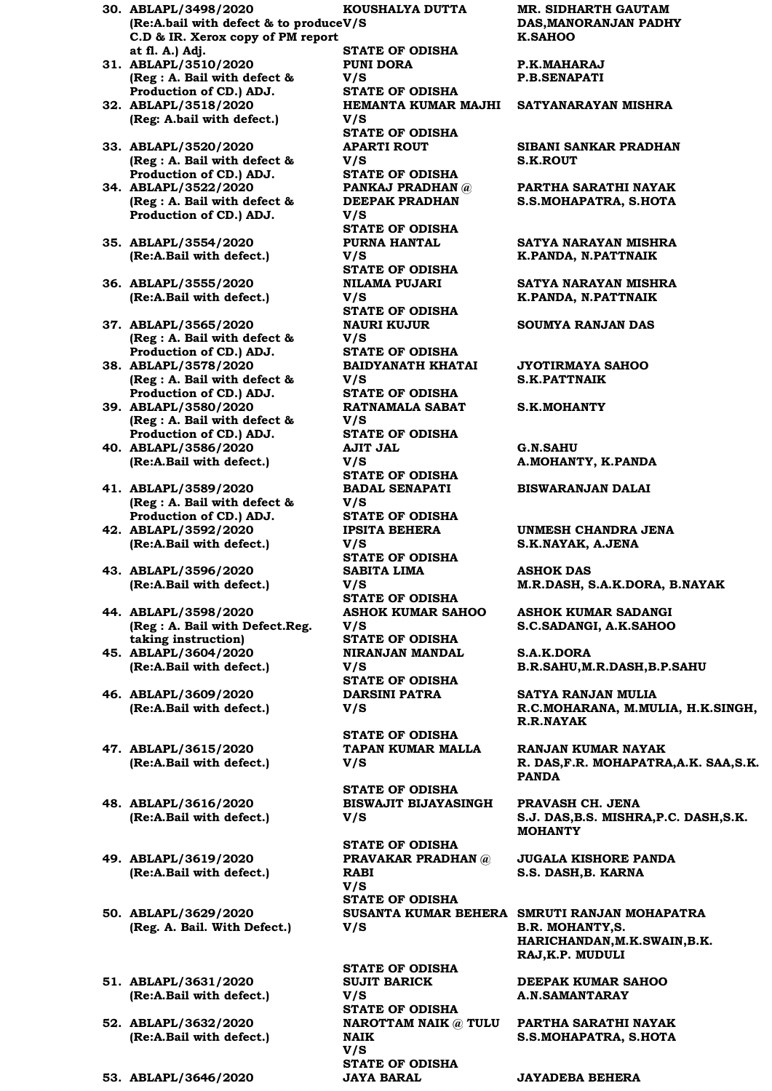- **30. ABLAPL/3498/2020 (Re:A.bail with defect & to produce V/S C.D & IR. Xerox copy of PM report at fl. A.) Adj.**
- **31. ABLAPL/3510/2020 (Reg : A. Bail with defect & Production of CD.) ADJ. 32. ABLAPL/3518/2020**
- **(Reg: A.bail with defect.)**
- **33. ABLAPL/3520/2020 (Reg : A. Bail with defect & Production of CD.) ADJ.**
- **34. ABLAPL/3522/2020 (Reg : A. Bail with defect & Production of CD.) ADJ.**
- **35. ABLAPL/3554/2020 (Re:A.Bail with defect.)**
- **36. ABLAPL/3555/2020 (Re:A.Bail with defect.)**
- **37. ABLAPL/3565/2020 (Reg : A. Bail with defect & Production of CD.) ADJ.**
- **38. ABLAPL/3578/2020 (Reg : A. Bail with defect & Production of CD.) ADJ.**
- **39. ABLAPL/3580/2020 (Reg : A. Bail with defect & Production of CD.) ADJ.**
- **40. ABLAPL/3586/2020 (Re:A.Bail with defect.)**
- **41. ABLAPL/3589/2020 (Reg : A. Bail with defect & Production of CD.) ADJ.**
- **42. ABLAPL/3592/2020 (Re:A.Bail with defect.)**
- **43. ABLAPL/3596/2020 (Re:A.Bail with defect.)**
- **44. ABLAPL/3598/2020 (Reg : A. Bail with Defect.Reg. taking instruction) 45. ABLAPL/3604/2020**
- **(Re:A.Bail with defect.)**
- **46. ABLAPL/3609/2020 (Re:A.Bail with defect.)**
- **47. ABLAPL/3615/2020 (Re:A.Bail with defect.)**
- **48. ABLAPL/3616/2020 (Re:A.Bail with defect.)**
- **49. ABLAPL/3619/2020 (Re:A.Bail with defect.)**
- **50. ABLAPL/3629/2020 (Reg. A. Bail. With Defect.)**
- **51. ABLAPL/3631/2020 (Re:A.Bail with defect.)**
- **52. ABLAPL/3632/2020 (Re:A.Bail with defect.)**
- 

**KOUSHALYA DUTTA STATE OF ODISHA PUNI DORA V/S STATE OF ODISHA V/S STATE OF ODISHA APARTI ROUT V/S STATE OF ODISHA PANKAJ PRADHAN @ DEEPAK PRADHAN V/S STATE OF ODISHA PURNA HANTAL V/S STATE OF ODISHA NILAMA PUJARI V/S STATE OF ODISHA NAURI KUJUR V/S STATE OF ODISHA BAIDYANATH KHATAI V/S STATE OF ODISHA RATNAMALA SABAT V/S STATE OF ODISHA AJIT JAL V/S STATE OF ODISHA BADAL SENAPATI V/S STATE OF ODISHA IPSITA BEHERA V/S STATE OF ODISHA SABITA LIMA V/S STATE OF ODISHA ASHOK KUMAR SAHOO V/S STATE OF ODISHA NIRANJAN MANDAL V/S STATE OF ODISHA DARSINI PATRA V/S STATE OF ODISHA**

**TAPAN KUMAR MALLA V/S** 

**STATE OF ODISHA BISWAJIT BIJAYASINGH V/S** 

**STATE OF ODISHA PRAVAKAR PRADHAN @ RABI V/S STATE OF ODISHA V/S** 

**STATE OF ODISHA SUJIT BARICK V/S STATE OF ODISHA NAIK V/S STATE OF ODISHA 53. ABLAPL/3646/2020 JAYA BARAL JAYADEBA BEHERA**

**MR. SIDHARTH GAUTAM DAS,MANORANJAN PADHY K.SAHOO**

**P.K.MAHARAJ P.B.SENAPATI**

#### **HEMANTA KUMAR MAJHI SATYANARAYAN MISHRA**

**SIBANI SANKAR PRADHAN S.K.ROUT**

**PARTHA SARATHI NAYAK S.S.MOHAPATRA, S.HOTA**

**SATYA NARAYAN MISHRA K.PANDA, N.PATTNAIK**

**SATYA NARAYAN MISHRA K.PANDA, N.PATTNAIK**

**SOUMYA RANJAN DAS**

**JYOTIRMAYA SAHOO S.K.PATTNAIK**

**S.K.MOHANTY**

**G.N.SAHU A.MOHANTY, K.PANDA**

**BISWARANJAN DALAI**

**UNMESH CHANDRA JENA S.K.NAYAK, A.JENA**

**ASHOK DAS M.R.DASH, S.A.K.DORA, B.NAYAK**

**ASHOK KUMAR SADANGI S.C.SADANGI, A.K.SAHOO**

**S.A.K.DORA B.R.SAHU,M.R.DASH,B.P.SAHU**

**SATYA RANJAN MULIA R.C.MOHARANA, M.MULIA, H.K.SINGH, R.R.NAYAK**

**RANJAN KUMAR NAYAK R. DAS,F.R. MOHAPATRA,A.K. SAA,S.K. PANDA**

**PRAVASH CH. JENA S.J. DAS,B.S. MISHRA,P.C. DASH,S.K. MOHANTY**

**JUGALA KISHORE PANDA S.S. DASH,B. KARNA**

**SUSANTA KUMAR BEHERA SMRUTI RANJAN MOHAPATRA B.R. MOHANTY,S. HARICHANDAN,M.K.SWAIN,B.K. RAJ,K.P. MUDULI**

> **DEEPAK KUMAR SAHOO A.N.SAMANTARAY**

**NAROTTAM NAIK @ TULU PARTHA SARATHI NAYAK S.S.MOHAPATRA, S.HOTA**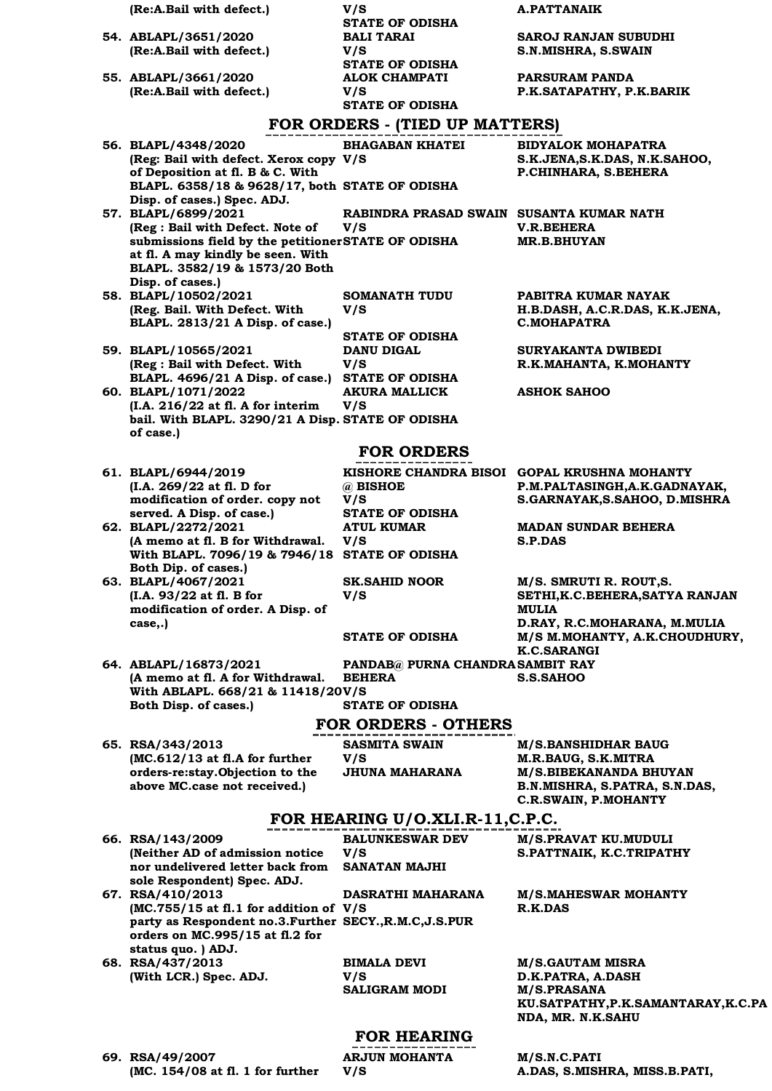| (Re:A.Bail with defect.)                                                                  | V/S                                      | <b>A.PATTANAIK</b>                                           |
|-------------------------------------------------------------------------------------------|------------------------------------------|--------------------------------------------------------------|
|                                                                                           | <b>STATE OF ODISHA</b>                   |                                                              |
| 54. ABLAPL/3651/2020                                                                      | <b>BALI TARAI</b>                        | SAROJ RANJAN SUBUDHI                                         |
| (Re:A.Bail with defect.)                                                                  | V/S<br><b>STATE OF ODISHA</b>            | S.N.MISHRA, S.SWAIN                                          |
| 55. ABLAPL/3661/2020                                                                      | <b>ALOK CHAMPATI</b>                     | PARSURAM PANDA                                               |
| (Re:A.Bail with defect.)                                                                  | V/S                                      | P.K.SATAPATHY, P.K.BARIK                                     |
|                                                                                           | <b>STATE OF ODISHA</b>                   |                                                              |
|                                                                                           | FOR ORDERS - (TIED UP MATTERS)           |                                                              |
| 56. BLAPL/4348/2020                                                                       | <b>BHAGABAN KHATEI</b>                   | BIDYALOK MOHAPATRA                                           |
| (Reg: Bail with defect. Xerox copy V/S<br>of Deposition at fl. B & C. With                |                                          | S.K.JENA, S.K.DAS, N.K.SAHOO,<br>P.CHINHARA, S.BEHERA        |
| BLAPL. 6358/18 & 9628/17, both STATE OF ODISHA                                            |                                          |                                                              |
| Disp. of cases.) Spec. ADJ.<br>57. BLAPL/6899/2021                                        | RABINDRA PRASAD SWAIN SUSANTA KUMAR NATH |                                                              |
| (Reg : Bail with Defect. Note of                                                          | V/S                                      | <b>V.R.BEHERA</b>                                            |
| submissions field by the petitionerSTATE OF ODISHA                                        |                                          | <b>MR.B.BHUYAN</b>                                           |
| at fl. A may kindly be seen. With<br>BLAPL. 3582/19 & 1573/20 Both                        |                                          |                                                              |
| Disp. of cases.)                                                                          |                                          |                                                              |
| 58. BLAPL/10502/2021                                                                      | <b>SOMANATH TUDU</b>                     | PABITRA KUMAR NAYAK                                          |
| (Reg. Bail. With Defect. With<br>BLAPL. 2813/21 A Disp. of case.)                         | V/S                                      | H.B.DASH, A.C.R.DAS, K.K.JENA,<br><b>C.MOHAPATRA</b>         |
|                                                                                           | <b>STATE OF ODISHA</b>                   |                                                              |
| 59. BLAPL/10565/2021                                                                      | <b>DANU DIGAL</b>                        | SURYAKANTA DWIBEDI                                           |
| (Reg : Bail with Defect. With<br>BLAPL. 4696/21 A Disp. of case.)                         | V/S<br><b>STATE OF ODISHA</b>            | R.K.MAHANTA, K.MOHANTY                                       |
| 60. BLAPL/1071/2022                                                                       | <b>AKURA MALLICK</b>                     | <b>ASHOK SAHOO</b>                                           |
| (I.A. 216/22 at fl. A for interim                                                         | V/S                                      |                                                              |
| bail. With BLAPL. 3290/21 A Disp. STATE OF ODISHA<br>of case.)                            |                                          |                                                              |
|                                                                                           | <b>FOR ORDERS</b>                        |                                                              |
| 61. BLAPL/6944/2019                                                                       |                                          | KISHORE CHANDRA BISOI GOPAL KRUSHNA MOHANTY                  |
| (I.A. 269/22 at fl. D for                                                                 | @ BISHOE                                 | P.M.PALTASINGH, A.K.GADNAYAK,                                |
| modification of order. copy not<br>served. A Disp. of case.)                              | V/S<br><b>STATE OF ODISHA</b>            | S.GARNAYAK, S.SAHOO, D.MISHRA                                |
| 62. BLAPL/2272/2021                                                                       | <b>ATUL KUMAR</b>                        | <b>MADAN SUNDAR BEHERA</b>                                   |
| (A memo at fl. B for Withdrawal.                                                          | V/S                                      | S.P.DAS                                                      |
| With BLAPL. 7096/19 & 7946/18 STATE OF ODISHA<br>Both Dip. of cases.)                     |                                          |                                                              |
| 63. BLAPL/4067/2021                                                                       | <b>SK.SAHID NOOR</b>                     | M/S. SMRUTI R. ROUT, S.                                      |
| (I.A. 93/22 at fl. B for<br>modification of order. A Disp. of                             | V/S                                      | SETHI, K.C. BEHERA, SATYA RANJAN<br><b>MULIA</b>             |
| case,.)                                                                                   |                                          | D.RAY, R.C.MOHARANA, M.MULIA                                 |
|                                                                                           | <b>STATE OF ODISHA</b>                   | M/S M. MOHANTY, A.K.CHOUDHURY,                               |
| 64. ABLAPL/16873/2021                                                                     | PANDAB@ PURNA CHANDRA SAMBIT RAY         | <b>K.C.SARANGI</b>                                           |
| (A memo at fl. A for Withdrawal.                                                          | <b>BEHERA</b>                            | <b>S.S.SAHOO</b>                                             |
| With ABLAPL. 668/21 & 11418/20V/S<br>Both Disp. of cases.)                                | <b>STATE OF ODISHA</b>                   |                                                              |
|                                                                                           | <b>FOR ORDERS - OTHERS</b>               |                                                              |
| 65. RSA/343/2013                                                                          | SASMITA SWAIN                            | <b>M/S.BANSHIDHAR BAUG</b>                                   |
| $MC.612/13$ at fl.A for further                                                           | V/S                                      | M.R.BAUG, S.K.MITRA                                          |
| orders-re:stay.Objection to the                                                           | <b>JHUNA MAHARANA</b>                    | M/S.BIBEKANANDA BHUYAN                                       |
| above MC.case not received.)                                                              |                                          | B.N.MISHRA, S.PATRA, S.N.DAS,<br><b>C.R.SWAIN, P.MOHANTY</b> |
|                                                                                           | FOR HEARING U/O.XLI.R-11,C.P.C.          |                                                              |
| 66. RSA/143/2009                                                                          | <b>BALUNKESWAR DEV</b>                   | M/S.PRAVAT KU.MUDULI                                         |
| (Neither AD of admission notice                                                           | V/S                                      | S.PATTNAIK, K.C.TRIPATHY                                     |
| nor undelivered letter back from<br>sole Respondent) Spec. ADJ.                           | <b>SANATAN MAJHI</b>                     |                                                              |
| 67. RSA/410/2013                                                                          | DASRATHI MAHARANA                        | <b>M/S.MAHESWAR MOHANTY</b>                                  |
| $MC.755/15$ at fl.1 for addition of V/S                                                   |                                          | R.K.DAS                                                      |
| party as Respondent no.3.Further SECY., R.M.C, J.S.PUR<br>orders on MC.995/15 at fl.2 for |                                          |                                                              |
| status quo. ) ADJ.                                                                        |                                          |                                                              |
| 68. RSA/437/2013                                                                          | <b>BIMALA DEVI</b>                       | <b>M/S.GAUTAM MISRA</b>                                      |
| (With LCR.) Spec. ADJ.                                                                    | V/S<br><b>SALIGRAM MODI</b>              | D.K.PATRA, A.DASH<br><b>M/S.PRASANA</b>                      |

### **FOR HEARING**

**69. RSA/49/2007 (MC. 154/08 at fl. 1 for further**  **ARJUN MOHANTA V/S** 

**M/S.N.C.PATI A.DAS, S.MISHRA, MISS.B.PATI,** 

**NDA, MR. N.K.SAHU** 

**KU.SATPATHY,P.K.SAMANTARAY,K.C.PA**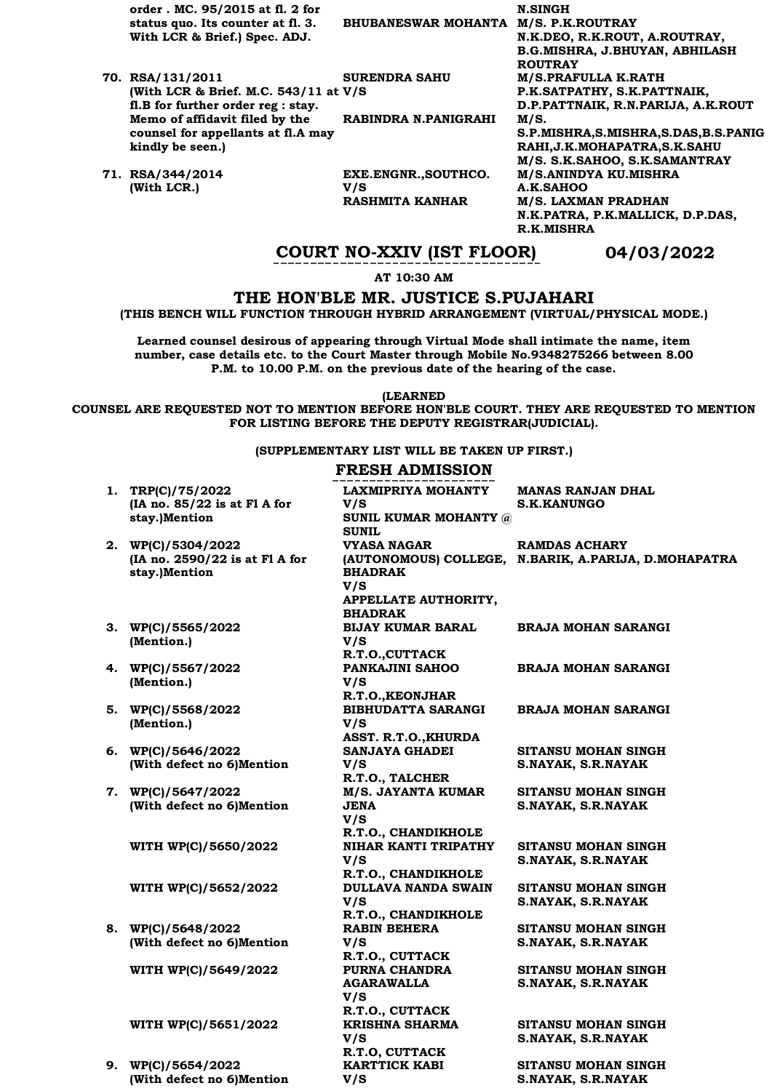**order . MC. 95/2015 at fl. 2 for status quo. Its counter at fl. 3. With LCR & Brief.) Spec. ADJ.**

**fl.B for further order reg : stay. Memo of affidavit filed by the counsel for appellants at fl.A may** 

**BHUBANESWAR MOHANTA M/S. P.K.ROUTRAY** 

**(With LCR & Brief. M.C. 543/11 at V/S SURENDRA SAHU** 

**RABINDRA N.PANIGRAHI M/S.** 

**71. RSA/344/2014 (With LCR.)**

**kindly be seen.)**

**70. RSA/131/2011** 

**EXE.ENGNR.,SOUTHCO. V/S RASHMITA KANHAR M/S. LAXMAN PRADHAN** 

**N.SINGH N.K.DEO, R.K.ROUT, A.ROUTRAY, B.G.MISHRA, J.BHUYAN, ABHILASH ROUTRAY M/S.PRAFULLA K.RATH P.K.SATPATHY, S.K.PATTNAIK, D.P.PATTNAIK, R.N.PARIJA, A.K.ROUT S.P.MISHRA,S.MISHRA,S.DAS,B.S.PANIG RAHI,J.K.MOHAPATRA,S.K.SAHU M/S. S.K.SAHOO, S.K.SAMANTRAY M/S.ANINDYA KU.MISHRA A.K.SAHOO N.K.PATRA, P.K.MALLICK, D.P.DAS, R.K.MISHRA**

### **COURT NO-XXIV (IST FLOOR) 04/03/2022**

**AT 10:30 AM**

#### **THE HON'BLE MR. JUSTICE S.PUJAHARI**

**(THIS BENCH WILL FUNCTION THROUGH HYBRID ARRANGEMENT (VIRTUAL/PHYSICAL MODE.)**

**Learned counsel desirous of appearing through Virtual Mode shall intimate the name, item number, case details etc. to the Court Master through Mobile No.9348275266 between 8.00 P.M. to 10.00 P.M. on the previous date of the hearing of the case.** 

**(LEARNED**

**COUNSEL ARE REQUESTED NOT TO MENTION BEFORE HON'BLE COURT. THEY ARE REQUESTED TO MENTION FOR LISTING BEFORE THE DEPUTY REGISTRAR(JUDICIAL).**

#### **(SUPPLEMENTARY LIST WILL BE TAKEN UP FIRST.)**

#### **FRESH ADMISSION**

| 1. TRP(C)/75/2022                               | LAXMIPRIYA MOHANTY                                 | <b>MANAS RANJAN DHAL</b>                             |
|-------------------------------------------------|----------------------------------------------------|------------------------------------------------------|
| (IA no. 85/22 is at Fl A for                    | V/S                                                | <b>S.K.KANUNGO</b>                                   |
| stay.)Mention                                   | SUNIL KUMAR MOHANTY @                              |                                                      |
|                                                 | <b>SUNIL</b>                                       |                                                      |
| 2. WP(C)/5304/2022                              | VYASA NAGAR                                        | <b>RAMDAS ACHARY</b>                                 |
| (IA no. 2590/22 is at F1 A for                  |                                                    | (AUTONOMOUS) COLLEGE, N.BARIK, A.PARIJA, D.MOHAPATRA |
| stay.)Mention                                   | <b>BHADRAK</b>                                     |                                                      |
|                                                 | V/S                                                |                                                      |
|                                                 | APPELLATE AUTHORITY,<br><b>BHADRAK</b>             |                                                      |
| 3. WP(C)/5565/2022                              | <b>BIJAY KUMAR BARAL</b>                           | <b>BRAJA MOHAN SARANGI</b>                           |
| (Mention.)                                      | V/S                                                |                                                      |
|                                                 | R.T.O., CUTTACK                                    |                                                      |
| 4. WP(C)/5567/2022                              | PANKAJINI SAHOO                                    | <b>BRAJA MOHAN SARANGI</b>                           |
| (Mention.)                                      | V/S                                                |                                                      |
|                                                 | R.T.O., KEONJHAR                                   |                                                      |
| 5. WP(C)/5568/2022                              | <b>BIBHUDATTA SARANGI</b>                          | <b>BRAJA MOHAN SARANGI</b>                           |
| (Mention.)                                      | V/S                                                |                                                      |
|                                                 | ASST. R.T.O., KHURDA                               |                                                      |
| 6. WP(C)/5646/2022                              | <b>SANJAYA GHADEI</b>                              | <b>SITANSU MOHAN SINGH</b>                           |
| (With defect no 6)Mention                       | V/S                                                | S.NAYAK, S.R.NAYAK                                   |
|                                                 | R.T.O., TALCHER                                    |                                                      |
| 7. WP(C)/5647/2022                              | <b>M/S. JAYANTA KUMAR</b>                          | SITANSU MOHAN SINGH                                  |
| (With defect no 6)Mention                       | <b>JENA</b>                                        | S.NAYAK, S.R.NAYAK                                   |
|                                                 | V/S                                                |                                                      |
|                                                 | R.T.O., CHANDIKHOLE<br><b>NIHAR KANTI TRIPATHY</b> |                                                      |
| WITH WP(C)/5650/2022                            | V/S                                                | SITANSU MOHAN SINGH<br>S.NAYAK, S.R.NAYAK            |
|                                                 | R.T.O., CHANDIKHOLE                                |                                                      |
| WITH WP(C)/5652/2022                            | <b>DULLAVA NANDA SWAIN</b>                         | SITANSU MOHAN SINGH                                  |
|                                                 | V/S                                                | S.NAYAK, S.R.NAYAK                                   |
|                                                 | R.T.O., CHANDIKHOLE                                |                                                      |
| 8. WP(C)/5648/2022                              | <b>RABIN BEHERA</b>                                | <b>SITANSU MOHAN SINGH</b>                           |
| (With defect no 6)Mention                       | V/S                                                | S.NAYAK, S.R.NAYAK                                   |
|                                                 | R.T.O., CUTTACK                                    |                                                      |
| WITH WP(C)/5649/2022                            | PURNA CHANDRA                                      | SITANSU MOHAN SINGH                                  |
|                                                 | <b>AGARAWALLA</b>                                  | S.NAYAK, S.R.NAYAK                                   |
|                                                 | V/S                                                |                                                      |
|                                                 | R.T.O., CUTTACK                                    |                                                      |
| WITH WP(C)/5651/2022                            | <b>KRISHNA SHARMA</b>                              | SITANSU MOHAN SINGH                                  |
|                                                 | V/S                                                | S.NAYAK, S.R.NAYAK                                   |
|                                                 | R.T.O, CUTTACK<br><b>KARTTICK KABI</b>             |                                                      |
| 9. WP(C)/5654/2022<br>(With defect no 6)Mention |                                                    | SITANSU MOHAN SINGH<br>S.NAYAK, S.R.NAYAK            |
|                                                 | V/S                                                |                                                      |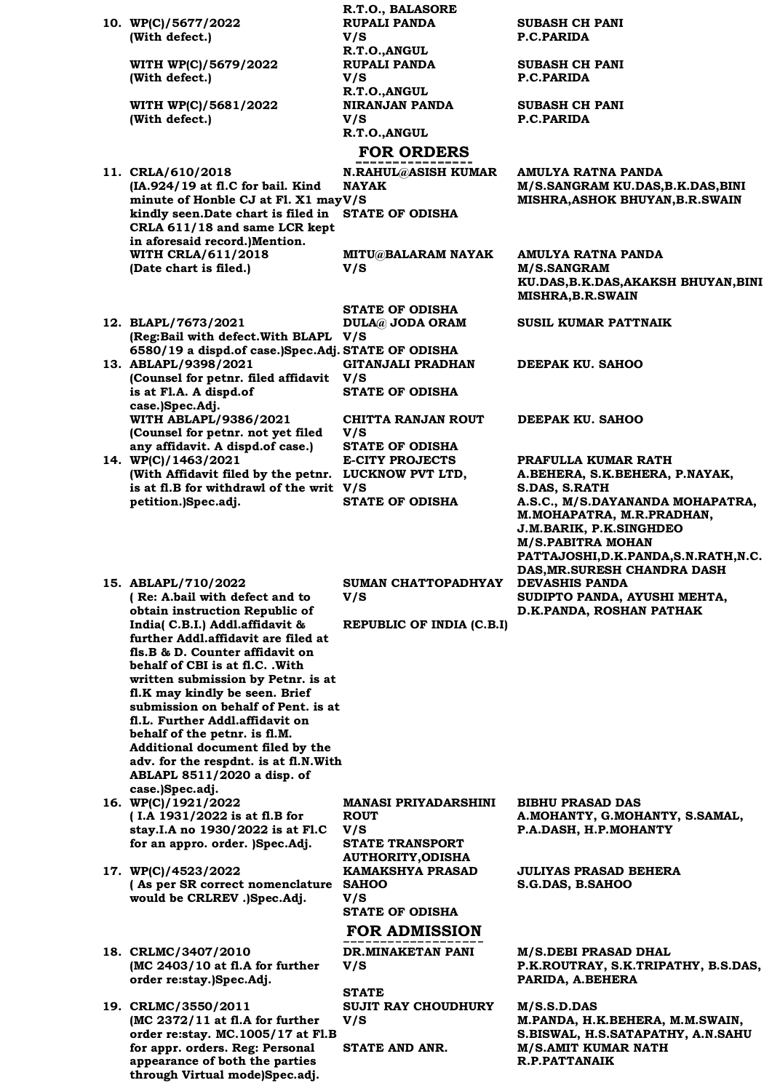|                                                                      | R.T.O., BALASORE                                   |                                                                 |
|----------------------------------------------------------------------|----------------------------------------------------|-----------------------------------------------------------------|
| 10. WP(C)/5677/2022                                                  | <b>RUPALI PANDA</b>                                | <b>SUBASH CH PANI</b>                                           |
| (With defect.)                                                       | V/S                                                | P.C.PARIDA                                                      |
| WITH WP(C)/5679/2022                                                 | R.T.O., ANGUL<br><b>RUPALI PANDA</b>               | <b>SUBASH CH PANI</b>                                           |
| (With defect.)                                                       | V/S                                                | P.C.PARIDA                                                      |
|                                                                      | R.T.O., ANGUL                                      |                                                                 |
| WITH WP(C)/5681/2022                                                 | <b>NIRANJAN PANDA</b>                              | <b>SUBASH CH PANI</b>                                           |
| (With defect.)                                                       | V/S                                                | P.C.PARIDA                                                      |
|                                                                      | R.T.O., ANGUL                                      |                                                                 |
|                                                                      | <b>FOR ORDERS</b>                                  |                                                                 |
| 11. CRLA/610/2018                                                    | N.RAHUL@ASISH KUMAR                                | AMULYA RATNA PANDA                                              |
| $(IA.924/19$ at fl.C for bail. Kind                                  | <b>NAYAK</b>                                       | M/S.SANGRAM KU.DAS, B.K.DAS, BINI                               |
| minute of Honble CJ at Fl. X1 mayV/S                                 |                                                    | MISHRA, ASHOK BHUYAN, B.R.SWAIN                                 |
| kindly seen. Date chart is filed in STATE OF ODISHA                  |                                                    |                                                                 |
| CRLA 611/18 and same LCR kept<br>in aforesaid record.)Mention.       |                                                    |                                                                 |
| <b>WITH CRLA/611/2018</b>                                            | <b>MITU@BALARAM NAYAK</b>                          | AMULYA RATNA PANDA                                              |
| (Date chart is filed.)                                               | V/S                                                | <b>M/S.SANGRAM</b>                                              |
|                                                                      |                                                    | KU.DAS, B.K.DAS, AKAKSH BHUYAN, BINI                            |
|                                                                      |                                                    | <b>MISHRA, B.R. SWAIN</b>                                       |
|                                                                      | <b>STATE OF ODISHA</b>                             |                                                                 |
| 12. BLAPL/7673/2021<br>(Reg:Bail with defect. With BLAPL V/S         | <b>DULA@ JODA ORAM</b>                             | <b>SUSIL KUMAR PATTNAIK</b>                                     |
| 6580/19 a dispd.of case.)Spec.Adj. STATE OF ODISHA                   |                                                    |                                                                 |
| 13. ABLAPL/9398/2021                                                 | <b>GITANJALI PRADHAN</b>                           | DEEPAK KU. SAHOO                                                |
| (Counsel for petnr. filed affidavit V/S                              |                                                    |                                                                 |
| is at Fl.A. A dispd.of                                               | <b>STATE OF ODISHA</b>                             |                                                                 |
| case.)Spec.Adj.                                                      |                                                    |                                                                 |
| WITH ABLAPL/9386/2021<br>(Counsel for petnr. not yet filed           | <b>CHITTA RANJAN ROUT</b><br>V/S                   | DEEPAK KU. SAHOO                                                |
| any affidavit. A dispd.of case.)                                     | <b>STATE OF ODISHA</b>                             |                                                                 |
| 14. WP(C)/1463/2021                                                  | <b>E-CITY PROJECTS</b>                             | PRAFULLA KUMAR RATH                                             |
| (With Affidavit filed by the petnr. LUCKNOW PVT LTD,                 |                                                    | A.BEHERA, S.K.BEHERA, P.NAYAK,                                  |
| is at fl.B for withdrawl of the writ V/S                             |                                                    | S.DAS, S.RATH                                                   |
| petition.)Spec.adj.                                                  | <b>STATE OF ODISHA</b>                             | A.S.C., M/S.DAYANANDA MOHAPATRA,<br>M. MOHAPATRA, M.R. PRADHAN, |
|                                                                      |                                                    | J.M.BARIK, P.K.SINGHDEO                                         |
|                                                                      |                                                    | <b>M/S.PABITRA MOHAN</b>                                        |
|                                                                      |                                                    | PATTAJOSHI, D.K. PANDA, S.N. RATH, N.C.                         |
|                                                                      |                                                    | DAS, MR. SURESH CHANDRA DASH                                    |
| 15. ABLAPL/710/2022                                                  | SUMAN CHATTOPADHYAY                                | <b>DEVASHIS PANDA</b>                                           |
| (Re: A.bail with defect and to<br>obtain instruction Republic of     | V/S                                                | SUDIPTO PANDA, AYUSHI MEHTA,<br>D.K.PANDA, ROSHAN PATHAK        |
| India( C.B.I.) Addl.affidavit &                                      | REPUBLIC OF INDIA (C.B.I)                          |                                                                 |
| further Addl.affidavit are filed at                                  |                                                    |                                                                 |
| fls.B & D. Counter affidavit on                                      |                                                    |                                                                 |
| behalf of CBI is at fl.C. .With                                      |                                                    |                                                                 |
| written submission by Petnr. is at<br>fl.K may kindly be seen. Brief |                                                    |                                                                 |
| submission on behalf of Pent. is at                                  |                                                    |                                                                 |
| fl.L. Further Addl.affidavit on                                      |                                                    |                                                                 |
| behalf of the petnr. is fl.M.                                        |                                                    |                                                                 |
| Additional document filed by the                                     |                                                    |                                                                 |
| adv. for the respdnt. is at fl.N.With<br>ABLAPL 8511/2020 a disp. of |                                                    |                                                                 |
| case.)Spec.adj.                                                      |                                                    |                                                                 |
| 16. WP(C)/1921/2022                                                  | MANASI PRIYADARSHINI                               | <b>BIBHU PRASAD DAS</b>                                         |
| (I.A 1931/2022 is at fl.B for                                        | <b>ROUT</b>                                        | A.MOHANTY, G.MOHANTY, S.SAMAL,                                  |
| stay.I.A no 1930/2022 is at Fl.C                                     | V/S                                                | P.A.DASH, H.P.MOHANTY                                           |
| for an appro. order. )Spec.Adj.                                      | <b>STATE TRANSPORT</b><br><b>AUTHORITY, ODISHA</b> |                                                                 |
| 17. WP(C)/4523/2022                                                  | <b>KAMAKSHYA PRASAD</b>                            | <b>JULIYAS PRASAD BEHERA</b>                                    |
| (As per SR correct nomenclature                                      | <b>SAHOO</b>                                       | S.G.DAS, B.SAHOO                                                |
| would be CRLREV .)Spec.Adj.                                          | V/S                                                |                                                                 |
|                                                                      | <b>STATE OF ODISHA</b>                             |                                                                 |
|                                                                      | <b>FOR ADMISSION</b>                               |                                                                 |
| 18. CRLMC/3407/2010                                                  | DR.MINAKETAN PANI                                  | <b>M/S.DEBI PRASAD DHAL</b>                                     |
| $(MC 2403/10$ at fl.A for further                                    | V/S                                                | P.K.ROUTRAY, S.K.TRIPATHY, B.S.DAS,                             |
| order re:stay.)Spec.Adj.                                             |                                                    | PARIDA, A.BEHERA                                                |
|                                                                      | <b>STATE</b>                                       |                                                                 |
| 19. CRLMC/3550/2011<br>$MC 2372/11$ at fl.A for further              | <b>SUJIT RAY CHOUDHURY</b><br>V/S                  | M/S.S.D.DAS<br>M.PANDA, H.K.BEHERA, M.M.SWAIN,                  |
| order re: stay. MC. 1005/17 at Fl.B                                  |                                                    | S.BISWAL, H.S.SATAPATHY, A.N.SAHU                               |
| for appr. orders. Reg: Personal                                      | STATE AND ANR.                                     | M/S.AMIT KUMAR NATH                                             |
| appearance of both the parties                                       |                                                    | R.P.PATTANAIK                                                   |

**through Virtual mode)Spec.adj.**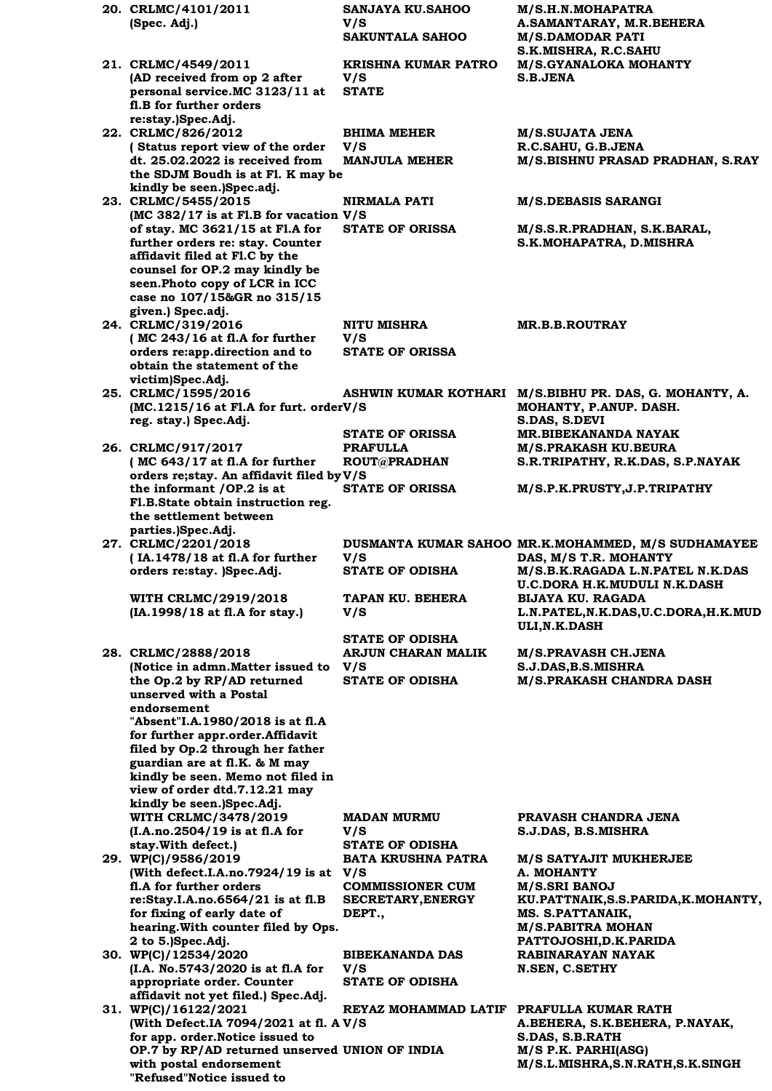**20. CRLMC/4101/2011 (Spec. Adj.) SANJAYA KU.SAHOO V/S M/S.H.N.MOHAPATRA A.SAMANTARAY, M.R.BEHERA M/S.DAMODAR PATI S.K.MISHRA, R.C.SAHU 21. CRLMC/4549/2011 (AD received from op 2 after personal service.MC 3123/11 at fl.B for further orders re:stay.)Spec.Adj. KRISHNA KUMAR PATRO V/S M/S.GYANALOKA MOHANTY S.B.JENA STATE 22. CRLMC/826/2012 ( Status report view of the order dt. 25.02.2022 is received from the SDJM Boudh is at Fl. K may be kindly be seen.)Spec.adj. BHIMA MEHER V/S M/S.SUJATA JENA R.C.SAHU, G.B.JENA MANJULA MEHER M/S.BISHNU PRASAD PRADHAN, S.RAY 23. CRLMC/5455/2015 (MC 382/17 is at Fl.B for vacation V/S of stay. MC 3621/15 at Fl.A for further orders re: stay. Counter affidavit filed at Fl.C by the counsel for OP.2 may kindly be seen.Photo copy of LCR in ICC case no 107/15&GR no 315/15 given.) Spec.adj. NIRMALA PATI M/S.DEBASIS SARANGI STATE OF ORISSA M/S.S.R.PRADHAN, S.K.BARAL, S.K.MOHAPATRA, D.MISHRA 24. CRLMC/319/2016 ( MC 243/16 at fl.A for further orders re:app.direction and to obtain the statement of the victim)Spec.Adj. NITU MISHRA V/S MR.B.B.ROUTRAY STATE OF ORISSA 25. CRLMC/1595/2016 (MC.1215/16 at Fl.A for furt. order V/S reg. stay.) Spec.Adj. ASHWIN KUMAR KOTHARI M/S.BIBHU PR. DAS, G. MOHANTY, A. MOHANTY, P.ANUP. DASH. S.DAS, S.DEVI STATE OF ORISSA MR.BIBEKANANDA NAYAK 26. CRLMC/917/2017 ( MC 643/17 at fl.A for further orders re;stay. An affidavit filed by V/S the informant /OP.2 is at Fl.B.State obtain instruction reg. the settlement between parties.)Spec.Adj. PRAFULLA ROUT@PRADHAN M/S.PRAKASH KU.BEURA S.R.TRIPATHY, R.K.DAS, S.P.NAYAK STATE OF ORISSA M/S.P.K.PRUSTY,J.P.TRIPATHY 27. CRLMC/2201/2018 ( IA.1478/18 at fl.A for further orders re:stay. )Spec.Adj.** DUSMANTA KUMAR SAHOO MR.K.MOHAMMED, M/S SUDHAMAYEE **V/S DAS, M/S T.R. MOHANTY STATE OF ODISHA M/S.B.K.RAGADA L.N.PATEL N.K.DAS U.C.DORA H.K.MUDULI N.K.DASH WITH CRLMC/2919/2018 (IA.1998/18 at fl.A for stay.) TAPAN KU. BEHERA V/S BIJAYA KU. RAGADA L.N.PATEL,N.K.DAS,U.C.DORA,H.K.MUD ULI,N.K.DASH STATE OF ODISHA 28. CRLMC/2888/2018 (Notice in admn.Matter issued to the Op.2 by RP/AD returned unserved with a Postal endorsement "Absent"I.A.1980/2018 is at fl.A for further appr.order.Affidavit filed by Op.2 through her father guardian are at fl.K. & M may kindly be seen. Memo not filed in view of order dtd.7.12.21 may kindly be seen.)Spec.Adj. ARJUN CHARAN MALIK V/S M/S.PRAVASH CH.JENA S.J.DAS,B.S.MISHRA STATE OF ODISHA M/S.PRAKASH CHANDRA DASH WITH CRLMC/3478/2019 (I.A.no.2504/19 is at fl.A for stay.With defect.) MADAN MURMU V/S PRAVASH CHANDRA JENA S.J.DAS, B.S.MISHRA STATE OF ODISHA 29. WP(C)/9586/2019 (With defect.I.A.no.7924/19 is at fl.A for further orders re:Stay.I.A.no.6564/21 is at fl.B for fixing of early date of hearing.With counter filed by Ops. 2 to 5.)Spec.Adj. BATA KRUSHNA PATRA V/S M/S SATYAJIT MUKHERJEE A. MOHANTY COMMISSIONER CUM SECRETARY,ENERGY DEPT., M/S.SRI BANOJ KU.PATTNAIK,S.S.PARIDA,K.MOHANTY, MS. S.PATTANAIK, M/S.PABITRA MOHAN PATTOJOSHI,D.K.PARIDA 30. WP(C)/12534/2020 (I.A. No.5743/2020 is at fl.A for appropriate order. Counter affidavit not yet filed.) Spec.Adj. BIBEKANANDA DAS V/S RABINARAYAN NAYAK N.SEN, C.SETHY STATE OF ODISHA 31. WP(C)/16122/2021 (With Defect.IA 7094/2021 at fl. A V/S for app. order.Notice issued to OP.7 by RP/AD returned unserved with postal endorsement "Refused"Notice issued to REYAZ MOHAMMAD LATIF PRAFULLA KUMAR RATH A.BEHERA, S.K.BEHERA, P.NAYAK, S.DAS, S.B.RATH**  $M/S$  P.K. PARHI(ASG) **M/S.L.MISHRA,S.N.RATH,S.K.SINGH**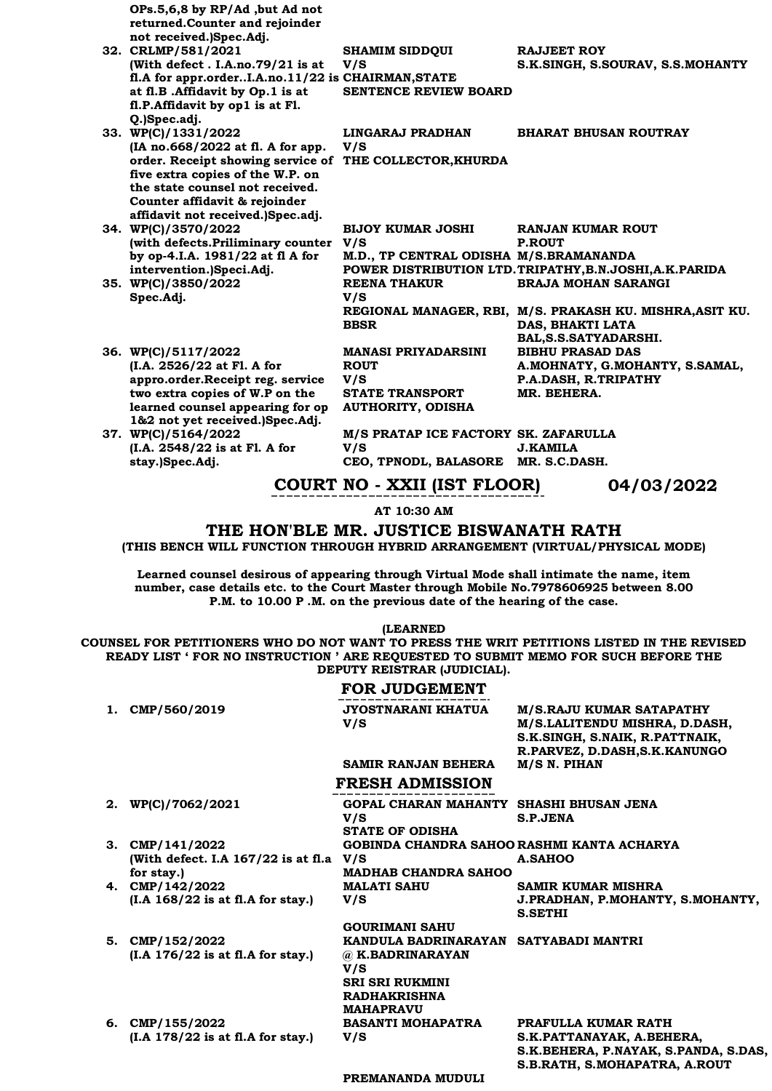| OPs.5,6,8 by RP/Ad ,but Ad not<br>returned.Counter and rejoinder<br>not received.)Spec.Adj.<br>32. CRLMP/581/2021<br>(With defect. I.A.no.79/21 is at<br>fl.A for appr.orderI.A.no.11/22 is CHAIRMAN, STATE | <b>SHAMIM SIDDQUI</b><br>V/S           | <b>RAJJEET ROY</b><br>S.K.SINGH, S.SOURAV, S.S.MOHANTY   |
|-------------------------------------------------------------------------------------------------------------------------------------------------------------------------------------------------------------|----------------------------------------|----------------------------------------------------------|
| at fl.B .Affidavit by Op.1 is at                                                                                                                                                                            | <b>SENTENCE REVIEW BOARD</b>           |                                                          |
| fl.P.Affidavit by op1 is at Fl.                                                                                                                                                                             |                                        |                                                          |
| Q.)Spec.adj.<br>33. WP(C)/1331/2022                                                                                                                                                                         | LINGARAJ PRADHAN                       | <b>BHARAT BHUSAN ROUTRAY</b>                             |
| (IA no.668/2022 at fl. A for app.                                                                                                                                                                           | V/S                                    |                                                          |
| order. Receipt showing service of THE COLLECTOR, KHURDA                                                                                                                                                     |                                        |                                                          |
| five extra copies of the W.P. on                                                                                                                                                                            |                                        |                                                          |
| the state counsel not received.                                                                                                                                                                             |                                        |                                                          |
| Counter affidavit & rejoinder                                                                                                                                                                               |                                        |                                                          |
| affidavit not received.)Spec.adj.                                                                                                                                                                           |                                        |                                                          |
| 34. WP(C)/3570/2022                                                                                                                                                                                         | <b>BIJOY KUMAR JOSHI</b><br>V/S        | <b>RANJAN KUMAR ROUT</b><br><b>P.ROUT</b>                |
| (with defects. Priliminary counter                                                                                                                                                                          |                                        |                                                          |
| by op-4.I.A. 1981/22 at fl A for<br>intervention.)Speci.Adj.                                                                                                                                                | M.D., TP CENTRAL ODISHA M/S.BRAMANANDA | POWER DISTRIBUTION LTD. TRIPATHY, B.N.JOSHI, A.K. PARIDA |
| 35. WP(C)/3850/2022                                                                                                                                                                                         | <b>REENA THAKUR</b>                    | <b>BRAJA MOHAN SARANGI</b>                               |
| Spec.Adj.                                                                                                                                                                                                   | V/S                                    |                                                          |
|                                                                                                                                                                                                             |                                        | REGIONAL MANAGER, RBI, M/S. PRAKASH KU. MISHRA, ASIT KU. |
|                                                                                                                                                                                                             | <b>BBSR</b>                            | DAS. BHAKTI LATA                                         |
|                                                                                                                                                                                                             |                                        | BAL, S.S. SATYADARSHI.                                   |
| 36. WP(C)/5117/2022                                                                                                                                                                                         | <b>MANASI PRIYADARSINI</b>             | <b>BIBHU PRASAD DAS</b>                                  |
| (I.A. 2526/22 at Fl. A for                                                                                                                                                                                  | <b>ROUT</b>                            | A.MOHNATY, G.MOHANTY, S.SAMAL,                           |
| appro.order.Receipt reg. service                                                                                                                                                                            | V/S                                    | P.A.DASH, R.TRIPATHY                                     |
| two extra copies of W.P on the                                                                                                                                                                              | <b>STATE TRANSPORT</b>                 | MR. BEHERA.                                              |
| learned counsel appearing for op                                                                                                                                                                            | <b>AUTHORITY, ODISHA</b>               |                                                          |
| 1&2 not yet received.)Spec.Adj.<br>37. WP(C)/5164/2022                                                                                                                                                      | M/S PRATAP ICE FACTORY SK. ZAFARULLA   |                                                          |
| (I.A. 2548/22 is at Fl. A for                                                                                                                                                                               | V/S                                    | <b>J.KAMILA</b>                                          |
| stay.)Spec.Adj.                                                                                                                                                                                             | CEO, TPNODL, BALASORE MR. S.C.DASH.    |                                                          |
|                                                                                                                                                                                                             |                                        |                                                          |

### **COURT NO - XXII (IST FLOOR) 04/03/2022**

**AT 10:30 AM**

### **THE HON'BLE MR. JUSTICE BISWANATH RATH**

**(THIS BENCH WILL FUNCTION THROUGH HYBRID ARRANGEMENT (VIRTUAL/PHYSICAL MODE)**

**Learned counsel desirous of appearing through Virtual Mode shall intimate the name, item number, case details etc. to the Court Master through Mobile No.7978606925 between 8.00 P.M. to 10.00 P .M. on the previous date of the hearing of the case.**

**(LEARNED**

**COUNSEL FOR PETITIONERS WHO DO NOT WANT TO PRESS THE WRIT PETITIONS LISTED IN THE REVISED READY LIST ' FOR NO INSTRUCTION ' ARE REQUESTED TO SUBMIT MEMO FOR SUCH BEFORE THE DEPUTY REISTRAR (JUDICIAL).**

### **FOR JUDGEMENT**

| 1. | CMP/560/2019                                | JYOSTNARANI KHATUA                         | M/S.RAJU KUMAR SATAPATHY                           |
|----|---------------------------------------------|--------------------------------------------|----------------------------------------------------|
|    |                                             | V/S                                        | M/S.LALITENDU MISHRA, D.DASH,                      |
|    |                                             |                                            | S.K.SINGH, S.NAIK, R.PATTNAIK,                     |
|    |                                             |                                            | R.PARVEZ, D.DASH, S.K. KANUNGO                     |
|    |                                             | <b>SAMIR RANJAN BEHERA</b>                 | M/S N. PIHAN                                       |
|    |                                             | <b>FRESH ADMISSION</b>                     |                                                    |
|    | 2. WP(C)/7062/2021                          | GOPAL CHARAN MAHANTY SHASHI BHUSAN JENA    |                                                    |
|    |                                             | V/S                                        | S.P.JENA                                           |
|    |                                             | <b>STATE OF ODISHA</b>                     |                                                    |
|    | 3. CMP/141/2022                             | GOBINDA CHANDRA SAHOO RASHMI KANTA ACHARYA |                                                    |
|    | (With defect. I.A $167/22$ is at fl.a $V/S$ |                                            | A.SAHOO                                            |
|    | for stay.)                                  | <b>MADHAB CHANDRA SAHOO</b>                |                                                    |
|    | 4. CMP/142/2022                             | <b>MALATI SAHU</b>                         | <b>SAMIR KUMAR MISHRA</b>                          |
|    |                                             | V/S                                        |                                                    |
|    | $(I.A 168/22$ is at fl.A for stay.)         |                                            | J.PRADHAN, P.MOHANTY, S.MOHANTY,<br><b>S.SETHI</b> |
|    |                                             | <b>GOURIMANI SAHU</b>                      |                                                    |
| 5. | CMP/152/2022                                | KANDULA BADRINARAYAN SATYABADI MANTRI      |                                                    |
|    | $(I.A 176/22$ is at fl.A for stay.)         | @ K.BADRINARAYAN                           |                                                    |
|    |                                             | V/S                                        |                                                    |
|    |                                             | <b>SRI SRI RUKMINI</b>                     |                                                    |
|    |                                             | <b>RADHAKRISHNA</b>                        |                                                    |
|    |                                             | <b>MAHAPRAVU</b>                           |                                                    |
|    | 6. CMP/155/2022                             | <b>BASANTI MOHAPATRA</b>                   | PRAFULLA KUMAR RATH                                |
|    | $(I.A 178/22$ is at fl.A for stay.)         | V/S                                        | S.K.PATTANAYAK, A.BEHERA,                          |
|    |                                             |                                            | S.K.BEHERA, P.NAYAK, S.PANDA, S.DAS,               |
|    |                                             |                                            | S.B.RATH, S.MOHAPATRA, A.ROUT                      |
|    |                                             |                                            |                                                    |

**PREMANANDA MUDULI**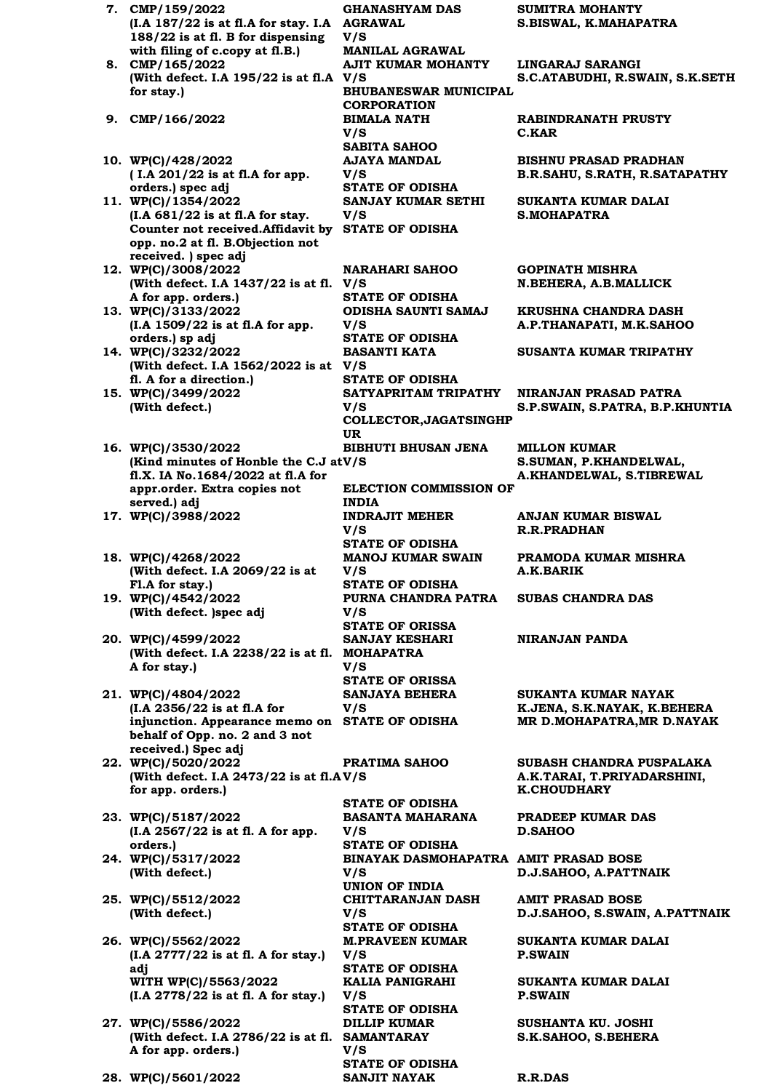**7. CMP/159/2022 (I.A 187/22 is at fl.A for stay. I.A AGRAWAL 188/22 is at fl. B for dispensing with filing of c.copy at fl.B.) GHANASHYAM DAS V/S MANILAL AGRAWAL 8. CMP/165/2022 (With defect. I.A 195/22 is at fl.A V/S for stay.) AJIT KUMAR MOHANTY BHUBANESWAR MUNICIPAL CORPORATION 9. CMP/166/2022 BIMALA NATH V/S SABITA SAHOO 10. WP(C)/428/2022 ( I.A 201/22 is at fl.A for app. orders.) spec adj AJAYA MANDAL V/S STATE OF ODISHA 11. WP(C)/1354/2022 (I.A 681/22 is at fl.A for stay. Counter not received.Affidavit by STATE OF ODISHA opp. no.2 at fl. B.Objection not received. ) spec adj SANJAY KUMAR SETHI V/S 12. WP(C)/3008/2022 (With defect. I.A 1437/22 is at fl. V/S A for app. orders.) NARAHARI SAHOO STATE OF ODISHA 13. WP(C)/3133/2022 (I.A 1509/22 is at fl.A for app. orders.) sp adj ODISHA SAUNTI SAMAJ V/S STATE OF ODISHA 14. WP(C)/3232/2022 (With defect. I.A 1562/2022 is at V/S fl. A for a direction.) BASANTI KATA STATE OF ODISHA 15. WP(C)/3499/2022 (With defect.) SATYAPRITAM TRIPATHY V/S COLLECTOR,JAGATSINGHP UR 16. WP(C)/3530/2022 (Kind minutes of Honble the C.J atV/S) fl.X. IA No.1684/2022 at fl.A for appr.order. Extra copies not served.) adj BIBHUTI BHUSAN JENA ELECTION COMMISSION OF INDIA 17. WP(C)/3988/2022 INDRAJIT MEHER V/S STATE OF ODISHA 18. WP(C)/4268/2022 (With defect. I.A 2069/22 is at Fl.A for stay.) MANOJ KUMAR SWAIN V/S STATE OF ODISHA 19. WP(C)/4542/2022 (With defect. )spec adj PURNA CHANDRA PATRA V/S STATE OF ORISSA 20. WP(C)/4599/2022 (With defect. I.A 2238/22 is at fl. MOHAPATRA A for stay.) SANJAY KESHARI V/S STATE OF ORISSA 21. WP(C)/4804/2022 (I.A 2356/22 is at fl.A for injunction. Appearance memo on behalf of Opp. no. 2 and 3 not received.) Spec adj SANJAYA BEHERA V/S 22. WP(C)/5020/2022 (With defect. I.A 2473/22 is at fl.A V/S for app. orders.) PRATIMA SAHOO STATE OF ODISHA 23. WP(C)/5187/2022 (I.A 2567/22 is at fl. A for app. orders.) BASANTA MAHARANA V/S STATE OF ODISHA 24. WP(C)/5317/2022 (With defect.) BINAYAK DASMOHAPATRA AMIT PRASAD BOSE V/S UNION OF INDIA 25. WP(C)/5512/2022 (With defect.) CHITTARANJAN DASH V/S STATE OF ODISHA 26. WP(C)/5562/2022 (I.A 2777/22 is at fl. A for stay.) adj M.PRAVEEN KUMAR V/S STATE OF ODISHA WITH WP(C)/5563/2022 (I.A 2778/22 is at fl. A for stay.) KALIA PANIGRAHI V/S STATE OF ODISHA 27. WP(C)/5586/2022 (With defect. I.A 2786/22 is at fl. SAMANTARAY A for app. orders.) DILLIP KUMAR V/S STATE OF ODISHA 28. WP(C)/5601/2022 SANJIT NAYAK R.R.DAS**

**SUMITRA MOHANTY S.BISWAL, K.MAHAPATRA**

**LINGARAJ SARANGI S.C.ATABUDHI, R.SWAIN, S.K.SETH**

**RABINDRANATH PRUSTY C.KAR**

**BISHNU PRASAD PRADHAN B.R.SAHU, S.RATH, R.SATAPATHY**

**SUKANTA KUMAR DALAI S.MOHAPATRA**

**GOPINATH MISHRA N.BEHERA, A.B.MALLICK**

**KRUSHNA CHANDRA DASH A.P.THANAPATI, M.K.SAHOO**

**SUSANTA KUMAR TRIPATHY**

**NIRANJAN PRASAD PATRA S.P.SWAIN, S.PATRA, B.P.KHUNTIA**

**MILLON KUMAR S.SUMAN, P.KHANDELWAL, A.KHANDELWAL, S.TIBREWAL**

**ANJAN KUMAR BISWAL R.R.PRADHAN**

**PRAMODA KUMAR MISHRA A.K.BARIK**

**SUBAS CHANDRA DAS**

**NIRANJAN PANDA**

**SUKANTA KUMAR NAYAK K.JENA, S.K.NAYAK, K.BEHERA STATE OF ODISHA MR D.MOHAPATRA,MR D.NAYAK** 

**SUBASH CHANDRA PUSPALAKA A.K.TARAI, T.PRIYADARSHINI, K.CHOUDHARY**

**PRADEEP KUMAR DAS D.SAHOO**

**D.J.SAHOO, A.PATTNAIK**

**AMIT PRASAD BOSE D.J.SAHOO, S.SWAIN, A.PATTNAIK**

**SUKANTA KUMAR DALAI P.SWAIN**

**SUKANTA KUMAR DALAI P.SWAIN**

**SUSHANTA KU. JOSHI S.K.SAHOO, S.BEHERA**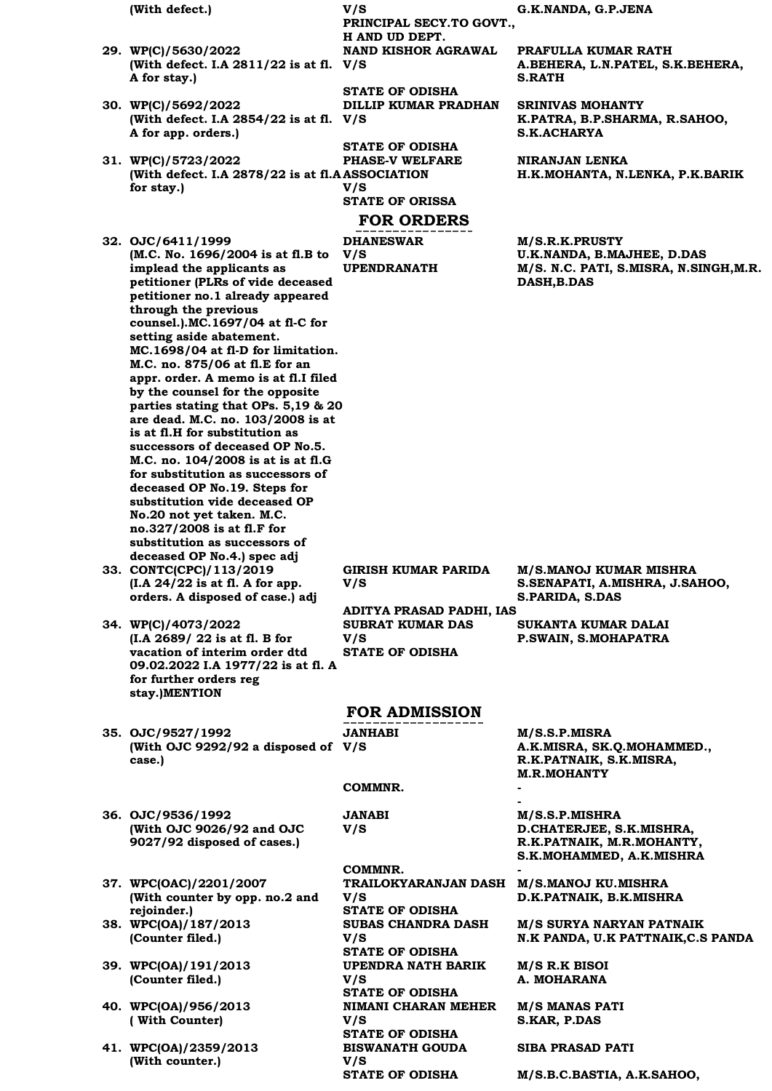- **29. WP(C)/5630/2022 (With defect. I.A 2811/22 is at fl. V/S A for stay.)**
- **30. WP(C)/5692/2022 (With defect. I.A 2854/22 is at fl. V/S A for app. orders.)**
- **31. WP(C)/5723/2022**  (With defect. I.A 2878/22 is at fl.A ASSOCIATION **for stay.) V/S** 
	-

**32. OJC/6411/1999 (M.C. No. 1696/2004 is at fl.B to implead the applicants as petitioner (PLRs of vide deceased petitioner no.1 already appeared through the previous counsel.).MC.1697/04 at fl-C for setting aside abatement. MC.1698/04 at fl-D for limitation. M.C. no. 875/06 at fl.E for an appr. order. A memo is at fl.I filed by the counsel for the opposite parties stating that OPs. 5,19 & 20 are dead. M.C. no. 103/2008 is at is at fl.H for substitution as successors of deceased OP No.5. M.C. no. 104/2008 is at is at fl.G for substitution as successors of deceased OP No.19. Steps for substitution vide deceased OP No.20 not yet taken. M.C. no.327/2008 is at fl.F for substitution as successors of deceased OP No.4.) spec adj**

- **33. CONTC(CPC)/113/2019 (I.A 24/22 is at fl. A for app. orders. A disposed of case.) adj**
- **34. WP(C)/4073/2022 (I.A 2689/ 22 is at fl. B for vacation of interim order dtd 09.02.2022 I.A 1977/22 is at fl. A for further orders reg stay.)MENTION**

**35. OJC/9527/1992 (With OJC 9292/92 a disposed of V/S case.)**

**36. OJC/9536/1992 (With OJC 9026/92 and OJC 9027/92 disposed of cases.)**

**37. WPC(OAC)/2201/2007 (With counter by opp. no.2 and rejoinder.)**

- **38. WPC(OA)/187/2013 (Counter filed.)**
- **39. WPC(OA)/191/2013 (Counter filed.)**
- **40. WPC(OA)/956/2013 ( With Counter)**
- **41. WPC(OA)/2359/2013 (With counter.)**

**PRINCIPAL SECY.TO GOVT., H AND UD DEPT.**

**NAND KISHOR AGRAWAL** 

**STATE OF ODISHA DILLIP KUMAR PRADHAN** 

**STATE OF ODISHA PHASE-V WELFARE STATE OF ORISSA**

### **FOR ORDERS**

**DHANESWAR V/S** 

**(With defect.) V/S G.K.NANDA, G.P.JENA**

**PRAFULLA KUMAR RATH A.BEHERA, L.N.PATEL, S.K.BEHERA, S.RATH**

**SRINIVAS MOHANTY K.PATRA, B.P.SHARMA, R.SAHOO, S.K.ACHARYA**

**NIRANJAN LENKA H.K.MOHANTA, N.LENKA, P.K.BARIK**

**M/S.R.K.PRUSTY U.K.NANDA, B.MAJHEE, D.DAS UPENDRANATH M/S. N.C. PATI, S.MISRA, N.SINGH,M.R. DASH,B.DAS** 

**GIRISH KUMAR PARIDA V/S ADITYA PRASAD PADHI, IAS SUBRAT KUMAR DAS V/S STATE OF ODISHA**

**M/S.MANOJ KUMAR MISHRA S.SENAPATI, A.MISHRA, J.SAHOO, S.PARIDA, S.DAS**

**SUKANTA KUMAR DALAI P.SWAIN, S.MOHAPATRA**

### **FOR ADMISSION**

**JANHABI** 

#### **COMMNR. -**

**JANABI V/S** 

**COMMNR. - TRAILOKYARANJAN DASH M/S.MANOJ KU.MISHRA V/S STATE OF ODISHA SUBAS CHANDRA DASH V/S STATE OF ODISHA UPENDRA NATH BARIK V/S STATE OF ODISHA NIMANI CHARAN MEHER V/S STATE OF ODISHA BISWANATH GOUDA V/S** 

**M/S.S.P.MISRA A.K.MISRA, SK.Q.MOHAMMED., R.K.PATNAIK, S.K.MISRA, M.R.MOHANTY**

**- M/S.S.P.MISHRA D.CHATERJEE, S.K.MISHRA, R.K.PATNAIK, M.R.MOHANTY, S.K.MOHAMMED, A.K.MISHRA**

**D.K.PATNAIK, B.K.MISHRA**

**M/S SURYA NARYAN PATNAIK N.K PANDA, U.K PATTNAIK,C.S PANDA**

**M/S R.K BISOI A. MOHARANA**

**M/S MANAS PATI S.KAR, P.DAS**

**SIBA PRASAD PATI**

**STATE OF ODISHA M/S.B.C.BASTIA, A.K.SAHOO,**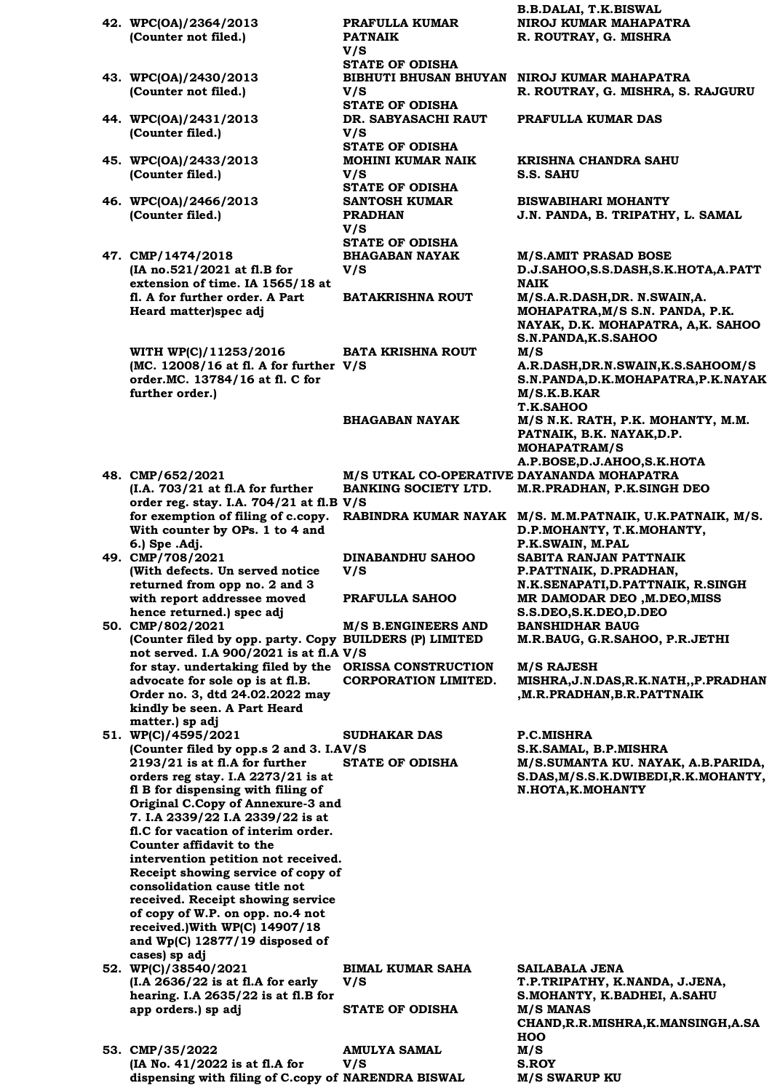- **42. WPC(OA)/2364/2013 (Counter not filed.)**
- **43. WPC(OA)/2430/2013 (Counter not filed.)**
- **44. WPC(OA)/2431/2013 (Counter filed.)**
- **45. WPC(OA)/2433/2013 (Counter filed.)**
- **46. WPC(OA)/2466/2013 (Counter filed.)**
- **47. CMP/1474/2018 (IA no.521/2021 at fl.B for extension of time. IA 1565/18 at fl. A for further order. A Part Heard matter)spec adj**

**WITH WP(C)/11253/2016 (MC. 12008/16 at fl. A for further V/S order.MC. 13784/16 at fl. C for further order.) BATA KRISHNA ROUT** 

**PRAFULLA KUMAR** 

**STATE OF ODISHA**

**STATE OF ODISHA**

**STATE OF ODISHA**

**STATE OF ODISHA**

**SANTOSH KUMAR** 

**STATE OF ODISHA**

**BHAGABAN NAYAK** 

**MOHINI KUMAR NAIK** 

**DR. SABYASACHI RAUT** 

**PATNAIK V/S** 

**V/S** 

**V/S** 

**V/S** 

**V/S** 

**PRADHAN V/S** 

- **48. CMP/652/2021 (I.A. 703/21 at fl.A for further order reg. stay. I.A. 704/21 at fl.B V/S for exemption of filing of c.copy. With counter by OPs. 1 to 4 and 6.) Spe .Adj. 49. CMP/708/2021**
- **(With defects. Un served notice returned from opp no. 2 and 3 with report addressee moved hence returned.) spec adj**
- **50. CMP/802/2021 (Counter filed by opp. party. Copy BUILDERS (P) LIMITED not served. I.A 900/2021 is at fl.A V/S for stay. undertaking filed by the ORISSA CONSTRUCTION advocate for sole op is at fl.B. Order no. 3, dtd 24.02.2022 may kindly be seen. A Part Heard matter.) sp adj**
- **51. WP(C)/4595/2021**  (Counter filed by opp.s 2 and 3. I.AV/S **2193/21 is at fl.A for further orders reg stay. I.A 2273/21 is at fl B for dispensing with filing of Original C.Copy of Annexure-3 and 7. I.A 2339/22 I.A 2339/22 is at fl.C for vacation of interim order. Counter affidavit to the intervention petition not received. Receipt showing service of copy of consolidation cause title not received. Receipt showing service of copy of W.P. on opp. no.4 not received.)With WP(C) 14907/18 and Wp(C) 12877/19 disposed of**
- **cases) sp adj 52. WP(C)/38540/2021 (I.A 2636/22 is at fl.A for early hearing. I.A 2635/22 is at fl.B for app orders.) sp adj BIMAL KUMAR SAHA V/S**
- **53. CMP/35/2022 (IA No. 41/2022 is at fl.A for**  dispensing with filing of C.copy of NARENDRA BISWAL M/S SWARUP KU **AMULYA SAMAL V/S**

**B.B.DALAI, T.K.BISWAL NIROJ KUMAR MAHAPATRA R. ROUTRAY, G. MISHRA**

**BIBHUTI BHUSAN BHUYAN NIROJ KUMAR MAHAPATRA R. ROUTRAY, G. MISHRA, S. RAJGURU**

**PRAFULLA KUMAR DAS**

**KRISHNA CHANDRA SAHU S.S. SAHU**

**BISWABIHARI MOHANTY J.N. PANDA, B. TRIPATHY, L. SAMAL**

**M/S.AMIT PRASAD BOSE D.J.SAHOO,S.S.DASH,S.K.HOTA,A.PATT NAIK BATAKRISHNA ROUT M/S.A.R.DASH,DR. N.SWAIN,A. MOHAPATRA,M/S S.N. PANDA, P.K. NAYAK, D.K. MOHAPATRA, A,K. SAHOO S.N.PANDA,K.S.SAHOO M/S A.R.DASH,DR.N.SWAIN,K.S.SAHOOM/S S.N.PANDA,D.K.MOHAPATRA,P.K.NAYAK M/S.K.B.KAR T.K.SAHOO BHAGABAN NAYAK M/S N.K. RATH, P.K. MOHANTY, M.M. PATNAIK, B.K. NAYAK,D.P. MOHAPATRAM/S A.P.BOSE,D.J.AHOO,S.K.HOTA** 

**M/S UTKAL CO-OPERATIVE DAYANANDA MOHAPATRA BANKING SOCIETY LTD. M.R.PRADHAN, P.K.SINGH DEO**

**RABINDRA KUMAR NAYAK M/S. M.M.PATNAIK, U.K.PATNAIK, M/S. D.P.MOHANTY, T.K.MOHANTY, P.K.SWAIN, M.PAL** 

**DINABANDHU SAHOO V/S** 

**M/S B.ENGINEERS AND CORPORATION LIMITED.**

**SUDHAKAR DAS** 

**SABITA RANJAN PATTNAIK P.PATTNAIK, D.PRADHAN, N.K.SENAPATI,D.PATTNAIK, R.SINGH PRAFULLA SAHOO MR DAMODAR DEO ,M.DEO,MISS S.S.DEO,S.K.DEO,D.DEO BANSHIDHAR BAUG M.R.BAUG, G.R.SAHOO, P.R.JETHI**

> **M/S RAJESH MISHRA,J.N.DAS,R.K.NATH,,P.PRADHAN ,M.R.PRADHAN,B.R.PATTNAIK**

**P.C.MISHRA S.K.SAMAL, B.P.MISHRA STATE OF ODISHA M/S.SUMANTA KU. NAYAK, A.B.PARIDA, S.DAS,M/S.S.K.DWIBEDI,R.K.MOHANTY, N.HOTA,K.MOHANTY** 

**SAILABALA JENA T.P.TRIPATHY, K.NANDA, J.JENA, S.MOHANTY, K.BADHEI, A.SAHU STATE OF ODISHA M/S MANAS CHAND,R.R.MISHRA,K.MANSINGH,A.SA HOO M/S S.ROY**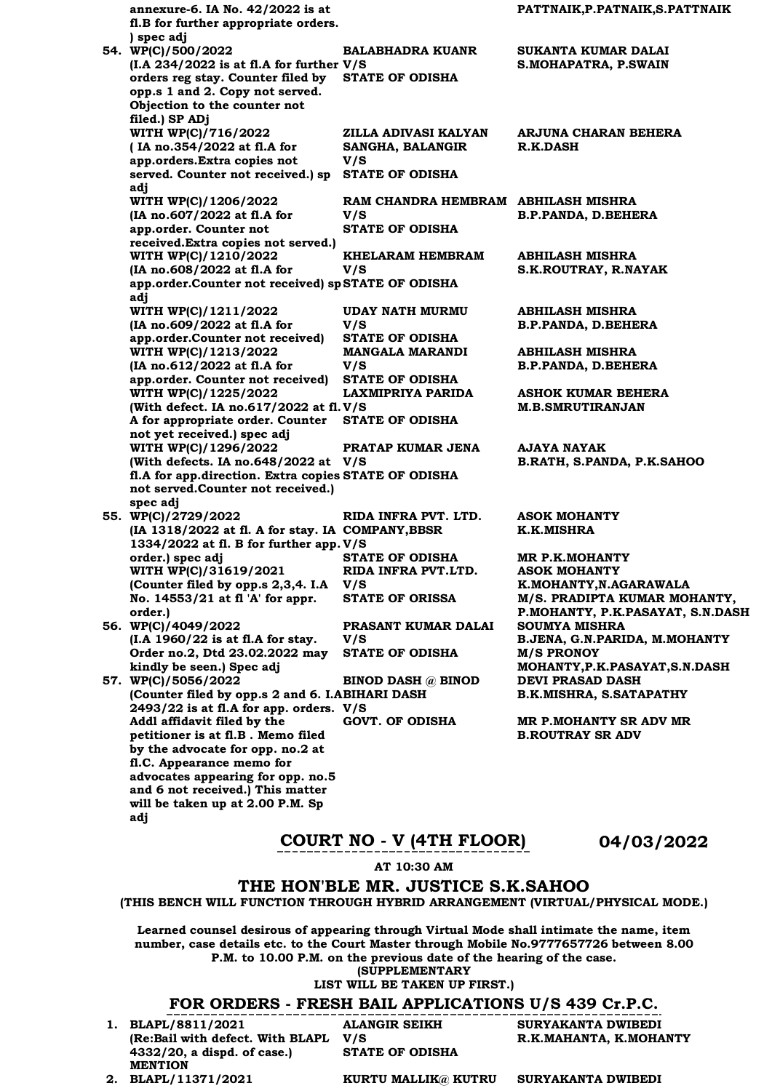**annexure-6. IA No. 42/2022 is at fl.B for further appropriate orders. ) spec adj PATTNAIK,P.PATNAIK,S.PATTNAIK 54. WP(C)/500/2022 (I.A 234/2022 is at fl.A for further V/S orders reg stay. Counter filed by opp.s 1 and 2. Copy not served. Objection to the counter not filed.) SP ADj BALABHADRA KUANR SUKANTA KUMAR DALAI S.MOHAPATRA, P.SWAIN STATE OF ODISHA WITH WP(C)/716/2022 ( IA no.354/2022 at fl.A for app.orders.Extra copies not served. Counter not received.) sp STATE OF ODISHA adj ZILLA ADIVASI KALYAN SANGHA, BALANGIR V/S ARJUNA CHARAN BEHERA R.K.DASH WITH WP(C)/1206/2022 (IA no.607/2022 at fl.A for app.order. Counter not received.Extra copies not served.) RAM CHANDRA HEMBRAM ABHILASH MISHRA V/S B.P.PANDA, D.BEHERA STATE OF ODISHA WITH WP(C)/1210/2022 (IA no.608/2022 at fl.A for app.order.Counter not received) sp STATE OF ODISHA adj KHELARAM HEMBRAM V/S ABHILASH MISHRA S.K.ROUTRAY, R.NAYAK WITH WP(C)/1211/2022 (IA no.609/2022 at fl.A for app.order.Counter not received) UDAY NATH MURMU V/S ABHILASH MISHRA B.P.PANDA, D.BEHERA STATE OF ODISHA WITH WP(C)/1213/2022 (IA no.612/2022 at fl.A for app.order. Counter not received) STATE OF ODISHA MANGALA MARANDI V/S ABHILASH MISHRA B.P.PANDA, D.BEHERA WITH WP(C)/1225/2022 (With defect. IA no.617/2022 at fl. V/S A for appropriate order. Counter STATE OF ODISHA not yet received.) spec adj LAXMIPRIYA PARIDA ASHOK KUMAR BEHERA M.B.SMRUTIRANJAN WITH WP(C)/1296/2022 (With defects. IA no.648/2022 at V/S fl.A for app.direction. Extra copies STATE OF ODISHA not served.Counter not received.) spec adj PRATAP KUMAR JENA AJAYA NAYAK B.RATH, S.PANDA, P.K.SAHOO 55. WP(C)/2729/2022 (IA 1318/2022 at fl. A for stay. IA COMPANY,BBSR 1334/2022 at fl. B for further app. V/S order.) spec adj RIDA INFRA PVT. LTD. ASOK MOHANTY K.K.MISHRA STATE OF ODISHA MR P.K.MOHANTY WITH WP(C)/31619/2021 (Counter filed by opp.s 2,3,4. I.A V/S No. 14553/21 at fl 'A' for appr. order.) RIDA INFRA PVT.LTD. ASOK MOHANTY K.MOHANTY,N.AGARAWALA** STATE OF ORISSA M/S. PRADIPTA KUMAR MOHANTY, **P.MOHANTY, P.K.PASAYAT, S.N.DASH 56. WP(C)/4049/2022 (I.A 1960/22 is at fl.A for stay. Order no.2, Dtd 23.02.2022 may kindly be seen.) Spec adj PRASANT KUMAR DALAI V/S SOUMYA MISHRA B.JENA, G.N.PARIDA, M.MOHANTY STATE OF ODISHA M/S PRONOY MOHANTY,P.K.PASAYAT,S.N.DASH 57. WP(C)/5056/2022**  (Counter filed by opp.s 2 and 6. I.ABIHARI DASH **2493/22 is at fl.A for app. orders. V/S Addl affidavit filed by the petitioner is at fl.B . Memo filed by the advocate for opp. no.2 at fl.C. Appearance memo for advocates appearing for opp. no.5 and 6 not received.) This matter will be taken up at 2.00 P.M. Sp BINOD DASH @ BINOD DEVI PRASAD DASH B.K.MISHRA, S.SATAPATHY GOVT. OF ODISHA MR P.MOHANTY SR ADV MR B.ROUTRAY SR ADV** 

### **COURT NO - V (4TH FLOOR) 04/03/2022**

**AT 10:30 AM**

### **THE HON'BLE MR. JUSTICE S.K.SAHOO**

**(THIS BENCH WILL FUNCTION THROUGH HYBRID ARRANGEMENT (VIRTUAL/PHYSICAL MODE.)**

**Learned counsel desirous of appearing through Virtual Mode shall intimate the name, item number, case details etc. to the Court Master through Mobile No.9777657726 between 8.00 P.M. to 10.00 P.M. on the previous date of the hearing of the case.**

**(SUPPLEMENTARY**

#### **LIST WILL BE TAKEN UP FIRST.)**

#### **FOR ORDERS - FRESH BAIL APPLICATIONS U/S 439 Cr.P.C.**

**1. BLAPL/8811/2021 (Re:Bail with defect. With BLAPL 4332/20, a dispd. of case.) MENTION**

**ALANGIR SEIKH V/S STATE OF ODISHA**

**SURYAKANTA DWIBEDI R.K.MAHANTA, K.MOHANTY**

**adj**

**2. BLAPL/11371/2021 KURTU MALLIK@ KUTRU SURYAKANTA DWIBEDI**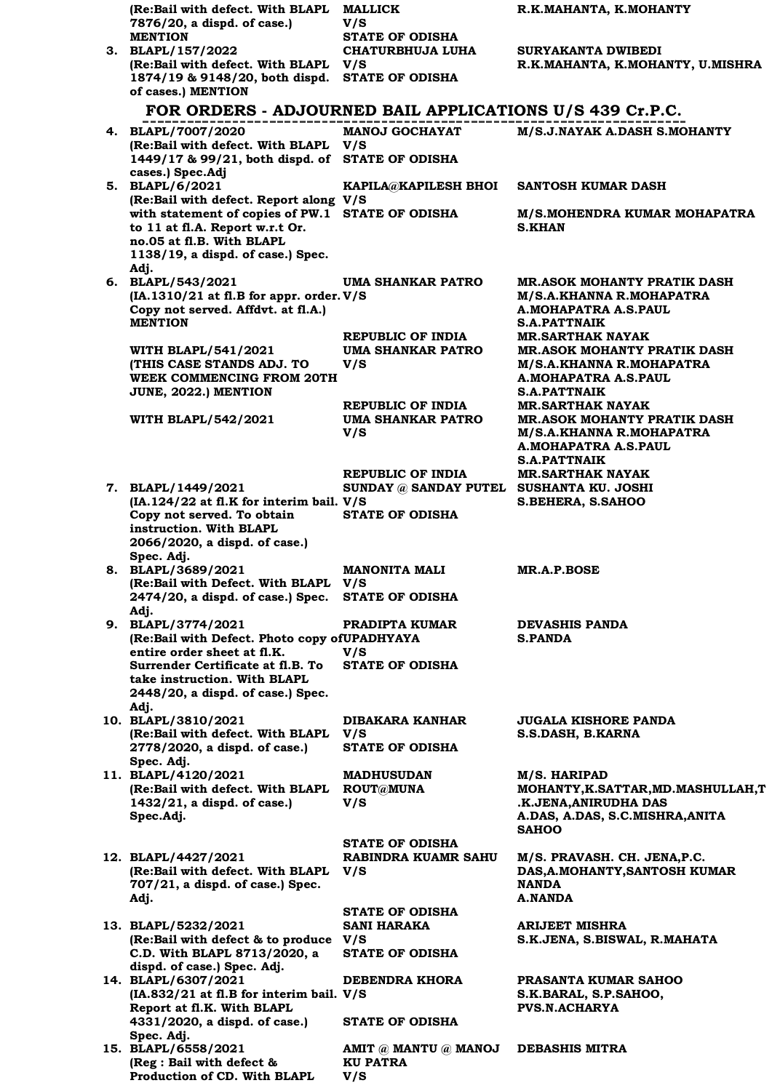| (Re:Bail with defect. With BLAPL<br>7876/20, a dispd. of case.)                         | <b>MALLICK</b><br>V/S                                                | R.K.MAHANTA, K.MOHANTY                                                                 |
|-----------------------------------------------------------------------------------------|----------------------------------------------------------------------|----------------------------------------------------------------------------------------|
| <b>MENTION</b>                                                                          | <b>STATE OF ODISHA</b>                                               |                                                                                        |
| 3. BLAPL/157/2022<br>(Re:Bail with defect. With BLAPL                                   | <b>CHATURBHUJA LUHA</b><br>V/S                                       | SURYAKANTA DWIBEDI<br>R.K.MAHANTA, K.MOHANTY, U.MISHRA                                 |
| 1874/19 & 9148/20, both dispd.<br>of cases.) MENTION                                    | <b>STATE OF ODISHA</b>                                               |                                                                                        |
| FOR ORDERS - ADJOURNED BAIL APPLICATIONS U/S 439 Cr.P.C.                                |                                                                      |                                                                                        |
| 4. BLAPL/7007/2020                                                                      | <b>MANOJ GOCHAYAT</b>                                                | M/S.J.NAYAK A.DASH S.MOHANTY                                                           |
| (Re:Bail with defect. With BLAPL<br>1449/17 & 99/21, both dispd. of<br>cases.) Spec.Adj | V/S<br><b>STATE OF ODISHA</b>                                        |                                                                                        |
| 5. BLAPL/6/2021<br>(Re:Bail with defect. Report along V/S                               | <b>KAPILA@KAPILESH BHOI</b>                                          | SANTOSH KUMAR DASH                                                                     |
| with statement of copies of PW.1 STATE OF ODISHA<br>to 11 at fl.A. Report w.r.t Or.     |                                                                      | M/S.MOHENDRA KUMAR MOHAPATRA<br><b>S.KHAN</b>                                          |
| no.05 at fl.B. With BLAPL<br>1138/19, a dispd. of case.) Spec.<br>Adi.                  |                                                                      |                                                                                        |
| 6. BLAPL/543/2021                                                                       | UMA SHANKAR PATRO                                                    | <b>MR.ASOK MOHANTY PRATIK DASH</b>                                                     |
| (IA.1310/21 at fl.B for appr. order. V/S<br>Copy not served. Affdvt. at fl.A.)          |                                                                      | M/S.A.KHANNA R.MOHAPATRA<br>A.MOHAPATRA A.S.PAUL                                       |
| <b>MENTION</b>                                                                          |                                                                      | <b>S.A.PATTNAIK</b>                                                                    |
| <b>WITH BLAPL/541/2021</b>                                                              | <b>REPUBLIC OF INDIA</b><br>UMA SHANKAR PATRO                        | <b>MR.SARTHAK NAYAK</b><br><b>MR.ASOK MOHANTY PRATIK DASH</b>                          |
| (THIS CASE STANDS ADJ. TO                                                               | V/S                                                                  | <b>M/S.A.KHANNA R.MOHAPATRA</b>                                                        |
| <b>WEEK COMMENCING FROM 20TH</b><br>JUNE, 2022.) MENTION                                |                                                                      | A.MOHAPATRA A.S.PAUL<br><b>S.A.PATTNAIK</b>                                            |
|                                                                                         | REPUBLIC OF INDIA                                                    | <b>MR.SARTHAK NAYAK</b>                                                                |
| <b>WITH BLAPL/542/2021</b>                                                              | UMA SHANKAR PATRO<br>V/S                                             | <b>MR.ASOK MOHANTY PRATIK DASH</b><br>M/S.A.KHANNA R.MOHAPATRA<br>A.MOHAPATRA A.S.PAUL |
|                                                                                         |                                                                      | <b>S.A.PATTNAIK</b>                                                                    |
| 7. BLAPL/1449/2021                                                                      | <b>REPUBLIC OF INDIA</b><br>SUNDAY @ SANDAY PUTEL SUSHANTA KU. JOSHI | <b>MR.SARTHAK NAYAK</b>                                                                |
| (IA.124/22 at fl.K for interim bail. V/S                                                |                                                                      | S.BEHERA, S.SAHOO                                                                      |
| Copy not served. To obtain<br>instruction. With BLAPL                                   | <b>STATE OF ODISHA</b>                                               |                                                                                        |
| 2066/2020, a dispd. of case.)                                                           |                                                                      |                                                                                        |
| Spec. Adj.<br>8. BLAPL/3689/2021                                                        | <b>MANONITA MALI</b>                                                 | <b>MR.A.P.BOSE</b>                                                                     |
| (Re:Bail with Defect. With BLAPL V/S<br>2474/20, a dispd. of case.) Spec.               | <b>STATE OF ODISHA</b>                                               |                                                                                        |
| Adj.                                                                                    |                                                                      |                                                                                        |
| 9. BLAPL/3774/2021<br>(Re:Bail with Defect. Photo copy of UPADHYAYA                     | PRADIPTA KUMAR                                                       | <b>DEVASHIS PANDA</b><br><b>S.PANDA</b>                                                |
| entire order sheet at fl.K.<br>Surrender Certificate at fl.B. To                        | V/S<br><b>STATE OF ODISHA</b>                                        |                                                                                        |
| take instruction. With BLAPL<br>2448/20, a dispd. of case.) Spec.                       |                                                                      |                                                                                        |
| Adj.<br>10. BLAPL/3810/2021                                                             | <b>DIBAKARA KANHAR</b>                                               | <b>JUGALA KISHORE PANDA</b>                                                            |
| (Re:Bail with defect. With BLAPL<br>2778/2020, a dispd. of case.)                       | V/S<br><b>STATE OF ODISHA</b>                                        | S.S.DASH, B.KARNA                                                                      |
| Spec. Adj.                                                                              |                                                                      |                                                                                        |
| 11. BLAPL/4120/2021<br>(Re:Bail with defect. With BLAPL                                 | <b>MADHUSUDAN</b><br><b>ROUT@MUNA</b>                                | M/S. HARIPAD<br>MOHANTY, K.SATTAR, MD. MASHULLAH, T                                    |
| $1432/21$ , a dispd. of case.)                                                          | V/S                                                                  | .K.JENA, ANIRUDHA DAS                                                                  |
| Spec.Adj.                                                                               |                                                                      | A.DAS, A.DAS, S.C.MISHRA, ANITA<br><b>SAHOO</b>                                        |
|                                                                                         | <b>STATE OF ODISHA</b>                                               |                                                                                        |
| 12. BLAPL/4427/2021<br>(Re:Bail with defect. With BLAPL                                 | RABINDRA KUAMR SAHU<br>V/S                                           | M/S. PRAVASH. CH. JENA, P.C.<br>DAS, A. MOHANTY, SANTOSH KUMAR                         |
| 707/21, a dispd. of case.) Spec.                                                        |                                                                      | <b>NANDA</b>                                                                           |
| Adj.                                                                                    | <b>STATE OF ODISHA</b>                                               | A.NANDA                                                                                |
| 13. BLAPL/5232/2021                                                                     | <b>SANI HARAKA</b>                                                   | ARIJEET MISHRA                                                                         |
| (Re:Bail with defect & to produce V/S                                                   |                                                                      | S.K.JENA, S.BISWAL, R.MAHATA                                                           |
| C.D. With BLAPL 8713/2020, a<br>dispd. of case.) Spec. Adj.                             | <b>STATE OF ODISHA</b>                                               |                                                                                        |
| 14. BLAPL/6307/2021                                                                     | DEBENDRA KHORA                                                       | PRASANTA KUMAR SAHOO                                                                   |
| (IA.832/21 at fl.B for interim bail. V/S<br>Report at fl.K. With BLAPL                  |                                                                      | S.K.BARAL, S.P.SAHOO,<br><b>PVS.N.ACHARYA</b>                                          |
| 4331/2020, a dispd. of case.)                                                           | <b>STATE OF ODISHA</b>                                               |                                                                                        |
| Spec. Adj.<br>15. BLAPL/6558/2021                                                       | AMIT @ MANTU @ MANOJ                                                 | <b>DEBASHIS MITRA</b>                                                                  |
| (Reg : Bail with defect &<br>Production of CD. With BLAPL                               | <b>KU PATRA</b><br>V/S                                               |                                                                                        |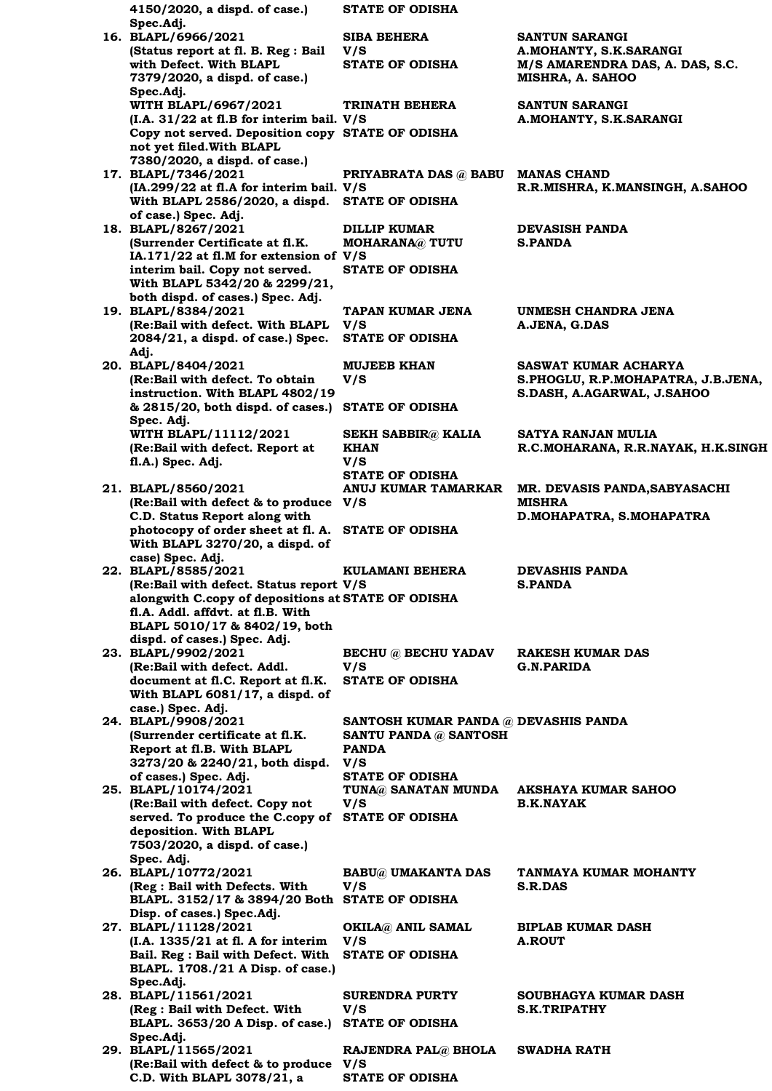**4150/2020, a dispd. of case.) Spec.Adj. STATE OF ODISHA 16. BLAPL/6966/2021 (Status report at fl. B. Reg : Bail with Defect. With BLAPL 7379/2020, a dispd. of case.) Spec.Adj. SIBA BEHERA V/S SANTUN SARANGI A.MOHANTY, S.K.SARANGI STATE OF ODISHA M/S AMARENDRA DAS, A. DAS, S.C. MISHRA, A. SAHOO WITH BLAPL/6967/2021 (I.A. 31/22 at fl.B for interim bail. V/S Copy not served. Deposition copy STATE OF ODISHA not yet filed.With BLAPL 7380/2020, a dispd. of case.) TRINATH BEHERA SANTUN SARANGI A.MOHANTY, S.K.SARANGI 17. BLAPL/7346/2021 (IA.299/22 at fl.A for interim bail. V/S With BLAPL 2586/2020, a dispd. STATE OF ODISHA of case.) Spec. Adj. PRIYABRATA DAS @ BABU MANAS CHAND R.R.MISHRA, K.MANSINGH, A.SAHOO 18. BLAPL/8267/2021 (Surrender Certificate at fl.K. IA.171/22 at fl.M for extension of V/S interim bail. Copy not served. With BLAPL 5342/20 & 2299/21, both dispd. of cases.) Spec. Adj. DILLIP KUMAR MOHARANA@ TUTU DEVASISH PANDA S.PANDA STATE OF ODISHA 19. BLAPL/8384/2021 (Re:Bail with defect. With BLAPL 2084/21, a dispd. of case.) Spec. Adj. TAPAN KUMAR JENA V/S UNMESH CHANDRA JENA A.JENA, G.DAS STATE OF ODISHA 20. BLAPL/8404/2021 (Re:Bail with defect. To obtain instruction. With BLAPL 4802/19 & 2815/20, both dispd. of cases.) STATE OF ODISHA Spec. Adj. MUJEEB KHAN V/S SASWAT KUMAR ACHARYA S.PHOGLU, R.P.MOHAPATRA, J.B.JENA, S.DASH, A.AGARWAL, J.SAHOO WITH BLAPL/11112/2021 (Re:Bail with defect. Report at fl.A.) Spec. Adj. SEKH SABBIR@ KALIA KHAN V/S SATYA RANJAN MULIA R.C.MOHARANA, R.R.NAYAK, H.K.SINGH STATE OF ODISHA 21. BLAPL/8560/2021 (Re:Bail with defect & to produce V/S C.D. Status Report along with photocopy of order sheet at fl. A. STATE OF ODISHA With BLAPL 3270/20, a dispd. of case) Spec. Adj. ANUJ KUMAR TAMARKAR MR. DEVASIS PANDA,SABYASACHI MISHRA D.MOHAPATRA, S.MOHAPATRA 22. BLAPL/8585/2021 (Re:Bail with defect. Status report V/S alongwith C.copy of depositions at STATE OF ODISHA fl.A. Addl. affdvt. at fl.B. With BLAPL 5010/17 & 8402/19, both dispd. of cases.) Spec. Adj. KULAMANI BEHERA DEVASHIS PANDA S.PANDA 23. BLAPL/9902/2021 (Re:Bail with defect. Addl. document at fl.C. Report at fl.K. With BLAPL 6081/17, a dispd. of case.) Spec. Adj. BECHU @ BECHU YADAV V/S RAKESH KUMAR DAS G.N.PARIDA STATE OF ODISHA 24. BLAPL/9908/2021 (Surrender certificate at fl.K. Report at fl.B. With BLAPL 3273/20 & 2240/21, both dispd. of cases.) Spec. Adj. SANTOSH KUMAR PANDA @ DEVASHIS PANDA SANTU PANDA @ SANTOSH PANDA V/S STATE OF ODISHA 25. BLAPL/10174/2021 (Re:Bail with defect. Copy not served. To produce the C.copy of STATE OF ODISHA deposition. With BLAPL 7503/2020, a dispd. of case.) Spec. Adj. TUNA@ SANATAN MUNDA V/S AKSHAYA KUMAR SAHOO B.K.NAYAK 26. BLAPL/10772/2021 (Reg : Bail with Defects. With BLAPL. 3152/17 & 3894/20 Both STATE OF ODISHA Disp. of cases.) Spec.Adj. BABU@ UMAKANTA DAS V/S TANMAYA KUMAR MOHANTY S.R.DAS 27. BLAPL/11128/2021 (I.A. 1335/21 at fl. A for interim V/S Bail. Reg : Bail with Defect. With STATE OF ODISHA BLAPL. 1708./21 A Disp. of case.) Spec.Adj. OKILA@ ANIL SAMAL BIPLAB KUMAR DASH A.ROUT 28. BLAPL/11561/2021 (Reg : Bail with Defect. With BLAPL. 3653/20 A Disp. of case.) STATE OF ODISHA Spec.Adj. SURENDRA PURTY V/S SOUBHAGYA KUMAR DASH S.K.TRIPATHY 29. BLAPL/11565/2021 (Re:Bail with defect & to produce V/S C.D. With BLAPL 3078/21, a RAJENDRA PAL@ BHOLA SWADHA RATH STATE OF ODISHA**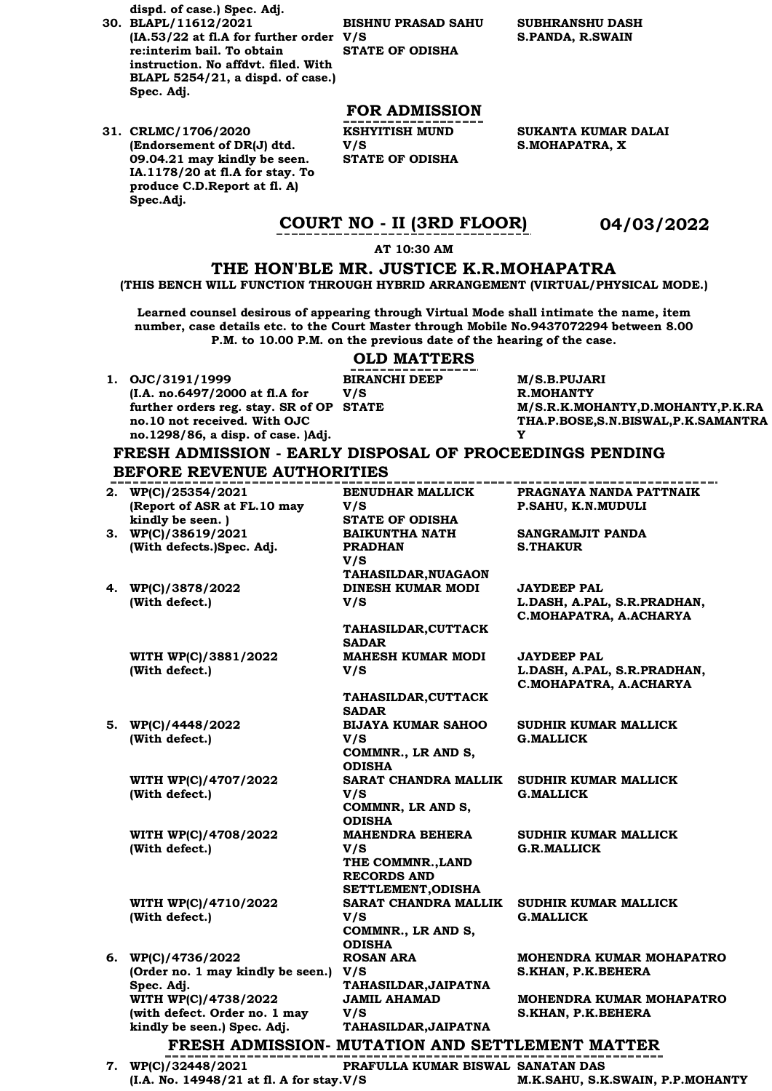**dispd. of case.) Spec. Adj.**

**30. BLAPL/11612/2021 (IA.53/22 at fl.A for further order V/S re:interim bail. To obtain instruction. No affdvt. filed. With BLAPL 5254/21, a dispd. of case.) Spec. Adj.**

**31. CRLMC/1706/2020 (Endorsement of DR(J) dtd. 09.04.21 may kindly be seen. IA.1178/20 at fl.A for stay. To produce C.D.Report at fl. A) Spec.Adj.**

**BISHNU PRASAD SAHU STATE OF ODISHA**

**SUBHRANSHU DASH S.PANDA, R.SWAIN**

### **FOR ADMISSION**

**KSHYITISH MUND V/S STATE OF ODISHA** **SUKANTA KUMAR DALAI S.MOHAPATRA, X**

### **COURT NO - II (3RD FLOOR) 04/03/2022**

#### **AT 10:30 AM**

### **THE HON'BLE MR. JUSTICE K.R.MOHAPATRA**

**(THIS BENCH WILL FUNCTION THROUGH HYBRID ARRANGEMENT (VIRTUAL/PHYSICAL MODE.)**

**Learned counsel desirous of appearing through Virtual Mode shall intimate the name, item number, case details etc. to the Court Master through Mobile No.9437072294 between 8.00 P.M. to 10.00 P.M. on the previous date of the hearing of the case.**

#### **OLD MATTERS**

**BIRANCHI DEEP** 

**V/S** 

**1. OJC/3191/1999 (I.A. no.6497/2000 at fl.A for further orders reg. stay. SR of OP no.10 not received. With OJC no.1298/86, a disp. of case. )Adj.**

**M/S.B.PUJARI R.MOHANTY STATE M/S.R.K.MOHANTY,D.MOHANTY,P.K.RA THA.P.BOSE,S.N.BISWAL,P.K.SAMANTRA Y** 

### **FRESH ADMISSION - EARLY DISPOSAL OF PROCEEDINGS PENDING BEFORE REVENUE AUTHORITIES**

**2. WP(C)/25354/2021 (Report of ASR at FL.10 may kindly be seen. ) BENUDHAR MALLICK V/S PRAGNAYA NANDA PATTNAIK P.SAHU, K.N.MUDULI STATE OF ODISHA 3. WP(C)/38619/2021 (With defects.)Spec. Adj. BAIKUNTHA NATH PRADHAN V/S SANGRAMJIT PANDA S.THAKUR TAHASILDAR,NUAGAON 4. WP(C)/3878/2022 (With defect.) DINESH KUMAR MODI V/S JAYDEEP PAL L.DASH, A.PAL, S.R.PRADHAN, C.MOHAPATRA, A.ACHARYA TAHASILDAR,CUTTACK SADAR WITH WP(C)/3881/2022 (With defect.) MAHESH KUMAR MODI V/S JAYDEEP PAL L.DASH, A.PAL, S.R.PRADHAN, C.MOHAPATRA, A.ACHARYA TAHASILDAR,CUTTACK SADAR 5. WP(C)/4448/2022 (With defect.) BIJAYA KUMAR SAHOO V/S SUDHIR KUMAR MALLICK G.MALLICK COMMNR., LR AND S, ODISHA WITH WP(C)/4707/2022 (With defect.) SARAT CHANDRA MALLIK SUDHIR KUMAR MALLICK V/S G.MALLICK COMMNR, LR AND S, ODISHA WITH WP(C)/4708/2022 (With defect.) MAHENDRA BEHERA V/S SUDHIR KUMAR MALLICK G.R.MALLICK THE COMMNR.,LAND RECORDS AND SETTLEMENT,ODISHA WITH WP(C)/4710/2022 (With defect.) SARAT CHANDRA MALLIK V/S SUDHIR KUMAR MALLICK G.MALLICK COMMNR., LR AND S, ODISHA 6. WP(C)/4736/2022 (Order no. 1 may kindly be seen.) V/S Spec. Adj. ROSAN ARA MOHENDRA KUMAR MOHAPATRO S.KHAN, P.K.BEHERA TAHASILDAR,JAIPATNA WITH WP(C)/4738/2022 (with defect. Order no. 1 may kindly be seen.) Spec. Adj. JAMIL AHAMAD V/S MOHENDRA KUMAR MOHAPATRO S.KHAN, P.K.BEHERA TAHASILDAR,JAIPATNA FRESH ADMISSION- MUTATION AND SETTLEMENT MATTER PRAFULLA KUMAR BISWAL SANATAN DAS**

**7. WP(C)/32448/2021 (I.A. No. 14948/21 at fl. A for stay. V/S** 

**M.K.SAHU, S.K.SWAIN, P.P.MOHANTY**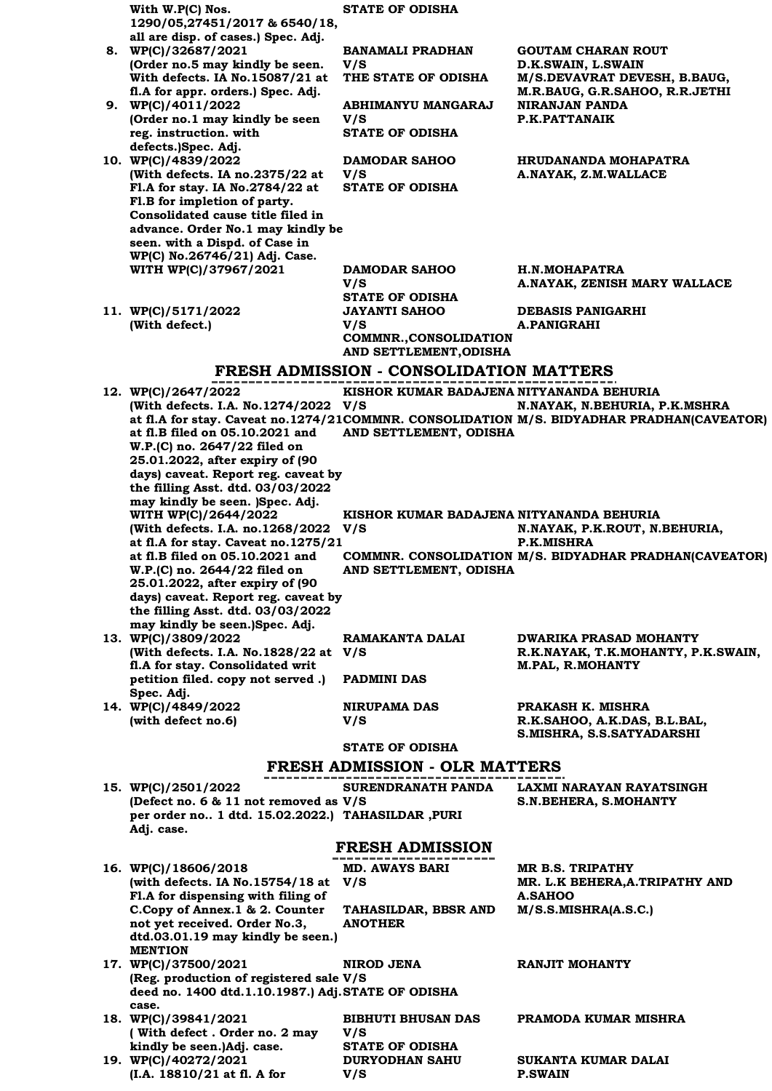| With W.P(C) Nos.<br>1290/05,27451/2017 & 6540/18,                                 | <b>STATE OF ODISHA</b>                                 |                                                                                           |
|-----------------------------------------------------------------------------------|--------------------------------------------------------|-------------------------------------------------------------------------------------------|
| all are disp. of cases.) Spec. Adj.                                               |                                                        |                                                                                           |
| 8. WP(C)/32687/2021                                                               | BANAMALI PRADHAN                                       | <b>GOUTAM CHARAN ROUT</b>                                                                 |
| (Order no.5 may kindly be seen.<br>With defects. IA No.15087/21 at                | V/S<br>THE STATE OF ODISHA                             | D.K.SWAIN, L.SWAIN<br>M/S.DEVAVRAT DEVESH, B.BAUG,                                        |
| fl.A for appr. orders.) Spec. Adj.                                                |                                                        | M.R.BAUG, G.R.SAHOO, R.R.JETHI                                                            |
| 9. WP(C)/4011/2022<br>(Order no.1 may kindly be seen                              | ABHIMANYU MANGARAJ<br>V/S                              | NIRANJAN PANDA<br>P.K.PATTANAIK                                                           |
| reg. instruction. with                                                            | <b>STATE OF ODISHA</b>                                 |                                                                                           |
| defects.)Spec. Adj.                                                               |                                                        |                                                                                           |
| 10. WP(C)/4839/2022<br>(With defects. IA no.2375/22 at                            | <b>DAMODAR SAHOO</b><br>V/S                            | <b>HRUDANANDA MOHAPATRA</b><br>A.NAYAK, Z.M.WALLACE                                       |
| Fl.A for stay. IA No.2784/22 at                                                   | <b>STATE OF ODISHA</b>                                 |                                                                                           |
| Fl.B for impletion of party.<br>Consolidated cause title filed in                 |                                                        |                                                                                           |
| advance. Order No.1 may kindly be                                                 |                                                        |                                                                                           |
| seen. with a Dispd. of Case in                                                    |                                                        |                                                                                           |
| WP(C) No.26746/21) Adj. Case.<br>WITH WP(C)/37967/2021                            | <b>DAMODAR SAHOO</b>                                   | <b>H.N.MOHAPATRA</b>                                                                      |
|                                                                                   | V/S                                                    | A.NAYAK, ZENISH MARY WALLACE                                                              |
| 11. WP(C)/5171/2022                                                               | <b>STATE OF ODISHA</b><br><b>JAYANTI SAHOO</b>         | <b>DEBASIS PANIGARHI</b>                                                                  |
| (With defect.)                                                                    | V/S                                                    | A.PANIGRAHI                                                                               |
|                                                                                   | <b>COMMNR., CONSOLIDATION</b>                          |                                                                                           |
|                                                                                   | AND SETTLEMENT, ODISHA                                 |                                                                                           |
|                                                                                   | <b>FRESH ADMISSION - CONSOLIDATION MATTERS</b>         |                                                                                           |
| 12. WP(C)/2647/2022<br>(With defects. I.A. No.1274/2022 V/S                       | KISHOR KUMAR BADAJENA NITYANANDA BEHURIA               | N.NAYAK, N.BEHURIA, P.K.MSHRA                                                             |
|                                                                                   |                                                        | at fl.A for stay. Caveat no.1274/21COMMNR. CONSOLIDATION M/S. BIDYADHAR PRADHAN(CAVEATOR) |
| at fl.B filed on 05.10.2021 and<br>W.P.(C) no. 2647/22 filed on                   | AND SETTLEMENT, ODISHA                                 |                                                                                           |
| 25.01.2022, after expiry of (90                                                   |                                                        |                                                                                           |
| days) caveat. Report reg. caveat by                                               |                                                        |                                                                                           |
| the filling Asst. dtd. 03/03/2022<br>may kindly be seen. )Spec. Adj.              |                                                        |                                                                                           |
| WITH WP(C)/2644/2022                                                              | KISHOR KUMAR BADAJENA NITYANANDA BEHURIA               |                                                                                           |
| (With defects. I.A. no.1268/2022)<br>at fl.A for stay. Caveat no.1275/21          | V/S                                                    | N.NAYAK, P.K.ROUT, N.BEHURIA,<br>P.K.MISHRA                                               |
|                                                                                   |                                                        |                                                                                           |
| at fl.B filed on 05.10.2021 and                                                   |                                                        | COMMNR. CONSOLIDATION M/S. BIDYADHAR PRADHAN(CAVEATOR)                                    |
| W.P.(C) no. 2644/22 filed on                                                      | AND SETTLEMENT, ODISHA                                 |                                                                                           |
| 25.01.2022, after expiry of (90                                                   |                                                        |                                                                                           |
| days) caveat. Report reg. caveat by<br>the filling Asst. dtd. 03/03/2022          |                                                        |                                                                                           |
| may kindly be seen.)Spec. Adj.                                                    | RAMAKANTA DALAI                                        | <b>DWARIKA PRASAD MOHANTY</b>                                                             |
| 13. WP(C)/3809/2022<br>(With defects. I.A. No.1828/22 at                          | V/S                                                    | R.K.NAYAK, T.K.MOHANTY, P.K.SWAIN,                                                        |
| fl.A for stay. Consolidated writ                                                  |                                                        | M.PAL, R.MOHANTY                                                                          |
| petition filed. copy not served.)<br>Spec. Adj.                                   | <b>PADMINI DAS</b>                                     |                                                                                           |
| 14. WP(C)/4849/2022                                                               | <b>NIRUPAMA DAS</b>                                    | PRAKASH K. MISHRA                                                                         |
| (with defect no.6)                                                                | V/S                                                    | R.K.SAHOO, A.K.DAS, B.L.BAL,                                                              |
|                                                                                   | <b>STATE OF ODISHA</b>                                 | S.MISHRA, S.S.SATYADARSHI                                                                 |
|                                                                                   | <b>FRESH ADMISSION - OLR MATTERS</b>                   |                                                                                           |
| 15. WP(C)/2501/2022                                                               | SURENDRANATH PANDA                                     | LAXMI NARAYAN RAYATSINGH                                                                  |
| (Defect no. 6 & 11 not removed as V/S                                             |                                                        | <b>S.N.BEHERA, S.MOHANTY</b>                                                              |
| per order no 1 dtd. 15.02.2022.) TAHASILDAR, PURI<br>Adj. case.                   |                                                        |                                                                                           |
|                                                                                   | <b>FRESH ADMISSION</b>                                 |                                                                                           |
| 16. WP(C)/18606/2018                                                              | <b>MD. AWAYS BARI</b>                                  | <b>MR B.S. TRIPATHY</b>                                                                   |
| (with defects. IA No.15754/18 at                                                  | V/S                                                    | MR. L.K BEHERA, A. TRIPATHY AND                                                           |
| Fl.A for dispensing with filing of                                                |                                                        | <b>A.SAHOO</b><br>M/S.S.MISHRA(A.S.C.)                                                    |
| C.Copy of Annex.1 & 2. Counter<br>not yet received. Order No.3,                   | TAHASILDAR, BBSR AND<br><b>ANOTHER</b>                 |                                                                                           |
| dtd.03.01.19 may kindly be seen.)                                                 |                                                        |                                                                                           |
| <b>MENTION</b><br>17. WP(C)/37500/2021                                            | NIROD JENA                                             | RANJIT MOHANTY                                                                            |
| (Reg. production of registered sale V/S                                           |                                                        |                                                                                           |
| deed no. 1400 dtd.1.10.1987.) Adj.STATE OF ODISHA<br>case.                        |                                                        |                                                                                           |
| 18. WP(C)/39841/2021                                                              | <b>BIBHUTI BHUSAN DAS</b>                              | PRAMODA KUMAR MISHRA                                                                      |
| (With defect. Order no. 2 may                                                     | V/S                                                    |                                                                                           |
| kindly be seen.)Adj. case.<br>19. WP(C)/40272/2021<br>(I.A. 18810/21 at fl. A for | <b>STATE OF ODISHA</b><br><b>DURYODHAN SAHU</b><br>V/S | SUKANTA KUMAR DALAI<br><b>P.SWAIN</b>                                                     |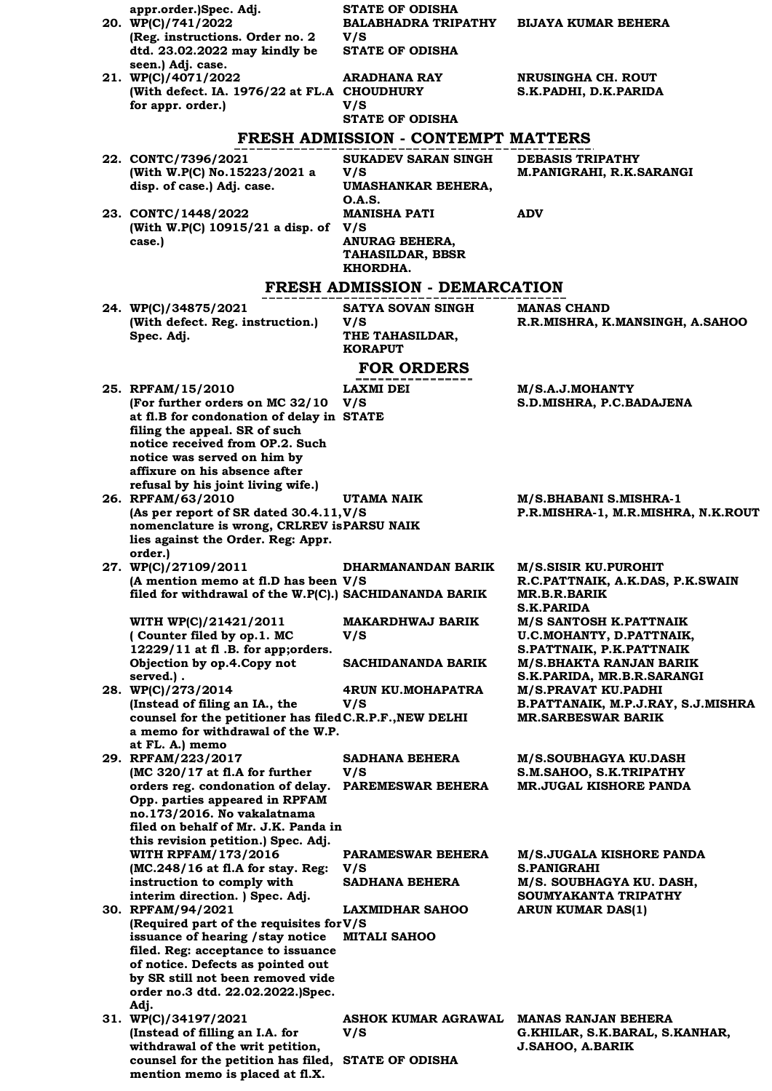| appr.order.)Spec. Adj.<br>20. WP(C)/741/2022                                                    | <b>STATE OF ODISHA</b><br><b>BALABHADRA TRIPATHY</b>                     | <b>BIJAYA KUMAR BEHERA</b>                                   |
|-------------------------------------------------------------------------------------------------|--------------------------------------------------------------------------|--------------------------------------------------------------|
| (Reg. instructions. Order no. 2)<br>dtd. 23.02.2022 may kindly be                               | V/S<br><b>STATE OF ODISHA</b>                                            |                                                              |
| seen.) Adj. case.<br>21. WP(C)/4071/2022<br>(With defect. IA. 1976/22 at FL.A CHOUDHURY         | ARADHANA RAY                                                             | NRUSINGHA CH. ROUT<br>S.K.PADHI, D.K.PARIDA                  |
| for appr. order.)                                                                               | V/S                                                                      |                                                              |
|                                                                                                 | <b>STATE OF ODISHA</b>                                                   |                                                              |
|                                                                                                 | <b>FRESH ADMISSION - CONTEMPT MATTERS</b>                                |                                                              |
| 22. CONTC/7396/2021<br>(With W.P(C) No.15223/2021 a<br>disp. of case.) Adj. case.               | <b>SUKADEV SARAN SINGH</b><br>V/S<br>UMASHANKAR BEHERA,<br><b>O.A.S.</b> | <b>DEBASIS TRIPATHY</b><br>M.PANIGRAHI, R.K.SARANGI          |
| 23. CONTC/1448/2022<br>(With W.P(C) 10915/21 a disp. of V/S                                     | <b>MANISHA PATI</b>                                                      | <b>ADV</b>                                                   |
| case.)                                                                                          | <b>ANURAG BEHERA,</b><br><b>TAHASILDAR, BBSR</b><br>KHORDHA.             |                                                              |
|                                                                                                 | FRESH ADMISSION - DEMARCATION                                            |                                                              |
| 24. WP(C)/34875/2021                                                                            | <b>SATYA SOVAN SINGH</b>                                                 | <b>MANAS CHAND</b>                                           |
| (With defect. Reg. instruction.)<br>Spec. Adj.                                                  | V/S<br>THE TAHASILDAR,<br><b>KORAPUT</b>                                 | R.R.MISHRA, K.MANSINGH, A.SAHOO                              |
|                                                                                                 | <b>FOR ORDERS</b>                                                        |                                                              |
| 25. RPFAM/15/2010                                                                               | LAXMI DEI                                                                | M/S.A.J.MOHANTY                                              |
| (For further orders on MC 32/10<br>at fl.B for condonation of delay in STATE                    | V/S                                                                      | S.D.MISHRA, P.C.BADAJENA                                     |
| filing the appeal. SR of such                                                                   |                                                                          |                                                              |
| notice received from OP.2. Such<br>notice was served on him by                                  |                                                                          |                                                              |
| affixure on his absence after                                                                   |                                                                          |                                                              |
| refusal by his joint living wife.)<br>26. RPFAM/63/2010                                         | UTAMA NAIK                                                               | M/S.BHABANI S.MISHRA-1                                       |
| (As per report of SR dated 30.4.11, V/S                                                         |                                                                          | P.R.MISHRA-1, M.R.MISHRA, N.K.ROUT                           |
| nomenclature is wrong, CRLREV is PARSU NAIK<br>lies against the Order. Reg: Appr.<br>order.)    |                                                                          |                                                              |
| 27. WP(C)/27109/2011                                                                            | DHARMANANDAN BARIK                                                       | <b>M/S.SISIR KU.PUROHIT</b>                                  |
| (A mention memo at fl.D has been V/S<br>filed for withdrawal of the W.P(C).) SACHIDANANDA BARIK |                                                                          | R.C.PATTNAIK, A.K.DAS, P.K.SWAIN<br><b>MR.B.R.BARIK</b>      |
| WITH WP(C)/21421/2011                                                                           | <b>MAKARDHWAJ BARIK</b>                                                  | <b>S.K.PARIDA</b><br>M/S SANTOSH K.PATTNAIK                  |
| (Counter filed by op.1. MC                                                                      | V/S                                                                      | U.C.MOHANTY, D.PATTNAIK,                                     |
| 12229/11 at fl.B. for app; orders.<br>Objection by op.4.Copy not                                | SACHIDANANDA BARIK                                                       | S.PATTNAIK, P.K.PATTNAIK<br><b>M/S.BHAKTA RANJAN BARIK</b>   |
| served.).                                                                                       |                                                                          | S.K.PARIDA, MR.B.R.SARANGI                                   |
| 28. WP(C)/273/2014<br>(Instead of filing an IA., the                                            | 4RUN KU.MOHAPATRA<br>V/S                                                 | M/S.PRAVAT KU.PADHI<br>B.PATTANAIK, M.P.J.RAY, S.J.MISHRA    |
| counsel for the petitioner has filed C.R.P.F., NEW DELHI                                        |                                                                          | <b>MR.SARBESWAR BARIK</b>                                    |
| a memo for withdrawal of the W.P.<br>at FL. A.) memo                                            |                                                                          |                                                              |
| 29. RPFAM/223/2017<br>(MC 320/17 at fl.A for further                                            | SADHANA BEHERA<br>V/S                                                    | M/S.SOUBHAGYA KU.DASH<br>S.M.SAHOO, S.K.TRIPATHY             |
| orders reg. condonation of delay.<br>Opp. parties appeared in RPFAM                             | PAREMESWAR BEHERA                                                        | <b>MR.JUGAL KISHORE PANDA</b>                                |
| no.173/2016. No vakalatnama                                                                     |                                                                          |                                                              |
| filed on behalf of Mr. J.K. Panda in<br>this revision petition.) Spec. Adj.                     |                                                                          |                                                              |
| <b>WITH RPFAM/173/2016</b>                                                                      | PARAMESWAR BEHERA                                                        | <b>M/S.JUGALA KISHORE PANDA</b>                              |
| (MC.248/16 at fl.A for stay. Reg:<br>instruction to comply with                                 | V/S<br>SADHANA BEHERA                                                    | <b>S.PANIGRAHI</b><br>M/S. SOUBHAGYA KU. DASH,               |
| interim direction. ) Spec. Adj.<br>30. RPFAM/94/2021                                            | <b>LAXMIDHAR SAHOO</b>                                                   | SOUMYAKANTA TRIPATHY<br>ARUN KUMAR DAS(1)                    |
| (Required part of the requisites for V/S                                                        |                                                                          |                                                              |
| issuance of hearing / stay notice<br>filed. Reg: acceptance to issuance                         | <b>MITALI SAHOO</b>                                                      |                                                              |
| of notice. Defects as pointed out                                                               |                                                                          |                                                              |
| by SR still not been removed vide<br>order no.3 dtd. 22.02.2022.)Spec.                          |                                                                          |                                                              |
| Adj.                                                                                            |                                                                          |                                                              |
| 31. WP(C)/34197/2021<br>(Instead of filling an I.A. for                                         | ASHOK KUMAR AGRAWAL<br>V/S                                               | <b>MANAS RANJAN BEHERA</b><br>G.KHILAR, S.K.BARAL, S.KANHAR, |
| withdrawal of the writ petition,<br>counsel for the petition has filed,                         | <b>STATE OF ODISHA</b>                                                   | <b>J.SAHOO, A.BARIK</b>                                      |
| mention memo is placed at fl.X.                                                                 |                                                                          |                                                              |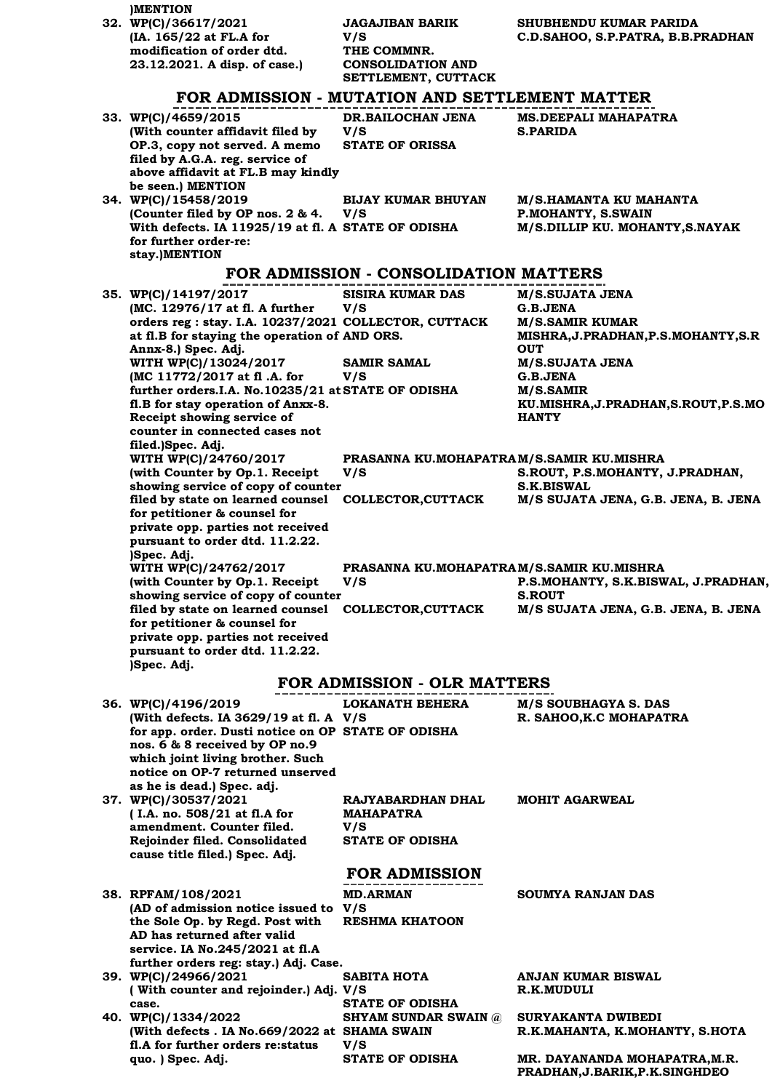| <b>MENTION</b>                                                                    |                                                |                                                      |
|-----------------------------------------------------------------------------------|------------------------------------------------|------------------------------------------------------|
| 32. WP(C)/36617/2021                                                              | <b>JAGAJIBAN BARIK</b>                         | SHUBHENDU KUMAR PARIDA                               |
| (IA. 165/22 at FL.A for<br>modification of order dtd.                             | V/S<br>THE COMMNR.                             | C.D.SAHOO, S.P.PATRA, B.B.PRADHAN                    |
| 23.12.2021. A disp. of case.)                                                     | <b>CONSOLIDATION AND</b>                       |                                                      |
|                                                                                   | SETTLEMENT, CUTTACK                            |                                                      |
|                                                                                   | FOR ADMISSION - MUTATION AND SETTLEMENT MATTER |                                                      |
| 33. WP(C)/4659/2015                                                               | DR.BAILOCHAN JENA                              | <b>MS.DEEPALI MAHAPATRA</b>                          |
| (With counter affidavit filed by                                                  | V/S                                            | <b>S.PARIDA</b>                                      |
| OP.3, copy not served. A memo                                                     | <b>STATE OF ORISSA</b>                         |                                                      |
| filed by A.G.A. reg. service of<br>above affidavit at FL.B may kindly             |                                                |                                                      |
| be seen.) MENTION                                                                 |                                                |                                                      |
| 34. WP(C)/15458/2019                                                              | <b>BIJAY KUMAR BHUYAN</b>                      | M/S.HAMANTA KU MAHANTA                               |
| (Counter filed by OP nos. 2 & 4.                                                  | V/S                                            | P.MOHANTY, S.SWAIN                                   |
| With defects. IA 11925/19 at fl. A STATE OF ODISHA                                |                                                | M/S.DILLIP KU. MOHANTY, S.NAYAK                      |
| for further order-re:<br>stay.)MENTION                                            |                                                |                                                      |
|                                                                                   | FOR ADMISSION - CONSOLIDATION MATTERS          |                                                      |
|                                                                                   |                                                |                                                      |
| 35. WP(C)/14197/2017<br>(MC. 12976/17 at fl. A further                            | <b>SISIRA KUMAR DAS</b>                        | M/S.SUJATA JENA                                      |
| orders reg : stay. I.A. 10237/2021 COLLECTOR, CUTTACK                             | V/S                                            | G.B.JENA<br><b>M/S.SAMIR KUMAR</b>                   |
| at fl.B for staying the operation of AND ORS.                                     |                                                | MISHRA, J. PRADHAN, P.S. MOHANTY, S.R                |
| Annx-8.) Spec. Adj.                                                               |                                                | <b>OUT</b>                                           |
| WITH WP(C)/13024/2017                                                             | <b>SAMIR SAMAL</b>                             | <b>M/S.SUJATA JENA</b>                               |
| (MC 11772/2017 at fl.A. for<br>further orders.I.A. No.10235/21 at STATE OF ODISHA | V/S                                            | G.B.JENA<br>M/S.SAMIR                                |
| fl.B for stay operation of Anxx-8.                                                |                                                | KU.MISHRA, J.PRADHAN, S.ROUT, P.S.MO                 |
| Receipt showing service of                                                        |                                                | <b>HANTY</b>                                         |
| counter in connected cases not                                                    |                                                |                                                      |
| filed.)Spec. Adj.<br>WITH WP(C)/24760/2017                                        | PRASANNA KU.MOHAPATRAM/S.SAMIR KU.MISHRA       |                                                      |
| (with Counter by Op.1. Receipt                                                    | V/S                                            | S.ROUT, P.S.MOHANTY, J.PRADHAN,                      |
| showing service of copy of counter                                                |                                                | <b>S.K.BISWAL</b>                                    |
| filed by state on learned counsel                                                 | <b>COLLECTOR,CUTTACK</b>                       | M/S SUJATA JENA, G.B. JENA, B. JENA                  |
| for petitioner & counsel for                                                      |                                                |                                                      |
| private opp. parties not received<br>pursuant to order dtd. 11.2.22.              |                                                |                                                      |
| )Spec. Adj.                                                                       |                                                |                                                      |
| WITH WP(C)/24762/2017                                                             | PRASANNA KU.MOHAPATRAM/S.SAMIR KU.MISHRA       |                                                      |
| (with Counter by Op.1. Receipt                                                    | V/S                                            | P.S.MOHANTY, S.K.BISWAL, J.PRADHAN,                  |
| showing service of copy of counter<br>filed by state on learned counsel           | <b>COLLECTOR, CUTTACK</b>                      | <b>S.ROUT</b><br>M/S SUJATA JENA, G.B. JENA, B. JENA |
| for petitioner & counsel for                                                      |                                                |                                                      |
| private opp. parties not received                                                 |                                                |                                                      |
| pursuant to order dtd. 11.2.22.<br>)Spec. Adj.                                    |                                                |                                                      |
|                                                                                   | <b>FOR ADMISSION - OLR MATTERS</b>             |                                                      |
|                                                                                   |                                                |                                                      |
| 36. WP(C)/4196/2019<br>(With defects. IA 3629/19 at fl. A V/S                     | <b>LOKANATH BEHERA</b>                         | M/S SOUBHAGYA S. DAS<br>R. SAHOO, K.C MOHAPATRA      |
| for app. order. Dusti notice on OP STATE OF ODISHA                                |                                                |                                                      |
| nos. 6 & 8 received by OP no.9                                                    |                                                |                                                      |
| which joint living brother. Such                                                  |                                                |                                                      |
| notice on OP-7 returned unserved<br>as he is dead.) Spec. adj.                    |                                                |                                                      |
| 37. WP(C)/30537/2021                                                              | RAJYABARDHAN DHAL                              | <b>MOHIT AGARWEAL</b>                                |
| (I.A. no. 508/21 at fl.A for                                                      | <b>MAHAPATRA</b>                               |                                                      |
| amendment. Counter filed.                                                         | V/S                                            |                                                      |
| Rejoinder filed. Consolidated<br>cause title filed.) Spec. Adj.                   | <b>STATE OF ODISHA</b>                         |                                                      |
|                                                                                   |                                                |                                                      |
|                                                                                   | <b>FOR ADMISSION</b>                           |                                                      |
| 38. RPFAM/108/2021                                                                | <b>MD.ARMAN</b>                                | SOUMYA RANJAN DAS                                    |
| (AD of admission notice issued to V/S<br>the Sole Op. by Regd. Post with          | <b>RESHMA KHATOON</b>                          |                                                      |
| AD has returned after valid                                                       |                                                |                                                      |
| service. IA No.245/2021 at fl.A                                                   |                                                |                                                      |
| further orders reg: stay.) Adj. Case.                                             |                                                |                                                      |
| 39. WP(C)/24966/2021                                                              | <b>SABITA HOTA</b>                             | <b>ANJAN KUMAR BISWAL</b>                            |
| (With counter and rejoinder.) Adj. V/S<br>case.                                   | <b>STATE OF ODISHA</b>                         | R.K.MUDULI                                           |
| 40. WP(C)/1334/2022                                                               | <b>SHYAM SUNDAR SWAIN @</b>                    | <b>SURYAKANTA DWIBEDI</b>                            |
| (With defects . IA No.669/2022 at SHAMA SWAIN                                     |                                                | R.K.MAHANTA, K.MOHANTY, S.HOTA                       |
| fl.A for further orders re: status<br>quo. ) Spec. Adj.                           | V/S<br><b>STATE OF ODISHA</b>                  | MR. DAYANANDA MOHAPATRA, M.R.                        |
|                                                                                   |                                                |                                                      |

**PRADHAN,J.BARIK,P.K.SINGHDEO**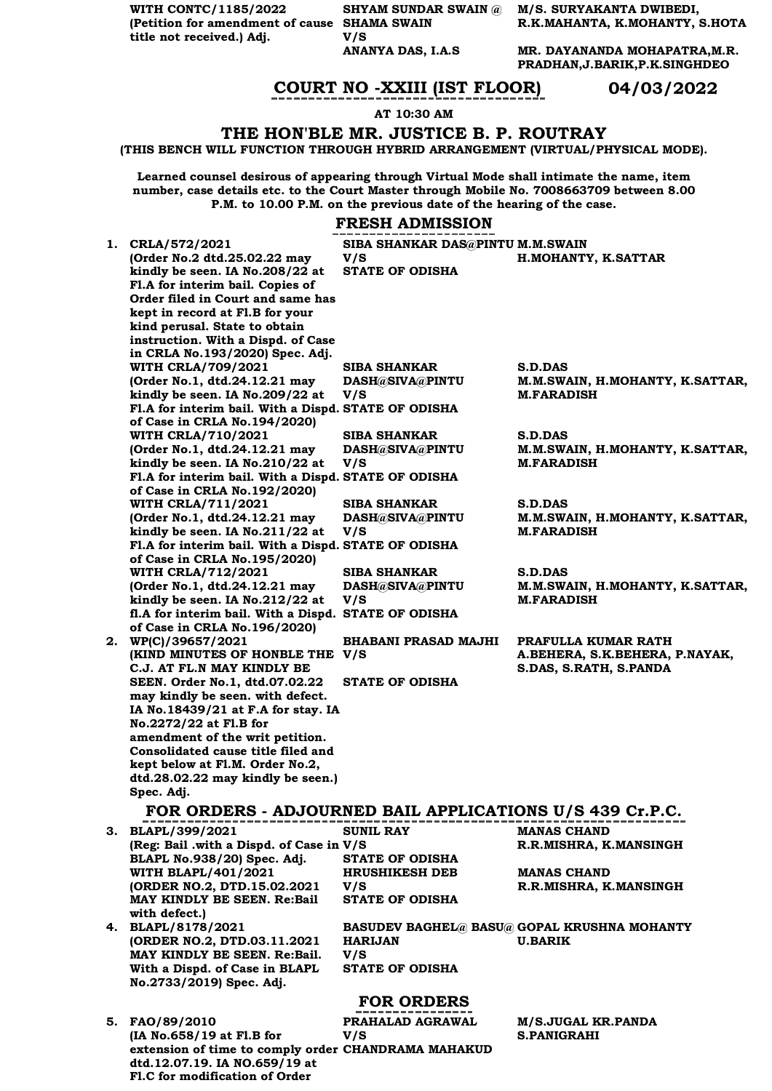**WITH CONTC/1185/2022 (Petition for amendment of cause SHAMA SWAIN title not received.) Adj.**

**Fl.C for modification of Order** 

**V/S** 

**SHYAM SUNDAR SWAIN @ M/S. SURYAKANTA DWIBEDI, R.K.MAHANTA, K.MOHANTY, S.HOTA**

> **ANANYA DAS, I.A.S MR. DAYANANDA MOHAPATRA,M.R. PRADHAN,J.BARIK,P.K.SINGHDEO**

## **COURT NO -XXIII (IST FLOOR) 04/03/2022**

#### **AT 10:30 AM**

### **THE HON'BLE MR. JUSTICE B. P. ROUTRAY**

**(THIS BENCH WILL FUNCTION THROUGH HYBRID ARRANGEMENT (VIRTUAL/PHYSICAL MODE).**

**Learned counsel desirous of appearing through Virtual Mode shall intimate the name, item number, case details etc. to the Court Master through Mobile No. 7008663709 between 8.00 P.M. to 10.00 P.M. on the previous date of the hearing of the case.**

### **FRESH ADMISSION**

|                                                          | ~~~ <i>~~~</i> ~~~~~~            |                                                    |
|----------------------------------------------------------|----------------------------------|----------------------------------------------------|
| 1. CRLA/572/2021                                         | SIBA SHANKAR DAS@PINTU M.M.SWAIN |                                                    |
| (Order No.2 dtd.25.02.22 may                             | V/S                              | H.MOHANTY, K.SATTAR                                |
| kindly be seen. IA No.208/22 at                          | <b>STATE OF ODISHA</b>           |                                                    |
| Fl.A for interim bail. Copies of                         |                                  |                                                    |
| Order filed in Court and same has                        |                                  |                                                    |
| kept in record at Fl.B for your                          |                                  |                                                    |
| kind perusal. State to obtain                            |                                  |                                                    |
| instruction. With a Dispd. of Case                       |                                  |                                                    |
| in CRLA No.193/2020) Spec. Adj.                          |                                  |                                                    |
| <b>WITH CRLA/709/2021</b>                                | <b>SIBA SHANKAR</b>              | <b>S.D.DAS</b>                                     |
| (Order No.1, dtd.24.12.21 may                            | DASH@SIVA@PINTU                  | M.M.SWAIN, H.MOHANTY, K.SATTAR,                    |
| kindly be seen. IA No.209/22 at                          | V/S                              | <b>M.FARADISH</b>                                  |
| Fl.A for interim bail. With a Dispd. STATE OF ODISHA     |                                  |                                                    |
| of Case in CRLA No.194/2020)                             |                                  |                                                    |
| <b>WITH CRLA/710/2021</b>                                | SIBA SHANKAR                     | S.D.DAS                                            |
| (Order No.1, dtd.24.12.21 may                            | DASH@SIVA@PINTU                  | M.M.SWAIN, H.MOHANTY, K.SATTAR,                    |
| kindly be seen. IA No.210/22 at                          | V/S                              | <b>M.FARADISH</b>                                  |
| Fl.A for interim bail. With a Dispd. STATE OF ODISHA     |                                  |                                                    |
| of Case in CRLA No.192/2020)                             |                                  |                                                    |
| <b>WITH CRLA/711/2021</b>                                | SIBA SHANKAR                     | S.D.DAS                                            |
| (Order No.1, dtd.24.12.21 may                            | DASH@SIVA@PINTU                  | M.M.SWAIN, H.MOHANTY, K.SATTAR,                    |
| kindly be seen. IA No.211/22 at                          | V/S                              | <b>M.FARADISH</b>                                  |
| Fl.A for interim bail. With a Dispd. STATE OF ODISHA     |                                  |                                                    |
| of Case in CRLA No.195/2020)                             |                                  |                                                    |
| <b>WITH CRLA/712/2021</b>                                | <b>SIBA SHANKAR</b>              | <b>S.D.DAS</b>                                     |
| (Order No.1, dtd.24.12.21 may                            | DASH@SIVA@PINTU                  | M.M.SWAIN, H.MOHANTY, K.SATTAR,                    |
| kindly be seen. IA No.212/22 at                          | V/S                              | <b>M.FARADISH</b>                                  |
| fl.A for interim bail. With a Dispd.                     | <b>STATE OF ODISHA</b>           |                                                    |
| of Case in CRLA No. 196/2020)                            |                                  |                                                    |
| 2. WP(C)/39657/2021                                      | <b>BHABANI PRASAD MAJHI</b>      | PRAFULLA KUMAR RATH                                |
| (KIND MINUTES OF HONBLE THE V/S)                         |                                  | A.BEHERA, S.K.BEHERA, P.NAYAK,                     |
| C.J. AT FL.N MAY KINDLY BE                               |                                  | S.DAS, S.RATH, S.PANDA                             |
| SEEN. Order No.1, dtd.07.02.22                           | <b>STATE OF ODISHA</b>           |                                                    |
| may kindly be seen. with defect.                         |                                  |                                                    |
| IA No.18439/21 at F.A for stay. IA                       |                                  |                                                    |
| No.2272/22 at Fl.B for                                   |                                  |                                                    |
| amendment of the writ petition.                          |                                  |                                                    |
| Consolidated cause title filed and                       |                                  |                                                    |
| kept below at Fl.M. Order No.2,                          |                                  |                                                    |
| dtd.28.02.22 may kindly be seen.)                        |                                  |                                                    |
| Spec. Adj.                                               |                                  |                                                    |
| FOR ORDERS - ADJOURNED BAIL APPLICATIONS U/S 439 Cr.P.C. |                                  |                                                    |
| 3. BLAPL/399/2021                                        | <b>SUNIL RAY</b>                 | <b>MANAS CHAND</b>                                 |
| (Reg: Bail .with a Dispd. of Case in V/S                 |                                  | R.R.MISHRA, K.MANSINGH                             |
| BLAPL No.938/20) Spec. Adj.                              | <b>STATE OF ODISHA</b>           |                                                    |
| <b>WITH BLAPL/401/2021</b>                               | <b>HRUSHIKESH DEB</b>            | <b>MANAS CHAND</b>                                 |
| (ORDER NO.2, DTD.15.02.2021                              | V/S                              | R.R.MISHRA, K.MANSINGH                             |
| MAY KINDLY BE SEEN. Re:Bail                              | <b>STATE OF ODISHA</b>           |                                                    |
| with defect.)                                            |                                  |                                                    |
| 4. BLAPL/8178/2021                                       |                                  | <b>BASUDEV BAGHEL@ BASU@ GOPAL KRUSHNA MOHANTY</b> |
| (ORDER NO.2, DTD.03.11.2021)                             | <b>HARIJAN</b>                   | <b>U.BARIK</b>                                     |
| MAY KINDLY BE SEEN. Re:Bail.                             | V/S                              |                                                    |
| With a Dispd. of Case in BLAPL                           | <b>STATE OF ODISHA</b>           |                                                    |
| No.2733/2019) Spec. Adj.                                 |                                  |                                                    |
|                                                          |                                  |                                                    |
|                                                          | <b>FOR ORDERS</b>                |                                                    |
| 5. FAO/89/2010                                           | PRAHALAD AGRAWAL                 | M/S.JUGAL KR.PANDA                                 |
| (IA No.658/19 at Fl.B for                                | V/S                              | <b>S.PANIGRAHI</b>                                 |
| extension of time to comply order CHANDRAMA MAHAKUD      |                                  |                                                    |
| dtd.12.07.19. IA NO.659/19 at                            |                                  |                                                    |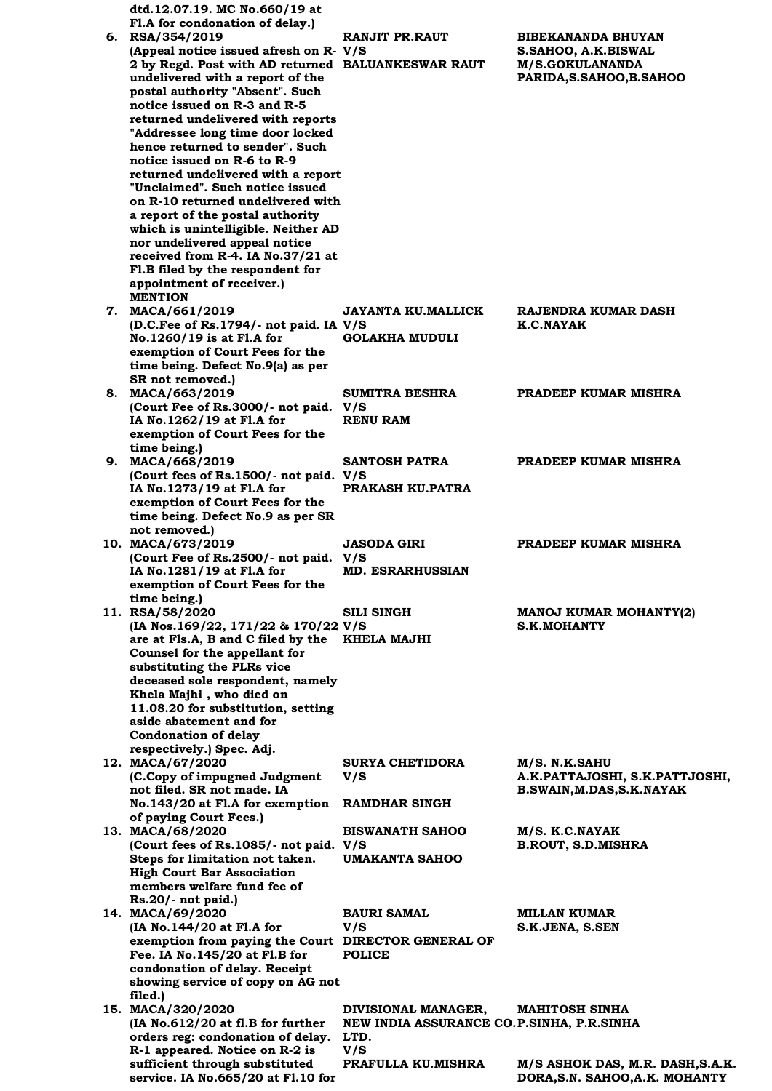| dtd.12.07.19. MC No.660/19 at                                        |                                           |                                  |
|----------------------------------------------------------------------|-------------------------------------------|----------------------------------|
| Fl.A for condonation of delay.)<br>6. RSA/354/2019                   | <b>RANJIT PR.RAUT</b>                     | <b>BIBEKANANDA BHUYAN</b>        |
| (Appeal notice issued afresh on R- V/S                               |                                           | S.SAHOO, A.K.BISWAL              |
| 2 by Regd. Post with AD returned BALUANKESWAR RAUT                   |                                           | <b>M/S.GOKULANANDA</b>           |
| undelivered with a report of the                                     |                                           | PARIDA, S. SAHOO, B. SAHOO       |
| postal authority "Absent". Such                                      |                                           |                                  |
| notice issued on R-3 and R-5                                         |                                           |                                  |
| returned undelivered with reports                                    |                                           |                                  |
| "Addressee long time door locked<br>hence returned to sender". Such  |                                           |                                  |
| notice issued on R-6 to R-9                                          |                                           |                                  |
| returned undelivered with a report                                   |                                           |                                  |
| "Unclaimed". Such notice issued                                      |                                           |                                  |
| on R-10 returned undelivered with                                    |                                           |                                  |
| a report of the postal authority                                     |                                           |                                  |
| which is unintelligible. Neither AD<br>nor undelivered appeal notice |                                           |                                  |
| received from R-4. IA No.37/21 at                                    |                                           |                                  |
| Fl.B filed by the respondent for                                     |                                           |                                  |
| appointment of receiver.)                                            |                                           |                                  |
| <b>MENTION</b>                                                       |                                           |                                  |
| 7. MACA/661/2019<br>(D.C.Fee of Rs.1794/- not paid. IA V/S           | <b>JAYANTA KU.MALLICK</b>                 | RAJENDRA KUMAR DASH<br>K.C.NAYAK |
| No.1260/19 is at Fl.A for                                            | <b>GOLAKHA MUDULI</b>                     |                                  |
| exemption of Court Fees for the                                      |                                           |                                  |
| time being. Defect No.9(a) as per                                    |                                           |                                  |
| SR not removed.)                                                     |                                           |                                  |
| 8. MACA/663/2019                                                     | <b>SUMITRA BESHRA</b>                     | PRADEEP KUMAR MISHRA             |
| (Court Fee of Rs.3000/- not paid. V/S<br>IA No.1262/19 at Fl.A for   | <b>RENU RAM</b>                           |                                  |
| exemption of Court Fees for the                                      |                                           |                                  |
| time being.)                                                         |                                           |                                  |
| 9. MACA/668/2019                                                     | <b>SANTOSH PATRA</b>                      | PRADEEP KUMAR MISHRA             |
| (Court fees of Rs.1500/- not paid. V/S                               |                                           |                                  |
| IA No.1273/19 at Fl.A for<br>exemption of Court Fees for the         | PRAKASH KU.PATRA                          |                                  |
| time being. Defect No.9 as per SR                                    |                                           |                                  |
| not removed.)                                                        |                                           |                                  |
| 10. MACA/673/2019                                                    | <b>JASODA GIRI</b>                        | PRADEEP KUMAR MISHRA             |
| (Court Fee of Rs.2500/- not paid. V/S                                |                                           |                                  |
| IA No.1281/19 at Fl.A for<br>exemption of Court Fees for the         | <b>MD. ESRARHUSSIAN</b>                   |                                  |
| time being.)                                                         |                                           |                                  |
| 11. RSA/58/2020                                                      | <b>SILI SINGH</b>                         | MANOJ KUMAR MOHANTY(2)           |
| (IA Nos.169/22, 171/22 & 170/22 V/S                                  |                                           | <b>S.K.MOHANTY</b>               |
| are at Fls.A, B and C filed by the                                   | KHELA MAJHI                               |                                  |
| Counsel for the appellant for<br>substituting the PLRs vice          |                                           |                                  |
| deceased sole respondent, namely                                     |                                           |                                  |
| Khela Majhi, who died on                                             |                                           |                                  |
| 11.08.20 for substitution, setting                                   |                                           |                                  |
| aside abatement and for<br><b>Condonation of delay</b>               |                                           |                                  |
| respectively.) Spec. Adj.                                            |                                           |                                  |
| 12. MACA/67/2020                                                     | <b>SURYA CHETIDORA</b>                    | M/S. N.K.SAHU                    |
| (C.Copy of impugned Judgment                                         | V/S                                       | A.K.PATTAJOSHI, S.K.PATTJOSHI,   |
| not filed. SR not made. IA                                           |                                           | B.SWAIN, M.DAS, S.K. NAYAK       |
| No.143/20 at Fl.A for exemption<br>of paying Court Fees.)            | <b>RAMDHAR SINGH</b>                      |                                  |
| 13. MACA/68/2020                                                     | <b>BISWANATH SAHOO</b>                    | M/S. K.C.NAYAK                   |
| (Court fees of Rs.1085/- not paid. V/S                               |                                           | <b>B.ROUT, S.D.MISHRA</b>        |
| Steps for limitation not taken.                                      | <b>UMAKANTA SAHOO</b>                     |                                  |
| <b>High Court Bar Association</b>                                    |                                           |                                  |
| members welfare fund fee of<br>Rs.20/- not paid.)                    |                                           |                                  |
| 14. MACA/69/2020                                                     | <b>BAURI SAMAL</b>                        | MILLAN KUMAR                     |
| (IA No.144/20 at Fl.A for                                            | V/S                                       | S.K.JENA, S.SEN                  |
| exemption from paying the Court DIRECTOR GENERAL OF                  |                                           |                                  |
| Fee. IA No.145/20 at Fl.B for                                        | <b>POLICE</b>                             |                                  |
| condonation of delay. Receipt                                        |                                           |                                  |
| showing service of copy on AG not<br>filed.)                         |                                           |                                  |
| 15. MACA/320/2020                                                    | DIVISIONAL MANAGER,                       | <b>MAHITOSH SINHA</b>            |
| (IA No.612/20 at fl.B for further                                    | NEW INDIA ASSURANCE CO.P.SINHA, P.R.SINHA |                                  |
| orders reg: condonation of delay.                                    | LTD.                                      |                                  |
| R-1 appeared. Notice on R-2 is<br>sufficient through substituted     | V/S<br>PRAFULLA KU.MISHRA                 | M/S ASHOK DAS, M.R. DASH, S.A.K. |
| service. IA No.665/20 at F1.10 for                                   |                                           | DORA, S.N. SAHOO, A.K. MOHANTY   |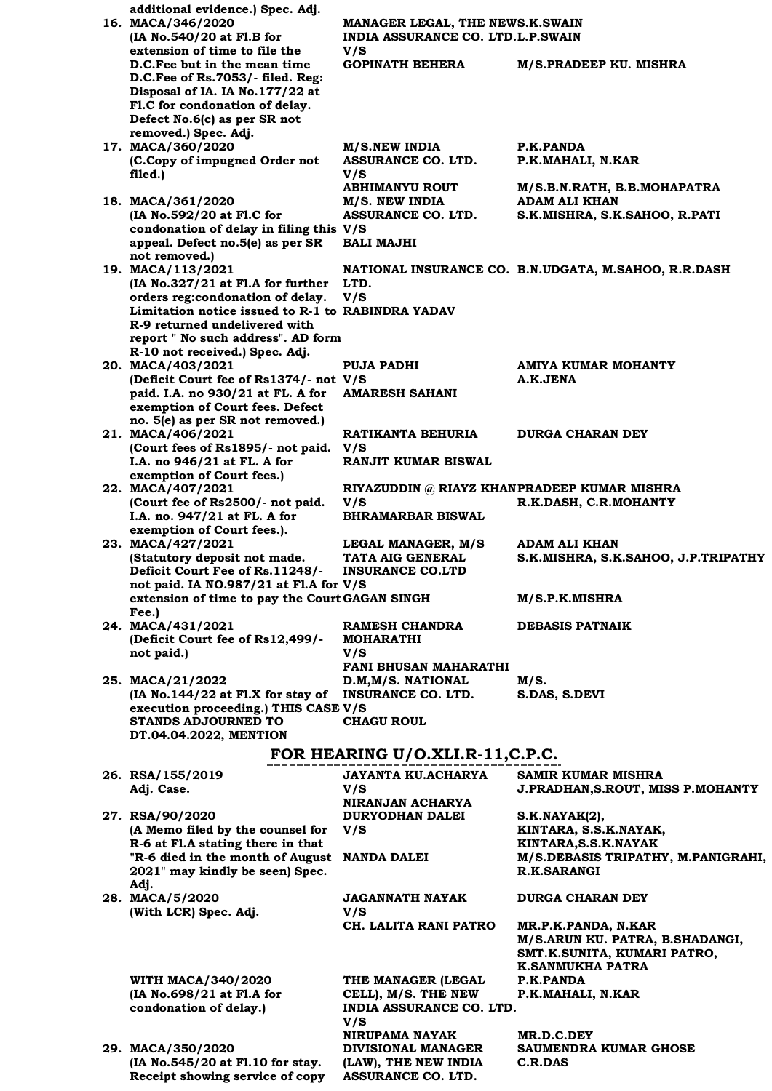| additional evidence.) Spec. Adj.                                                         |                                                                             |                                                          |
|------------------------------------------------------------------------------------------|-----------------------------------------------------------------------------|----------------------------------------------------------|
| 16. MACA/346/2020<br>(IA No.540/20 at Fl.B for                                           | MANAGER LEGAL, THE NEWS.K.SWAIN<br><b>INDIA ASSURANCE CO. LTD.L.P.SWAIN</b> |                                                          |
| extension of time to file the                                                            | V/S                                                                         |                                                          |
| D.C. Fee but in the mean time                                                            | <b>GOPINATH BEHERA</b>                                                      | M/S.PRADEEP KU. MISHRA                                   |
| $D.C.Fee$ of Rs.7053/- filed. Reg:                                                       |                                                                             |                                                          |
| Disposal of IA. IA No.177/22 at                                                          |                                                                             |                                                          |
| Fl.C for condonation of delay.<br>Defect No.6(c) as per SR not                           |                                                                             |                                                          |
| removed.) Spec. Adj.                                                                     |                                                                             |                                                          |
| 17. MACA/360/2020                                                                        | <b>M/S.NEW INDIA</b>                                                        | P.K.PANDA                                                |
| (C.Copy of impugned Order not                                                            | <b>ASSURANCE CO. LTD.</b>                                                   | P.K.MAHALI, N.KAR                                        |
| filed.)                                                                                  | V/S<br><b>ABHIMANYU ROUT</b>                                                | M/S.B.N.RATH, B.B.MOHAPATRA                              |
| 18. MACA/361/2020                                                                        | M/S. NEW INDIA                                                              | <b>ADAM ALI KHAN</b>                                     |
| (IA No.592/20 at Fl.C for                                                                | ASSURANCE CO. LTD.                                                          | S.K.MISHRA, S.K.SAHOO, R.PATI                            |
| condonation of delay in filing this V/S                                                  |                                                                             |                                                          |
| appeal. Defect no.5(e) as per SR<br>not removed.)                                        | <b>BALI MAJHI</b>                                                           |                                                          |
| 19. MACA/113/2021                                                                        |                                                                             | NATIONAL INSURANCE CO. B.N.UDGATA, M.SAHOO, R.R.DASH     |
| (IA No.327/21 at Fl.A for further                                                        | LTD.                                                                        |                                                          |
| orders reg:condonation of delay.                                                         | V/S                                                                         |                                                          |
| Limitation notice issued to R-1 to RABINDRA YADAV<br>R-9 returned undelivered with       |                                                                             |                                                          |
| report " No such address". AD form                                                       |                                                                             |                                                          |
| R-10 not received.) Spec. Adj.                                                           |                                                                             |                                                          |
| 20. MACA/403/2021                                                                        | <b>PUJA PADHI</b>                                                           | AMIYA KUMAR MOHANTY                                      |
| (Deficit Court fee of Rs1374/- not V/S                                                   |                                                                             | A.K.JENA                                                 |
| paid. I.A. no 930/21 at FL. A for<br>exemption of Court fees. Defect                     | <b>AMARESH SAHANI</b>                                                       |                                                          |
| no. 5(e) as per SR not removed.)                                                         |                                                                             |                                                          |
| 21. MACA/406/2021                                                                        | RATIKANTA BEHURIA                                                           | <b>DURGA CHARAN DEY</b>                                  |
| (Court fees of Rs1895/- not paid.                                                        | V/S                                                                         |                                                          |
| I.A. no 946/21 at FL. A for<br>exemption of Court fees.)                                 | RANJIT KUMAR BISWAL                                                         |                                                          |
| 22. MACA/407/2021                                                                        | RIYAZUDDIN @ RIAYZ KHANPRADEEP KUMAR MISHRA                                 |                                                          |
| (Court fee of Rs2500/- not paid.                                                         | V/S                                                                         | R.K.DASH, C.R.MOHANTY                                    |
| I.A. no. 947/21 at FL. A for                                                             | <b>BHRAMARBAR BISWAL</b>                                                    |                                                          |
| exemption of Court fees.).<br>23. MACA/427/2021                                          | LEGAL MANAGER, M/S                                                          | ADAM ALI KHAN                                            |
| (Statutory deposit not made.                                                             | TATA AIG GENERAL                                                            | S.K.MISHRA, S.K.SAHOO, J.P.TRIPATHY                      |
| Deficit Court Fee of Rs.11248/-                                                          | <b>INSURANCE CO.LTD</b>                                                     |                                                          |
| not paid. IA NO.987/21 at Fl.A for V/S<br>extension of time to pay the Court GAGAN SINGH |                                                                             |                                                          |
| Fee.)                                                                                    |                                                                             | M/S.P.K.MISHRA                                           |
| 24. MACA/431/2021                                                                        | RAMESH CHANDRA                                                              | <b>DEBASIS PATNAIK</b>                                   |
| (Deficit Court fee of Rs12,499/-                                                         | <b>MOHARATHI</b>                                                            |                                                          |
| not paid.)                                                                               | V/S<br><b>FANI BHUSAN MAHARATHI</b>                                         |                                                          |
| 25. MACA/21/2022                                                                         | D.M.M/S. NATIONAL                                                           | M/S.                                                     |
| (IA No.144/22 at Fl.X for stay of                                                        | <b>INSURANCE CO. LTD.</b>                                                   | S.DAS, S.DEVI                                            |
| execution proceeding.) THIS CASE V/S                                                     |                                                                             |                                                          |
| <b>STANDS ADJOURNED TO</b><br>DT.04.04.2022, MENTION                                     | <b>CHAGU ROUL</b>                                                           |                                                          |
|                                                                                          |                                                                             |                                                          |
|                                                                                          | FOR HEARING U/O.XLI.R-11, C.P.C.                                            |                                                          |
| 26. RSA/155/2019                                                                         | JAYANTA KU.ACHARYA                                                          | <b>SAMIR KUMAR MISHRA</b>                                |
| Adj. Case.                                                                               | V/S<br>NIRANJAN ACHARYA                                                     | <b>J.PRADHAN, S.ROUT, MISS P.MOHANTY</b>                 |
| 27. RSA/90/2020                                                                          | <b>DURYODHAN DALEI</b>                                                      | S.K.NAYAK(2),                                            |
| (A Memo filed by the counsel for                                                         | V/S                                                                         | KINTARA, S.S.K.NAYAK,                                    |
| R-6 at Fl.A stating there in that                                                        |                                                                             | KINTARA, S.S.K. NAYAK                                    |
| "R-6 died in the month of August<br>2021" may kindly be seen) Spec.                      | <b>NANDA DALEI</b>                                                          | M/S.DEBASIS TRIPATHY, M.PANIGRAHI,<br><b>R.K.SARANGI</b> |
| Adj.                                                                                     |                                                                             |                                                          |
| 28. MACA/5/2020                                                                          | JAGANNATH NAYAK                                                             | <b>DURGA CHARAN DEY</b>                                  |
| (With LCR) Spec. Adj.                                                                    | V/S<br>CH. LALITA RANI PATRO                                                |                                                          |
|                                                                                          |                                                                             | MR.P.K.PANDA, N.KAR<br>M/S.ARUN KU. PATRA, B.SHADANGI,   |
|                                                                                          |                                                                             | SMT.K.SUNITA, KUMARI PATRO,                              |
|                                                                                          |                                                                             | K.SANMUKHA PATRA                                         |
| <b>WITH MACA/340/2020</b><br>(IA No.698/21 at Fl.A for                                   | THE MANAGER (LEGAL                                                          | P.K.PANDA                                                |
| condonation of delay.)                                                                   | CELL), M/S. THE NEW<br><b>INDIA ASSURANCE CO. LTD.</b>                      | P.K.MAHALI, N.KAR                                        |
|                                                                                          | V/S                                                                         |                                                          |
|                                                                                          | <b>NIRUPAMA NAYAK</b>                                                       | MR.D.C.DEY                                               |
| 29. MACA/350/2020<br>(IA No.545/20 at Fl.10 for stay.                                    | <b>DIVISIONAL MANAGER</b><br>(LAW), THE NEW INDIA                           | SAUMENDRA KUMAR GHOSE<br>C.R.DAS                         |
| Receipt showing service of copy                                                          | ASSURANCE CO. LTD.                                                          |                                                          |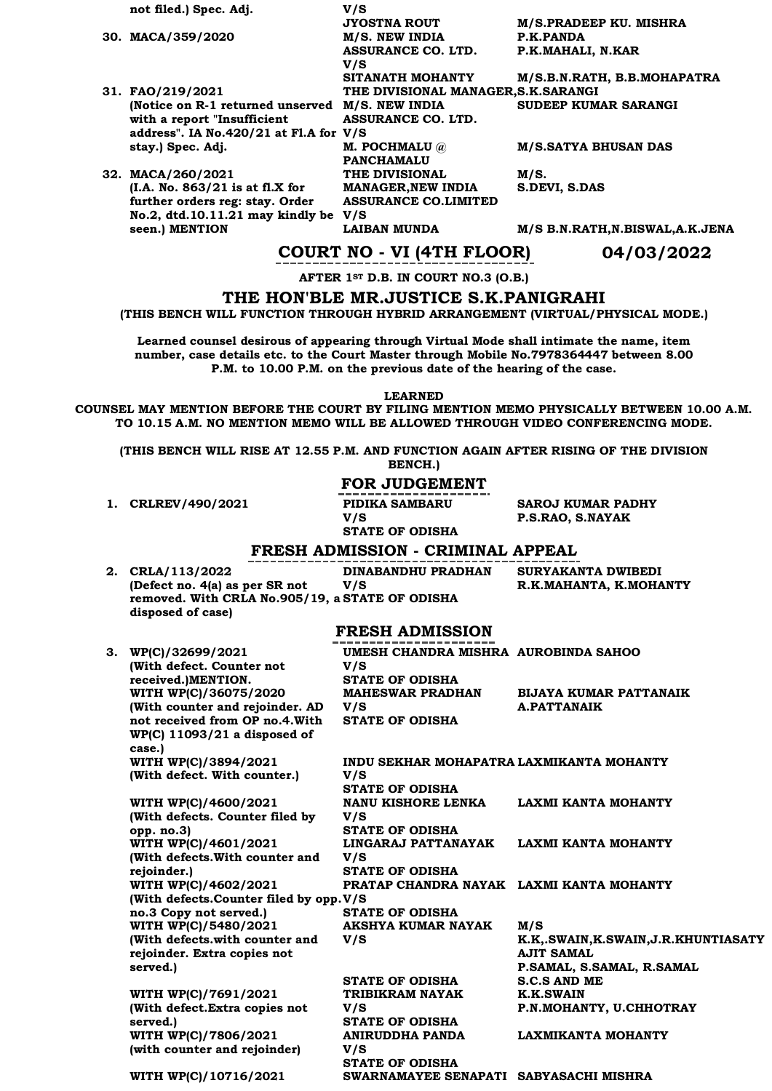| not filed.) Spec. Adj.                           | V/S                                  |                                   |
|--------------------------------------------------|--------------------------------------|-----------------------------------|
|                                                  | <b>JYOSTNA ROUT</b>                  | M/S.PRADEEP KU. MISHRA            |
| 30. MACA/359/2020                                | M/S. NEW INDIA                       | P.K.PANDA                         |
|                                                  | ASSURANCE CO. LTD.                   | P.K.MAHALI, N.KAR                 |
|                                                  | V/S                                  |                                   |
|                                                  | SITANATH MOHANTY                     | M/S.B.N.RATH, B.B.MOHAPATRA       |
| 31. FAO/219/2021                                 | THE DIVISIONAL MANAGER, S.K. SARANGI |                                   |
| (Notice on R-1 returned unserved M/S. NEW INDIA) |                                      | SUDEEP KUMAR SARANGI              |
| with a report "Insufficient"                     | ASSURANCE CO. LTD.                   |                                   |
| address". IA No.420/21 at Fl.A for $V/S$         |                                      |                                   |
| stay.) Spec. Adj.                                | <b>M. POCHMALU</b> @                 | <b>M/S.SATYA BHUSAN DAS</b>       |
|                                                  | <b>PANCHAMALU</b>                    |                                   |
| 32. MACA/260/2021                                | <b>THE DIVISIONAL</b>                | M/S.                              |
| (I.A. No. 863/21 is at f. X for                  | <b>MANAGER, NEW INDIA</b>            | S.DEVI, S.DAS                     |
| further orders reg: stay. Order                  | <b>ASSURANCE CO.LIMITED</b>          |                                   |
| No.2, dtd.10.11.21 may kindly be $V/S$           |                                      |                                   |
| seen.) MENTION                                   | <b>LAIBAN MUNDA</b>                  | M/S B.N.RATH, N.BISWAL, A.K. JENA |
|                                                  |                                      |                                   |

### **COURT NO - VI (4TH FLOOR) 04/03/2022**

**AFTER 1ST D.B. IN COURT NO.3 (O.B.)**

**THE HON'BLE MR.JUSTICE S.K.PANIGRAHI**

**(THIS BENCH WILL FUNCTION THROUGH HYBRID ARRANGEMENT (VIRTUAL/PHYSICAL MODE.)**

**Learned counsel desirous of appearing through Virtual Mode shall intimate the name, item number, case details etc. to the Court Master through Mobile No.7978364447 between 8.00 P.M. to 10.00 P.M. on the previous date of the hearing of the case.**

**LEARNED**

**COUNSEL MAY MENTION BEFORE THE COURT BY FILING MENTION MEMO PHYSICALLY BETWEEN 10.00 A.M. TO 10.15 A.M. NO MENTION MEMO WILL BE ALLOWED THROUGH VIDEO CONFERENCING MODE.**

**(THIS BENCH WILL RISE AT 12.55 P.M. AND FUNCTION AGAIN AFTER RISING OF THE DIVISION**

**BENCH.)**

### **FOR JUDGEMENT**

**1. CRLREV/490/2021 PIDIKA SAMBARU** 

**V/S STATE OF ODISHA**

**SAROJ KUMAR PADHY P.S.RAO, S.NAYAK**

### **FRESH ADMISSION - CRIMINAL APPEAL**

| 2. CRLA/113/2022                                | DINABANDHU PRADHAN | SURYAKANTA DWIBEDI     |
|-------------------------------------------------|--------------------|------------------------|
| (Defect no. 4(a) as per SR not                  | V/S                | R.K.MAHANTA, K.MOHANTY |
| removed. With CRLA No.905/19, a STATE OF ODISHA |                    |                        |
| disposed of case)                               |                    |                        |
|                                                 |                    |                        |

### **FRESH ADMISSION**

| 3. WP(C)/32699/2021                    | UMESH CHANDRA MISHRA AUROBINDA SAHOO     |                                         |
|----------------------------------------|------------------------------------------|-----------------------------------------|
| (With defect. Counter not              | V/S                                      |                                         |
| received.)MENTION.                     | <b>STATE OF ODISHA</b>                   |                                         |
| WITH WP(C)/36075/2020                  | <b>MAHESWAR PRADHAN</b>                  | <b>BIJAYA KUMAR PATTANAIK</b>           |
| (With counter and rejoinder. AD V/S    |                                          | <b>A.PATTANAIK</b>                      |
| not received from OP no.4. With        | <b>STATE OF ODISHA</b>                   |                                         |
| $WP(C)$ 11093/21 a disposed of         |                                          |                                         |
| case.)                                 |                                          |                                         |
| WITH WP(C)/3894/2021                   | INDU SEKHAR MOHAPATRA LAXMIKANTA MOHANTY |                                         |
| (With defect. With counter.)           | V/S                                      |                                         |
|                                        | <b>STATE OF ODISHA</b>                   |                                         |
| WITH WP(C)/4600/2021                   | NANU KISHORE LENKA                       | <b>LAXMI KANTA MOHANTY</b>              |
| (With defects. Counter filed by        | V/S                                      |                                         |
| opp. no.3)                             | <b>STATE OF ODISHA</b>                   |                                         |
| WITH WP(C)/4601/2021                   | LINGARAJ PATTANAYAK                      | <b>LAXMI KANTA MOHANTY</b>              |
| (With defects. With counter and        | V/S                                      |                                         |
| rejoinder.)                            | <b>STATE OF ODISHA</b>                   |                                         |
| WITH WP(C)/4602/2021                   | PRATAP CHANDRA NAYAK LAXMI KANTA MOHANTY |                                         |
| (With defects.Counter filed by opp.V/S |                                          |                                         |
| no.3 Copy not served.)                 | <b>STATE OF ODISHA</b>                   |                                         |
| WITH WP(C)/5480/2021                   | AKSHYA KUMAR NAYAK                       | M/S                                     |
| (With defects.with counter and         | V/S                                      | K.K., SWAIN, K. SWAIN, J.R. KHUNTIASATY |
| rejoinder. Extra copies not            |                                          | <b>AJIT SAMAL</b>                       |
| served.)                               |                                          | P.SAMAL, S.SAMAL, R.SAMAL               |
|                                        | STATE OF ODISHA                          | <b>S.C.S AND ME</b>                     |
| WITH WP(C)/7691/2021                   | TRIBIKRAM NAYAK                          | <b>K.K.SWAIN</b>                        |
| (With defect. Extra copies not         | V/S                                      | P.N.MOHANTY, U.CHHOTRAY                 |
| served.)                               | <b>STATE OF ODISHA</b>                   |                                         |
| WITH WP(C)/7806/2021                   | ANIRUDDHA PANDA                          | <b>LAXMIKANTA MOHANTY</b>               |
| (with counter and rejoinder)           | V/S                                      |                                         |
|                                        | <b>STATE OF ODISHA</b>                   |                                         |
| WITH WP(C)/10716/2021                  | SWARNAMAYEE SENAPATI SABYASACHI MISHRA   |                                         |
|                                        |                                          |                                         |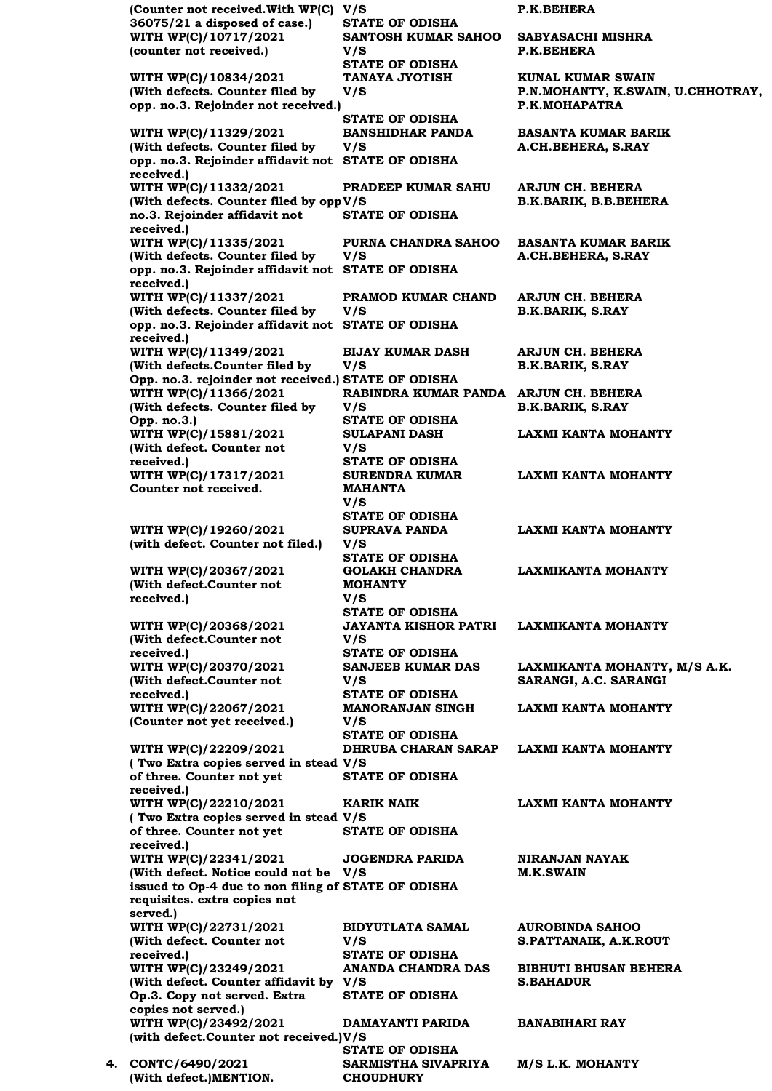**(Counter not received.With WP(C) 36075/21 a disposed of case.)** P.K.BEHERA **STATE OF ODISHA WITH WP(C)/10717/2021 (counter not received.) SANTOSH KUMAR SAHOO V/S SABYASACHI MISHRA P.K.BEHERA STATE OF ODISHA WITH WP(C)/10834/2021 (With defects. Counter filed by opp. no.3. Rejoinder not received.) TANAYA JYOTISH V/S KUNAL KUMAR SWAIN P.N.MOHANTY, K.SWAIN, U.CHHOTRAY, P.K.MOHAPATRA STATE OF ODISHA WITH WP(C)/11329/2021 (With defects. Counter filed by opp. no.3. Rejoinder affidavit not STATE OF ODISHA received.) BANSHIDHAR PANDA V/S BASANTA KUMAR BARIK A.CH.BEHERA, S.RAY WITH WP(C)/11332/2021 (With defects. Counter filed by opp V/S no.3. Rejoinder affidavit not received.) PRADEEP KUMAR SAHU ARJUN CH. BEHERA B.K.BARIK, B.B.BEHERA STATE OF ODISHA WITH WP(C)/11335/2021 (With defects. Counter filed by opp. no.3. Rejoinder affidavit not STATE OF ODISHA received.) PURNA CHANDRA SAHOO V/S BASANTA KUMAR BARIK A.CH.BEHERA, S.RAY WITH WP(C)/11337/2021 (With defects. Counter filed by opp. no.3. Rejoinder affidavit not STATE OF ODISHA received.) PRAMOD KUMAR CHAND V/S ARJUN CH. BEHERA B.K.BARIK, S.RAY WITH WP(C)/11349/2021 (With defects.Counter filed by Opp. no.3. rejoinder not received.) STATE OF ODISHA BIJAY KUMAR DASH V/S ARJUN CH. BEHERA B.K.BARIK, S.RAY WITH WP(C)/11366/2021 (With defects. Counter filed by Opp. no.3.) RABINDRA KUMAR PANDA ARJUN CH. BEHERA V/S B.K.BARIK, S.RAY STATE OF ODISHA WITH WP(C)/15881/2021 (With defect. Counter not received.) SULAPANI DASH V/S LAXMI KANTA MOHANTY STATE OF ODISHA WITH WP(C)/17317/2021 Counter not received. SURENDRA KUMAR MAHANTA V/S LAXMI KANTA MOHANTY STATE OF ODISHA WITH WP(C)/19260/2021 (with defect. Counter not filed.) SUPRAVA PANDA V/S LAXMI KANTA MOHANTY STATE OF ODISHA WITH WP(C)/20367/2021 (With defect.Counter not received.) GOLAKH CHANDRA MOHANTY V/S LAXMIKANTA MOHANTY STATE OF ODISHA WITH WP(C)/20368/2021 (With defect.Counter not received.) JAYANTA KISHOR PATRI V/S LAXMIKANTA MOHANTY STATE OF ODISHA WITH WP(C)/20370/2021 (With defect.Counter not received.) SANJEEB KUMAR DAS V/S LAXMIKANTA MOHANTY, M/S A.K. SARANGI, A.C. SARANGI STATE OF ODISHA WITH WP(C)/22067/2021 (Counter not yet received.) MANORANJAN SINGH V/S LAXMI KANTA MOHANTY STATE OF ODISHA WITH WP(C)/22209/2021 ( Two Extra copies served in stead V/S of three. Counter not yet received.) DHRUBA CHARAN SARAP LAXMI KANTA MOHANTY STATE OF ODISHA WITH WP(C)/22210/2021 ( Two Extra copies served in stead V/S of three. Counter not yet received.) KARIK NAIK LAXMI KANTA MOHANTY STATE OF ODISHA WITH WP(C)/22341/2021 (With defect. Notice could not be V/S issued to Op-4 due to non filing of STATE OF ODISHA requisites. extra copies not served.) JOGENDRA PARIDA NIRANJAN NAYAK M.K.SWAIN WITH WP(C)/22731/2021 (With defect. Counter not received.) BIDYUTLATA SAMAL V/S AUROBINDA SAHOO S.PATTANAIK, A.K.ROUT STATE OF ODISHA WITH WP(C)/23249/2021 (With defect. Counter affidavit by V/S Op.3. Copy not served. Extra copies not served.) ANANDA CHANDRA DAS BIBHUTI BHUSAN BEHERA S.BAHADUR STATE OF ODISHA WITH WP(C)/23492/2021 (with defect.Counter not received.) V/S DAMAYANTI PARIDA BANABIHARI RAY STATE OF ODISHA 4. CONTC/6490/2021 (With defect.)MENTION. SARMISTHA SIVAPRIYA CHOUDHURY M/S L.K. MOHANTY**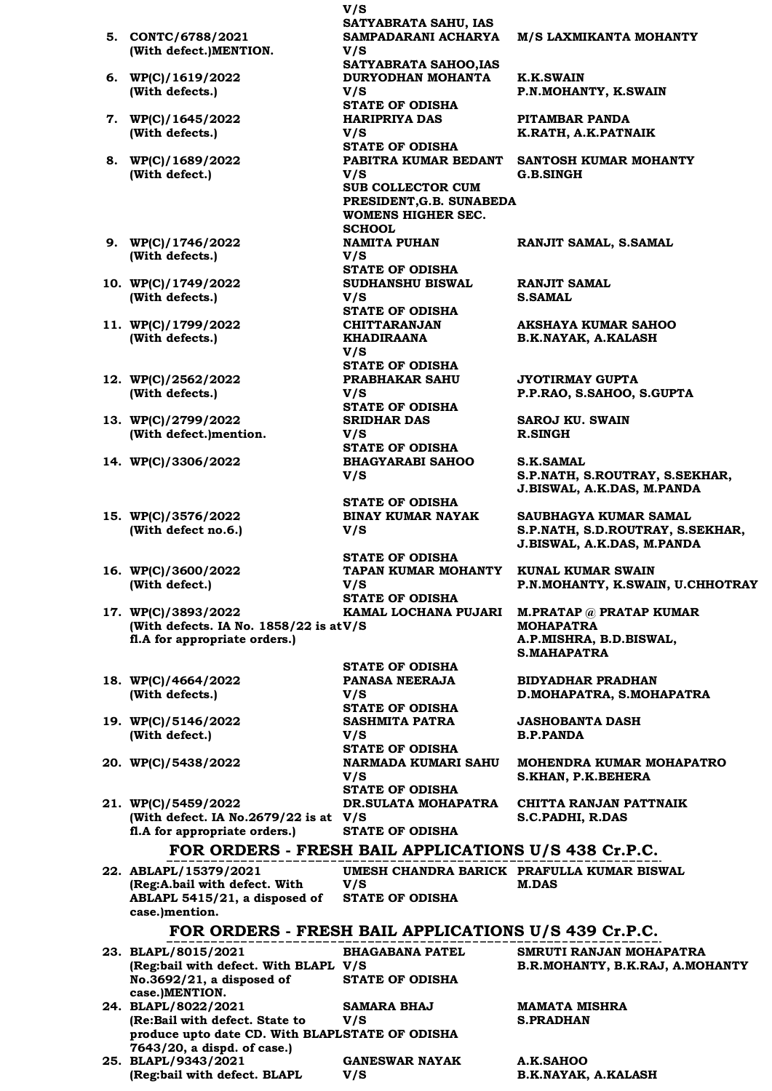- **V/S SATYABRATA SAHU, IAS 5. CONTC/6788/2021 (With defect.)MENTION. SAMPADARANI ACHARYA V/S M/S LAXMIKANTA MOHANTY SATYABRATA SAHOO,IAS 6. WP(C)/1619/2022 (With defects.) DURYODHAN MOHANTA V/S K.K.SWAIN P.N.MOHANTY, K.SWAIN STATE OF ODISHA 7. WP(C)/1645/2022 (With defects.) HARIPRIYA DAS V/S PITAMBAR PANDA K.RATH, A.K.PATNAIK STATE OF ODISHA 8. WP(C)/1689/2022 (With defect.) PABITRA KUMAR BEDANT SANTOSH KUMAR MOHANTY V/S G.B.SINGH SUB COLLECTOR CUM PRESIDENT,G.B. SUNABEDA WOMENS HIGHER SEC. SCHOOL 9. WP(C)/1746/2022 (With defects.) NAMITA PUHAN V/S RANJIT SAMAL, S.SAMAL STATE OF ODISHA 10. WP(C)/1749/2022 (With defects.) SUDHANSHU BISWAL V/S RANJIT SAMAL S.SAMAL STATE OF ODISHA 11. WP(C)/1799/2022 (With defects.) CHITTARANJAN KHADIRAANA V/S AKSHAYA KUMAR SAHOO B.K.NAYAK, A.KALASH STATE OF ODISHA 12. WP(C)/2562/2022 (With defects.) PRABHAKAR SAHU V/S JYOTIRMAY GUPTA P.P.RAO, S.SAHOO, S.GUPTA STATE OF ODISHA 13. WP(C)/2799/2022 (With defect.)mention. SRIDHAR DAS V/S SAROJ KU. SWAIN R.SINGH STATE OF ODISHA 14. WP(C)/3306/2022 BHAGYARABI SAHOO V/S S.K.SAMAL S.P.NATH, S.ROUTRAY, S.SEKHAR, J.BISWAL, A.K.DAS, M.PANDA STATE OF ODISHA 15. WP(C)/3576/2022 (With defect no.6.) BINAY KUMAR NAYAK V/S SAUBHAGYA KUMAR SAMAL S.P.NATH, S.D.ROUTRAY, S.SEKHAR, J.BISWAL, A.K.DAS, M.PANDA STATE OF ODISHA 16. WP(C)/3600/2022 (With defect.) TAPAN KUMAR MOHANTY KUNAL KUMAR SWAIN V/S P.N.MOHANTY, K.SWAIN, U.CHHOTRAY STATE OF ODISHA 17. WP(C)/3893/2022 (With defects. IA No. 1858/22 is at V/S fl.A for appropriate orders.) KAMAL LOCHANA PUJARI M.PRATAP @ PRATAP KUMAR MOHAPATRA A.P.MISHRA, B.D.BISWAL, S.MAHAPATRA STATE OF ODISHA 18. WP(C)/4664/2022 (With defects.) PANASA NEERAJA V/S BIDYADHAR PRADHAN D.MOHAPATRA, S.MOHAPATRA STATE OF ODISHA 19. WP(C)/5146/2022 (With defect.) SASHMITA PATRA V/S JASHOBANTA DASH B.P.PANDA STATE OF ODISHA**
- **20. WP(C)/5438/2022 NARMADA KUMARI SAHU MOHENDRA KUMAR MOHAPATRO S.KHAN, P.K.BEHERA STATE OF ODISHA**

**CHITTA RANJAN PATTNAIK S.C.PADHI, R.DAS**

| fl.A for appropriate orders.)                                                                                                           | <b>STATE OF ODISHA</b>                               |                                                            |
|-----------------------------------------------------------------------------------------------------------------------------------------|------------------------------------------------------|------------------------------------------------------------|
|                                                                                                                                         | FOR ORDERS - FRESH BAIL APPLICATIONS U/S 438 Cr.P.C. |                                                            |
| 22. ABLAPL/15379/2021<br>(Reg:A.bail with defect. With<br>ABLAPL 5415/21, a disposed of STATE OF ODISHA<br>case.)mention.               | V/S                                                  | UMESH CHANDRA BARICK PRAFULLA KUMAR BISWAL<br><b>M.DAS</b> |
|                                                                                                                                         | FOR ORDERS - FRESH BAIL APPLICATIONS U/S 439 Cr.P.C. |                                                            |
| 23. BLAPL/8015/2021<br>(Reg:bail with defect. With BLAPL V/S<br>No.3692/21, a disposed of STATE OF ODISHA<br>case.)MENTION.             | <b>BHAGABANA PATEL</b>                               | SMRUTI RANJAN MOHAPATRA<br>B.R.MOHANTY, B.K.RAJ, A.MOHANTY |
| 24. BLAPL/8022/2021<br>(Re:Bail with defect. State to<br>produce upto date CD. With BLAPLSTATE OF ODISHA<br>7643/20, a dispd. of case.) | <b>SAMARA BHAJ</b><br>V/S                            | <b>MAMATA MISHRA</b><br><b>S.PRADHAN</b>                   |

**DR.SULATA MOHAPATRA** 

**25. BLAPL/9343/2021 (Reg:bail with defect. BLAPL GANESWAR NAYAK V/S** 

**V/S** 

**21. WP(C)/5459/2022** 

**(With defect. IA No.2679/22 is at V/S** 

**A.K.SAHOO B.K.NAYAK, A.KALASH**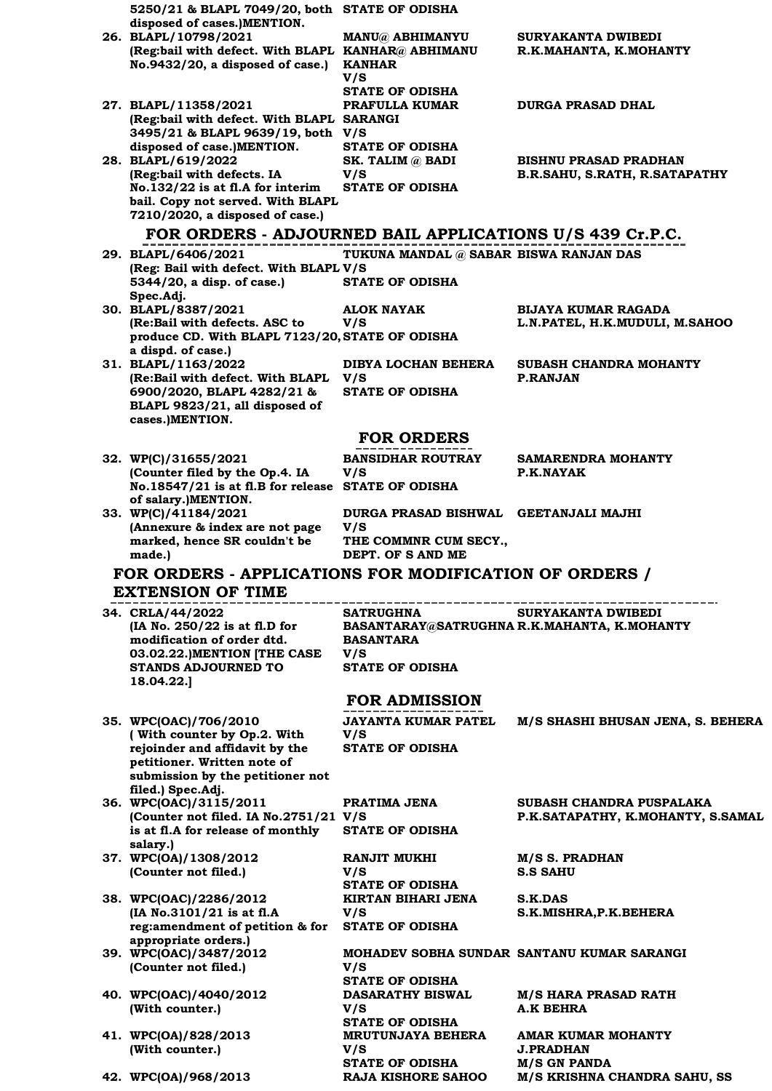| 5250/21 & BLAPL 7049/20, both STATE OF ODISHA                                        |                                        |                                             |
|--------------------------------------------------------------------------------------|----------------------------------------|---------------------------------------------|
| disposed of cases.)MENTION.<br>26. BLAPL/10798/2021                                  |                                        | SURYAKANTA DWIBEDI                          |
| (Reg:bail with defect. With BLAPL KANHAR@ ABHIMANU                                   | <b>MANU@ ABHIMANYU</b>                 | R.K.MAHANTA, K.MOHANTY                      |
| No.9432/20, a disposed of case.)                                                     | <b>KANHAR</b>                          |                                             |
|                                                                                      | V/S<br><b>STATE OF ODISHA</b>          |                                             |
| 27. BLAPL/11358/2021                                                                 | PRAFULLA KUMAR                         | <b>DURGA PRASAD DHAL</b>                    |
| (Reg:bail with defect. With BLAPL SARANGI                                            |                                        |                                             |
| 3495/21 & BLAPL 9639/19, both V/S<br>disposed of case.)MENTION.                      | <b>STATE OF ODISHA</b>                 |                                             |
| 28. BLAPL/619/2022                                                                   | SK. TALIM @ BADI                       | <b>BISHNU PRASAD PRADHAN</b>                |
| (Reg:bail with defects. IA                                                           | V/S                                    | B.R.SAHU, S.RATH, R.SATAPATHY               |
| No.132/22 is at fl.A for interim<br>bail. Copy not served. With BLAPL                | <b>STATE OF ODISHA</b>                 |                                             |
| 7210/2020, a disposed of case.)                                                      |                                        |                                             |
| FOR ORDERS - ADJOURNED BAIL APPLICATIONS U/S 439 Cr.P.C.                             |                                        |                                             |
| 29. BLAPL/6406/2021                                                                  | TUKUNA MANDAL @ SABAR BISWA RANJAN DAS |                                             |
| (Reg: Bail with defect. With BLAPL V/S                                               |                                        |                                             |
| 5344/20, a disp. of case.)<br>Spec.Adj.                                              | <b>STATE OF ODISHA</b>                 |                                             |
| 30. BLAPL/8387/2021                                                                  | <b>ALOK NAYAK</b>                      | BIJAYA KUMAR RAGADA                         |
| (Re:Bail with defects. ASC to<br>produce CD. With BLAPL 7123/20, STATE OF ODISHA     | V/S                                    | L.N.PATEL, H.K.MUDULI, M.SAHOO              |
| a dispd. of case.)                                                                   |                                        |                                             |
| 31. BLAPL/1163/2022                                                                  | DIBYA LOCHAN BEHERA                    | SUBASH CHANDRA MOHANTY                      |
| (Re:Bail with defect. With BLAPL<br>6900/2020, BLAPL 4282/21 &                       | V/S<br><b>STATE OF ODISHA</b>          | <b>P.RANJAN</b>                             |
| BLAPL 9823/21, all disposed of                                                       |                                        |                                             |
| cases.)MENTION.                                                                      |                                        |                                             |
|                                                                                      | <b>FOR ORDERS</b>                      |                                             |
| 32. WP(C)/31655/2021                                                                 | <b>BANSIDHAR ROUTRAY</b><br>V/S        | SAMARENDRA MOHANTY<br>P.K.NAYAK             |
| (Counter filed by the Op.4. IA<br>No.18547/21 is at fl.B for release STATE OF ODISHA |                                        |                                             |
| of salary.)MENTION.                                                                  |                                        |                                             |
| 33. WP(C)/41184/2021<br>(Annexure & index are not page                               | <b>DURGA PRASAD BISHWAL</b><br>V/S     | GEETANJALI MAJHI                            |
|                                                                                      |                                        |                                             |
| marked, hence SR couldn't be                                                         | THE COMMNR CUM SECY.,                  |                                             |
| made.)                                                                               | DEPT. OF SAND ME                       |                                             |
| FOR ORDERS - APPLICATIONS FOR MODIFICATION OF ORDERS /                               |                                        |                                             |
| <b>EXTENSION OF TIME</b>                                                             |                                        |                                             |
| 34. CRLA/44/2022                                                                     | <b>SATRUGHNA</b>                       | <b>SURYAKANTA DWIBEDI</b>                   |
| (IA No. 250/22 is at fl.D for<br>modification of order dtd.                          | <b>BASANTARA</b>                       | BASANTARAY@SATRUGHNA R.K.MAHANTA, K.MOHANTY |
| 03.02.22.) MENTION [THE CASE                                                         | V/S                                    |                                             |
| <b>STANDS ADJOURNED TO</b>                                                           | <b>STATE OF ODISHA</b>                 |                                             |
| 18.04.22.]                                                                           |                                        |                                             |
|                                                                                      | <b>FOR ADMISSION</b>                   |                                             |
| 35. WPC(OAC)/706/2010<br>(With counter by Op.2. With                                 | <b>JAYANTA KUMAR PATEL</b><br>V/S      | M/S SHASHI BHUSAN JENA, S. BEHERA           |
| rejoinder and affidavit by the                                                       | <b>STATE OF ODISHA</b>                 |                                             |
| petitioner. Written note of                                                          |                                        |                                             |
| submission by the petitioner not<br>filed.) Spec.Adj.                                |                                        |                                             |
| 36. WPC(OAC)/3115/2011                                                               | PRATIMA JENA                           | SUBASH CHANDRA PUSPALAKA                    |
| (Counter not filed. IA No.2751/21 V/S<br>is at fl.A for release of monthly           | <b>STATE OF ODISHA</b>                 | P.K.SATAPATHY, K.MOHANTY, S.SAMAL           |
| salary.)                                                                             |                                        |                                             |
| 37. WPC(OA)/1308/2012                                                                | <b>RANJIT MUKHI</b>                    | M/S S. PRADHAN<br><b>S.S SAHU</b>           |
| (Counter not filed.)                                                                 | V/S<br><b>STATE OF ODISHA</b>          |                                             |
| 38. WPC(OAC)/2286/2012                                                               | KIRTAN BIHARI JENA                     | <b>S.K.DAS</b>                              |
| (IA No.3101/21 is at fl.A<br>reg:amendment of petition & for STATE OF ODISHA         | V/S                                    | S.K.MISHRA, P.K. BEHERA                     |
| appropriate orders.)                                                                 |                                        |                                             |
| 39. WPC(OAC)/3487/2012                                                               |                                        | MOHADEV SOBHA SUNDAR SANTANU KUMAR SARANGI  |
| (Counter not filed.)                                                                 | V/S<br><b>STATE OF ODISHA</b>          |                                             |
| 40. WPC(OAC)/4040/2012                                                               | <b>DASARATHY BISWAL</b>                | <b>M/S HARA PRASAD RATH</b>                 |
| (With counter.)                                                                      | V/S<br><b>STATE OF ODISHA</b>          | <b>A.K BEHRA</b>                            |
| 41. WPC(OA)/828/2013                                                                 | <b>MRUTUNJAYA BEHERA</b>               | <b>AMAR KUMAR MOHANTY</b>                   |
| (With counter.)                                                                      | V/S<br><b>STATE OF ODISHA</b>          | <b>J.PRADHAN</b><br><b>M/S GN PANDA</b>     |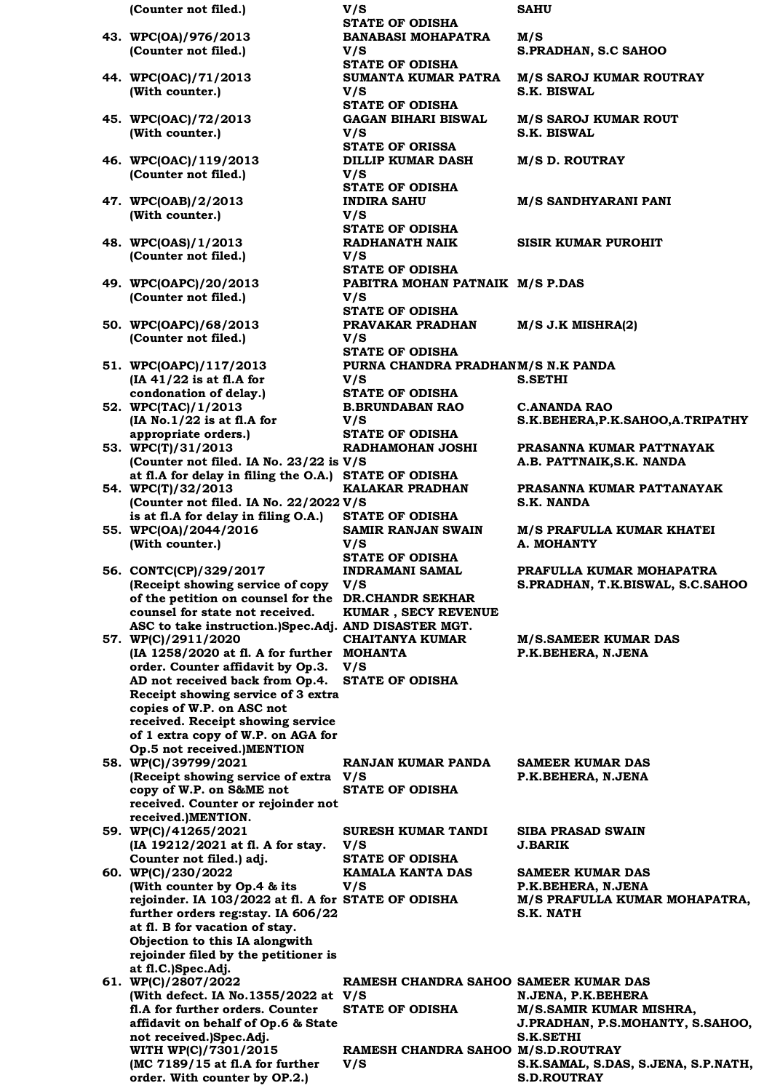| (Counter not filed.)                                  | V/S                                       | <b>SAHU</b>                         |
|-------------------------------------------------------|-------------------------------------------|-------------------------------------|
|                                                       | <b>STATE OF ODISHA</b>                    |                                     |
| 43. WPC(OA)/976/2013                                  | <b>BANABASI MOHAPATRA</b>                 | M/S                                 |
| (Counter not filed.)                                  | V/S                                       | S.PRADHAN, S.C SAHOO                |
|                                                       | <b>STATE OF ODISHA</b>                    |                                     |
| 44. WPC(OAC)/71/2013                                  | SUMANTA KUMAR PATRA                       |                                     |
|                                                       |                                           | <b>M/S SAROJ KUMAR ROUTRAY</b>      |
| (With counter.)                                       | V/S                                       | S.K. BISWAL                         |
|                                                       | <b>STATE OF ODISHA</b>                    |                                     |
| 45. WPC(OAC)/72/2013                                  | <b>GAGAN BIHARI BISWAL</b>                | <b>M/S SAROJ KUMAR ROUT</b>         |
| (With counter.)                                       | V/S                                       | S.K. BISWAL                         |
|                                                       | <b>STATE OF ORISSA</b>                    |                                     |
| 46. WPC(OAC)/119/2013                                 | <b>DILLIP KUMAR DASH</b>                  | <b>M/S D. ROUTRAY</b>               |
| (Counter not filed.)                                  | V/S                                       |                                     |
|                                                       | <b>STATE OF ODISHA</b>                    |                                     |
| 47. WPC(OAB)/2/2013                                   | <b>INDIRA SAHU</b>                        | <b>M/S SANDHYARANI PANI</b>         |
| (With counter.)                                       | V/S                                       |                                     |
|                                                       | <b>STATE OF ODISHA</b>                    |                                     |
| 48. WPC(OAS)/1/2013                                   | RADHANATH NAIK                            | <b>SISIR KUMAR PUROHIT</b>          |
| (Counter not filed.)                                  | V/S                                       |                                     |
|                                                       | <b>STATE OF ODISHA</b>                    |                                     |
| 49. WPC(OAPC)/20/2013                                 | PABITRA MOHAN PATNAIK M/S P.DAS           |                                     |
| (Counter not filed.)                                  | V/S                                       |                                     |
|                                                       | <b>STATE OF ODISHA</b>                    |                                     |
| 50. WPC(OAPC)/68/2013                                 | PRAVAKAR PRADHAN                          | $M/S$ J.K MISHRA $(2)$              |
| (Counter not filed.)                                  | V/S                                       |                                     |
|                                                       | <b>STATE OF ODISHA</b>                    |                                     |
|                                                       | PURNA CHANDRA PRADHANM/S N.K PANDA        |                                     |
| 51. WPC(OAPC)/117/2013                                |                                           |                                     |
| $(IA 41/22$ is at fl.A for                            | V/S                                       | <b>S.SETHI</b>                      |
| condonation of delay.)                                | <b>STATE OF ODISHA</b>                    |                                     |
| 52. WPC(TAC)/1/2013                                   | <b>B.BRUNDABAN RAO</b>                    | <b>C.ANANDA RAO</b>                 |
| (IA No.1/22 is at fl.A for                            | V/S                                       | S.K.BEHERA, P.K.SAHOO, A.TRIPATHY   |
| appropriate orders.)                                  | <b>STATE OF ODISHA</b>                    |                                     |
| 53. WPC(T)/31/2013                                    | RADHAMOHAN JOSHI                          | PRASANNA KUMAR PATTNAYAK            |
| (Counter not filed. IA No. 23/22 is V/S               |                                           | A.B. PATTNAIK, S.K. NANDA           |
| at fl.A for delay in filing the O.A.) STATE OF ODISHA |                                           |                                     |
| 54. WPC(T)/32/2013                                    | <b>KALAKAR PRADHAN</b>                    | PRASANNA KUMAR PATTANAYAK           |
| (Counter not filed. IA No. 22/2022 V/S                |                                           | <b>S.K. NANDA</b>                   |
| is at fl.A for delay in filing O.A.)                  | <b>STATE OF ODISHA</b>                    |                                     |
| 55. WPC(OA)/2044/2016                                 | <b>SAMIR RANJAN SWAIN</b>                 | M/S PRAFULLA KUMAR KHATEI           |
| (With counter.)                                       | V/S                                       | A. MOHANTY                          |
|                                                       | <b>STATE OF ODISHA</b>                    |                                     |
| 56. CONTC(CP)/329/2017                                | <b>INDRAMANI SAMAL</b>                    | PRAFULLA KUMAR MOHAPATRA            |
| (Receipt showing service of copy                      | V/S                                       | S.PRADHAN, T.K.BISWAL, S.C.SAHOO    |
| of the petition on counsel for the DR.CHANDR SEKHAR   |                                           |                                     |
| counsel for state not received.                       | KUMAR, SECY REVENUE                       |                                     |
| ASC to take instruction.)Spec.Adj. AND DISASTER MGT.  |                                           |                                     |
|                                                       |                                           |                                     |
| 57. WP(C)/2911/2020                                   | <b>CHAITANYA KUMAR</b>                    | <b>M/S.SAMEER KUMAR DAS</b>         |
| (IA 1258/2020 at fl. A for further MOHANTA            |                                           | P.K.BEHERA, N.JENA                  |
| order. Counter affidavit by Op.3.                     | V/S                                       |                                     |
| AD not received back from Op.4.                       | <b>STATE OF ODISHA</b>                    |                                     |
| Receipt showing service of 3 extra                    |                                           |                                     |
| copies of W.P. on ASC not                             |                                           |                                     |
| received. Receipt showing service                     |                                           |                                     |
| of 1 extra copy of W.P. on AGA for                    |                                           |                                     |
| Op.5 not received.)MENTION                            |                                           |                                     |
| 58. WP(C)/39799/2021                                  | <b>RANJAN KUMAR PANDA</b>                 | <b>SAMEER KUMAR DAS</b>             |
| (Receipt showing service of extra V/S                 |                                           | P.K.BEHERA, N.JENA                  |
| copy of W.P. on S&ME not                              | <b>STATE OF ODISHA</b>                    |                                     |
| received. Counter or rejoinder not                    |                                           |                                     |
| received.)MENTION.                                    |                                           |                                     |
| 59. WP(C)/41265/2021                                  | <b>SURESH KUMAR TANDI</b>                 | <b>SIBA PRASAD SWAIN</b>            |
| (IA 19212/2021 at fl. A for stay.                     | V/S                                       | <b>J.BARIK</b>                      |
| Counter not filed.) adj.                              | <b>STATE OF ODISHA</b>                    |                                     |
| 60. WP(C)/230/2022                                    | KAMALA KANTA DAS                          | <b>SAMEER KUMAR DAS</b>             |
| (With counter by Op.4 & its                           | V/S                                       | P.K.BEHERA, N.JENA                  |
| rejoinder. IA 103/2022 at fl. A for STATE OF ODISHA   |                                           | M/S PRAFULLA KUMAR MOHAPATRA,       |
| further orders reg:stay. IA 606/22                    |                                           | S.K. NATH                           |
| at fl. B for vacation of stay.                        |                                           |                                     |
| Objection to this IA alongwith                        |                                           |                                     |
| rejoinder filed by the petitioner is                  |                                           |                                     |
| at fl.C.)Spec.Adj.                                    |                                           |                                     |
| 61. WP(C)/2807/2022                                   | RAMESH CHANDRA SAHOO SAMEER KUMAR DAS     |                                     |
| (With defect. IA No.1355/2022 at V/S                  |                                           | N.JENA, P.K.BEHERA                  |
| fl.A for further orders. Counter                      | <b>STATE OF ODISHA</b>                    | M/S.SAMIR KUMAR MISHRA,             |
| affidavit on behalf of Op.6 & State                   |                                           | J.PRADHAN, P.S.MOHANTY, S.SAHOO,    |
| not received.)Spec.Adj.                               |                                           | S.K.SETHI                           |
| WITH WP(C)/7301/2015                                  |                                           |                                     |
| (MC 7189/15 at fl.A for further                       | RAMESH CHANDRA SAHOO M/S.D.ROUTRAY<br>V/S | S.K.SAMAL, S.DAS, S.JENA, S.P.NATH, |
|                                                       |                                           |                                     |

**S.D.ROUTRAY**

**order. With counter by OP.2.)**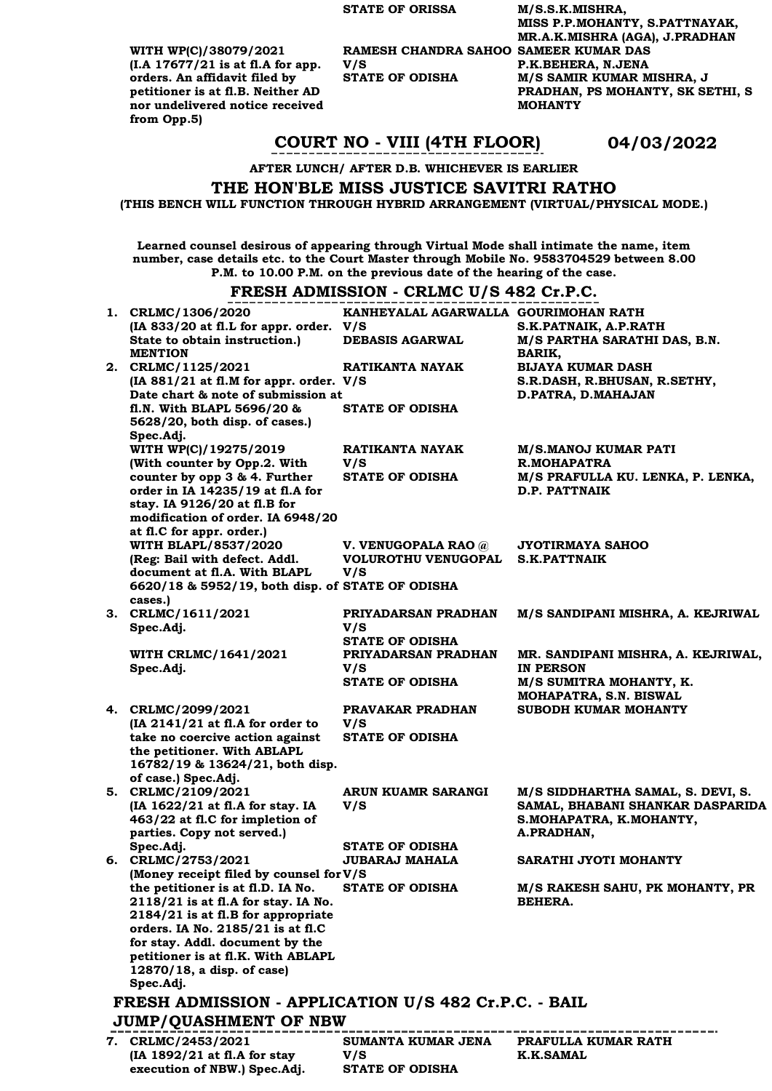**V/S** 

**WITH WP(C)/38079/2021 (I.A 17677/21 is at fl.A for app. orders. An affidavit filed by petitioner is at fl.B. Neither AD nor undelivered notice received from Opp.5)**

**(IA 1892/21 at fl.A for stay execution of NBW.) Spec.Adj.** **V/S** 

**STATE OF ODISHA**

**STATE OF ORISSA M/S.S.K.MISHRA, MISS P.P.MOHANTY, S.PATTNAYAK, MR.A.K.MISHRA (AGA), J.PRADHAN RAMESH CHANDRA SAHOO SAMEER KUMAR DAS P.K.BEHERA, N.JENA STATE OF ODISHA M/S SAMIR KUMAR MISHRA, J PRADHAN, PS MOHANTY, SK SETHI, S MOHANTY** 

### **COURT NO - VIII (4TH FLOOR) 04/03/2022**

**AFTER LUNCH/ AFTER D.B. WHICHEVER IS EARLIER**

#### **THE HON'BLE MISS JUSTICE SAVITRI RATHO**

**(THIS BENCH WILL FUNCTION THROUGH HYBRID ARRANGEMENT (VIRTUAL/PHYSICAL MODE.)**

**Learned counsel desirous of appearing through Virtual Mode shall intimate the name, item number, case details etc. to the Court Master through Mobile No. 9583704529 between 8.00 P.M. to 10.00 P.M. on the previous date of the hearing of the case.**

#### **FRESH ADMISSION - CRLMC U/S 482 Cr.P.C.**

| 1. CRLMC/1306/2020<br>(IA 833/20 at fl.L for appr. order. V/S             | KANHEYALAL AGARWALLA GOURIMOHAN RATH | S.K.PATNAIK, A.P.RATH                         |
|---------------------------------------------------------------------------|--------------------------------------|-----------------------------------------------|
| State to obtain instruction.)<br><b>MENTION</b>                           | <b>DEBASIS AGARWAL</b>               | M/S PARTHA SARATHI DAS, B.N.<br><b>BARIK,</b> |
| 2. CRLMC/1125/2021                                                        | RATIKANTA NAYAK                      | <b>BIJAYA KUMAR DASH</b>                      |
| (IA 881/21 at fl.M for appr. order. V/S                                   |                                      | S.R.DASH, R.BHUSAN, R.SETHY,                  |
| Date chart & note of submission at                                        |                                      | D.PATRA, D.MAHAJAN                            |
| fl.N. With BLAPL 5696/20 &<br>5628/20, both disp. of cases.)              | <b>STATE OF ODISHA</b>               |                                               |
| Spec.Adj.                                                                 |                                      |                                               |
| WITH WP(C)/19275/2019<br>(With counter by Opp.2. With                     | RATIKANTA NAYAK<br>V/S               | <b>M/S.MANOJ KUMAR PATI</b><br>R.MOHAPATRA    |
| counter by opp 3 & 4. Further                                             | <b>STATE OF ODISHA</b>               | M/S PRAFULLA KU. LENKA, P. LENKA,             |
| order in IA 14235/19 at fl.A for                                          |                                      | <b>D.P. PATTNAIK</b>                          |
| stay. IA 9126/20 at fl.B for                                              |                                      |                                               |
| modification of order. IA 6948/20                                         |                                      |                                               |
| at fl.C for appr. order.)                                                 |                                      |                                               |
| WITH BLAPL/8537/2020                                                      | V. VENUGOPALA RAO @                  | <b>JYOTIRMAYA SAHOO</b>                       |
| (Reg: Bail with defect. Addl.                                             | VOLUROTHU VENUGOPAL                  | <b>S.K.PATTNAIK</b>                           |
| document at fl.A. With BLAPL                                              | V/S                                  |                                               |
| 6620/18 & 5952/19, both disp. of STATE OF ODISHA                          |                                      |                                               |
| cases.)                                                                   |                                      |                                               |
| 3. CRLMC/1611/2021<br>Spec.Adj.                                           | PRIYADARSAN PRADHAN<br>V/S           | M/S SANDIPANI MISHRA, A. KEJRIWAL             |
|                                                                           | <b>STATE OF ODISHA</b>               |                                               |
| <b>WITH CRLMC/1641/2021</b>                                               | PRIYADARSAN PRADHAN                  | MR. SANDIPANI MISHRA, A. KEJRIWAL,            |
| Spec.Adj.                                                                 | V/S                                  | <b>IN PERSON</b>                              |
|                                                                           | <b>STATE OF ODISHA</b>               | M/S SUMITRA MOHANTY, K.                       |
|                                                                           |                                      | MOHAPATRA, S.N. BISWAL                        |
| 4. CRLMC/2099/2021                                                        | PRAVAKAR PRADHAN                     | SUBODH KUMAR MOHANTY                          |
| (IA 2141/21 at fl.A for order to                                          | V/S                                  |                                               |
| take no coercive action against                                           | <b>STATE OF ODISHA</b>               |                                               |
| the petitioner. With ABLAPL                                               |                                      |                                               |
| 16782/19 & 13624/21, both disp.<br>of case.) Spec.Adj.                    |                                      |                                               |
| 5. CRLMC/2109/2021                                                        | ARUN KUAMR SARANGI                   | M/S SIDDHARTHA SAMAL, S. DEVI, S.             |
| (IA 1622/21 at fl.A for stay. IA                                          | V/S                                  | SAMAL, BHABANI SHANKAR DASPARIDA              |
| 463/22 at fl.C for impletion of                                           |                                      | S.MOHAPATRA, K.MOHANTY,                       |
| parties. Copy not served.)                                                |                                      | A.PRADHAN,                                    |
| Spec.Adj.                                                                 | <b>STATE OF ODISHA</b>               |                                               |
| 6. CRLMC/2753/2021                                                        | <b>JUBARAJ MAHALA</b>                | SARATHI JYOTI MOHANTY                         |
| (Money receipt filed by counsel for V/S                                   |                                      |                                               |
| the petitioner is at fl.D. IA No. STATE OF ODISHA                         |                                      | M/S RAKESH SAHU, PK MOHANTY, PR               |
| 2118/21 is at fl.A for stay. IA No.<br>2184/21 is at fl.B for appropriate |                                      | <b>BEHERA.</b>                                |
| orders. IA No. 2185/21 is at fl.C                                         |                                      |                                               |
| for stay. Addl. document by the                                           |                                      |                                               |
| petitioner is at fl.K. With ABLAPL                                        |                                      |                                               |
| 12870/18, a disp. of case)                                                |                                      |                                               |
| Spec.Adj.                                                                 |                                      |                                               |
| FRESH ADMISSION - APPLICATION U/S 482 Cr.P.C. - BAIL                      |                                      |                                               |
| <b>JUMP/QUASHMENT OF NBW</b>                                              |                                      |                                               |
| 7. CRLMC/2453/2021                                                        | <b>SUMANTA KUMAR JENA</b>            | PRAFULLA KUMAR RATH                           |

**K.K.SAMAL**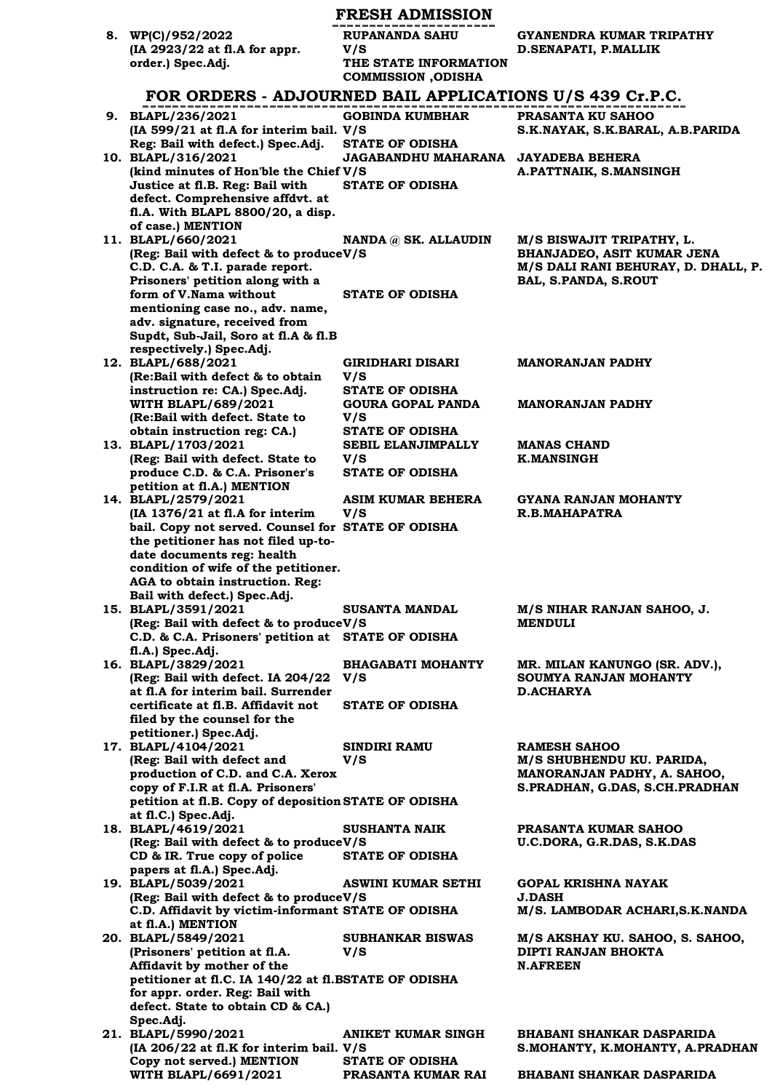|                                                                                              | <b>FRESH ADMISSION</b>                                     |                                                                     |
|----------------------------------------------------------------------------------------------|------------------------------------------------------------|---------------------------------------------------------------------|
| 8. WP(C)/952/2022                                                                            | <b>RUPANANDA SAHU</b>                                      | GYANENDRA KUMAR TRIPATHY                                            |
| (IA 2923/22 at fl.A for appr.<br>order.) Spec.Adj.                                           | V/S<br>THE STATE INFORMATION<br><b>COMMISSION</b> , ODISHA | D.SENAPATI, P.MALLIK                                                |
| FOR ORDERS - ADJOURNED BAIL APPLICATIONS U/S 439 Cr.P.C.                                     |                                                            |                                                                     |
| 9. BLAPL/236/2021                                                                            | <b>GOBINDA KUMBHAR</b>                                     | <b>PRASANTA KU SAHOO</b>                                            |
| $(IA 599/21 at fl.A for interim bail. V/S)$                                                  |                                                            | S.K.NAYAK, S.K.BARAL, A.B.PARIDA                                    |
| Reg: Bail with defect.) Spec.Adj.<br>10. BLAPL/316/2021                                      | <b>STATE OF ODISHA</b><br>JAGABANDHU MAHARANA              | <b>JAYADEBA BEHERA</b>                                              |
| (kind minutes of Hon'ble the Chief V/S)                                                      |                                                            | A.PATTNAIK, S.MANSINGH                                              |
| Justice at fl.B. Reg: Bail with                                                              | <b>STATE OF ODISHA</b>                                     |                                                                     |
| defect. Comprehensive affdvt. at<br>fl.A. With BLAPL 8800/20, a disp.                        |                                                            |                                                                     |
| of case.) MENTION                                                                            |                                                            |                                                                     |
| 11. BLAPL/660/2021<br>(Reg: Bail with defect & to produceV/S                                 | NANDA @ SK. ALLAUDIN                                       | M/S BISWAJIT TRIPATHY, L.<br>BHANJADEO, ASIT KUMAR JENA             |
| C.D. C.A. & T.I. parade report.                                                              |                                                            | M/S DALI RANI BEHURAY, D. DHALL, P.                                 |
| Prisoners' petition along with a                                                             |                                                            | BAL, S.PANDA, S.ROUT                                                |
| form of V.Nama without<br>mentioning case no., adv. name,                                    | <b>STATE OF ODISHA</b>                                     |                                                                     |
| adv. signature, received from                                                                |                                                            |                                                                     |
| Supdt, Sub-Jail, Soro at fl.A & fl.B<br>respectively.) Spec.Adj.                             |                                                            |                                                                     |
| 12. BLAPL/688/2021                                                                           | <b>GIRIDHARI DISARI</b>                                    | <b>MANORANJAN PADHY</b>                                             |
| (Re:Bail with defect & to obtain                                                             | V/S                                                        |                                                                     |
| instruction re: CA.) Spec.Adj.<br><b>WITH BLAPL/689/2021</b>                                 | <b>STATE OF ODISHA</b><br><b>GOURA GOPAL PANDA</b>         | <b>MANORANJAN PADHY</b>                                             |
| (Re:Bail with defect. State to                                                               | V/S                                                        |                                                                     |
| obtain instruction reg: CA.)<br>13. BLAPL/1703/2021                                          | <b>STATE OF ODISHA</b><br>SEBIL ELANJIMPALLY               | <b>MANAS CHAND</b>                                                  |
| (Reg: Bail with defect. State to                                                             | V/S                                                        | <b>K.MANSINGH</b>                                                   |
| produce C.D. & C.A. Prisoner's                                                               | <b>STATE OF ODISHA</b>                                     |                                                                     |
| petition at fl.A.) MENTION<br>14. BLAPL/2579/2021                                            | ASIM KUMAR BEHERA                                          | GYANA RANJAN MOHANTY                                                |
| (IA 1376/21 at fl.A for interim                                                              | V/S                                                        | R.B.MAHAPATRA                                                       |
| bail. Copy not served. Counsel for STATE OF ODISHA<br>the petitioner has not filed up-to-    |                                                            |                                                                     |
| date documents reg: health                                                                   |                                                            |                                                                     |
| condition of wife of the petitioner.<br>AGA to obtain instruction. Reg:                      |                                                            |                                                                     |
| Bail with defect.) Spec.Adj.                                                                 |                                                            |                                                                     |
| 15. BLAPL/3591/2021                                                                          | <b>SUSANTA MANDAL</b>                                      | M/S NIHAR RANJAN SAHOO, J.                                          |
| (Reg: Bail with defect & to produceV/S<br>C.D. & C.A. Prisoners' petition at STATE OF ODISHA |                                                            | <b>MENDULI</b>                                                      |
| fl.A.) Spec.Adj.                                                                             |                                                            |                                                                     |
| 16. BLAPL/3829/2021<br>(Reg: Bail with defect. IA 204/22                                     | <b>BHAGABATI MOHANTY</b><br>V/S                            | MR. MILAN KANUNGO (SR. ADV.),<br>SOUMYA RANJAN MOHANTY              |
| at fl.A for interim bail. Surrender                                                          |                                                            | <b>D.ACHARYA</b>                                                    |
| certificate at fl.B. Affidavit not<br>filed by the counsel for the                           | <b>STATE OF ODISHA</b>                                     |                                                                     |
| petitioner.) Spec.Adj.                                                                       |                                                            |                                                                     |
| 17. BLAPL/4104/2021                                                                          | SINDIRI RAMU                                               | <b>RAMESH SAHOO</b>                                                 |
| (Reg: Bail with defect and<br>production of C.D. and C.A. Xerox                              | V/S                                                        | M/S SHUBHENDU KU. PARIDA,<br>MANORANJAN PADHY, A. SAHOO,            |
| copy of F.I.R at fl.A. Prisoners'                                                            |                                                            | S.PRADHAN, G.DAS, S.CH.PRADHAN                                      |
| petition at fl.B. Copy of deposition STATE OF ODISHA<br>at fl.C.) Spec.Adj.                  |                                                            |                                                                     |
| 18. BLAPL/4619/2021                                                                          | <b>SUSHANTA NAIK</b>                                       | PRASANTA KUMAR SAHOO                                                |
| (Reg: Bail with defect & to produceV/S<br>CD & IR. True copy of police                       | <b>STATE OF ODISHA</b>                                     | U.C.DORA, G.R.DAS, S.K.DAS                                          |
| papers at fl.A.) Spec.Adj.                                                                   |                                                            |                                                                     |
| 19. BLAPL/5039/2021<br>(Reg: Bail with defect & to produceV/S                                | <b>ASWINI KUMAR SETHI</b>                                  | GOPAL KRISHNA NAYAK<br><b>J.DASH</b>                                |
| C.D. Affidavit by victim-informant STATE OF ODISHA                                           |                                                            | M/S. LAMBODAR ACHARI, S.K. NANDA                                    |
| at fl.A.) MENTION                                                                            |                                                            |                                                                     |
| 20. BLAPL/5849/2021<br>(Prisoners' petition at fl.A.                                         | <b>SUBHANKAR BISWAS</b><br>V/S                             | M/S AKSHAY KU. SAHOO, S. SAHOO,<br>DIPTI RANJAN BHOKTA              |
| Affidavit by mother of the                                                                   |                                                            | <b>N.AFREEN</b>                                                     |
| petitioner at fl.C. IA 140/22 at fl.BSTATE OF ODISHA<br>for appr. order. Reg: Bail with      |                                                            |                                                                     |
| defect. State to obtain CD & CA.)                                                            |                                                            |                                                                     |
| Spec.Adj.                                                                                    |                                                            |                                                                     |
| 21. BLAPL/5990/2021<br>(IA 206/22 at fl.K for interim bail. V/S                              | ANIKET KUMAR SINGH                                         | <b>BHABANI SHANKAR DASPARIDA</b><br>S.MOHANTY, K.MOHANTY, A.PRADHAN |
| Copy not served.) MENTION                                                                    | <b>STATE OF ODISHA</b>                                     |                                                                     |
| WITH BLAPL/6691/2021                                                                         | PRASANTA KUMAR RAI                                         | <b>BHABANI SHANKAR DASPARIDA</b>                                    |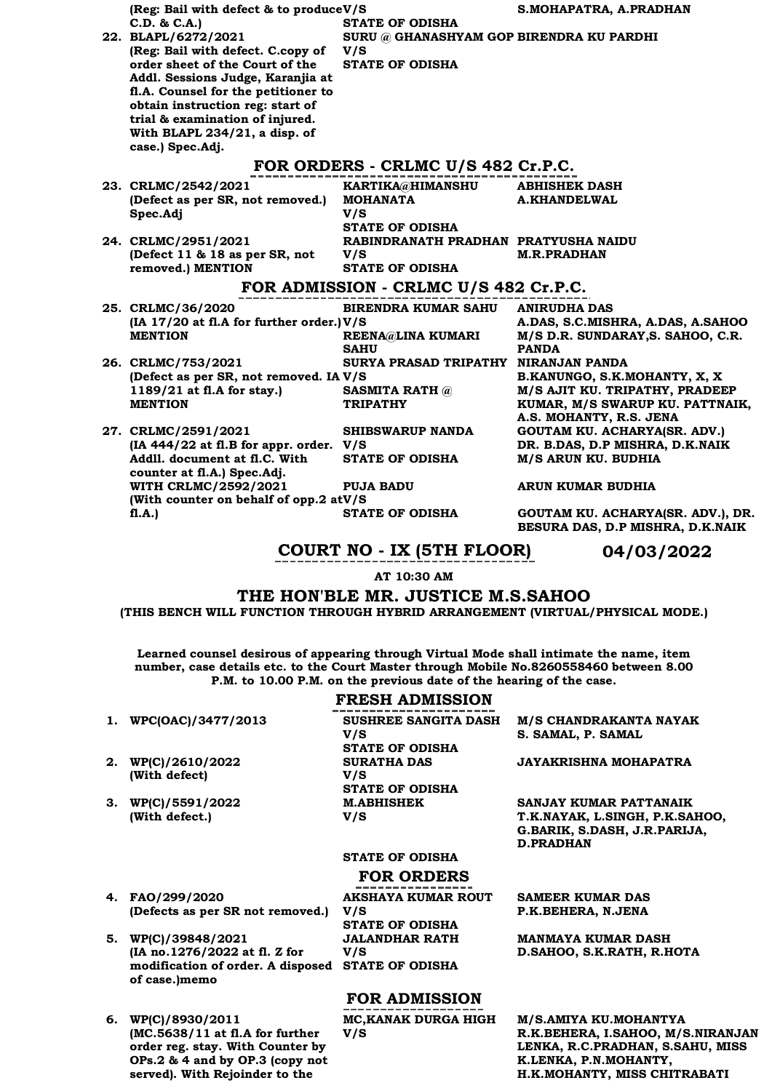| (Reg: Bail with defect & to produceV/S                              |                                          | S.MOHAPATRA, A.PRADHAN                                 |
|---------------------------------------------------------------------|------------------------------------------|--------------------------------------------------------|
| C.D. & C.A.)                                                        | <b>STATE OF ODISHA</b>                   |                                                        |
| 22. BLAPL/6272/2021                                                 | SURU @ GHANASHYAM GOP BIRENDRA KU PARDHI |                                                        |
| (Reg: Bail with defect. C.copy of                                   | V/S                                      |                                                        |
| order sheet of the Court of the                                     | <b>STATE OF ODISHA</b>                   |                                                        |
| Addl. Sessions Judge, Karanjia at                                   |                                          |                                                        |
| fl.A. Counsel for the petitioner to                                 |                                          |                                                        |
| obtain instruction reg: start of<br>trial & examination of injured. |                                          |                                                        |
| With BLAPL 234/21, a disp. of                                       |                                          |                                                        |
| case.) Spec.Adj.                                                    |                                          |                                                        |
|                                                                     |                                          |                                                        |
|                                                                     | FOR ORDERS - CRLMC U/S 482 Cr.P.C.       |                                                        |
| 23. CRLMC/2542/2021                                                 | KARTIKA@HIMANSHU                         | <b>ABHISHEK DASH</b>                                   |
| (Defect as per SR, not removed.)                                    | <b>MOHANATA</b>                          | <b>A.KHANDELWAL</b>                                    |
| Spec.Adj                                                            | V/S                                      |                                                        |
|                                                                     | <b>STATE OF ODISHA</b>                   |                                                        |
| 24. CRLMC/2951/2021                                                 | RABINDRANATH PRADHAN PRATYUSHA NAIDU     |                                                        |
| (Defect 11 & 18 as per SR, not                                      | V/S<br><b>STATE OF ODISHA</b>            | <b>M.R.PRADHAN</b>                                     |
| removed.) MENTION                                                   |                                          |                                                        |
|                                                                     | FOR ADMISSION - CRLMC U/S 482 Cr.P.C.    |                                                        |
| 25. CRLMC/36/2020                                                   | <b>BIRENDRA KUMAR SAHU</b>               | <b>ANIRUDHA DAS</b>                                    |
| (IA 17/20 at fl.A for further order.) V/S                           |                                          | A.DAS, S.C.MISHRA, A.DAS, A.SAHOO                      |
| <b>MENTION</b>                                                      | REENA@LINA KUMARI                        | M/S D.R. SUNDARAY, S. SAHOO, C.R.                      |
|                                                                     | <b>SAHU</b>                              | <b>PANDA</b>                                           |
| 26. CRLMC/753/2021                                                  | SURYA PRASAD TRIPATHY NIRANJAN PANDA     |                                                        |
| (Defect as per SR, not removed. IA V/S                              |                                          | B.KANUNGO, S.K.MOHANTY, X, X                           |
| 1189/21 at fl.A for stay.)                                          | <b>SASMITA RATH @</b>                    | M/S AJIT KU. TRIPATHY, PRADEEP                         |
| <b>MENTION</b>                                                      | <b>TRIPATHY</b>                          | KUMAR, M/S SWARUP KU. PATTNAIK,                        |
|                                                                     |                                          | A.S. MOHANTY, R.S. JENA                                |
| 27. CRLMC/2591/2021<br>(IA 444/22 at fl.B for appr. order. V/S      | <b>SHIBSWARUP NANDA</b>                  | GOUTAM KU. ACHARYA(SR. ADV.)                           |
| Addll, document at fl.C. With                                       | <b>STATE OF ODISHA</b>                   | DR. B.DAS, D.P MISHRA, D.K.NAIK<br>M/S ARUN KU. BUDHIA |
| counter at fl.A.) Spec.Adj.                                         |                                          |                                                        |
| WITH CRLMC/2592/2021                                                | <b>PUJA BADU</b>                         | ARUN KUMAR BUDHIA                                      |
| (With counter on behalf of opp.2 atV/S                              |                                          |                                                        |
| f1.A.                                                               | <b>STATE OF ODISHA</b>                   | GOUTAM KU. ACHARYA(SR. ADV.), DR.                      |
|                                                                     |                                          | BESURA DAS, D.P MISHRA, D.K.NAIK                       |
|                                                                     |                                          |                                                        |

### **COURT NO - IX (5TH FLOOR) 04/03/2022**

**AT 10:30 AM**

**THE HON'BLE MR. JUSTICE M.S.SAHOO**

**(THIS BENCH WILL FUNCTION THROUGH HYBRID ARRANGEMENT (VIRTUAL/PHYSICAL MODE.)**

**Learned counsel desirous of appearing through Virtual Mode shall intimate the name, item number, case details etc. to the Court Master through Mobile No.8260558460 between 8.00 P.M. to 10.00 P.M. on the previous date of the hearing of the case.**

### **FRESH ADMISSION**

**2. WP(C)/2610/2022 (With defect)**

**3. WP(C)/5591/2022 (With defect.)**

**4. FAO/299/2020** 

**5. WP(C)/39848/2021** 

**of case.)memo**

**1. WPC(OAC)/3477/2013 SUSHREE SANGITA DASH V/S STATE OF ODISHA SURATHA DAS V/S STATE OF ODISHA M.ABHISHEK V/S** 

**M/S CHANDRAKANTA NAYAK S. SAMAL, P. SAMAL**

**JAYAKRISHNA MOHAPATRA**

**SANJAY KUMAR PATTANAIK T.K.NAYAK, L.SINGH, P.K.SAHOO, G.BARIK, S.DASH, J.R.PARIJA, D.PRADHAN**

### **STATE OF ODISHA**

### **FOR ORDERS**

**AKSHAYA KUMAR ROUT V/S STATE OF ODISHA modification of order. A disposed STATE OF ODISHA JALANDHAR RATH V/S** 

**FOR ADMISSION**

**V/S** 

**MC,KANAK DURGA HIGH** 

### **SAMEER KUMAR DAS P.K.BEHERA, N.JENA**

**MANMAYA KUMAR DASH D.SAHOO, S.K.RATH, R.HOTA**

**6. WP(C)/8930/2011 (MC.5638/11 at fl.A for further order reg. stay. With Counter by OPs.2 & 4 and by OP.3 (copy not served). With Rejoinder to the** 

**(Defects as per SR not removed.)**

**(IA no.1276/2022 at fl. Z for** 

**M/S.AMIYA KU.MOHANTYA R.K.BEHERA, I.SAHOO, M/S.NIRANJAN LENKA, R.C.PRADHAN, S.SAHU, MISS K.LENKA, P.N.MOHANTY, H.K.MOHANTY, MISS CHITRABATI**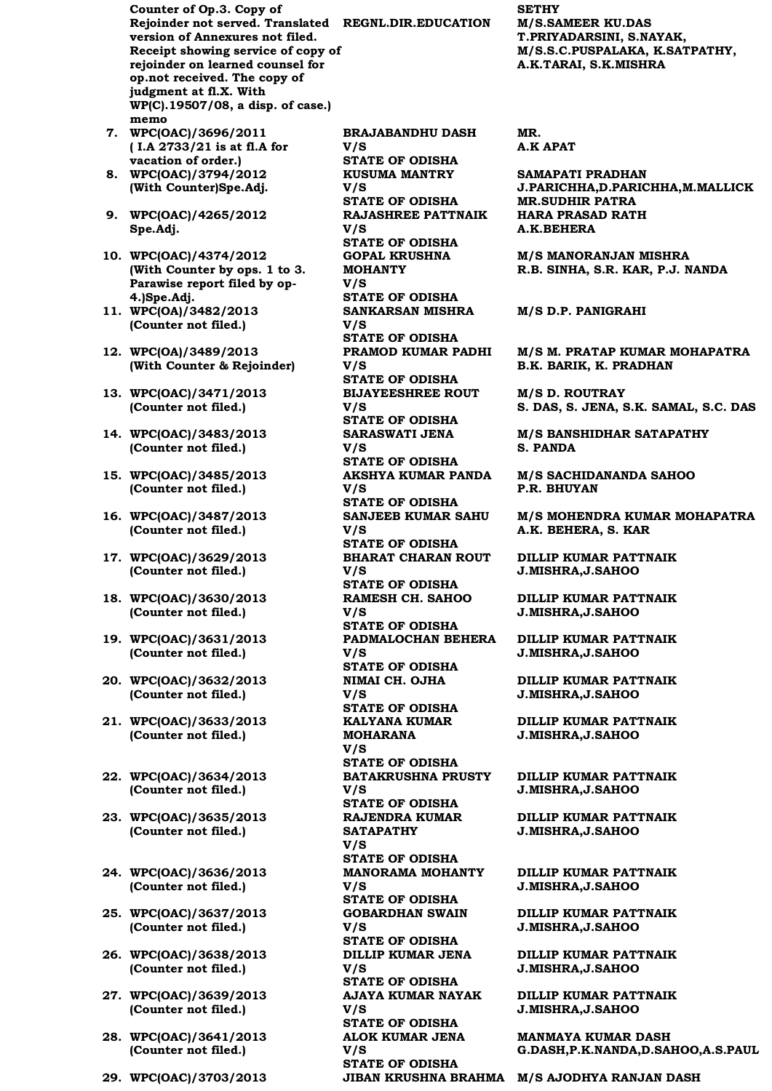**Counter of Op.3. Copy of Rejoinder not served. Translated REGNL.DIR.EDUCATION M/S.SAMEER KU.DAS version of Annexures not filed. Receipt showing service of copy of rejoinder on learned counsel for op.not received. The copy of judgment at fl.X. With WP(C).19507/08, a disp. of case.) memo 7. WPC(OAC)/3696/2011** 

- **( I.A 2733/21 is at fl.A for vacation of order.)**
- **8. WPC(OAC)/3794/2012 (With Counter)Spe.Adj.**
- **9. WPC(OAC)/4265/2012 Spe.Adj.**
- **10. WPC(OAC)/4374/2012 (With Counter by ops. 1 to 3. Parawise report filed by op-4.)Spe.Adj.**
- **11. WPC(OA)/3482/2013 (Counter not filed.)**
- **12. WPC(OA)/3489/2013 (With Counter & Rejoinder)**
- **13. WPC(OAC)/3471/2013 (Counter not filed.)**
- **14. WPC(OAC)/3483/2013 (Counter not filed.)**
- **15. WPC(OAC)/3485/2013 (Counter not filed.)**
- **16. WPC(OAC)/3487/2013 (Counter not filed.)**
- **17. WPC(OAC)/3629/2013 (Counter not filed.)**
- **18. WPC(OAC)/3630/2013 (Counter not filed.)**
- **19. WPC(OAC)/3631/2013 (Counter not filed.)**
- **20. WPC(OAC)/3632/2013 (Counter not filed.)**
- **21. WPC(OAC)/3633/2013 (Counter not filed.)**
- **22. WPC(OAC)/3634/2013 (Counter not filed.)**
- **23. WPC(OAC)/3635/2013 (Counter not filed.)**
- **24. WPC(OAC)/3636/2013 (Counter not filed.)**
- **25. WPC(OAC)/3637/2013 (Counter not filed.)**
- **26. WPC(OAC)/3638/2013 (Counter not filed.)**
- **27. WPC(OAC)/3639/2013 (Counter not filed.)**
- **28. WPC(OAC)/3641/2013 (Counter not filed.)**
- 

**BRAJABANDHU DASH V/S STATE OF ODISHA KUSUMA MANTRY V/S STATE OF ODISHA MR.SUDHIR PATRA RAJASHREE PATTNAIK V/S STATE OF ODISHA GOPAL KRUSHNA MOHANTY V/S STATE OF ODISHA SANKARSAN MISHRA V/S STATE OF ODISHA PRAMOD KUMAR PADHI V/S STATE OF ODISHA BIJAYEESHREE ROUT V/S STATE OF ODISHA SARASWATI JENA V/S STATE OF ODISHA AKSHYA KUMAR PANDA V/S STATE OF ODISHA SANJEEB KUMAR SAHU V/S STATE OF ODISHA BHARAT CHARAN ROUT V/S STATE OF ODISHA RAMESH CH. SAHOO V/S STATE OF ODISHA PADMALOCHAN BEHERA V/S STATE OF ODISHA NIMAI CH. OJHA V/S STATE OF ODISHA KALYANA KUMAR MOHARANA V/S STATE OF ODISHA BATAKRUSHNA PRUSTY V/S STATE OF ODISHA RAJENDRA KUMAR SATAPATHY V/S STATE OF ODISHA MANORAMA MOHANTY V/S STATE OF ODISHA GOBARDHAN SWAIN V/S STATE OF ODISHA DILLIP KUMAR JENA V/S STATE OF ODISHA AJAYA KUMAR NAYAK V/S STATE OF ODISHA ALOK KUMAR JENA V/S STATE OF ODISHA**

**SETHY T.PRIYADARSINI, S.NAYAK, M/S.S.C.PUSPALAKA, K.SATPATHY, A.K.TARAI, S.K.MISHRA**

**MR. A.K APAT**

**SAMAPATI PRADHAN J.PARICHHA,D.PARICHHA,M.MALLICK HARA PRASAD RATH A.K.BEHERA**

**M/S MANORANJAN MISHRA R.B. SINHA, S.R. KAR, P.J. NANDA**

**M/S D.P. PANIGRAHI**

**M/S M. PRATAP KUMAR MOHAPATRA B.K. BARIK, K. PRADHAN**

**M/S D. ROUTRAY S. DAS, S. JENA, S.K. SAMAL, S.C. DAS**

**M/S BANSHIDHAR SATAPATHY S. PANDA**

**M/S SACHIDANANDA SAHOO P.R. BHUYAN**

**M/S MOHENDRA KUMAR MOHAPATRA A.K. BEHERA, S. KAR**

**DILLIP KUMAR PATTNAIK J.MISHRA,J.SAHOO**

**DILLIP KUMAR PATTNAIK J.MISHRA,J.SAHOO**

**DILLIP KUMAR PATTNAIK J.MISHRA,J.SAHOO**

**DILLIP KUMAR PATTNAIK J.MISHRA,J.SAHOO**

**DILLIP KUMAR PATTNAIK J.MISHRA,J.SAHOO**

**DILLIP KUMAR PATTNAIK J.MISHRA,J.SAHOO**

**DILLIP KUMAR PATTNAIK J.MISHRA,J.SAHOO**

**DILLIP KUMAR PATTNAIK J.MISHRA,J.SAHOO**

**DILLIP KUMAR PATTNAIK J.MISHRA,J.SAHOO**

**DILLIP KUMAR PATTNAIK J.MISHRA,J.SAHOO**

**DILLIP KUMAR PATTNAIK J.MISHRA,J.SAHOO**

**MANMAYA KUMAR DASH G.DASH,P.K.NANDA,D.SAHOO,A.S.PAUL**

**29. WPC(OAC)/3703/2013 JIBAN KRUSHNA BRAHMA M/S AJODHYA RANJAN DASH**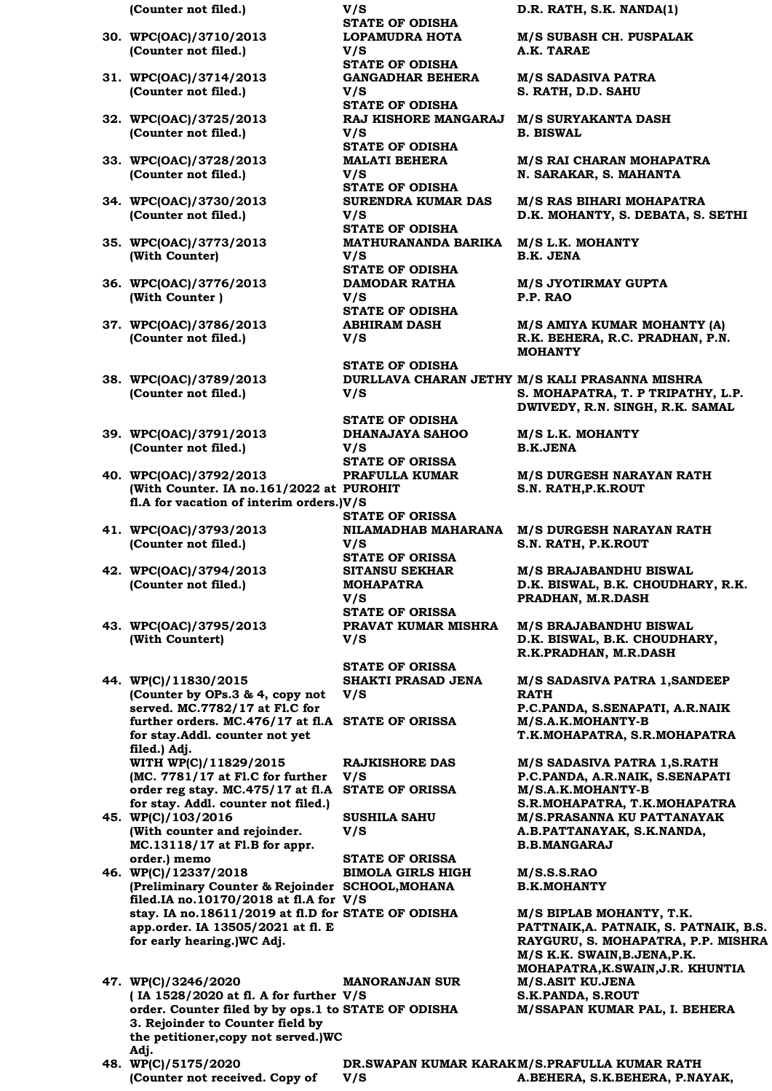- **30. WPC(OAC)/3710/2013 (Counter not filed.)**
- **31. WPC(OAC)/3714/2013 (Counter not filed.)**
- **32. WPC(OAC)/3725/2013 (Counter not filed.)**
- **33. WPC(OAC)/3728/2013 (Counter not filed.)**
- **34. WPC(OAC)/3730/2013 (Counter not filed.)**
- **35. WPC(OAC)/3773/2013 (With Counter)**
- **36. WPC(OAC)/3776/2013 (With Counter )**
- **37. WPC(OAC)/3786/2013 (Counter not filed.)**
- **38. WPC(OAC)/3789/2013 (Counter not filed.)**
- **39. WPC(OAC)/3791/2013 (Counter not filed.)**
- **40. WPC(OAC)/3792/2013 (With Counter. IA no.161/2022 at PUROHIT fl.A for vacation of interim orders.) V/S**
- **41. WPC(OAC)/3793/2013 (Counter not filed.)**
- **42. WPC(OAC)/3794/2013 (Counter not filed.)**
- **43. WPC(OAC)/3795/2013 (With Countert)**

**44. WP(C)/11830/2015 (Counter by OPs.3 & 4, copy not served. MC.7782/17 at Fl.C for further orders. MC.476/17 at fl.A for stay.Addl. counter not yet filed.) Adj. WITH WP(C)/11829/2015 (MC. 7781/17 at Fl.C for further order reg stay. MC.475/17 at fl.A STATE OF ORISSA M/S.A.K.MOHANTY-B for stay. Addl. counter not filed.)**

**45. WP(C)/103/2016 (With counter and rejoinder. MC.13118/17 at Fl.B for appr. order.) memo**

**(Counter not received. Copy of** 

**46. WP(C)/12337/2018 (Preliminary Counter & Rejoinder SCHOOL,MOHANA filed.IA no.10170/2018 at fl.A for V/S stay. IA no.18611/2019 at fl.D for app.order. IA 13505/2021 at fl. E for early hearing.)WC Adj.**

**47. WP(C)/3246/2020 ( IA 1528/2020 at fl. A for further V/S order. Counter filed by by ops.1 to 3. Rejoinder to Counter field by the petitioner,copy not served.)WC Adj. MANORANJAN SUR 48. WP(C)/5175/2020** 

**(Counter not filed.) V/S D.R. RATH, S.K. NANDA(1) STATE OF ODISHA LOPAMUDRA HOTA V/S STATE OF ODISHA GANGADHAR BEHERA V/S STATE OF ODISHA V/S STATE OF ODISHA MALATI BEHERA V/S STATE OF ODISHA SURENDRA KUMAR DAS V/S STATE OF ODISHA MATHURANANDA BARIKA V/S STATE OF ODISHA DAMODAR RATHA V/S STATE OF ODISHA ABHIRAM DASH V/S** 

> **STATE OF ODISHA V/S**

**STATE OF ODISHA DHANAJAYA SAHOO V/S STATE OF ORISSA PRAFULLA KUMAR STATE OF ORISSA NILAMADHAB MAHARANA V/S STATE OF ORISSA SITANSU SEKHAR MOHAPATRA V/S STATE OF ORISSA PRAVAT KUMAR MISHRA V/S** 

**STATE OF ORISSA SHAKTI PRASAD JENA V/S** 

**RAJKISHORE DAS V/S** 

**SUSHILA SAHU V/S** 

**V/S** 

**STATE OF ORISSA BIMOLA GIRLS HIGH** 

**DR.SWAPAN KUMAR KARAK M/S.PRAFULLA KUMAR RATH A.BEHERA, S.K.BEHERA, P.NAYAK,** 

**M/S SUBASH CH. PUSPALAK A.K. TARAE**

**M/S SADASIVA PATRA S. RATH, D.D. SAHU**

**RAJ KISHORE MANGARAJ M/S SURYAKANTA DASH B. BISWAL**

> **M/S RAI CHARAN MOHAPATRA N. SARAKAR, S. MAHANTA**

**M/S RAS BIHARI MOHAPATRA D.K. MOHANTY, S. DEBATA, S. SETHI**

**M/S L.K. MOHANTY B.K. JENA**

**M/S JYOTIRMAY GUPTA P.P. RAO**

**M/S AMIYA KUMAR MOHANTY (A) R.K. BEHERA, R.C. PRADHAN, P.N. MOHANTY**

**DURLLAVA CHARAN JETHY M/S KALI PRASANNA MISHRA S. MOHAPATRA, T. P TRIPATHY, L.P. DWIVEDY, R.N. SINGH, R.K. SAMAL**

> **M/S L.K. MOHANTY B.K.JENA**

**M/S DURGESH NARAYAN RATH S.N. RATH,P.K.ROUT**

**M/S DURGESH NARAYAN RATH S.N. RATH, P.K.ROUT**

**M/S BRAJABANDHU BISWAL D.K. BISWAL, B.K. CHOUDHARY, R.K. PRADHAN, M.R.DASH**

**M/S BRAJABANDHU BISWAL D.K. BISWAL, B.K. CHOUDHARY, R.K.PRADHAN, M.R.DASH**

**M/S SADASIVA PATRA 1,SANDEEP RATH P.C.PANDA, S.SENAPATI, A.R.NAIK STATE OF ORISSA M/S.A.K.MOHANTY-B T.K.MOHAPATRA, S.R.MOHAPATRA**

**M/S SADASIVA PATRA 1,S.RATH P.C.PANDA, A.R.NAIK, S.SENAPATI S.R.MOHAPATRA, T.K.MOHAPATRA M/S.PRASANNA KU PATTANAYAK A.B.PATTANAYAK, S.K.NANDA, B.B.MANGARAJ**

**M/S.S.S.RAO B.K.MOHANTY**

**STATE OF ODISHA M/S BIPLAB MOHANTY, T.K. PATTNAIK,A. PATNAIK, S. PATNAIK, B.S. RAYGURU, S. MOHAPATRA, P.P. MISHRA M/S K.K. SWAIN,B.JENA,P.K. MOHAPATRA,K.SWAIN,J.R. KHUNTIA M/S.ASIT KU.JENA S.K.PANDA, S.ROUT STATE OF ODISHA M/SSAPAN KUMAR PAL, I. BEHERA**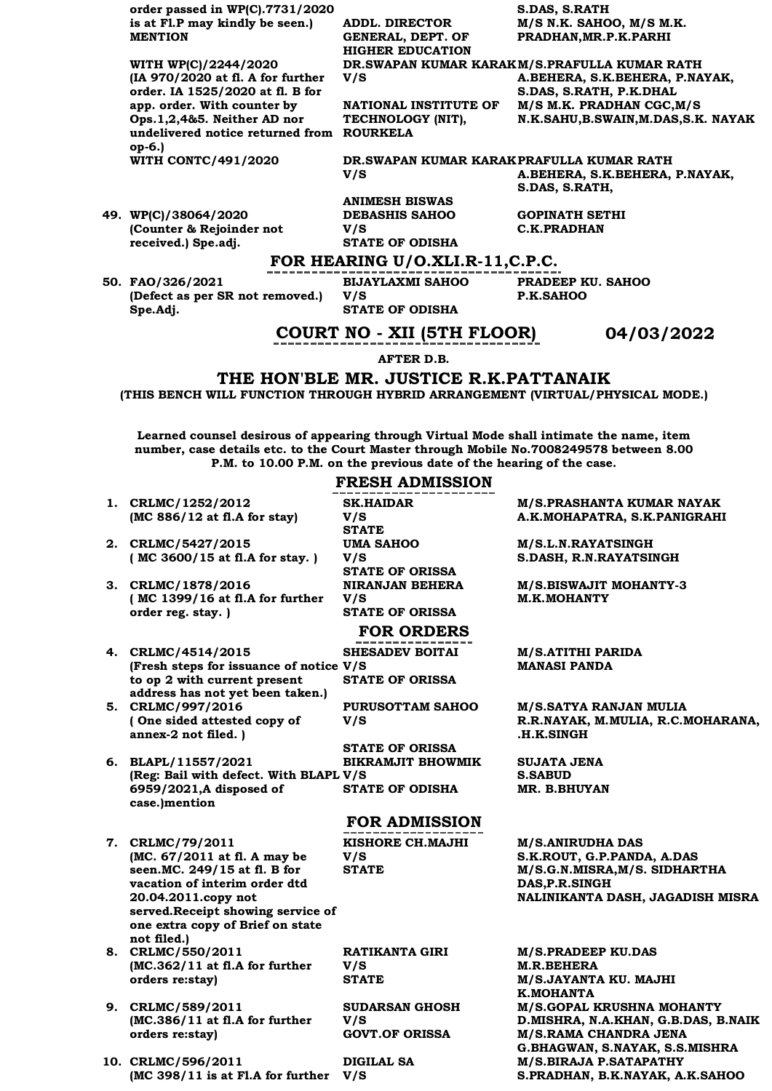**order passed in WP(C).7731/2020 is at Fl.P may kindly be seen.) MENTION**

**WITH WP(C)/2244/2020 (IA 970/2020 at fl. A for further order. IA 1525/2020 at fl. B for app. order. With counter by Ops.1,2,4&5. Neither AD nor undelivered notice returned from ROURKELA op-6.)**

**49. WP(C)/38064/2020 (Counter & Rejoinder not received.) Spe.adj.**

**ADDL. DIRECTOR GENERAL, DEPT. OF HIGHER EDUCATION DR.SWAPAN KUMAR KARAK M/S.PRAFULLA KUMAR RATH V/S** 

**NATIONAL INSTITUTE OF TECHNOLOGY (NIT),** 

**S.DAS, S.RATH M/S N.K. SAHOO, M/S M.K. PRADHAN,MR.P.K.PARHI** 

**A.BEHERA, S.K.BEHERA, P.NAYAK, S.DAS, S.RATH, P.K.DHAL M/S M.K. PRADHAN CGC,M/S N.K.SAHU,B.SWAIN,M.DAS,S.K. NAYAK** 

**WITH CONTC/491/2020 DR.SWAPAN KUMAR KARAK PRAFULLA KUMAR RATH V/S A.BEHERA, S.K.BEHERA, P.NAYAK,** 

> **ANIMESH BISWAS DEBASHIS SAHOO V/S STATE OF ODISHA**

**GOPINATH SETHI C.K.PRADHAN**

**S.DAS, S.RATH,**

### **FOR HEARING U/O.XLI.R-11,C.P.C.**

**50. FAO/326/2021 (Defect as per SR not removed.) Spe.Adj.**

**BIJAYLAXMI SAHOO V/S STATE OF ODISHA**

**PRADEEP KU. SAHOO P.K.SAHOO**

### **COURT NO - XII (5TH FLOOR) 04/03/2022**

**AFTER D.B.**

#### **THE HON'BLE MR. JUSTICE R.K.PATTANAIK**

**(THIS BENCH WILL FUNCTION THROUGH HYBRID ARRANGEMENT (VIRTUAL/PHYSICAL MODE.)**

**Learned counsel desirous of appearing through Virtual Mode shall intimate the name, item number, case details etc. to the Court Master through Mobile No.7008249578 between 8.00 P.M. to 10.00 P.M. on the previous date of the hearing of the case.**

### **FRESH ADMISSION**

- **1. CRLMC/1252/2012 (MC 886/12 at fl.A for stay)**
- **2. CRLMC/5427/2015 ( MC 3600/15 at fl.A for stay. )**
- **3. CRLMC/1878/2016 ( MC 1399/16 at fl.A for further order reg. stay. )**
- **4. CRLMC/4514/2015 (Fresh steps for issuance of notice V/S to op 2 with current present address has not yet been taken.)**
- **5. CRLMC/997/2016 ( One sided attested copy of annex-2 not filed. )**
- **6. BLAPL/11557/2021 (Reg: Bail with defect. With BLAPL V/S 6959/2021,A disposed of case.)mention**
- **7. CRLMC/79/2011 (MC. 67/2011 at fl. A may be seen.MC. 249/15 at fl. B for vacation of interim order dtd 20.04.2011.copy not served.Receipt showing service of one extra copy of Brief on state not filed.)**
- **8. CRLMC/550/2011 (MC.362/11 at fl.A for further orders re:stay)**
- **9. CRLMC/589/2011 (MC.386/11 at fl.A for further orders re:stay)**
- **10. CRLMC/596/2011 (MC 398/11 is at Fl.A for further V/S**

**SK.HAIDAR V/S STATE UMA SAHOO V/S STATE OF ORISSA NIRANJAN BEHERA V/S STATE OF ORISSA**

### **FOR ORDERS**

**SHESADEV BOITAI STATE OF ORISSA**

**PURUSOTTAM SAHOO V/S** 

**STATE OF ORISSA BIKRAMJIT BHOWMIK** 

### **FOR ADMISSION**

**KISHORE CH.MAJHI V/S** 

**RATIKANTA GIRI V/S** 

**SUDARSAN GHOSH V/S** 

**DIGILAL SA** 

**M/S.PRASHANTA KUMAR NAYAK A.K.MOHAPATRA, S.K.PANIGRAHI**

**M/S.L.N.RAYATSINGH S.DASH, R.N.RAYATSINGH**

**M/S.BISWAJIT MOHANTY-3 M.K.MOHANTY**

**M/S.ATITHI PARIDA MANASI PANDA**

**M/S.SATYA RANJAN MULIA R.R.NAYAK, M.MULIA, R.C.MOHARANA, .H.K.SINGH**

**SUJATA JENA S.SABUD STATE OF ODISHA MR. B.BHUYAN** 

> **M/S.ANIRUDHA DAS S.K.ROUT, G.P.PANDA, A.DAS STATE M/S.G.N.MISRA,M/S. SIDHARTHA DAS,P.R.SINGH NALINIKANTA DASH, JAGADISH MISRA**

**M/S.PRADEEP KU.DAS M.R.BEHERA STATE M/S.JAYANTA KU. MAJHI K.MOHANTA M/S.GOPAL KRUSHNA MOHANTY D.MISHRA, N.A.KHAN, G.B.DAS, B.NAIK M/S.RAMA CHANDRA JENA G.BHAGWAN, S.NAYAK, S.S.MISHRA M/S.BIRAJA P.SATAPATHY S.PRADHAN, B.K.NAYAK, A.K.SAHOO**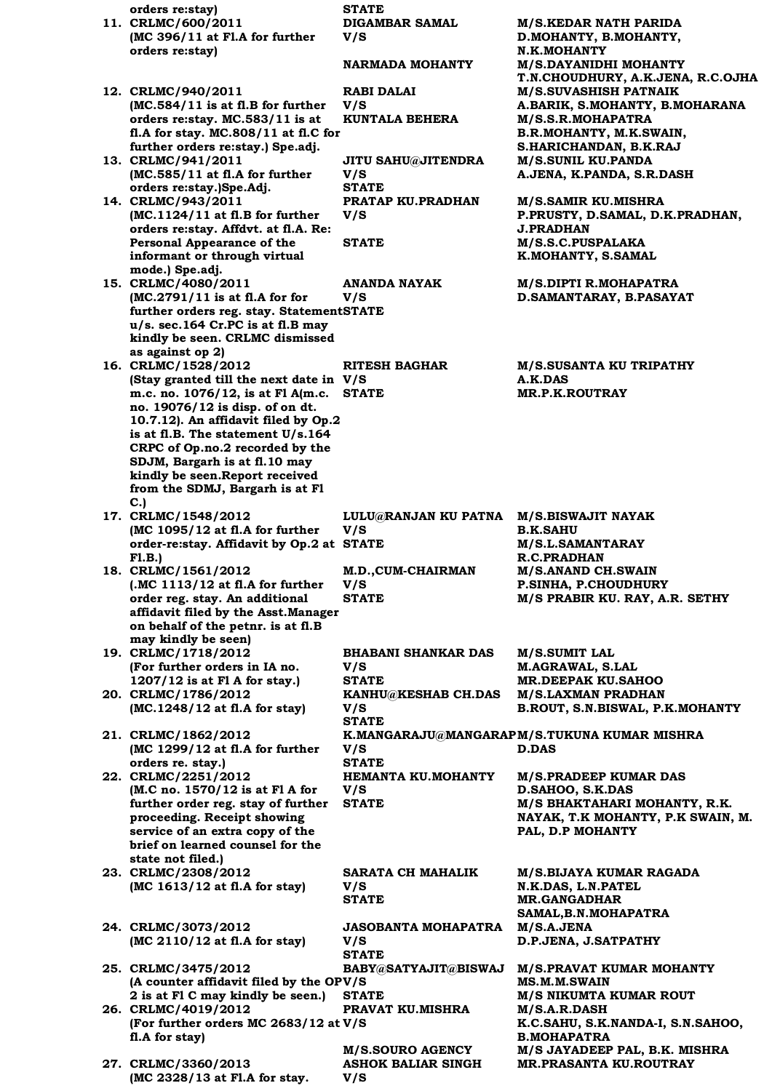**orders re:stay) STATE 11. CRLMC/600/2011 (MC 396/11 at Fl.A for further orders re:stay) DIGAMBAR SAMAL V/S M/S.KEDAR NATH PARIDA D.MOHANTY, B.MOHANTY, N.K.MOHANTY NARMADA MOHANTY M/S.DAYANIDHI MOHANTY T.N.CHOUDHURY, A.K.JENA, R.C.OJHA 12. CRLMC/940/2011 (MC.584/11 is at fl.B for further orders re:stay. MC.583/11 is at fl.A for stay. MC.808/11 at fl.C for further orders re:stay.) Spe.adj. RABI DALAI V/S M/S.SUVASHISH PATNAIK A.BARIK, S.MOHANTY, B.MOHARANA KUNTALA BEHERA M/S.S.R.MOHAPATRA B.R.MOHANTY, M.K.SWAIN, S.HARICHANDAN, B.K.RAJ 13. CRLMC/941/2011 (MC.585/11 at fl.A for further orders re:stay.)Spe.Adj. JITU SAHU@JITENDRA V/S M/S.SUNIL KU.PANDA A.JENA, K.PANDA, S.R.DASH STATE 14. CRLMC/943/2011 (MC.1124/11 at fl.B for further orders re:stay. Affdvt. at fl.A. Re: Personal Appearance of the informant or through virtual mode.) Spe.adj. PRATAP KU.PRADHAN V/S M/S.SAMIR KU.MISHRA P.PRUSTY, D.SAMAL, D.K.PRADHAN, J.PRADHAN STATE M/S.S.C.PUSPALAKA K.MOHANTY, S.SAMAL 15. CRLMC/4080/2011 (MC.2791/11 is at fl.A for for**  further orders reg. stay. Statement **STATE u/s. sec.164 Cr.PC is at fl.B may kindly be seen. CRLMC dismissed as against op 2) ANANDA NAYAK V/S M/S.DIPTI R.MOHAPATRA D.SAMANTARAY, B.PASAYAT 16. CRLMC/1528/2012 (Stay granted till the next date in V/S m.c. no. 1076/12, is at Fl A(m.c. no. 19076/12 is disp. of on dt. 10.7.12). An affidavit filed by Op.2 is at fl.B. The statement U/s.164 CRPC of Op.no.2 recorded by the SDJM, Bargarh is at fl.10 may kindly be seen.Report received from the SDMJ, Bargarh is at Fl C.) RITESH BAGHAR M/S.SUSANTA KU TRIPATHY A.K.DAS STATE MR.P.K.ROUTRAY 17. CRLMC/1548/2012 (MC 1095/12 at fl.A for further order-re:stay. Affidavit by Op.2 at Fl.B.) LULU@RANJAN KU PATNA M/S.BISWAJIT NAYAK V/S B.K.SAHU STATE M/S.L.SAMANTARAY R.C.PRADHAN 18. CRLMC/1561/2012 (.MC 1113/12 at fl.A for further order reg. stay. An additional affidavit filed by the Asst.Manager on behalf of the petnr. is at fl.B may kindly be seen) M.D.,CUM-CHAIRMAN V/S M/S.ANAND CH.SWAIN P.SINHA, P.CHOUDHURY STATE M/S PRABIR KU. RAY, A.R. SETHY 19. CRLMC/1718/2012 (For further orders in IA no. 1207/12 is at Fl A for stay.) BHABANI SHANKAR DAS V/S M/S.SUMIT LAL M.AGRAWAL, S.LAL STATE MR.DEEPAK KU.SAHOO 20. CRLMC/1786/2012 (MC.1248/12 at fl.A for stay) KANHU@KESHAB CH.DAS V/S M/S.LAXMAN PRADHAN B.ROUT, S.N.BISWAL, P.K.MOHANTY STATE 21. CRLMC/1862/2012 (MC 1299/12 at fl.A for further orders re. stay.) K.MANGARAJU@MANGARAP M/S.TUKUNA KUMAR MISHRA V/S D.DAS STATE 22. CRLMC/2251/2012 (M.C no. 1570/12 is at Fl A for further order reg. stay of further proceeding. Receipt showing service of an extra copy of the brief on learned counsel for the state not filed.) HEMANTA KU.MOHANTY V/S M/S.PRADEEP KUMAR DAS D.SAHOO, S.K.DAS STATE M/S BHAKTAHARI MOHANTY, R.K. NAYAK, T.K MOHANTY, P.K SWAIN, M. PAL, D.P MOHANTY 23. CRLMC/2308/2012 (MC 1613/12 at fl.A for stay) SARATA CH MAHALIK V/S M/S.BIJAYA KUMAR RAGADA N.K.DAS, L.N.PATEL STATE MR.GANGADHAR SAMAL,B.N.MOHAPATRA 24. CRLMC/3073/2012 (MC 2110/12 at fl.A for stay) JASOBANTA MOHAPATRA V/S M/S.A.JENA D.P.JENA, J.SATPATHY STATE 25. CRLMC/3475/2012**  (A counter affidavit filed by the OPV/S **2 is at Fl C may kindly be seen.) BABY@SATYAJIT@BISWAJ M/S.PRAVAT KUMAR MOHANTY MS.M.M.SWAIN STATE M/S NIKUMTA KUMAR ROUT 26. CRLMC/4019/2012 (For further orders MC 2683/12 at V/S fl.A for stay) PRAVAT KU.MISHRA M/S.A.R.DASH K.C.SAHU, S.K.NANDA-I, S.N.SAHOO, B.MOHAPATRA M/S.SOURO AGENCY M/S JAYADEEP PAL, B.K. MISHRA 27. CRLMC/3360/2013 (MC 2328/13 at Fl.A for stay. ASHOK BALIAR SINGH V/S MR.PRASANTA KU.ROUTRAY**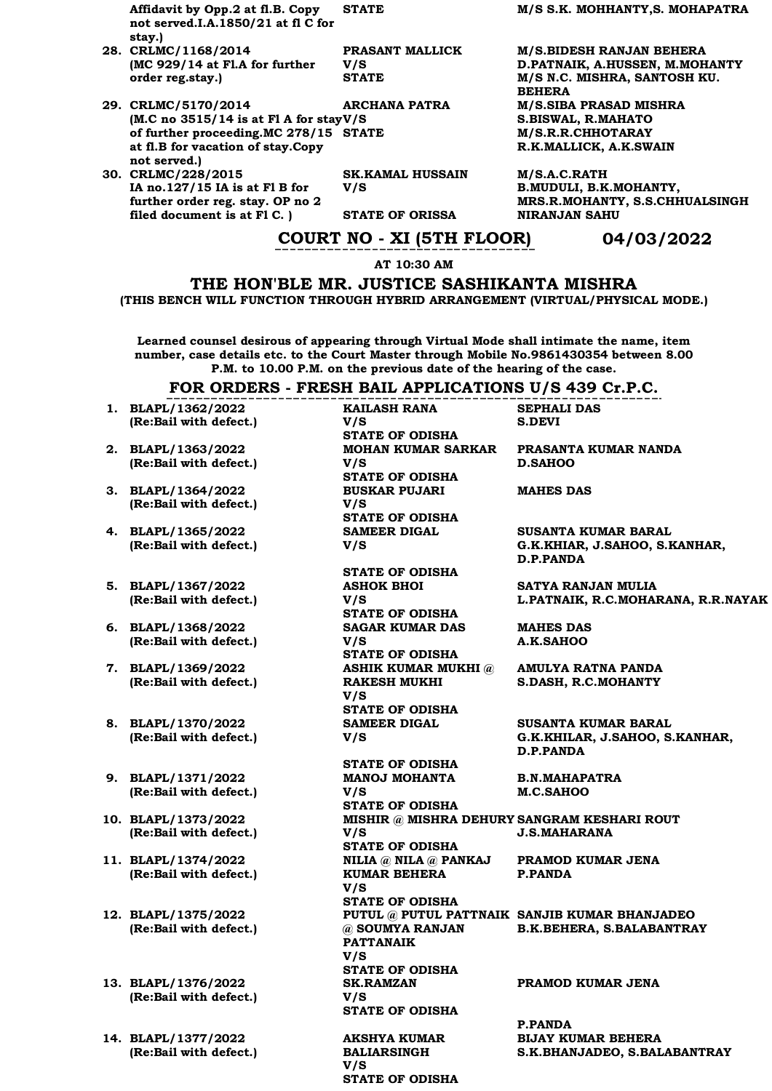**Affidavit by Opp.2 at fl.B. Copy not served.I.A.1850/21 at fl C for stay.)**

- **28. CRLMC/1168/2014 (MC 929/14 at Fl.A for further order reg.stay.)**
- **29. CRLMC/5170/2014 (M.C no 3515/14 is at Fl A for stay V/S of further proceeding.MC 278/15 at fl.B for vacation of stay.Copy not served.)**
- **30. CRLMC/228/2015 IA no.127/15 IA is at Fl B for further order reg. stay. OP no 2 filed document is at Fl C. )**

**PRASANT MALLICK V/S** 

**ARCHANA PATRA** 

**SK.KAMAL HUSSAIN V/S** 

**STATE OF ORISSA NIRANJAN SAHU** 

**STATE M/S S.K. MOHHANTY,S. MOHAPATRA** 

**M/S.BIDESH RANJAN BEHERA D.PATNAIK, A.HUSSEN, M.MOHANTY STATE M/S N.C. MISHRA, SANTOSH KU. BEHERA M/S.SIBA PRASAD MISHRA S.BISWAL, R.MAHATO STATE M/S.R.R.CHHOTARAY R.K.MALLICK, A.K.SWAIN**

> **M/S.A.C.RATH B.MUDULI, B.K.MOHANTY, MRS.R.MOHANTY, S.S.CHHUALSINGH**

### **COURT NO - XI (5TH FLOOR) 04/03/2022**

**AT 10:30 AM**

**THE HON'BLE MR. JUSTICE SASHIKANTA MISHRA (THIS BENCH WILL FUNCTION THROUGH HYBRID ARRANGEMENT (VIRTUAL/PHYSICAL MODE.)**

**Learned counsel desirous of appearing through Virtual Mode shall intimate the name, item number, case details etc. to the Court Master through Mobile No.9861430354 between 8.00 P.M. to 10.00 P.M. on the previous date of the hearing of the case.**

#### **FOR ORDERS - FRESH BAIL APPLICATIONS U/S 439 Cr.P.C.**

**KAILASH RANA** 

**V/S** 

- **1. BLAPL/1362/2022 (Re:Bail with defect.)**
- **2. BLAPL/1363/2022 (Re:Bail with defect.)**
- **3. BLAPL/1364/2022 (Re:Bail with defect.)**
- **4. BLAPL/1365/2022 (Re:Bail with defect.)**
- **5. BLAPL/1367/2022 (Re:Bail with defect.)**
- **6. BLAPL/1368/2022 (Re:Bail with defect.)**
- **7. BLAPL/1369/2022 (Re:Bail with defect.)**
- **8. BLAPL/1370/2022 (Re:Bail with defect.)**
- **9. BLAPL/1371/2022 (Re:Bail with defect.)**
- **10. BLAPL/1373/2022 (Re:Bail with defect.)**
- **11. BLAPL/1374/2022 (Re:Bail with defect.)**
- **12. BLAPL/1375/2022 (Re:Bail with defect.)**
- **13. BLAPL/1376/2022 (Re:Bail with defect.)**
- **14. BLAPL/1377/2022 (Re:Bail with defect.)**

**STATE OF ODISHA MOHAN KUMAR SARKAR V/S STATE OF ODISHA BUSKAR PUJARI V/S STATE OF ODISHA SAMEER DIGAL V/S STATE OF ODISHA ASHOK BHOI V/S STATE OF ODISHA SAGAR KUMAR DAS V/S STATE OF ODISHA ASHIK KUMAR MUKHI @ RAKESH MUKHI V/S STATE OF ODISHA**

**SAMEER DIGAL V/S** 

**STATE OF ODISHA MANOJ MOHANTA V/S STATE OF ODISHA V/S STATE OF ODISHA NILIA @ NILA @ PANKAJ KUMAR BEHERA V/S STATE OF ODISHA @ SOUMYA RANJAN PATTANAIK V/S STATE OF ODISHA SK.RAMZAN V/S STATE OF ODISHA**

**AKSHYA KUMAR BALIARSINGH V/S STATE OF ODISHA** **SEPHALI DAS S.DEVI**

**PRASANTA KUMAR NANDA D.SAHOO**

**MAHES DAS**

**SUSANTA KUMAR BARAL G.K.KHIAR, J.SAHOO, S.KANHAR, D.P.PANDA**

**SATYA RANJAN MULIA L.PATNAIK, R.C.MOHARANA, R.R.NAYAK**

**MAHES DAS A.K.SAHOO**

**AMULYA RATNA PANDA S.DASH, R.C.MOHANTY**

**SUSANTA KUMAR BARAL G.K.KHILAR, J.SAHOO, S.KANHAR, D.P.PANDA**

**B.N.MAHAPATRA M.C.SAHOO**

**MISHIR @ MISHRA DEHURY SANGRAM KESHARI ROUT J.S.MAHARANA**

> **PRAMOD KUMAR JENA P.PANDA**

**PUTUL @ PUTUL PATTNAIK SANJIB KUMAR BHANJADEO B.K.BEHERA, S.BALABANTRAY**

#### **PRAMOD KUMAR JENA**

**P.PANDA BIJAY KUMAR BEHERA S.K.BHANJADEO, S.BALABANTRAY**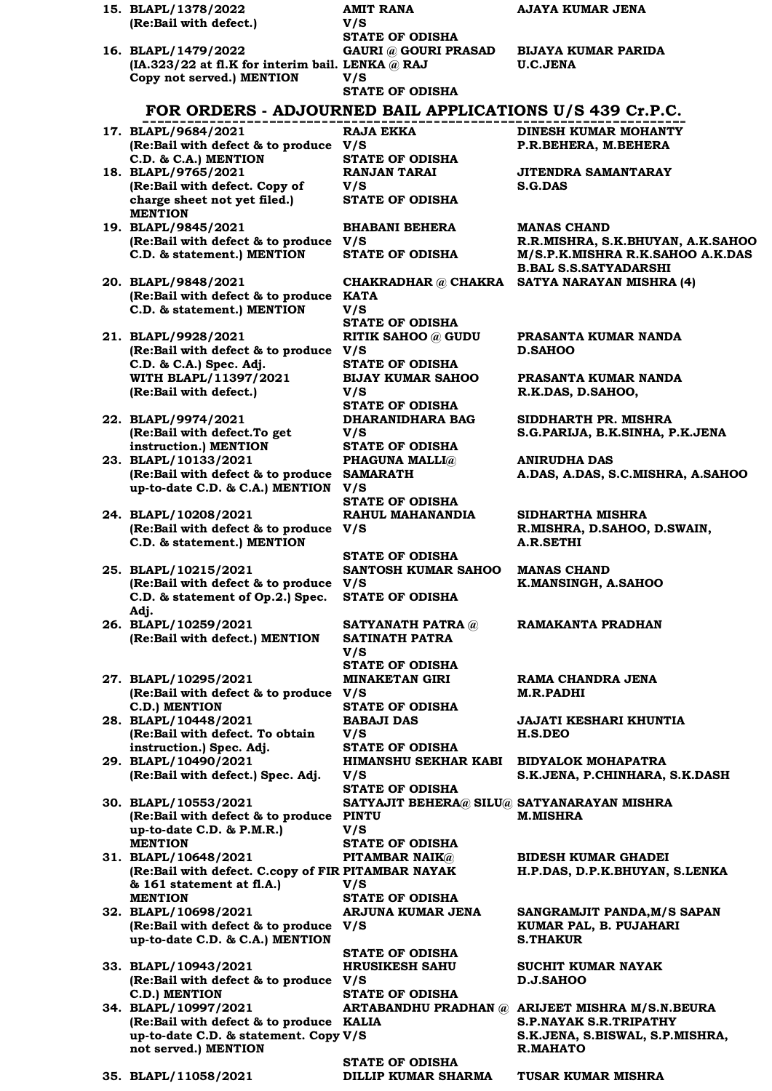| (Re:Bail with defect.)                                                           | V/S                                         |                                                                       |
|----------------------------------------------------------------------------------|---------------------------------------------|-----------------------------------------------------------------------|
|                                                                                  | <b>STATE OF ODISHA</b>                      | <b>BIJAYA KUMAR PARIDA</b>                                            |
| 16. BLAPL/1479/2022<br>(IA.323/22 at fl.K for interim bail. LENKA @ RAJ          | <b>GAURI @ GOURI PRASAD</b>                 | <b>U.C.JENA</b>                                                       |
| Copy not served.) MENTION                                                        | V/S                                         |                                                                       |
|                                                                                  | <b>STATE OF ODISHA</b>                      |                                                                       |
| FOR ORDERS - ADJOURNED BAIL APPLICATIONS U/S 439 Cr.P.C.                         |                                             |                                                                       |
|                                                                                  |                                             |                                                                       |
| 17. BLAPL/9684/2021<br>(Re:Bail with defect & to produce V/S                     | RAJA EKKA                                   | DINESH KUMAR MOHANTY<br>P.R.BEHERA, M.BEHERA                          |
| C.D. & C.A.) MENTION                                                             | <b>STATE OF ODISHA</b>                      |                                                                       |
| 18. BLAPL/9765/2021                                                              | <b>RANJAN TARAI</b>                         | JITENDRA SAMANTARAY                                                   |
| (Re:Bail with defect. Copy of                                                    | V/S                                         | <b>S.G.DAS</b>                                                        |
| charge sheet not yet filed.)                                                     | <b>STATE OF ODISHA</b>                      |                                                                       |
| <b>MENTION</b>                                                                   |                                             |                                                                       |
| 19. BLAPL/9845/2021<br>(Re:Bail with defect & to produce V/S                     | <b>BHABANI BEHERA</b>                       | <b>MANAS CHAND</b>                                                    |
| C.D. & statement.) MENTION                                                       | <b>STATE OF ODISHA</b>                      | R.R.MISHRA, S.K.BHUYAN, A.K.SAHOO<br>M/S.P.K.MISHRA R.K.SAHOO A.K.DAS |
|                                                                                  |                                             | <b>B.BAL S.S.SATYADARSHI</b>                                          |
| 20. BLAPL/9848/2021                                                              | CHAKRADHAR @ CHAKRA                         | SATYA NARAYAN MISHRA (4)                                              |
| (Re:Bail with defect & to produce KATA                                           |                                             |                                                                       |
| C.D. & statement.) MENTION                                                       | V/S                                         |                                                                       |
|                                                                                  | <b>STATE OF ODISHA</b>                      |                                                                       |
| 21. BLAPL/9928/2021<br>(Re:Bail with defect & to produce V/S                     | <b>RITIK SAHOO</b> @ GUDU                   | PRASANTA KUMAR NANDA<br><b>D.SAHOO</b>                                |
| C.D. & C.A.) Spec. Adj.                                                          | <b>STATE OF ODISHA</b>                      |                                                                       |
| WITH BLAPL/11397/2021                                                            | <b>BIJAY KUMAR SAHOO</b>                    | PRASANTA KUMAR NANDA                                                  |
| (Re:Bail with defect.)                                                           | V/S                                         | R.K.DAS, D.SAHOO,                                                     |
|                                                                                  | <b>STATE OF ODISHA</b>                      |                                                                       |
| 22. BLAPL/9974/2021                                                              | <b>DHARANIDHARA BAG</b>                     | SIDDHARTH PR. MISHRA                                                  |
| (Re:Bail with defect.To get                                                      | V/S                                         | S.G.PARIJA, B.K.SINHA, P.K.JENA                                       |
| instruction.) MENTION                                                            | <b>STATE OF ODISHA</b>                      |                                                                       |
| 23. BLAPL/10133/2021<br>(Re:Bail with defect & to produce SAMARATH               | <b>PHAGUNA MALLI</b> @                      | <b>ANIRUDHA DAS</b><br>A.DAS, A.DAS, S.C.MISHRA, A.SAHOO              |
| up-to-date C.D. & C.A.) MENTION V/S                                              |                                             |                                                                       |
|                                                                                  | <b>STATE OF ODISHA</b>                      |                                                                       |
| 24. BLAPL/10208/2021                                                             | RAHUL MAHANANDIA                            | SIDHARTHA MISHRA                                                      |
| (Re:Bail with defect & to produce                                                | V/S                                         | R.MISHRA, D.SAHOO, D.SWAIN,                                           |
| C.D. & statement.) MENTION                                                       |                                             | <b>A.R.SETHI</b>                                                      |
|                                                                                  | <b>STATE OF ODISHA</b>                      |                                                                       |
| 25. BLAPL/10215/2021                                                             | SANTOSH KUMAR SAHOO                         | <b>MANAS CHAND</b>                                                    |
| (Re:Bail with defect & to produce<br>C.D. & statement of Op.2.) Spec.            | V/S<br><b>STATE OF ODISHA</b>               | K.MANSINGH, A.SAHOO                                                   |
| Adj.                                                                             |                                             |                                                                       |
| 26. BLAPL/10259/2021                                                             | <b>SATYANATH PATRA @</b>                    | RAMAKANTA PRADHAN                                                     |
| (Re:Bail with defect.) MENTION                                                   | <b>SATINATH PATRA</b>                       |                                                                       |
|                                                                                  | V/S                                         |                                                                       |
|                                                                                  | <b>STATE OF ODISHA</b>                      |                                                                       |
| 27. BLAPL/10295/2021                                                             | <b>MINAKETAN GIRI</b>                       | RAMA CHANDRA JENA                                                     |
| (Re:Bail with defect & to produce V/S<br>C.D.) MENTION                           | <b>STATE OF ODISHA</b>                      | M.R.PADHI                                                             |
| 28. BLAPL/10448/2021                                                             | <b>BABAJI DAS</b>                           | JAJATI KESHARI KHUNTIA                                                |
| (Re:Bail with defect. To obtain                                                  | V/S                                         | <b>H.S.DEO</b>                                                        |
| instruction.) Spec. Adj.                                                         | <b>STATE OF ODISHA</b>                      |                                                                       |
| 29. BLAPL/10490/2021                                                             | HIMANSHU SEKHAR KABI                        | <b>BIDYALOK MOHAPATRA</b>                                             |
| (Re:Bail with defect.) Spec. Adj.                                                | V/S                                         | S.K.JENA, P.CHINHARA, S.K.DASH                                        |
|                                                                                  | <b>STATE OF ODISHA</b>                      |                                                                       |
| 30. BLAPL/10553/2021<br>(Re:Bail with defect & to produce PINTU                  | SATYAJIT BEHERA@ SILU@ SATYANARAYAN MISHRA  | M.MISHRA                                                              |
| up-to-date C.D. & P.M.R.)                                                        | V/S                                         |                                                                       |
| <b>MENTION</b>                                                                   | <b>STATE OF ODISHA</b>                      |                                                                       |
| 31. BLAPL/10648/2021                                                             | <b>PITAMBAR NAIK</b> @                      | <b>BIDESH KUMAR GHADEI</b>                                            |
| (Re:Bail with defect. C.copy of FIR PITAMBAR NAYAK                               |                                             | H.P.DAS, D.P.K.BHUYAN, S.LENKA                                        |
| & 161 statement at fl.A.)                                                        | V/S                                         |                                                                       |
| <b>MENTION</b>                                                                   | <b>STATE OF ODISHA</b><br>ARJUNA KUMAR JENA |                                                                       |
| 32. BLAPL/10698/2021<br>(Re:Bail with defect & to produce V/S                    |                                             | SANGRAMJIT PANDA, M/S SAPAN<br>KUMAR PAL, B. PUJAHARI                 |
| up-to-date C.D. & C.A.) MENTION                                                  |                                             | <b>S.THAKUR</b>                                                       |
|                                                                                  | <b>STATE OF ODISHA</b>                      |                                                                       |
| 33. BLAPL/10943/2021                                                             | <b>HRUSIKESH SAHU</b>                       | SUCHIT KUMAR NAYAK                                                    |
| (Re:Bail with defect & to produce V/S                                            |                                             | <b>D.J.SAHOO</b>                                                      |
| C.D.) MENTION                                                                    | <b>STATE OF ODISHA</b>                      |                                                                       |
| 34. BLAPL/10997/2021                                                             |                                             | ARTABANDHU PRADHAN @ ARIJEET MISHRA M/S.N.BEURA                       |
| (Re:Bail with defect & to produce KALIA<br>up-to-date C.D. & statement. Copy V/S |                                             | <b>S.P.NAYAK S.R.TRIPATHY</b><br>S.K.JENA, S.BISWAL, S.P.MISHRA,      |
| not served.) MENTION                                                             |                                             | R.MAHATO                                                              |
|                                                                                  | <b>STATE OF ODISHA</b>                      |                                                                       |
| 35. BLAPL/11058/2021                                                             | DILLIP KUMAR SHARMA                         | <b>TUSAR KUMAR MISHRA</b>                                             |
|                                                                                  |                                             |                                                                       |

**AMIT RANA** 

**AJAYA KUMAR JENA**

**15. BLAPL/1378/2022**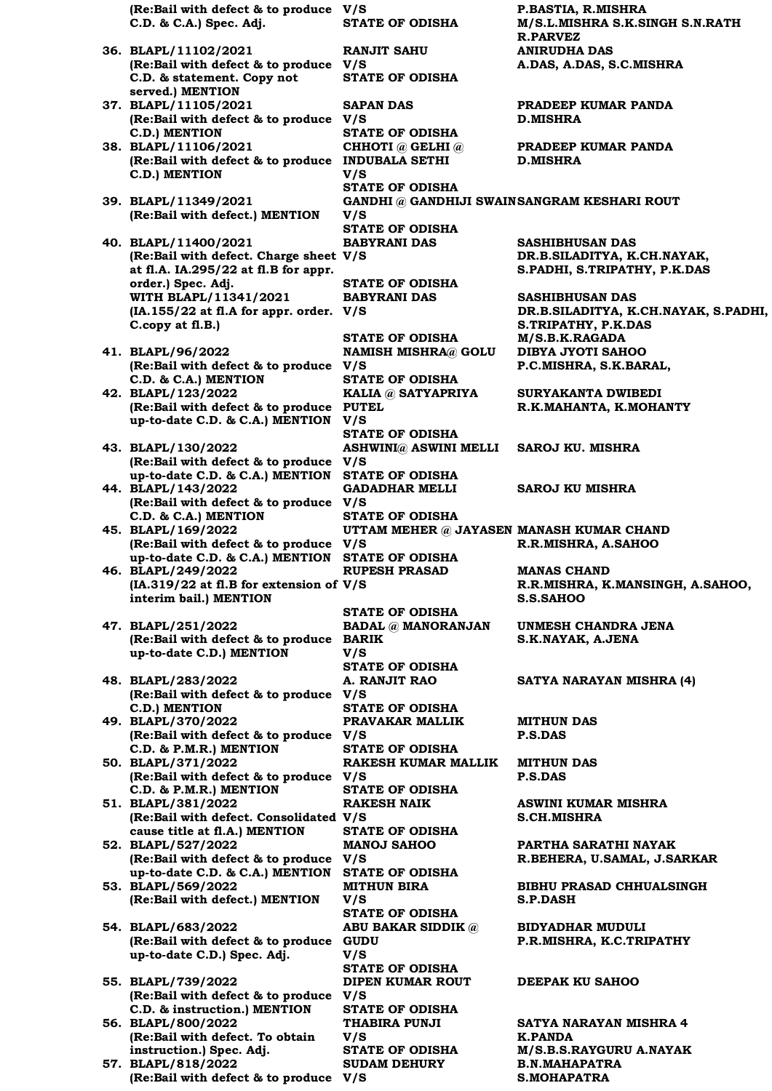**(Re:Bail with defect & to produce C.D. & C.A.) Spec. Adj. STATE OF ODISHA M/S.L.MISHRA S.K.SINGH S.N.RATH R.PARVEZ 36. BLAPL/11102/2021 (Re:Bail with defect & to produce V/S C.D. & statement. Copy not served.) MENTION RANJIT SAHU STATE OF ODISHA 37. BLAPL/11105/2021 (Re:Bail with defect & to produce V/S C.D.) MENTION SAPAN DAS D.MISHRA STATE OF ODISHA 38. BLAPL/11106/2021 (Re:Bail with defect & to produce INDUBALA SETHI C.D.) MENTION CHHOTI @ GELHI @ V/S D.MISHRA STATE OF ODISHA 39. BLAPL/11349/2021 (Re:Bail with defect.) MENTION GANDHI @ GANDHIJI SWAIN SANGRAM KESHARI ROUT V/S STATE OF ODISHA 40. BLAPL/11400/2021 (Re:Bail with defect. Charge sheet V/S at fl.A. IA.295/22 at fl.B for appr. order.) Spec. Adj. BABYRANI DAS STATE OF ODISHA WITH BLAPL/11341/2021 (IA.155/22 at fl.A for appr. order. V/S C.copy at fl.B.) BABYRANI DAS STATE OF ODISHA M/S.B.K.RAGADA 41. BLAPL/96/2022 (Re:Bail with defect & to produce V/S C.D. & C.A.) MENTION NAMISH MISHRA@ GOLU STATE OF ODISHA 42. BLAPL/123/2022 (Re:Bail with defect & to produce up-to-date C.D. & C.A.) MENTION KALIA @ SATYAPRIYA PUTEL V/S STATE OF ODISHA 43. BLAPL/130/2022 (Re:Bail with defect & to produce up-to-date C.D. & C.A.) MENTION ASHWINI@ ASWINI MELLI V/S STATE OF ODISHA 44. BLAPL/143/2022 (Re:Bail with defect & to produce V/S C.D. & C.A.) MENTION GADADHAR MELLI STATE OF ODISHA 45. BLAPL/169/2022 (Re:Bail with defect & to produce V/S up-to-date C.D. & C.A.) MENTION UTTAM MEHER @ JAYASEN MANASH KUMAR CHAND STATE OF ODISHA 46. BLAPL/249/2022 (IA.319/22 at fl.B for extension of V/S interim bail.) MENTION RUPESH PRASAD S.S.SAHOO STATE OF ODISHA 47. BLAPL/251/2022 (Re:Bail with defect & to produce BARIK up-to-date C.D.) MENTION BADAL @ MANORANJAN V/S STATE OF ODISHA 48. BLAPL/283/2022 (Re:Bail with defect & to produce V/S C.D.) MENTION A. RANJIT RAO STATE OF ODISHA 49. BLAPL/370/2022 (Re:Bail with defect & to produce V/S C.D. & P.M.R.) MENTION PRAVAKAR MALLIK MITHUN DAS P.S.DAS STATE OF ODISHA 50. BLAPL/371/2022 (Re:Bail with defect & to produce V/S C.D. & P.M.R.) MENTION RAKESH KUMAR MALLIK P.S.DAS STATE OF ODISHA 51. BLAPL/381/2022 (Re:Bail with defect. Consolidated V/S cause title at fl.A.) MENTION RAKESH NAIK STATE OF ODISHA 52. BLAPL/527/2022 (Re:Bail with defect & to produce V/S up-to-date C.D. & C.A.) MENTION MANOJ SAHOO STATE OF ODISHA 53. BLAPL/569/2022 (Re:Bail with defect.) MENTION MITHUN BIRA V/S S.P.DASH STATE OF ODISHA 54. BLAPL/683/2022 (Re:Bail with defect & to produce GUDU up-to-date C.D.) Spec. Adj. ABU BAKAR SIDDIK @ V/S STATE OF ODISHA 55. BLAPL/739/2022 (Re:Bail with defect & to produce V/S C.D. & instruction.) MENTION DIPEN KUMAR ROUT STATE OF ODISHA 56. BLAPL/800/2022 (Re:Bail with defect. To obtain instruction.) Spec. Adj. THABIRA PUNJI V/S K.PANDA STATE OF ODISHA M/S.B.S.RAYGURU A.NAYAK 57. BLAPL/818/2022 (Re:Bail with defect & to produce V/S SUDAM DEHURY** 

**V/S P.BASTIA, R.MISHRA ANIRUDHA DAS A.DAS, A.DAS, S.C.MISHRA**

**PRADEEP KUMAR PANDA**

**PRADEEP KUMAR PANDA**

**SASHIBHUSAN DAS DR.B.SILADITYA, K.CH.NAYAK, S.PADHI, S.TRIPATHY, P.K.DAS**

**SASHIBHUSAN DAS DR.B.SILADITYA, K.CH.NAYAK, S.PADHI, S.TRIPATHY, P.K.DAS DIBYA JYOTI SAHOO P.C.MISHRA, S.K.BARAL,**

**SURYAKANTA DWIBEDI R.K.MAHANTA, K.MOHANTY**

**SAROJ KU. MISHRA**

**SAROJ KU MISHRA**

# **R.R.MISHRA, A.SAHOO**

**MANAS CHAND R.R.MISHRA, K.MANSINGH, A.SAHOO,** 

**UNMESH CHANDRA JENA S.K.NAYAK, A.JENA**

**SATYA NARAYAN MISHRA (4)**

**MITHUN DAS**

**ASWINI KUMAR MISHRA S.CH.MISHRA**

**PARTHA SARATHI NAYAK R.BEHERA, U.SAMAL, J.SARKAR**

**BIBHU PRASAD CHHUALSINGH**

**BIDYADHAR MUDULI P.R.MISHRA, K.C.TRIPATHY**

#### **DEEPAK KU SAHOO**

**SATYA NARAYAN MISHRA 4 B.N.MAHAPATRA S.MOHAPATRA**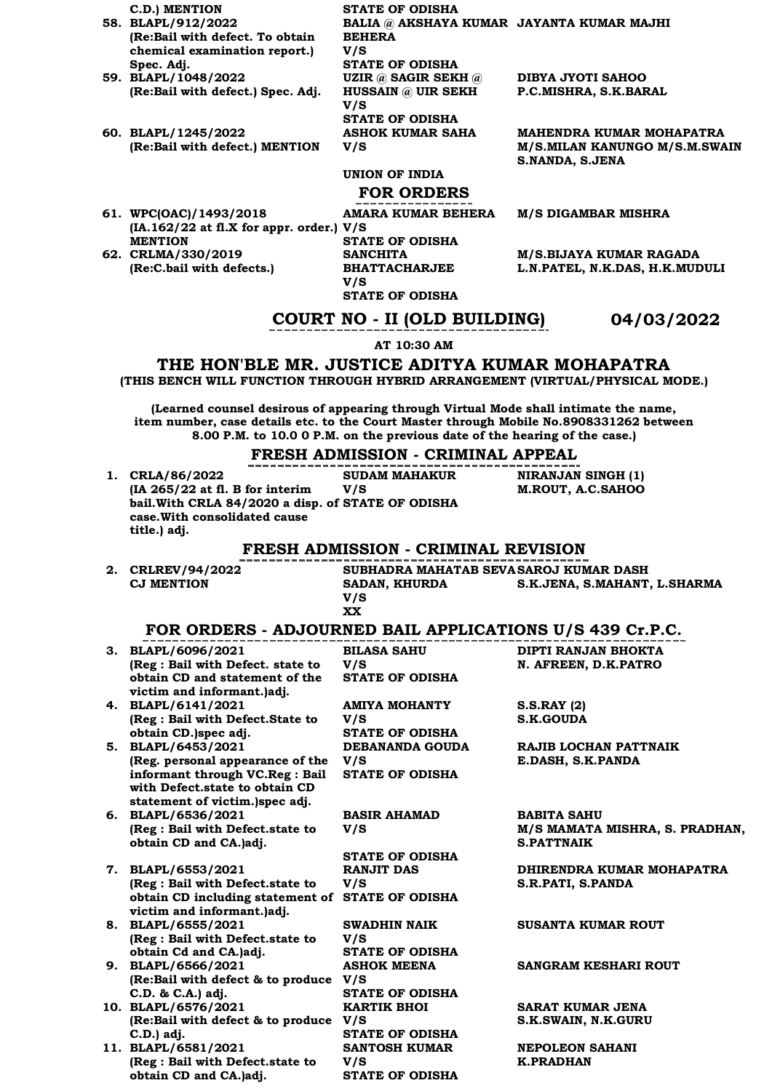**C.D.) MENTION STATE OF ODISHA 58. BLAPL/912/2022 (Re:Bail with defect. To obtain chemical examination report.) Spec. Adj. BALIA @ AKSHAYA KUMAR JAYANTA KUMAR MAJHI BEHERA V/S STATE OF ODISHA 59. BLAPL/1048/2022 (Re:Bail with defect.) Spec. Adj. UZIR @ SAGIR SEKH @ HUSSAIN @ UIR SEKH V/S DIBYA JYOTI SAHOO P.C.MISHRA, S.K.BARAL STATE OF ODISHA 60. BLAPL/1245/2022 (Re:Bail with defect.) MENTION ASHOK KUMAR SAHA V/S MAHENDRA KUMAR MOHAPATRA M/S.MILAN KANUNGO M/S.M.SWAIN S.NANDA, S.JENA UNION OF INDIA FOR ORDERS 61. WPC(OAC)/1493/2018 AMARA KUMAR BEHERA M/S DIGAMBAR MISHRA**

**(IA.162/22 at fl.X for appr. order.) V/S STATE OF ODISHA SANCHITA BHATTACHARJEE M/S.BIJAYA KUMAR RAGADA L.N.PATEL, N.K.DAS, H.K.MUDULI**

**COURT NO - II (OLD BUILDING) 04/03/2022**

#### **AT 10:30 AM**

**STATE OF ODISHA**

**V/S** 

**MENTION**

**62. CRLMA/330/2019** 

**(Re:C.bail with defects.)**

#### **THE HON'BLE MR. JUSTICE ADITYA KUMAR MOHAPATRA (THIS BENCH WILL FUNCTION THROUGH HYBRID ARRANGEMENT (VIRTUAL/PHYSICAL MODE.)**

**(Learned counsel desirous of appearing through Virtual Mode shall intimate the name, item number, case details etc. to the Court Master through Mobile No.8908331262 between 8.00 P.M. to 10.0 0 P.M. on the previous date of the hearing of the case.)**

### **FRESH ADMISSION - CRIMINAL APPEAL**

|                                                            | FRESH ADMISSION - CRIMINAL AFFEAL          |                                |
|------------------------------------------------------------|--------------------------------------------|--------------------------------|
| 1. CRLA/86/2022                                            | <b>SUDAM MAHAKUR</b>                       | <b>NIRANJAN SINGH (1)</b>      |
| (IA 265/22 at fl. B for interim                            | V/S                                        | M.ROUT, A.C.SAHOO              |
| bail. With CRLA 84/2020 a disp. of STATE OF ODISHA         |                                            |                                |
| case. With consolidated cause                              |                                            |                                |
| title.) adj.                                               |                                            |                                |
|                                                            | <b>FRESH ADMISSION - CRIMINAL REVISION</b> |                                |
| 2. CRLREV/94/2022                                          | SUBHADRA MAHATAB SEVASAROJ KUMAR DASH      |                                |
| <b>CJ MENTION</b>                                          | SADAN, KHURDA                              | S.K.JENA, S.MAHANT, L.SHARMA   |
|                                                            | V/S                                        |                                |
|                                                            | <b>XX</b>                                  |                                |
| FOR ORDERS - ADJOURNED BAIL APPLICATIONS U/S 439 Cr.P.C.   |                                            |                                |
| 3. BLAPL/6096/2021                                         | <b>BILASA SAHU</b>                         | DIPTI RANJAN BHOKTA            |
| (Reg : Bail with Defect. state to                          | V/S                                        | N. AFREEN, D.K.PATRO           |
| obtain CD and statement of the                             | <b>STATE OF ODISHA</b>                     |                                |
| victim and informant.)adj.                                 |                                            |                                |
| 4. BLAPL/6141/2021                                         | <b>AMIYA MOHANTY</b>                       | S.S.RAY(2)                     |
| (Reg : Bail with Defect.State to                           | V/S                                        | <b>S.K.GOUDA</b>               |
| obtain CD.)spec adj.                                       | <b>STATE OF ODISHA</b>                     |                                |
| 5. BLAPL/6453/2021                                         | DEBANANDA GOUDA                            | RAJIB LOCHAN PATTNAIK          |
| (Reg. personal appearance of the                           | V/S                                        | E.DASH, S.K.PANDA              |
| informant through VC.Reg : Bail                            | <b>STATE OF ODISHA</b>                     |                                |
| with Defect.state to obtain CD                             |                                            |                                |
| statement of victim.)spec adj.<br>6. BLAPL/6536/2021       | <b>BASIR AHAMAD</b>                        | <b>BABITA SAHU</b>             |
| (Reg : Bail with Defect.state to                           | V/S                                        | M/S MAMATA MISHRA, S. PRADHAN, |
| obtain CD and CA.)adj.                                     |                                            | <b>S.PATTNAIK</b>              |
|                                                            | <b>STATE OF ODISHA</b>                     |                                |
| 7. BLAPL/6553/2021                                         | <b>RANJIT DAS</b>                          | DHIRENDRA KUMAR MOHAPATRA      |
| (Reg : Bail with Defect.state to                           | V/S                                        | S.R.PATI, S.PANDA              |
| obtain CD including statement of STATE OF ODISHA           |                                            |                                |
| victim and informant.)adj.                                 |                                            |                                |
| 8. BLAPL/6555/2021                                         | <b>SWADHIN NAIK</b>                        | <b>SUSANTA KUMAR ROUT</b>      |
| (Reg : Bail with Defect.state to                           | V/S                                        |                                |
| obtain Cd and CA.)adj.                                     | <b>STATE OF ODISHA</b>                     |                                |
| 9. BLAPL/6566/2021                                         | <b>ASHOK MEENA</b>                         | SANGRAM KESHARI ROUT           |
| (Re:Bail with defect & to produce V/S                      |                                            |                                |
| C.D. & C.A.) adj.                                          | <b>STATE OF ODISHA</b>                     |                                |
| 10. BLAPL/6576/2021                                        | <b>KARTIK BHOI</b>                         | SARAT KUMAR JENA               |
| (Re:Bail with defect & to produce V/S                      |                                            | S.K.SWAIN, N.K.GURU            |
| C.D.) adj.                                                 | <b>STATE OF ODISHA</b>                     |                                |
| 11. BLAPL/6581/2021                                        | <b>SANTOSH KUMAR</b>                       | <b>NEPOLEON SAHANI</b>         |
| (Reg : Bail with Defect.state to<br>obtain CD and CA.)adj. | V/S                                        | <b>K.PRADHAN</b>               |
|                                                            | <b>STATE OF ODISHA</b>                     |                                |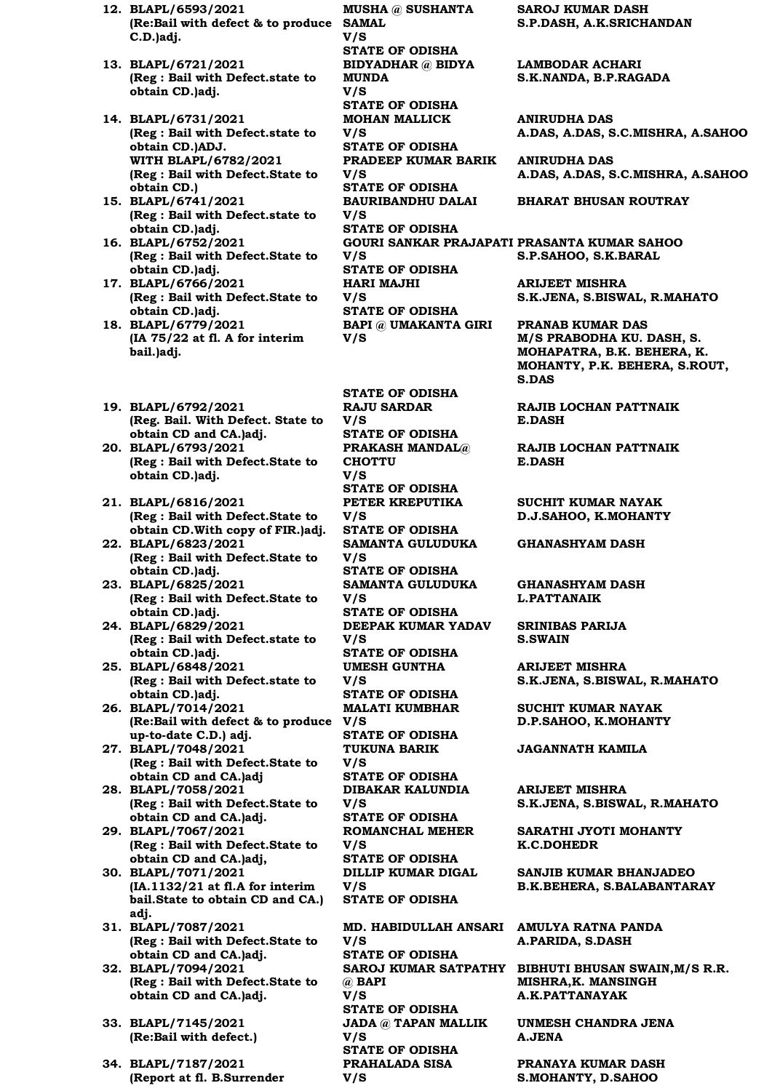- **12. BLAPL/6593/2021 (Re:Bail with defect & to produce SAMAL C.D.)adj.**
- **13. BLAPL/6721/2021 (Reg : Bail with Defect.state to obtain CD.)adj.**
- **14. BLAPL/6731/2021 (Reg : Bail with Defect.state to obtain CD.)ADJ. WITH BLAPL/6782/2021 (Reg : Bail with Defect.State to obtain CD.)**
- **15. BLAPL/6741/2021 (Reg : Bail with Defect.state to obtain CD.)adj.**
- **16. BLAPL/6752/2021 (Reg : Bail with Defect.State to obtain CD.)adj.**
- **17. BLAPL/6766/2021 (Reg : Bail with Defect.State to obtain CD.)adj.**
- **18. BLAPL/6779/2021 (IA 75/22 at fl. A for interim bail.)adj.**
- **19. BLAPL/6792/2021 (Reg. Bail. With Defect. State to obtain CD and CA.)adj.**
- **20. BLAPL/6793/2021 (Reg : Bail with Defect.State to obtain CD.)adj.**
- **21. BLAPL/6816/2021 (Reg : Bail with Defect.State to obtain CD.With copy of FIR.)adj.**
- **22. BLAPL/6823/2021 (Reg : Bail with Defect.State to obtain CD.)adj.**
- **23. BLAPL/6825/2021 (Reg : Bail with Defect.State to obtain CD.)adj.**
- **24. BLAPL/6829/2021 (Reg : Bail with Defect.state to obtain CD.)adj.**
- **25. BLAPL/6848/2021 (Reg : Bail with Defect.state to obtain CD.)adj.**
- **26. BLAPL/7014/2021 (Re:Bail with defect & to produce V/S up-to-date C.D.) adj.**
- **27. BLAPL/7048/2021 (Reg : Bail with Defect.State to obtain CD and CA.)adj**
- **28. BLAPL/7058/2021 (Reg : Bail with Defect.State to obtain CD and CA.)adj.**
- **29. BLAPL/7067/2021 (Reg : Bail with Defect.State to obtain CD and CA.)adj,**
- **30. BLAPL/7071/2021 (IA.1132/21 at fl.A for interim bail.State to obtain CD and CA.) adj.**
- **31. BLAPL/7087/2021 (Reg : Bail with Defect.State to obtain CD and CA.)adj.**
- **32. BLAPL/7094/2021 (Reg : Bail with Defect.State to obtain CD and CA.)adj.**
- **33. BLAPL/7145/2021 (Re:Bail with defect.)**
- **34. BLAPL/7187/2021 (Report at fl. B.Surrender**

**MUSHA @ SUSHANTA V/S STATE OF ODISHA BIDYADHAR @ BIDYA MUNDA V/S STATE OF ODISHA MOHAN MALLICK V/S STATE OF ODISHA PRADEEP KUMAR BARIK V/S STATE OF ODISHA BAURIBANDHU DALAI V/S STATE OF ODISHA V/S STATE OF ODISHA HARI MAJHI V/S STATE OF ODISHA BAPI @ UMAKANTA GIRI V/S** 

**STATE OF ODISHA**

**RAJU SARDAR** 

**V/S STATE OF ODISHA PRAKASH MANDAL@ CHOTTU V/S STATE OF ODISHA PETER KREPUTIKA V/S STATE OF ODISHA SAMANTA GULUDUKA V/S STATE OF ODISHA SAMANTA GULUDUKA V/S STATE OF ODISHA DEEPAK KUMAR YADAV V/S STATE OF ODISHA UMESH GUNTHA V/S STATE OF ODISHA MALATI KUMBHAR STATE OF ODISHA TUKUNA BARIK V/S STATE OF ODISHA DIBAKAR KALUNDIA V/S STATE OF ODISHA ROMANCHAL MEHER V/S STATE OF ODISHA DILLIP KUMAR DIGAL V/S STATE OF ODISHA V/S STATE OF ODISHA @ BAPI V/S STATE OF ODISHA JADA @ TAPAN MALLIK V/S STATE OF ODISHA PRAHALADA SISA V/S** 

**SAROJ KUMAR DASH S.P.DASH, A.K.SRICHANDAN**

**LAMBODAR ACHARI S.K.NANDA, B.P.RAGADA**

**ANIRUDHA DAS A.DAS, A.DAS, S.C.MISHRA, A.SAHOO**

**ANIRUDHA DAS A.DAS, A.DAS, S.C.MISHRA, A.SAHOO**

#### **BHARAT BHUSAN ROUTRAY**

**GOURI SANKAR PRAJAPATI PRASANTA KUMAR SAHOO S.P.SAHOO, S.K.BARAL**

> **ARIJEET MISHRA S.K.JENA, S.BISWAL, R.MAHATO**

**PRANAB KUMAR DAS M/S PRABODHA KU. DASH, S. MOHAPATRA, B.K. BEHERA, K. MOHANTY, P.K. BEHERA, S.ROUT, S.DAS**

**RAJIB LOCHAN PATTNAIK E.DASH**

**RAJIB LOCHAN PATTNAIK E.DASH**

**SUCHIT KUMAR NAYAK D.J.SAHOO, K.MOHANTY**

**GHANASHYAM DASH**

**GHANASHYAM DASH L.PATTANAIK**

**SRINIBAS PARIJA S.SWAIN**

**ARIJEET MISHRA S.K.JENA, S.BISWAL, R.MAHATO**

**SUCHIT KUMAR NAYAK D.P.SAHOO, K.MOHANTY**

**JAGANNATH KAMILA**

**ARIJEET MISHRA S.K.JENA, S.BISWAL, R.MAHATO**

**SARATHI JYOTI MOHANTY K.C.DOHEDR**

**SANJIB KUMAR BHANJADEO B.K.BEHERA, S.BALABANTARAY**

**MD. HABIDULLAH ANSARI AMULYA RATNA PANDA A.PARIDA, S.DASH**

**SAROJ KUMAR SATPATHY BIBHUTI BHUSAN SWAIN,M/S R.R. MISHRA,K. MANSINGH A.K.PATTANAYAK**

> **UNMESH CHANDRA JENA A.JENA**

**PRANAYA KUMAR DASH S.MOHANTY, D.SAHOO**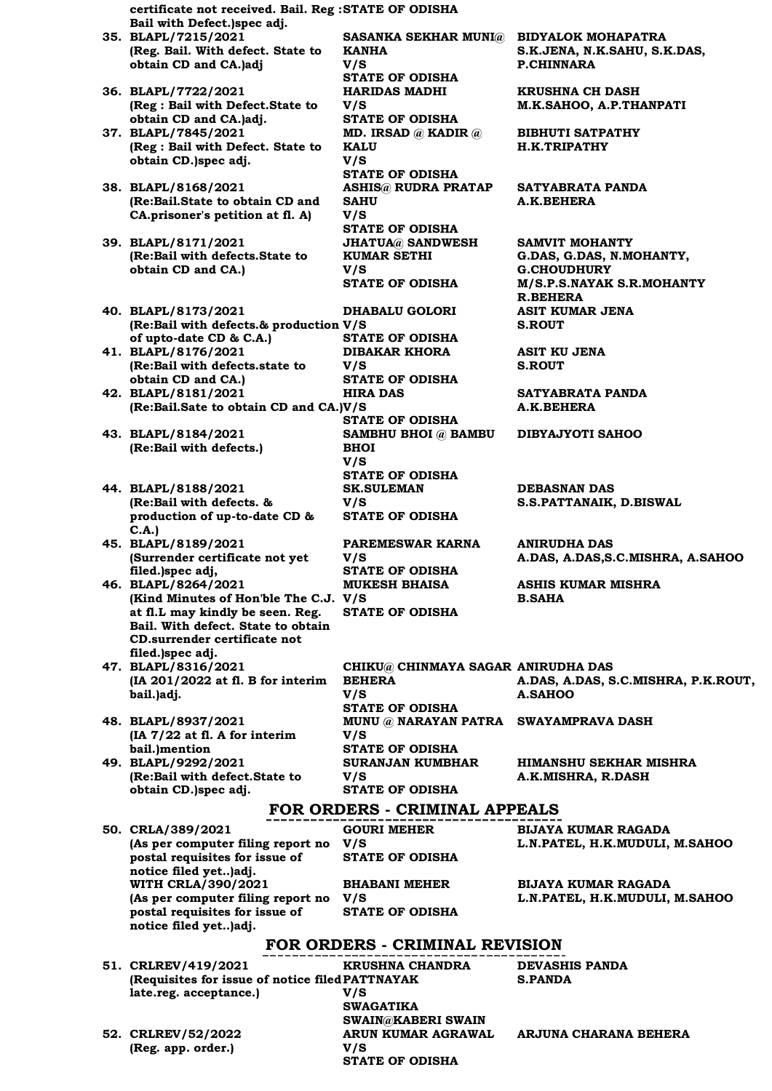**certificate not received. Bail. Reg : STATE OF ODISHA Bail with Defect.)spec adj. 35. BLAPL/7215/2021 (Reg. Bail. With defect. State to obtain CD and CA.)adj SASANKA SEKHAR MUNI@ BIDYALOK MOHAPATRA KANHA V/S STATE OF ODISHA 36. BLAPL/7722/2021 (Reg : Bail with Defect.State to obtain CD and CA.)adj. HARIDAS MADHI V/S STATE OF ODISHA 37. BLAPL/7845/2021 (Reg : Bail with Defect. State to obtain CD.)spec adj. MD. IRSAD @ KADIR @ KALU V/S STATE OF ODISHA 38. BLAPL/8168/2021 (Re:Bail.State to obtain CD and CA.prisoner's petition at fl. A) ASHIS@ RUDRA PRATAP SAHU V/S STATE OF ODISHA 39. BLAPL/8171/2021 (Re:Bail with defects.State to obtain CD and CA.) JHATUA@ SANDWESH KUMAR SETHI V/S 40. BLAPL/8173/2021 (Re:Bail with defects.& production V/S of upto-date CD & C.A.) DHABALU GOLORI STATE OF ODISHA 41. BLAPL/8176/2021 (Re:Bail with defects.state to obtain CD and CA.) DIBAKAR KHORA V/S STATE OF ODISHA 42. BLAPL/8181/2021 (Re:Bail.Sate to obtain CD and CA.) V/S HIRA DAS STATE OF ODISHA 43. BLAPL/8184/2021 (Re:Bail with defects.) SAMBHU BHOI @ BAMBU BHOI V/S STATE OF ODISHA 44. BLAPL/8188/2021 (Re:Bail with defects. & production of up-to-date CD & C.A.) SK.SULEMAN V/S STATE OF ODISHA 45. BLAPL/8189/2021 (Surrender certificate not yet filed.)spec adj, PAREMESWAR KARNA V/S STATE OF ODISHA 46. BLAPL/8264/2021 (Kind Minutes of Hon'ble The C.J. V/S at fl.L may kindly be seen. Reg. Bail. With defect. State to obtain CD.surrender certificate not filed.)spec adj. MUKESH BHAISA STATE OF ODISHA 47. BLAPL/8316/2021 (IA 201/2022 at fl. B for interim bail.)adj. CHIKU@ CHINMAYA SAGAR ANIRUDHA DAS BEHERA V/S STATE OF ODISHA 48. BLAPL/8937/2021 (IA 7/22 at fl. A for interim bail.)mention V/S STATE OF ODISHA 49. BLAPL/9292/2021 (Re:Bail with defect.State to obtain CD.)spec adj. SURANJAN KUMBHAR V/S STATE OF ODISHA GOURI MEHER** 

**50. CRLA/389/2021 (As per computer filing report no postal requisites for issue of notice filed yet..)adj. WITH CRLA/390/2021 (As per computer filing report no postal requisites for issue of notice filed yet..)adj.**

> **KRUSHNA CHANDRA V/S**

**STATE OF ODISHA**

**BHABANI MEHER** 

**STATE OF ODISHA**

**DEVASHIS PANDA S.PANDA**

**52. CRLREV/52/2022 (Reg. app. order.)**

**51. CRLREV/419/2021** 

**late.reg. acceptance.)**

**ARJUNA CHARANA BEHERA**

**S.K.JENA, N.K.SAHU, S.K.DAS, P.CHINNARA**

**KRUSHNA CH DASH M.K.SAHOO, A.P.THANPATI**

**BIBHUTI SATPATHY H.K.TRIPATHY**

**SATYABRATA PANDA A.K.BEHERA**

**SAMVIT MOHANTY G.DAS, G.DAS, N.MOHANTY, G.CHOUDHURY STATE OF ODISHA M/S.P.S.NAYAK S.R.MOHANTY R.BEHERA ASIT KUMAR JENA S.ROUT**

> **ASIT KU JENA S.ROUT**

**SATYABRATA PANDA A.K.BEHERA**

**DIBYAJYOTI SAHOO**

**DEBASNAN DAS S.S.PATTANAIK, D.BISWAL**

**ANIRUDHA DAS A.DAS, A.DAS,S.C.MISHRA, A.SAHOO**

**ASHIS KUMAR MISHRA B.SAHA**

**A.DAS, A.DAS, S.C.MISHRA, P.K.ROUT, A.SAHOO MUNU @ NARAYAN PATRA SWAYAMPRAVA DASH**

> **HIMANSHU SEKHAR MISHRA A.K.MISHRA, R.DASH**

### **FOR ORDERS - CRIMINAL APPEALS**

**BIJAYA KUMAR RAGADA L.N.PATEL, H.K.MUDULI, M.SAHOO**

**BIJAYA KUMAR RAGADA L.N.PATEL, H.K.MUDULI, M.SAHOO**

**FOR ORDERS - CRIMINAL REVISION (Requisites for issue of notice filed PATTNAYAK** 

**SWAGATIKA** 

**V/S** 

**V/S** 

**ARUN KUMAR AGRAWAL V/S** 

**STATE OF ODISHA**

**SWAIN@KABERI SWAIN**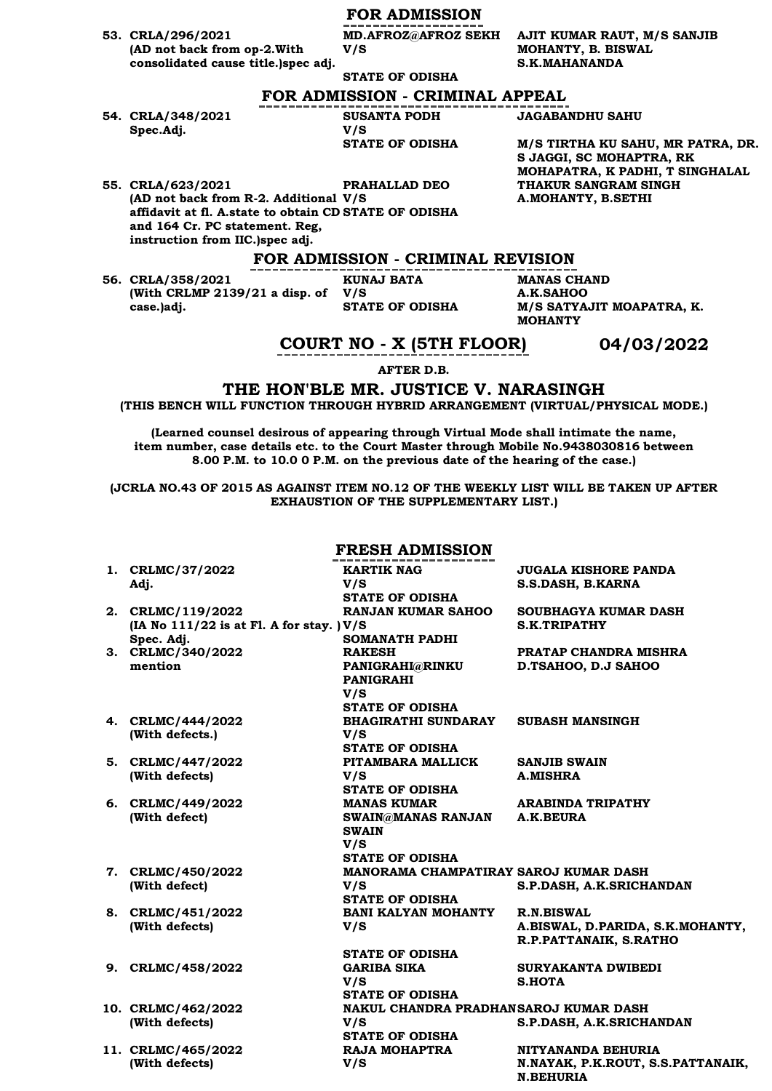## **FOR ADMISSION**

**MD.AFROZ@AFROZ SEKH** 

**53. CRLA/296/2021 (AD not back from op-2.With consolidated cause title.)spec adj.**

**STATE OF ODISHA**

**V/S** 

**AJIT KUMAR RAUT, M/S SANJIB MOHANTY, B. BISWAL S.K.MAHANANDA**

## **FOR ADMISSION - CRIMINAL APPEAL**

**54. CRLA/348/2021 Spec.Adj.**

**SUSANTA PODH V/S**  **JAGABANDHU SAHU**

 $M/S$  TIRTHA KU SAHU, MR PATRA, DR. **S JAGGI, SC MOHAPTRA, RK MOHAPATRA, K PADHI, T SINGHALAL THAKUR SANGRAM SINGH A.MOHANTY, B.SETHI**

**55. CRLA/623/2021 (AD not back from R-2. Additional V/S affidavit at fl. A.state to obtain CD STATE OF ODISHA and 164 Cr. PC statement. Reg, instruction from IIC.)spec adj. PRAHALLAD DEO** 

### **FOR ADMISSION - CRIMINAL REVISION**

**56. CRLA/358/2021 (With CRLMP 2139/21 a disp. of V/S case.)adj.**

**KUNAJ BATA** 

**MANAS CHAND A.K.SAHOO STATE OF ODISHA M/S SATYAJIT MOAPATRA, K. MOHANTY** 

## **COURT NO - X (5TH FLOOR) 04/03/2022**

**AFTER D.B.**

**THE HON'BLE MR. JUSTICE V. NARASINGH**

**(THIS BENCH WILL FUNCTION THROUGH HYBRID ARRANGEMENT (VIRTUAL/PHYSICAL MODE.)**

**(Learned counsel desirous of appearing through Virtual Mode shall intimate the name, item number, case details etc. to the Court Master through Mobile No.9438030816 between 8.00 P.M. to 10.0 0 P.M. on the previous date of the hearing of the case.)**

**(JCRLA NO.43 OF 2015 AS AGAINST ITEM NO.12 OF THE WEEKLY LIST WILL BE TAKEN UP AFTER EXHAUSTION OF THE SUPPLEMENTARY LIST.)**

#### **FRESH ADMISSION**

| 1. CRLMC/37/2022                             | <b>KARTIK NAG</b>                     | <b>JUGALA KISHORE PANDA</b>       |
|----------------------------------------------|---------------------------------------|-----------------------------------|
| Adj.                                         | V/S                                   | S.S.DASH, B.KARNA                 |
|                                              | <b>STATE OF ODISHA</b>                |                                   |
| 2. CRLMC/119/2022                            | <b>RANJAN KUMAR SAHOO</b>             | SOUBHAGYA KUMAR DASH              |
| (IA No $111/22$ is at Fl. A for stay.) $V/S$ |                                       | <b>S.K.TRIPATHY</b>               |
| Spec. Adj.                                   | <b>SOMANATH PADHI</b>                 |                                   |
| 3. CRLMC/340/2022                            | <b>RAKESH</b>                         | PRATAP CHANDRA MISHRA             |
| mention                                      | <b>PANIGRAHI@RINKU</b>                | D.TSAHOO, D.J SAHOO               |
|                                              | <b>PANIGRAHI</b>                      |                                   |
|                                              | V/S                                   |                                   |
|                                              | <b>STATE OF ODISHA</b>                |                                   |
| 4. CRLMC/444/2022                            | <b>BHAGIRATHI SUNDARAY</b>            | <b>SUBASH MANSINGH</b>            |
| (With defects.)                              | V/S                                   |                                   |
|                                              | <b>STATE OF ODISHA</b>                |                                   |
| 5. CRLMC/447/2022                            | PITAMBARA MALLICK                     | <b>SANJIB SWAIN</b>               |
| (With defects)                               | V/S                                   | <b>A.MISHRA</b>                   |
|                                              | <b>STATE OF ODISHA</b>                |                                   |
| 6. CRLMC/449/2022                            | <b>MANAS KUMAR</b>                    | <b>ARABINDA TRIPATHY</b>          |
| (With defect)                                | SWAIN@MANAS RANJAN                    | A.K.BEURA                         |
|                                              | <b>SWAIN</b>                          |                                   |
|                                              | V/S                                   |                                   |
|                                              | <b>STATE OF ODISHA</b>                |                                   |
| 7. CRLMC/450/2022                            | MANORAMA CHAMPATIRAY SAROJ KUMAR DASH |                                   |
| (With defect)                                | V/S                                   | S.P.DASH, A.K.SRICHANDAN          |
|                                              | <b>STATE OF ODISHA</b>                |                                   |
| 8. CRLMC/451/2022                            | BANI KALYAN MOHANTY                   | <b>R.N.BISWAL</b>                 |
| (With defects)                               | V/S                                   | A.BISWAL, D.PARIDA, S.K.MOHANTY,  |
|                                              |                                       | R.P.PATTANAIK, S.RATHO            |
|                                              | <b>STATE OF ODISHA</b>                |                                   |
| 9. CRLMC/458/2022                            | <b>GARIBA SIKA</b>                    | SURYAKANTA DWIBEDI                |
|                                              | V/S                                   | <b>S.HOTA</b>                     |
|                                              | <b>STATE OF ODISHA</b>                |                                   |
| 10. CRLMC/462/2022                           | NAKUL CHANDRA PRADHANSAROJ KUMAR DASH |                                   |
| (With defects)                               | V/S                                   | S.P.DASH, A.K.SRICHANDAN          |
|                                              | <b>STATE OF ODISHA</b>                |                                   |
| 11. CRLMC/465/2022                           | RAJA MOHAPTRA                         | NITYANANDA BEHURIA                |
| (With defects)                               | V/S                                   | N.NAYAK, P.K.ROUT, S.S.PATTANAIK, |
|                                              |                                       | <b>N.BEHURIA</b>                  |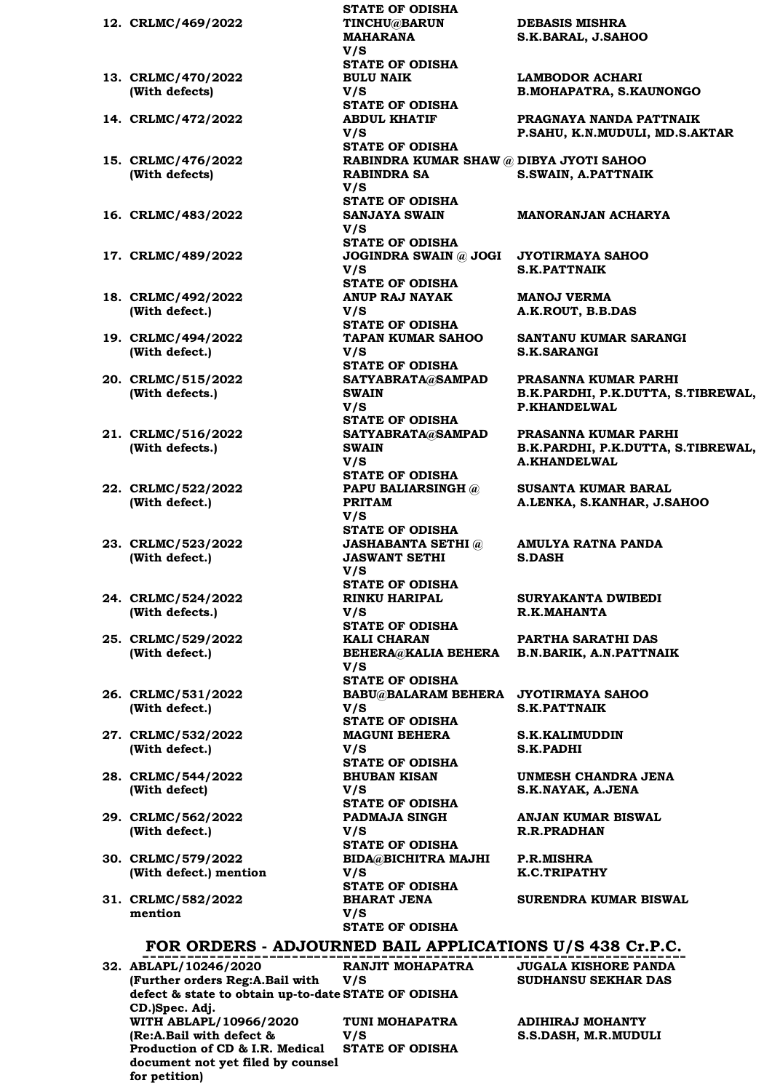|                        | STATE OF ODISHA                                      |                                             |
|------------------------|------------------------------------------------------|---------------------------------------------|
| 12. CRLMC/469/2022     | TINCHU@BARUN<br><b>MAHARANA</b>                      | <b>DEBASIS MISHRA</b><br>S.K.BARAL, J.SAHOO |
|                        | V/S                                                  |                                             |
|                        | <b>STATE OF ODISHA</b>                               |                                             |
| 13. CRLMC/470/2022     | <b>BULU NAIK</b>                                     | <b>LAMBODOR ACHARI</b>                      |
| (With defects)         | V/S                                                  | <b>B.MOHAPATRA, S.KA</b>                    |
|                        | <b>STATE OF ODISHA</b>                               |                                             |
| 14. CRLMC/472/2022     | <b>ABDUL KHATIF</b>                                  | PRAGNAYA NANDA PA                           |
|                        | V/S                                                  | P.SAHU, K.N.MUDULI                          |
|                        | <b>STATE OF ODISHA</b>                               |                                             |
| 15. CRLMC/476/2022     | RABINDRA KUMAR SHAW @ DIBYA JYOTI SAHOO              |                                             |
| (With defects)         | RABINDRA SA                                          | <b>S.SWAIN, A.PATTNAII</b>                  |
|                        | V/S<br><b>STATE OF ODISHA</b>                        |                                             |
| 16. CRLMC/483/2022     | <b>SANJAYA SWAIN</b>                                 | <b>MANORANJAN ACHAI</b>                     |
|                        | V/S                                                  |                                             |
|                        | <b>STATE OF ODISHA</b>                               |                                             |
| 17. CRLMC/489/2022     | JOGINDRA SWAIN @ JOGI JYOTIRMAYA SAHOO               |                                             |
|                        | V/S                                                  | <b>S.K.PATTNAIK</b>                         |
|                        | <b>STATE OF ODISHA</b>                               |                                             |
| 18. CRLMC/492/2022     | ANUP RAJ NAYAK                                       | <b>MANOJ VERMA</b>                          |
| (With defect.)         | V/S                                                  | A.K.ROUT, B.B.DAS                           |
|                        | <b>STATE OF ODISHA</b>                               |                                             |
| 19. CRLMC/494/2022     | TAPAN KUMAR SAHOO                                    | <b>SANTANU KUMAR SA</b>                     |
| (With defect.)         | V/S                                                  | <b>S.K.SARANGI</b>                          |
| 20. CRLMC/515/2022     | <b>STATE OF ODISHA</b><br>SATYABRATA@SAMPAD          | PRASANNA KUMAR P.                           |
| (With defects.)        | <b>SWAIN</b>                                         | <b>B.K.PARDHI, P.K.DUT</b>                  |
|                        | V/S                                                  | <b>P.KHANDELWAL</b>                         |
|                        | <b>STATE OF ODISHA</b>                               |                                             |
| 21. CRLMC/516/2022     | SATYABRATA@SAMPAD                                    | PRASANNA KUMAR P.                           |
| (With defects.)        | <b>SWAIN</b>                                         | B.K.PARDHI, P.K.DUT                         |
|                        | V/S                                                  | <b>A.KHANDELWAL</b>                         |
|                        | <b>STATE OF ODISHA</b>                               |                                             |
| 22. CRLMC/522/2022     | <b>PAPU BALIARSINGH @</b>                            | <b>SUSANTA KUMAR BAI</b>                    |
| (With defect.)         | <b>PRITAM</b>                                        | A.LENKA, S.KANHAR,                          |
|                        | V/S                                                  |                                             |
| 23. CRLMC/523/2022     | <b>STATE OF ODISHA</b><br><b>JASHABANTA SETHI</b> @  | <b>AMULYA RATNA PANI</b>                    |
| (With defect.)         | <b>JASWANT SETHI</b>                                 | <b>S.DASH</b>                               |
|                        | V/S                                                  |                                             |
|                        | <b>STATE OF ODISHA</b>                               |                                             |
| 24. CRLMC/524/2022     | <b>RINKU HARIPAL</b>                                 | <b>SURYAKANTA DWIBE</b>                     |
| (With defects.)        | V/S                                                  | R.K.MAHANTA                                 |
|                        | <b>STATE OF ODISHA</b>                               |                                             |
| 25. CRLMC/529/2022     | <b>KALI CHARAN</b>                                   | PARTHA SARATHI DA                           |
| (With defect.)         | BEHERA@KALIA BEHERA B.N.BARIK, A.N.PATT              |                                             |
|                        | V/S<br><b>STATE OF ODISHA</b>                        |                                             |
| 26. CRLMC/531/2022     | BABU@BALARAM BEHERA JYOTIRMAYA SAHOO                 |                                             |
| (With defect.)         | V/S                                                  | <b>S.K.PATTNAIK</b>                         |
|                        | <b>STATE OF ODISHA</b>                               |                                             |
| 27. CRLMC/532/2022     | <b>MAGUNI BEHERA</b>                                 | <b>S.K.KALIMUDDIN</b>                       |
| (With defect.)         | V/S                                                  | <b>S.K.PADHI</b>                            |
|                        | <b>STATE OF ODISHA</b>                               |                                             |
| 28. CRLMC/544/2022     | <b>BHUBAN KISAN</b>                                  | <b>UNMESH CHANDRA J</b>                     |
| (With defect)          | V/S                                                  | S.K.NAYAK, A.JENA                           |
|                        | <b>STATE OF ODISHA</b>                               |                                             |
| 29. CRLMC/562/2022     | <b>PADMAJA SINGH</b>                                 | <b>ANJAN KUMAR BISWA</b>                    |
| (With defect.)         | V/S<br><b>STATE OF ODISHA</b>                        | <b>R.R.PRADHAN</b>                          |
| 30. CRLMC/579/2022     | BIDA@BICHITRA MAJHI P.R.MISHRA                       |                                             |
| (With defect.) mention | V/S                                                  | K.C.TRIPATHY                                |
|                        | <b>STATE OF ODISHA</b>                               |                                             |
| 31. CRLMC/582/2022     | <b>BHARAT JENA</b>                                   | <b>SURENDRA KUMAR B</b>                     |
| mention                | V/S                                                  |                                             |
|                        | <b>STATE OF ODISHA</b>                               |                                             |
|                        | FOR ORDERS - ADJOURNED BAIL APPLICATIONS U/S 438 Cr. |                                             |
|                        |                                                      |                                             |
| 32. ABLAPL/10246/2020  | RANJIT MOHAPATRA           JUGALA KISHORE PA         |                                             |

**FOR ORDERS - ADJOURNED BAIL APPLICATIONS U/S 438 Cr.P.C. 32. ABLAPL/10246/2020 (Further orders Reg:A.Bail with defect & state to obtain up-to-date STATE OF ODISHA CD.)Spec. Adj. V/S WITH ABLAPL/10966/2020 (Re:A.Bail with defect & Production of CD & I.R. Medical document not yet filed by counsel for petition) V/S** 

**RANJIT MOHAPATRA TUNI MOHAPATRA STATE OF ODISHA**

**STATE OF ODISHA 12. CRLMC/469/2022 TINCHU@BARUN MAHARANA** 

**LAMBODOR ACHARI B.MOHAPATRA, S.KAUNONGO**

**PRAGNAYA NANDA PATTNAIK P.SAHU, K.N.MUDULI, MD.S.AKTAR**

#### **MANORANJAN ACHARYA**

**SANTANU KUMAR SARANGI S.K.SARANGI**

**PRASANNA KUMAR PARHI B.K.PARDHI, P.K.DUTTA, S.TIBREWAL, P.KHANDELWAL**

**PRASANNA KUMAR PARHI B.K.PARDHI, P.K.DUTTA, S.TIBREWAL, A.KHANDELWAL**

**SUSANTA KUMAR BARAL A.LENKA, S.KANHAR, J.SAHOO**

**AMULYA RATNA PANDA S.DASH**

**SURYAKANTA DWIBEDI R.K.MAHANTA**

**BEHERA@KALIA BEHERA B.N.BARIK, A.N.PATTNAIK PARTHA SARATHI DAS**

**UNMESH CHANDRA JENA S.K.NAYAK, A.JENA**

**ANJAN KUMAR BISWAL R.R.PRADHAN**

**SURENDRA KUMAR BISWAL**

**JUGALA KISHORE PANDA SUDHANSU SEKHAR DAS**

**ADIHIRAJ MOHANTY S.S.DASH, M.R.MUDULI**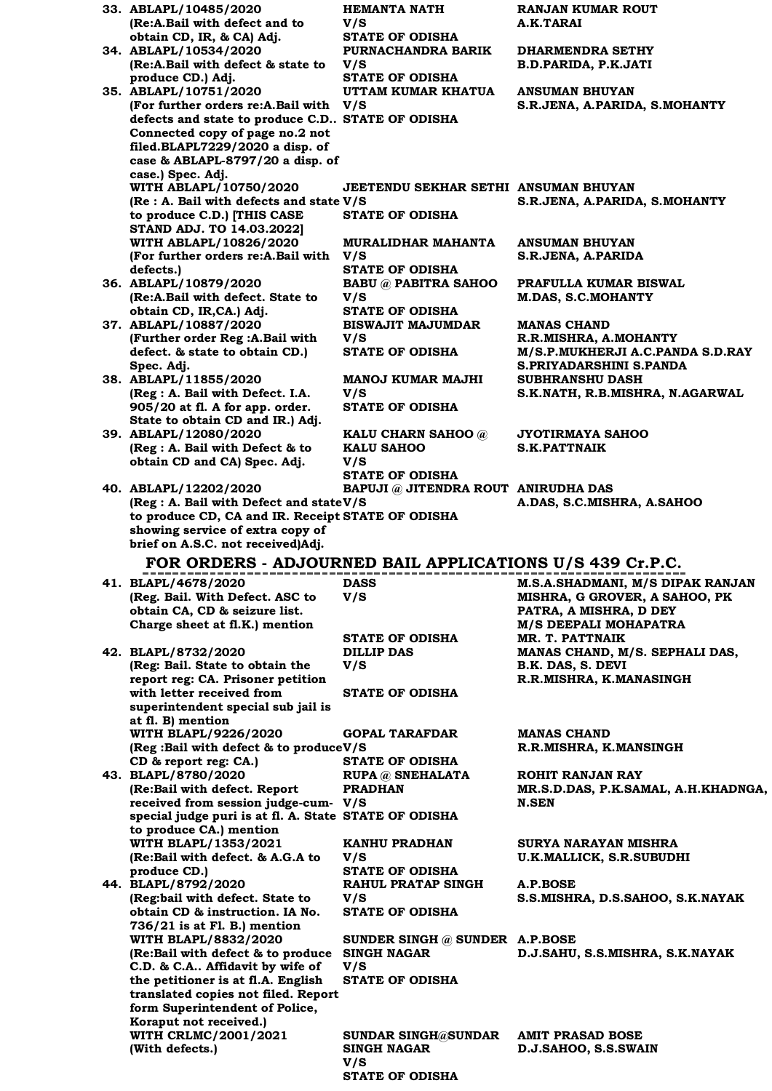| 33. ABLAPL/10485/2020<br>(Re:A.Bail with defect and to             | <b>HEMANTA NATH</b><br>V/S                       | <b>RANJAN KUMAR ROUT</b><br>A.K.TARAI                             |
|--------------------------------------------------------------------|--------------------------------------------------|-------------------------------------------------------------------|
| obtain CD, IR, & CA) Adj.                                          | <b>STATE OF ODISHA</b>                           |                                                                   |
| 34. ABLAPL/10534/2020                                              | PURNACHANDRA BARIK                               | <b>DHARMENDRA SETHY</b>                                           |
| (Re:A.Bail with defect & state to                                  | V/S                                              | <b>B.D.PARIDA, P.K.JATI</b>                                       |
| produce CD.) Adj.                                                  | <b>STATE OF ODISHA</b>                           |                                                                   |
| 35. ABLAPL/10751/2020                                              | UTTAM KUMAR KHATUA                               | <b>ANSUMAN BHUYAN</b>                                             |
| (For further orders re:A.Bail with V/S                             |                                                  | S.R.JENA, A.PARIDA, S.MOHANTY                                     |
| defects and state to produce C.D STATE OF ODISHA                   |                                                  |                                                                   |
| Connected copy of page no.2 not                                    |                                                  |                                                                   |
| filed.BLAPL7229/2020 a disp. of                                    |                                                  |                                                                   |
| case & ABLAPL-8797/20 a disp. of                                   |                                                  |                                                                   |
| case.) Spec. Adj.                                                  |                                                  |                                                                   |
| WITH ABLAPL/10750/2020                                             | JEETENDU SEKHAR SETHI ANSUMAN BHUYAN             |                                                                   |
| (Re : A. Bail with defects and state V/S)                          |                                                  | S.R.JENA, A.PARIDA, S.MOHANTY                                     |
| to produce C.D.) [THIS CASE                                        | <b>STATE OF ODISHA</b>                           |                                                                   |
| <b>STAND ADJ. TO 14.03.2022]</b>                                   |                                                  |                                                                   |
| WITH ABLAPL/10826/2020<br>(For further orders re:A.Bail with       | MURALIDHAR MAHANTA<br>V/S                        | <b>ANSUMAN BHUYAN</b><br>S.R.JENA, A.PARIDA                       |
| defects.)                                                          | <b>STATE OF ODISHA</b>                           |                                                                   |
| 36. ABLAPL/10879/2020                                              | <b>BABU @ PABITRA SAHOO</b>                      | PRAFULLA KUMAR BISWAL                                             |
| (Re:A.Bail with defect. State to                                   | V/S                                              | <b>M.DAS, S.C.MOHANTY</b>                                         |
| obtain CD, IR, CA.) Adj.                                           | <b>STATE OF ODISHA</b>                           |                                                                   |
| 37. ABLAPL/10887/2020                                              | <b>BISWAJIT MAJUMDAR</b>                         | <b>MANAS CHAND</b>                                                |
| (Further order Reg : A. Bail with                                  | V/S                                              | R.R.MISHRA, A.MOHANTY                                             |
| defect. & state to obtain CD.)                                     | <b>STATE OF ODISHA</b>                           | M/S.P.MUKHERJI A.C.PANDA S.D.RAY                                  |
| Spec. Adj.                                                         |                                                  | S.PRIYADARSHINI S.PANDA                                           |
| 38. ABLAPL/11855/2020                                              | <b>MANOJ KUMAR MAJHI</b>                         | <b>SUBHRANSHU DASH</b>                                            |
| (Reg : A. Bail with Defect. I.A.                                   | V/S                                              | S.K.NATH, R.B.MISHRA, N.AGARWAL                                   |
| 905/20 at fl. A for app. order.                                    | <b>STATE OF ODISHA</b>                           |                                                                   |
| State to obtain CD and IR.) Adj.                                   |                                                  |                                                                   |
| 39. ABLAPL/12080/2020<br>(Reg : A. Bail with Defect & to           | KALU CHARN SAHOO @<br><b>KALU SAHOO</b>          | <b>JYOTIRMAYA SAHOO</b><br><b>S.K.PATTNAIK</b>                    |
| obtain CD and CA) Spec. Adj.                                       | V/S                                              |                                                                   |
|                                                                    | <b>STATE OF ODISHA</b>                           |                                                                   |
| 40. ABLAPL/12202/2020                                              | BAPUJI @ JITENDRA ROUT ANIRUDHA DAS              |                                                                   |
| (Reg : A. Bail with Defect and stateV/S                            |                                                  | A.DAS, S.C.MISHRA, A.SAHOO                                        |
| to produce CD, CA and IR. Receipt STATE OF ODISHA                  |                                                  |                                                                   |
| showing service of extra copy of                                   |                                                  |                                                                   |
|                                                                    |                                                  |                                                                   |
| brief on A.S.C. not received)Adj.                                  |                                                  |                                                                   |
| FOR ORDERS - ADJOURNED BAIL APPLICATIONS U/S 439 Cr.P.C.           |                                                  |                                                                   |
|                                                                    | <b>DASS</b>                                      |                                                                   |
| 41. BLAPL/4678/2020<br>(Reg. Bail. With Defect. ASC to             | V/S                                              | M.S.A.SHADMANI, M/S DIPAK RANJAN<br>MISHRA, G GROVER, A SAHOO, PK |
| obtain CA, CD & seizure list.                                      |                                                  | PATRA, A MISHRA, D DEY                                            |
| Charge sheet at fl.K.) mention                                     |                                                  | M/S DEEPALI MOHAPATRA                                             |
|                                                                    | <b>STATE OF ODISHA</b>                           | MR. T. PATTNAIK                                                   |
| 42. BLAPL/8732/2020                                                | <b>DILLIP DAS</b>                                | MANAS CHAND, M/S. SEPHALI DAS,                                    |
| (Reg: Bail. State to obtain the                                    | V/S                                              | B.K. DAS, S. DEVI                                                 |
| report reg: CA. Prisoner petition                                  |                                                  | R.R.MISHRA, K.MANASINGH                                           |
| with letter received from                                          | <b>STATE OF ODISHA</b>                           |                                                                   |
| superintendent special sub jail is                                 |                                                  |                                                                   |
| at fl. B) mention                                                  | <b>GOPAL TARAFDAR</b>                            | <b>MANAS CHAND</b>                                                |
| WITH BLAPL/9226/2020<br>(Reg: Bail with defect & to produce V/S    |                                                  |                                                                   |
| CD & report reg: CA.)                                              | <b>STATE OF ODISHA</b>                           | R.R.MISHRA, K.MANSINGH                                            |
| 43. BLAPL/8780/2020                                                | <b>RUPA</b> @ SNEHALATA                          | <b>ROHIT RANJAN RAY</b>                                           |
| (Re:Bail with defect. Report                                       | <b>PRADHAN</b>                                   | MR.S.D.DAS, P.K.SAMAL, A.H.KHADNGA,                               |
| received from session judge-cum- V/S                               |                                                  | <b>N.SEN</b>                                                      |
| special judge puri is at fl. A. State STATE OF ODISHA              |                                                  |                                                                   |
| to produce CA.) mention                                            |                                                  |                                                                   |
| <b>WITH BLAPL/1353/2021</b>                                        | KANHU PRADHAN                                    | SURYA NARAYAN MISHRA                                              |
| (Re:Bail with defect. & A.G.A to                                   | V/S                                              | U.K.MALLICK, S.R.SUBUDHI                                          |
| produce CD.)                                                       | <b>STATE OF ODISHA</b>                           |                                                                   |
| 44. BLAPL/8792/2020                                                | <b>RAHUL PRATAP SINGH</b>                        | A.P.BOSE                                                          |
| (Reg:bail with defect. State to<br>obtain CD & instruction. IA No. | V/S<br><b>STATE OF ODISHA</b>                    | S.S.MISHRA, D.S.SAHOO, S.K.NAYAK                                  |
| $736/21$ is at Fl. B.) mention                                     |                                                  |                                                                   |
| <b>WITH BLAPL/8832/2020</b>                                        | SUNDER SINGH $@$ SUNDER A.P.BOSE                 |                                                                   |
| (Re:Bail with defect & to produce                                  | <b>SINGH NAGAR</b>                               | D.J.SAHU, S.S.MISHRA, S.K.NAYAK                                   |
| C.D. & C.A Affidavit by wife of                                    | V/S                                              |                                                                   |
| the petitioner is at fl.A. English                                 | <b>STATE OF ODISHA</b>                           |                                                                   |
| translated copies not filed. Report                                |                                                  |                                                                   |
| form Superintendent of Police,                                     |                                                  |                                                                   |
| Koraput not received.)                                             |                                                  |                                                                   |
| WITH CRLMC/2001/2021<br>(With defects.)                            | <b>SUNDAR SINGH@SUNDAR</b><br><b>SINGH NAGAR</b> | <b>AMIT PRASAD BOSE</b><br>D.J.SAHOO, S.S.SWAIN                   |

**STATE OF ODISHA**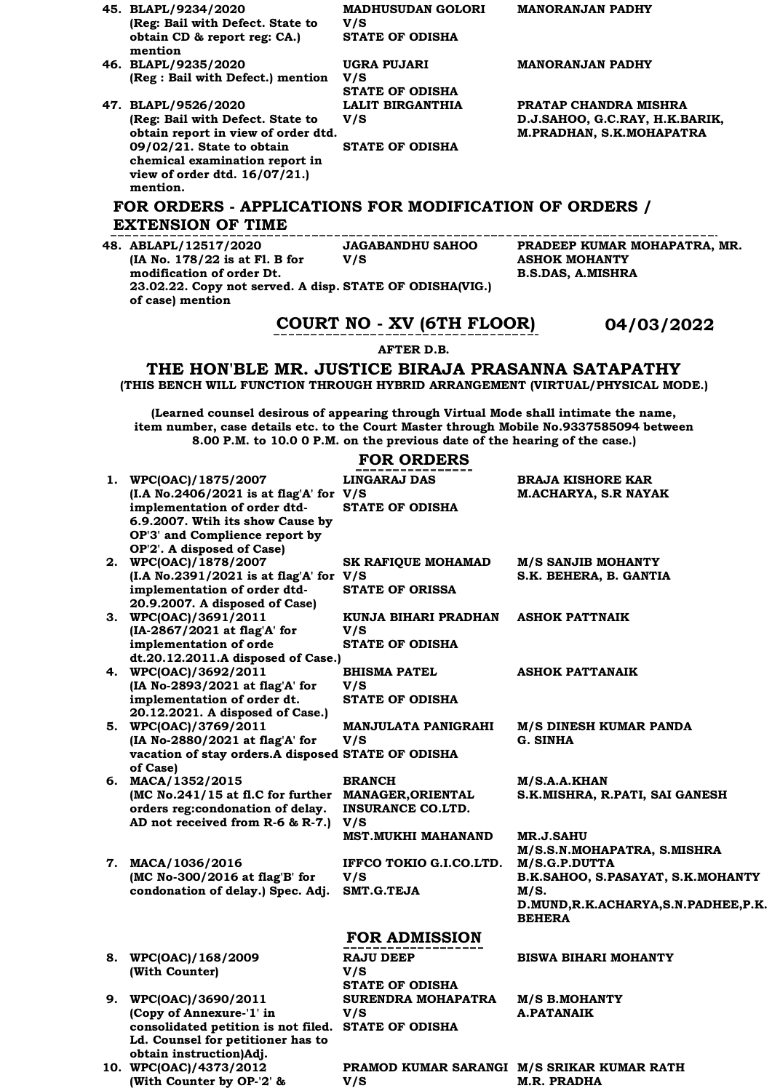| 45. BLAPL/9234/2020                                                                     | <b>MADHUSUDAN GOLORI</b>                                                   | <b>MANORANJAN PADHY</b>        |  |
|-----------------------------------------------------------------------------------------|----------------------------------------------------------------------------|--------------------------------|--|
| (Reg: Bail with Defect. State to                                                        | V/S                                                                        |                                |  |
| obtain CD & report reg: CA.)<br>mention                                                 | <b>STATE OF ODISHA</b>                                                     |                                |  |
| 46. BLAPL/9235/2020                                                                     | UGRA PUJARI                                                                | <b>MANORANJAN PADHY</b>        |  |
| (Reg : Bail with Defect.) mention V/S                                                   |                                                                            |                                |  |
|                                                                                         | <b>STATE OF ODISHA</b>                                                     |                                |  |
| 47. BLAPL/9526/2020                                                                     | <b>LALIT BIRGANTHIA</b>                                                    | PRATAP CHANDRA MISHRA          |  |
| (Reg: Bail with Defect. State to                                                        | V/S                                                                        | D.J.SAHOO, G.C.RAY, H.K.BARIK, |  |
| obtain report in view of order dtd.                                                     |                                                                            | M.PRADHAN, S.K.MOHAPATRA       |  |
| 09/02/21. State to obtain                                                               | <b>STATE OF ODISHA</b>                                                     |                                |  |
| chemical examination report in                                                          |                                                                            |                                |  |
| view of order dtd. 16/07/21.)                                                           |                                                                            |                                |  |
| mention.                                                                                |                                                                            |                                |  |
| FOR ORDERS - APPLICATIONS FOR MODIFICATION OF ORDERS /                                  |                                                                            |                                |  |
| <b>EXTENSION OF TIME</b>                                                                |                                                                            |                                |  |
| 48. ABLAPL/12517/2020                                                                   | JAGABANDHU SAHOO                                                           | PRADEEP KUMAR MOHAPATRA, MR.   |  |
| (IA No. 178/22 is at Fl. B for                                                          | V/S                                                                        | <b>ASHOK MOHANTY</b>           |  |
| modification of order Dt.                                                               |                                                                            | <b>B.S.DAS, A.MISHRA</b>       |  |
| 23.02.22. Copy not served. A disp. STATE OF ODISHA(VIG.)<br>of case) mention            |                                                                            |                                |  |
|                                                                                         | COURT NO - XV (6TH FLOOR)                                                  | 04/03/2022                     |  |
|                                                                                         | <b>AFTER D.B.</b>                                                          |                                |  |
| THE HON'BLE MR. JUSTICE BIRAJA PRASANNA SATAPATHY                                       |                                                                            |                                |  |
| (THIS BENCH WILL FUNCTION THROUGH HYBRID ARRANGEMENT (VIRTUAL/PHYSICAL MODE.)           |                                                                            |                                |  |
|                                                                                         |                                                                            |                                |  |
| (Learned counsel desirous of appearing through Virtual Mode shall intimate the name,    |                                                                            |                                |  |
| item number, case details etc. to the Court Master through Mobile No.9337585094 between |                                                                            |                                |  |
|                                                                                         | 8.00 P.M. to 10.0 0 P.M. on the previous date of the hearing of the case.) |                                |  |
|                                                                                         |                                                                            |                                |  |

## **FOR ORDERS**

|                                                                                                                                                                                                         | LOV OVDEV9                                                                |                                                                                                                                                                          |
|---------------------------------------------------------------------------------------------------------------------------------------------------------------------------------------------------------|---------------------------------------------------------------------------|--------------------------------------------------------------------------------------------------------------------------------------------------------------------------|
| 1. WPC(OAC)/1875/2007<br>$(I.A No.2406/2021 is at flag'A' for V/S)$<br>implementation of order dtd-<br>6.9.2007. Wtih its show Cause by<br>OP'3' and Complience report by<br>OP'2'. A disposed of Case) | <b>LINGARAJ DAS</b><br><b>STATE OF ODISHA</b>                             | <b>BRAJA KISHORE KAR</b><br><b>M.ACHARYA, S.R NAYAK</b>                                                                                                                  |
| 2. WPC(OAC)/1878/2007<br>(I.A No.2391/2021 is at flag'A' for V/S<br>implementation of order dtd-<br>20.9.2007. A disposed of Case)                                                                      | <b>SK RAFIQUE MOHAMAD</b><br><b>STATE OF ORISSA</b>                       | <b>M/S SANJIB MOHANTY</b><br>S.K. BEHERA, B. GANTIA                                                                                                                      |
| 3. WPC(OAC)/3691/2011<br>(IA-2867/2021 at flag'A' for<br>implementation of orde<br>dt.20.12.2011.A disposed of Case.)                                                                                   | KUNJA BIHARI PRADHAN<br>V/S<br><b>STATE OF ODISHA</b>                     | <b>ASHOK PATTNAIK</b>                                                                                                                                                    |
| 4. WPC(OAC)/3692/2011<br>(IA No-2893/2021 at flag'A' for<br>implementation of order dt.<br>20.12.2021. A disposed of Case.)                                                                             | <b>BHISMA PATEL</b><br>V/S<br><b>STATE OF ODISHA</b>                      | <b>ASHOK PATTANAIK</b>                                                                                                                                                   |
| 5. WPC(OAC)/3769/2011<br>(IA No-2880/2021 at flag'A' for<br>vacation of stay orders.A disposed STATE OF ODISHA<br>of Case)                                                                              | MANJULATA PANIGRAHI<br>V/S                                                | M/S DINESH KUMAR PANDA<br>G. SINHA                                                                                                                                       |
| 6. MACA/1352/2015<br>(MC No.241/15 at fl.C for further MANAGER, ORIENTAL<br>orders reg:condonation of delay.<br>AD not received from R-6 & R-7.)                                                        | <b>BRANCH</b><br><b>INSURANCE CO.LTD.</b><br>V/S                          | M/S.A.A.KHAN<br>S.K.MISHRA, R.PATI, SAI GANESH                                                                                                                           |
| 7. MACA/1036/2016<br>(MC No-300/2016 at flag'B' for<br>condonation of delay.) Spec. Adj.                                                                                                                | <b>MST.MUKHI MAHANAND</b><br>IFFCO TOKIO G.I.CO.LTD.<br>V/S<br>SMT.G.TEJA | <b>MR.J.SAHU</b><br>M/S.S.N.MOHAPATRA, S.MISHRA<br>M/S.G.P.DUTTA<br>B.K.SAHOO, S.PASAYAT, S.K.MOHANTY<br>M/S.<br>D.MUND, R.K.ACHARYA, S.N. PADHEE, P.K.<br><b>BEHERA</b> |
|                                                                                                                                                                                                         | <b>FOR ADMISSION</b>                                                      |                                                                                                                                                                          |
| 8. WPC(OAC)/168/2009<br>(With Counter)                                                                                                                                                                  | <b>RAJU DEEP</b><br>V/S<br><b>STATE OF ODISHA</b>                         | <b>BISWA BIHARI MOHANTY</b>                                                                                                                                              |
| 9. WPC(OAC)/3690/2011<br>(Copy of Annexure-'1' in<br>consolidated petition is not filed.                                                                                                                | SURENDRA MOHAPATRA<br>V/S<br><b>STATE OF ODISHA</b>                       | <b>M/S B.MOHANTY</b><br><b>A.PATANAIK</b>                                                                                                                                |

**obtain instruction)Adj. 10. WPC(OAC)/4373/2012 (With Counter by OP-'2' &** 

**Ld. Counsel for petitioner has to** 

**PRAMOD KUMAR SARANGI M/S SRIKAR KUMAR RATH V/S M.R. PRADHA**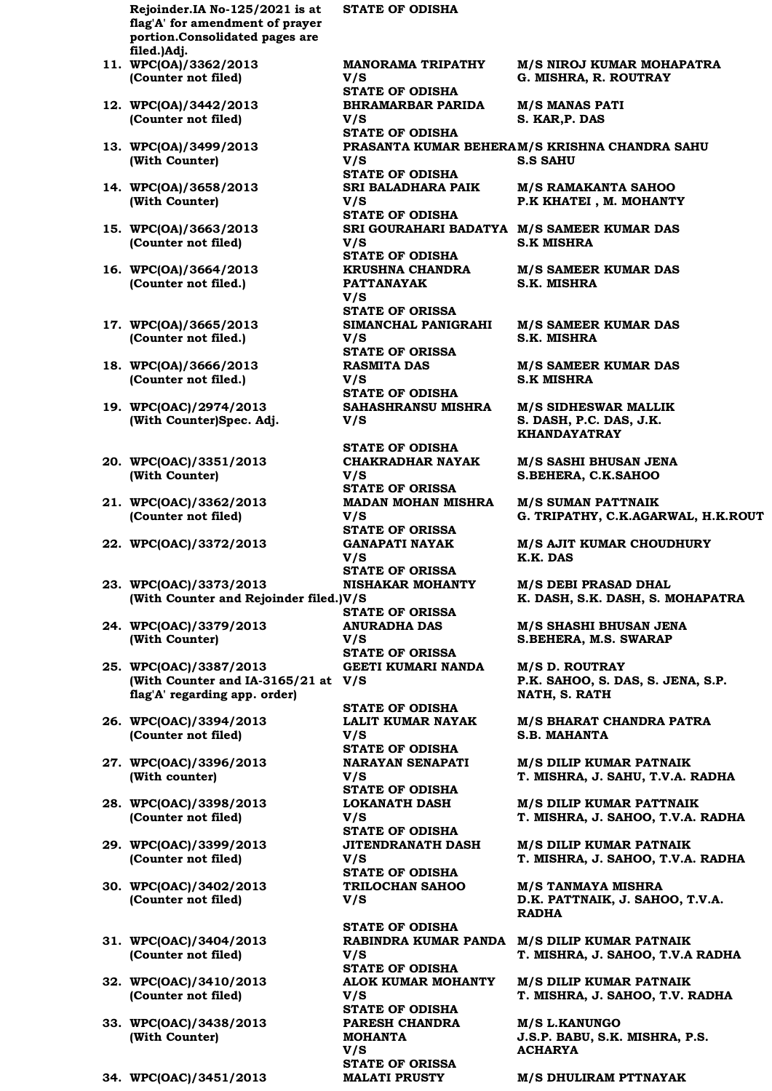**Rejoinder.IA No-125/2021 is at flag'A' for amendment of prayer portion.Consolidated pages are filed.)Adj.**

- **11. WPC(OA)/3362/2013 (Counter not filed)**
- **12. WPC(OA)/3442/2013 (Counter not filed)**
- **13. WPC(OA)/3499/2013 (With Counter)**
- **14. WPC(OA)/3658/2013 (With Counter)**
- **15. WPC(OA)/3663/2013 (Counter not filed)**
- **16. WPC(OA)/3664/2013 (Counter not filed.)**
- **17. WPC(OA)/3665/2013 (Counter not filed.)**
- **18. WPC(OA)/3666/2013 (Counter not filed.)**
- **19. WPC(OAC)/2974/2013 (With Counter)Spec. Adj.**
- **20. WPC(OAC)/3351/2013 (With Counter)**
- **21. WPC(OAC)/3362/2013 (Counter not filed)**
- **22. WPC(OAC)/3372/2013 GANAPATI NAYAK**
- **23. WPC(OAC)/3373/2013 (With Counter and Rejoinder filed.) V/S**
- **24. WPC(OAC)/3379/2013 (With Counter)**
- **25. WPC(OAC)/3387/2013 (With Counter and IA-3165/21 at V/S flag'A' regarding app. order)**
- **26. WPC(OAC)/3394/2013 (Counter not filed)**
- **27. WPC(OAC)/3396/2013 (With counter)**
- **28. WPC(OAC)/3398/2013 (Counter not filed)**
- **29. WPC(OAC)/3399/2013 (Counter not filed)**
- **30. WPC(OAC)/3402/2013 (Counter not filed)**
- **31. WPC(OAC)/3404/2013 (Counter not filed)**
- **32. WPC(OAC)/3410/2013 (Counter not filed)**
- **33. WPC(OAC)/3438/2013 (With Counter)**
- 

**STATE OF ODISHA**

**MANORAMA TRIPATHY V/S STATE OF ODISHA BHRAMARBAR PARIDA V/S STATE OF ODISHA PRASANTA KUMAR BEHERA M/S KRISHNA CHANDRA SAHU V/S S.S SAHU STATE OF ODISHA SRI BALADHARA PAIK V/S STATE OF ODISHA SRI GOURAHARI BADATYA M/S SAMEER KUMAR DAS V/S S.K MISHRA STATE OF ODISHA KRUSHNA CHANDRA PATTANAYAK V/S STATE OF ORISSA SIMANCHAL PANIGRAHI V/S STATE OF ORISSA RASMITA DAS V/S S.K MISHRA STATE OF ODISHA SAHASHRANSU MISHRA V/S STATE OF ODISHA CHAKRADHAR NAYAK V/S STATE OF ORISSA MADAN MOHAN MISHRA V/S STATE OF ORISSA V/S K.K. DAS STATE OF ORISSA NISHAKAR MOHANTY STATE OF ORISSA ANURADHA DAS V/S STATE OF ORISSA GEETI KUMARI NANDA STATE OF ODISHA LALIT KUMAR NAYAK V/S STATE OF ODISHA NARAYAN SENAPATI V/S STATE OF ODISHA LOKANATH DASH V/S STATE OF ODISHA JITENDRANATH DASH V/S STATE OF ODISHA TRILOCHAN SAHOO V/S RADHA STATE OF ODISHA RABINDRA KUMAR PANDA M/S DILIP KUMAR PATNAIK V/S STATE OF ODISHA ALOK KUMAR MOHANTY V/S STATE OF ODISHA PARESH CHANDRA MOHANTA V/S ACHARYA STATE OF ORISSA**

**M/S NIROJ KUMAR MOHAPATRA G. MISHRA, R. ROUTRAY**

**M/S MANAS PATI S. KAR,P. DAS**

**M/S RAMAKANTA SAHOO P.K KHATEI , M. MOHANTY**

**M/S SAMEER KUMAR DAS S.K. MISHRA**

**M/S SAMEER KUMAR DAS S.K. MISHRA**

**M/S SAMEER KUMAR DAS**

**M/S SIDHESWAR MALLIK S. DASH, P.C. DAS, J.K. KHANDAYATRAY**

**M/S SASHI BHUSAN JENA S.BEHERA, C.K.SAHOO**

**M/S SUMAN PATTNAIK G. TRIPATHY, C.K.AGARWAL, H.K.ROUT**

**M/S AJIT KUMAR CHOUDHURY**

**M/S DEBI PRASAD DHAL K. DASH, S.K. DASH, S. MOHAPATRA**

**M/S SHASHI BHUSAN JENA S.BEHERA, M.S. SWARAP**

**M/S D. ROUTRAY P.K. SAHOO, S. DAS, S. JENA, S.P. NATH, S. RATH**

**M/S BHARAT CHANDRA PATRA S.B. MAHANTA**

**M/S DILIP KUMAR PATNAIK T. MISHRA, J. SAHU, T.V.A. RADHA**

**M/S DILIP KUMAR PATTNAIK T. MISHRA, J. SAHOO, T.V.A. RADHA**

**M/S DILIP KUMAR PATNAIK T. MISHRA, J. SAHOO, T.V.A. RADHA**

**M/S TANMAYA MISHRA D.K. PATTNAIK, J. SAHOO, T.V.A.** 

**T. MISHRA, J. SAHOO, T.V.A RADHA**

**M/S DILIP KUMAR PATNAIK T. MISHRA, J. SAHOO, T.V. RADHA**

**M/S L.KANUNGO J.S.P. BABU, S.K. MISHRA, P.S.** 

**34. WPC(OAC)/3451/2013 MALATI PRUSTY M/S DHULIRAM PTTNAYAK**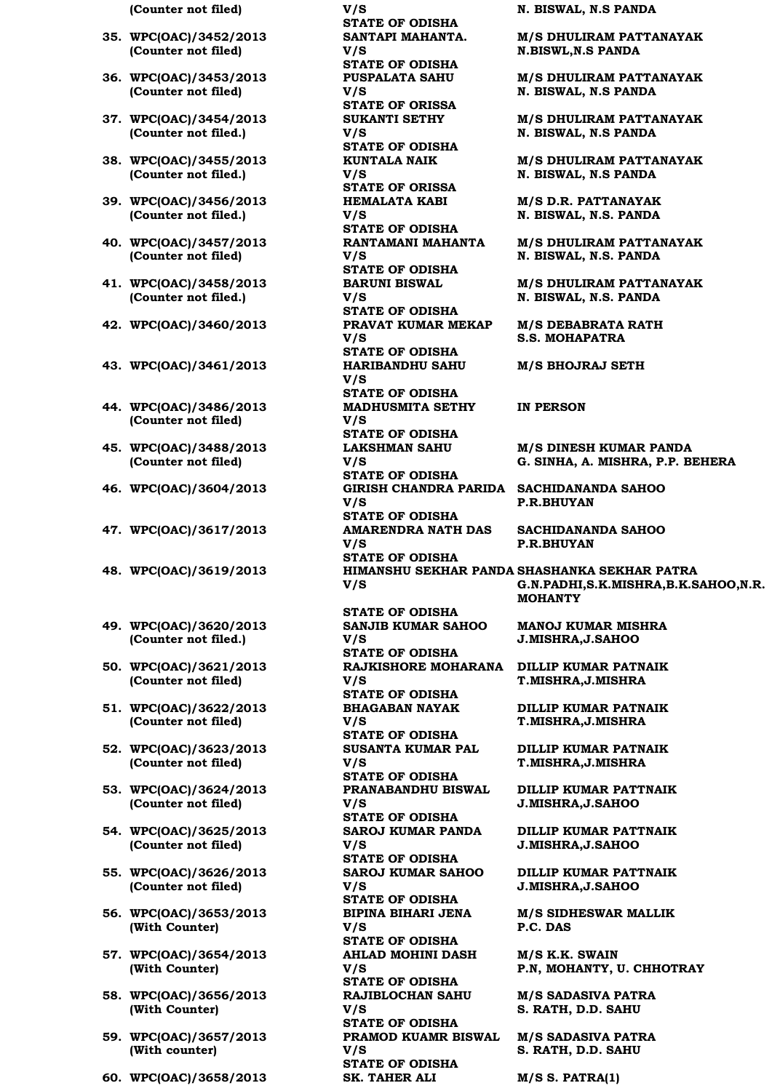- **35. WPC(OAC)/3452/2013 (Counter not filed)**
- **36. WPC(OAC)/3453/2013 (Counter not filed)**
- **37. WPC(OAC)/3454/2013 (Counter not filed.)**
- **38. WPC(OAC)/3455/2013 (Counter not filed.)**
- **39. WPC(OAC)/3456/2013 (Counter not filed.)**
- **40. WPC(OAC)/3457/2013 (Counter not filed)**
- **41. WPC(OAC)/3458/2013 (Counter not filed.)**
- **42. WPC(OAC)/3460/2013 PRAVAT KUMAR MEKAP**
- **43. WPC(OAC)/3461/2013 HARIBANDHU SAHU**
- **44. WPC(OAC)/3486/2013 (Counter not filed)**
- **45. WPC(OAC)/3488/2013 (Counter not filed)**
- **46. WPC(OAC)/3604/2013 GIRISH CHANDRA PARIDA SACHIDANANDA SAHOO**
- **47. WPC(OAC)/3617/2013 AMARENDRA NATH DAS**
- 48. WPC(OAC)/3619/2013
- **49. WPC(OAC)/3620/2013 (Counter not filed.)**
- **50. WPC(OAC)/3621/2013 (Counter not filed)**
- **51. WPC(OAC)/3622/2013 (Counter not filed)**
- **52. WPC(OAC)/3623/2013 (Counter not filed)**
- **53. WPC(OAC)/3624/2013 (Counter not filed)**
- **54. WPC(OAC)/3625/2013 (Counter not filed)**
- **55. WPC(OAC)/3626/2013 (Counter not filed)**
- **56. WPC(OAC)/3653/2013 (With Counter)**
- **57. WPC(OAC)/3654/2013 (With Counter)**
- **58. WPC(OAC)/3656/2013 (With Counter)**
- **59. WPC(OAC)/3657/2013 (With counter)**
- **60. WPC(OAC)/3658/2013 SK. TAHER ALI M/S S. PATRA(1)**

**(Counter not filed) V/S N. BISWAL, N.S PANDA STATE OF ODISHA SANTAPI MAHANTA. V/S STATE OF ODISHA PUSPALATA SAHU V/S STATE OF ORISSA SUKANTI SETHY V/S STATE OF ODISHA KUNTALA NAIK V/S STATE OF ORISSA HEMALATA KABI V/S STATE OF ODISHA RANTAMANI MAHANTA V/S STATE OF ODISHA BARUNI BISWAL V/S STATE OF ODISHA V/S STATE OF ODISHA V/S STATE OF ODISHA MADHUSMITA SETHY V/S STATE OF ODISHA LAKSHMAN SAHU V/S STATE OF ODISHA V/S STATE OF ODISHA V/S STATE OF ODISHA V/S STATE OF ODISHA SANJIB KUMAR SAHOO V/S STATE OF ODISHA RAJKISHORE MOHARANA V/S STATE OF ODISHA BHAGABAN NAYAK V/S STATE OF ODISHA SUSANTA KUMAR PAL V/S STATE OF ODISHA PRANABANDHU BISWAL V/S STATE OF ODISHA SAROJ KUMAR PANDA V/S STATE OF ODISHA SAROJ KUMAR SAHOO V/S STATE OF ODISHA BIPINA BIHARI JENA V/S STATE OF ODISHA AHLAD MOHINI DASH V/S STATE OF ODISHA RAJIBLOCHAN SAHU V/S STATE OF ODISHA PRAMOD KUAMR BISWAL** 

**V/S** 

**STATE OF ODISHA**

**M/S DHULIRAM PATTANAYAK N.BISWL,N.S PANDA**

**M/S DHULIRAM PATTANAYAK N. BISWAL, N.S PANDA**

**M/S DHULIRAM PATTANAYAK N. BISWAL, N.S PANDA**

**M/S DHULIRAM PATTANAYAK N. BISWAL, N.S PANDA**

**M/S D.R. PATTANAYAK N. BISWAL, N.S. PANDA**

**M/S DHULIRAM PATTANAYAK N. BISWAL, N.S. PANDA**

**M/S DHULIRAM PATTANAYAK N. BISWAL, N.S. PANDA**

**M/S DEBABRATA RATH S.S. MOHAPATRA**

**M/S BHOJRAJ SETH**

**IN PERSON**

**M/S DINESH KUMAR PANDA G. SINHA, A. MISHRA, P.P. BEHERA**

**P.R.BHUYAN**

**SACHIDANANDA SAHOO P.R.BHUYAN**

HIMANSHU SEKHAR PANDA SHASHANKA SEKHAR PATRA **G.N.PADHI,S.K.MISHRA,B.K.SAHOO,N.R. MOHANTY**

> **MANOJ KUMAR MISHRA J.MISHRA,J.SAHOO**

**DILLIP KUMAR PATNAIK T.MISHRA,J.MISHRA**

**DILLIP KUMAR PATNAIK T.MISHRA,J.MISHRA**

**DILLIP KUMAR PATNAIK T.MISHRA,J.MISHRA**

**DILLIP KUMAR PATTNAIK J.MISHRA,J.SAHOO**

**DILLIP KUMAR PATTNAIK J.MISHRA,J.SAHOO**

**DILLIP KUMAR PATTNAIK J.MISHRA,J.SAHOO**

**M/S SIDHESWAR MALLIK P.C. DAS**

**M/S K.K. SWAIN P.N, MOHANTY, U. CHHOTRAY**

**M/S SADASIVA PATRA S. RATH, D.D. SAHU**

**M/S SADASIVA PATRA S. RATH, D.D. SAHU**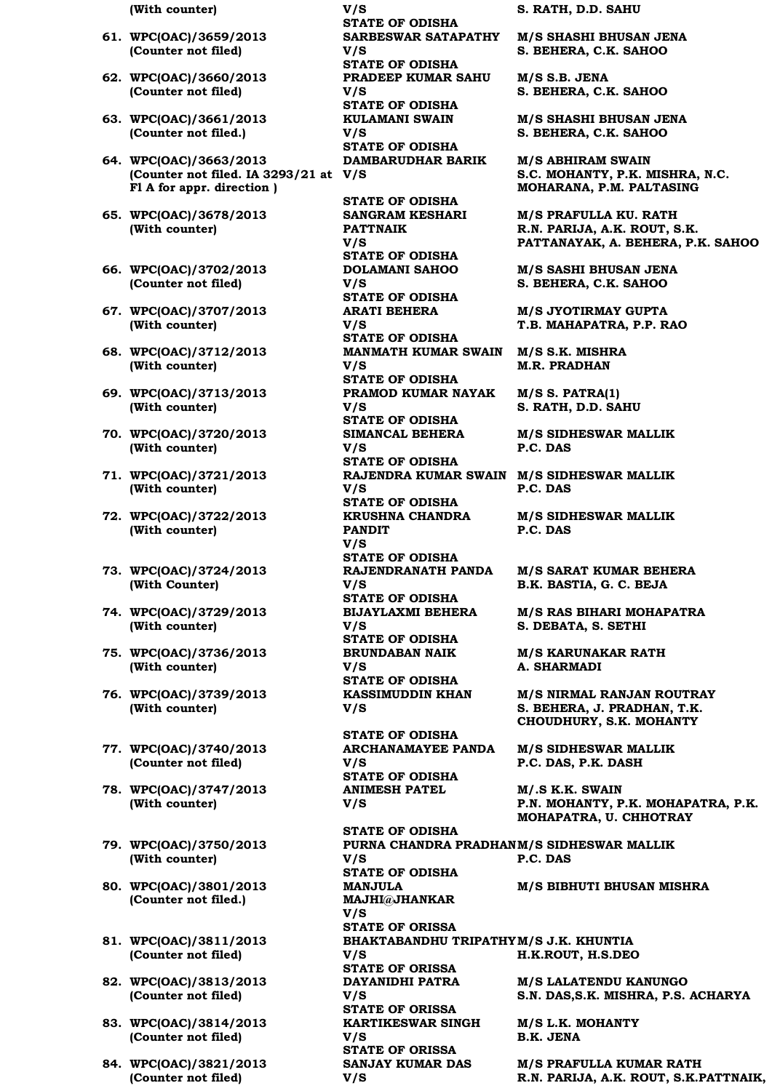|  | (With counter) |
|--|----------------|
|--|----------------|

- **61. WPC(OAC)/3659/2013 (Counter not filed)**
- **62. WPC(OAC)/3660/2013 (Counter not filed)**
- **63. WPC(OAC)/3661/2013 (Counter not filed.)**
- **64. WPC(OAC)/3663/2013 (Counter not filed. IA 3293/21 at V/S Fl A for appr. direction )**
- **65. WPC(OAC)/3678/2013 (With counter)**
- **66. WPC(OAC)/3702/2013 (Counter not filed)**
- **67. WPC(OAC)/3707/2013 (With counter)**
- **68. WPC(OAC)/3712/2013 (With counter)**
- **69. WPC(OAC)/3713/2013 (With counter)**
- **70. WPC(OAC)/3720/2013 (With counter)**
- **71. WPC(OAC)/3721/2013 (With counter)**
- **72. WPC(OAC)/3722/2013 (With counter)**
- **73. WPC(OAC)/3724/2013 (With Counter)**
- **74. WPC(OAC)/3729/2013 (With counter)**
- **75. WPC(OAC)/3736/2013 (With counter)**
- **76. WPC(OAC)/3739/2013 (With counter)**
- **77. WPC(OAC)/3740/2013 (Counter not filed)**
- **78. WPC(OAC)/3747/2013 (With counter)**
- **79. WPC(OAC)/3750/2013 (With counter)**
- **80. WPC(OAC)/3801/2013 (Counter not filed.)**
- **81. WPC(OAC)/3811/2013 (Counter not filed)**
- **82. WPC(OAC)/3813/2013 (Counter not filed)**
- **83. WPC(OAC)/3814/2013 (Counter not filed)**
- **84. WPC(OAC)/3821/2013 (Counter not filed)**

**(With counter) V/S S. RATH, D.D. SAHU STATE OF ODISHA SARBESWAR SATAPATHY V/S STATE OF ODISHA PRADEEP KUMAR SAHU V/S STATE OF ODISHA KULAMANI SWAIN V/S STATE OF ODISHA DAMBARUDHAR BARIK STATE OF ODISHA SANGRAM KESHARI PATTNAIK V/S STATE OF ODISHA DOLAMANI SAHOO V/S STATE OF ODISHA ARATI BEHERA V/S STATE OF ODISHA MANMATH KUMAR SWAIN M/S S.K. MISHRA V/S STATE OF ODISHA PRAMOD KUMAR NAYAK V/S STATE OF ODISHA SIMANCAL BEHERA V/S STATE OF ODISHA V/S STATE OF ODISHA KRUSHNA CHANDRA PANDIT V/S STATE OF ODISHA RAJENDRANATH PANDA V/S STATE OF ODISHA**

**BIJAYLAXMI BEHERA V/S STATE OF ODISHA BRUNDABAN NAIK V/S STATE OF ODISHA KASSIMUDDIN KHAN** 

**V/S** 

**STATE OF ODISHA ARCHANAMAYEE PANDA V/S STATE OF ODISHA ANIMESH PATEL V/S** 

**STATE OF ODISHA PURNA CHANDRA PRADHAN M/S SIDHESWAR MALLIK V/S P.C. DAS STATE OF ODISHA MANJULA MAJHI@JHANKAR V/S STATE OF ORISSA BHAKTABANDHU TRIPATHY M/S J.K. KHUNTIA V/S H.K.ROUT, H.S.DEO STATE OF ORISSA DAYANIDHI PATRA V/S STATE OF ORISSA KARTIKESWAR SINGH V/S M/S L.K. MOHANTY B.K. JENA STATE OF ORISSA SANJAY KUMAR DAS V/S** 

**M/S SHASHI BHUSAN JENA S. BEHERA, C.K. SAHOO**

**M/S S.B. JENA S. BEHERA, C.K. SAHOO**

**M/S SHASHI BHUSAN JENA S. BEHERA, C.K. SAHOO**

**M/S ABHIRAM SWAIN S.C. MOHANTY, P.K. MISHRA, N.C. MOHARANA, P.M. PALTASING**

**M/S PRAFULLA KU. RATH R.N. PARIJA, A.K. ROUT, S.K. PATTANAYAK, A. BEHERA, P.K. SAHOO**

**M/S SASHI BHUSAN JENA S. BEHERA, C.K. SAHOO**

**M/S JYOTIRMAY GUPTA T.B. MAHAPATRA, P.P. RAO**

**M.R. PRADHAN**

**M/S S. PATRA(1) S. RATH, D.D. SAHU**

**M/S SIDHESWAR MALLIK P.C. DAS**

**RAJENDRA KUMAR SWAIN M/S SIDHESWAR MALLIK P.C. DAS**

> **M/S SIDHESWAR MALLIK P.C. DAS**

**M/S SARAT KUMAR BEHERA B.K. BASTIA, G. C. BEJA**

**M/S RAS BIHARI MOHAPATRA S. DEBATA, S. SETHI**

**M/S KARUNAKAR RATH A. SHARMADI**

**M/S NIRMAL RANJAN ROUTRAY S. BEHERA, J. PRADHAN, T.K. CHOUDHURY, S.K. MOHANTY**

**M/S SIDHESWAR MALLIK P.C. DAS, P.K. DASH**

**M/.S K.K. SWAIN P.N. MOHANTY, P.K. MOHAPATRA, P.K. MOHAPATRA, U. CHHOTRAY**

**M/S BIBHUTI BHUSAN MISHRA**

**M/S LALATENDU KANUNGO S.N. DAS,S.K. MISHRA, P.S. ACHARYA**

**M/S PRAFULLA KUMAR RATH R.N. PARIJA, A.K. ROUT, S.K.PATTNAIK,**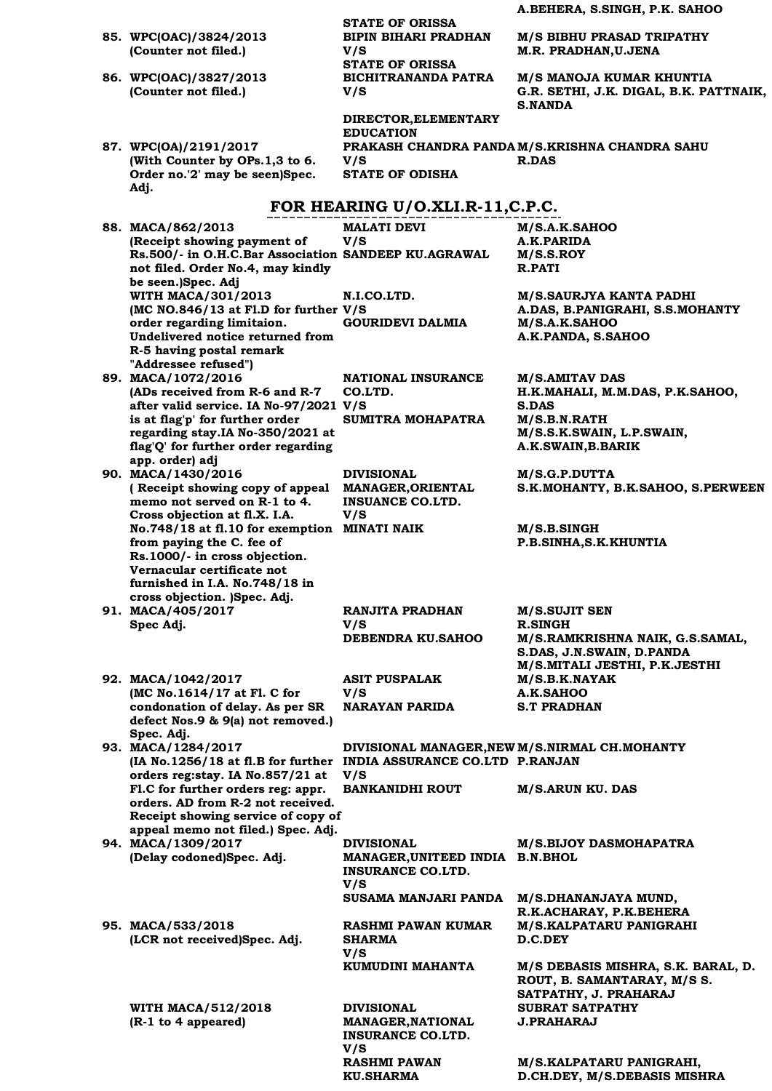**A.BEHERA, S.SINGH, P.K. SAHOO STATE OF ORISSA 85. WPC(OAC)/3824/2013 (Counter not filed.) BIPIN BIHARI PRADHAN V/S M/S BIBHU PRASAD TRIPATHY M.R. PRADHAN,U.JENA STATE OF ORISSA 86. WPC(OAC)/3827/2013 (Counter not filed.) BICHITRANANDA PATRA V/S M/S MANOJA KUMAR KHUNTIA G.R. SETHI, J.K. DIGAL, B.K. PATTNAIK, S.NANDA DIRECTOR,ELEMENTARY EDUCATION 87. WPC(OA)/2191/2017 (With Counter by OPs.1,3 to 6. Order no.'2' may be seen)Spec. Adj. PRAKASH CHANDRA PANDA M/S.KRISHNA CHANDRA SAHU V/S R.DAS STATE OF ODISHA FOR HEARING U/O.XLI.R-11,C.P.C. 88. MACA/862/2013 (Receipt showing payment of Rs.500/- in O.H.C.Bar Association SANDEEP KU.AGRAWAL M/S.S.ROY not filed. Order No.4, may kindly be seen.)Spec. Adj MALATI DEVI V/S M/S.A.K.SAHOO A.K.PARIDA R.PATI WITH MACA/301/2013 (MC NO.846/13 at Fl.D for further V/S order regarding limitaion. Undelivered notice returned from R-5 having postal remark "Addressee refused") N.I.CO.LTD. M/S.SAURJYA KANTA PADHI A.DAS, B.PANIGRAHI, S.S.MOHANTY GOURIDEVI DALMIA M/S.A.K.SAHOO A.K.PANDA, S.SAHOO 89. MACA/1072/2016 (ADs received from R-6 and R-7 after valid service. IA No-97/2021 V/S is at flag'p' for further order regarding stay.IA No-350/2021 at flag'Q' for further order regarding app. order) adj NATIONAL INSURANCE CO.LTD. M/S.AMITAV DAS H.K.MAHALI, M.M.DAS, P.K.SAHOO, S.DAS SUMITRA MOHAPATRA M/S.B.N.RATH M/S.S.K.SWAIN, L.P.SWAIN, A.K.SWAIN,B.BARIK 90. MACA/1430/2016 ( Receipt showing copy of appeal memo not served on R-1 to 4. Cross objection at fl.X. I.A. No.748/18 at fl.10 for exemption MINATI NAIK M/S.B.SINGH from paying the C. fee of Rs.1000/- in cross objection. Vernacular certificate not furnished in I.A. No.748/18 in cross objection. )Spec. Adj. DIVISIONAL MANAGER,ORIENTAL INSUANCE CO.LTD. V/S M/S.G.P.DUTTA S.K.MOHANTY, B.K.SAHOO, S.PERWEEN P.B.SINHA,S.K.KHUNTIA 91. MACA/405/2017 Spec Adj. RANJITA PRADHAN V/S M/S.SUJIT SEN R.SINGH DEBENDRA KU.SAHOO M/S.RAMKRISHNA NAIK, G.S.SAMAL, S.DAS, J.N.SWAIN, D.PANDA M/S.MITALI JESTHI, P.K.JESTHI 92. MACA/1042/2017 (MC No.1614/17 at Fl. C for condonation of delay. As per SR defect Nos.9 & 9(a) not removed.) Spec. Adj. ASIT PUSPALAK V/S M/S.B.K.NAYAK A.K.SAHOO NARAYAN PARIDA S.T PRADHAN 93. MACA/1284/2017 (IA No.1256/18 at fl.B for further INDIA ASSURANCE CO.LTD P.RANJAN orders reg:stay. IA No.857/21 at Fl.C for further orders reg: appr. orders. AD from R-2 not received. Receipt showing service of copy of appeal memo not filed.) Spec. Adj. DIVISIONAL MANAGER,NEW M/S.NIRMAL CH.MOHANTY V/S BANKANIDHI ROUT M/S.ARUN KU. DAS 94. MACA/1309/2017 (Delay codoned)Spec. Adj. DIVISIONAL MANAGER,UNITEED INDIA B.N.BHOL INSURANCE CO.LTD. V/S M/S.BIJOY DASMOHAPATRA SUSAMA MANJARI PANDA M/S.DHANANJAYA MUND, R.K.ACHARAY, P.K.BEHERA 95. MACA/533/2018 (LCR not received)Spec. Adj. RASHMI PAWAN KUMAR SHARMA V/S M/S.KALPATARU PANIGRAHI D.C.DEY KUMUDINI MAHANTA M/S DEBASIS MISHRA, S.K. BARAL, D. ROUT, B. SAMANTARAY, M/S S. SATPATHY, J. PRAHARAJ WITH MACA/512/2018 (R-1 to 4 appeared) DIVISIONAL MANAGER,NATIONAL INSURANCE CO.LTD. SUBRAT SATPATHY J.PRAHARAJ**

**V/S** 

**RASHMI PAWAN KU.SHARMA**

**M/S.KALPATARU PANIGRAHI, D.CH.DEY, M/S.DEBASIS MISHRA**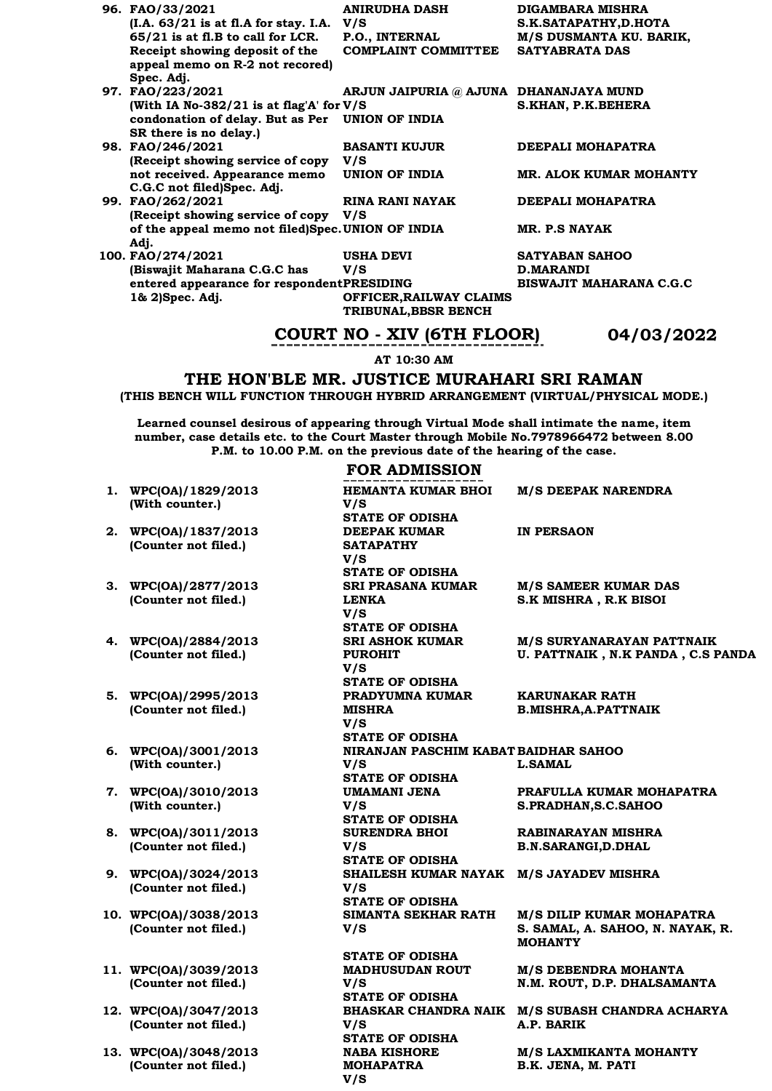| 96. FAO/33/2021                                   | <b>ANIRUDHA DASH</b>                   | <b>DIGAMBARA MISHRA</b>        |
|---------------------------------------------------|----------------------------------------|--------------------------------|
| $(I.A. 63/21$ is at fl.A for stay. I.A. $V/S$     |                                        | S.K.SATAPATHY,D.HOTA           |
| $65/21$ is at fl.B to call for LCR.               | P.O., INTERNAL                         | M/S DUSMANTA KU. BARIK,        |
| Receipt showing deposit of the                    | <b>COMPLAINT COMMITTEE</b>             | <b>SATYABRATA DAS</b>          |
| appeal memo on R-2 not recored)                   |                                        |                                |
| Spec. Adj.                                        |                                        |                                |
| 97. FAO/223/2021                                  | ARJUN JAIPURIA @ AJUNA DHANANJAYA MUND |                                |
| (With IA No-382/21 is at flag'A' for $V/S$        |                                        | S.KHAN, P.K.BEHERA             |
| condonation of delay. But as Per UNION OF INDIA   |                                        |                                |
| SR there is no delay.)                            |                                        |                                |
| 98. FAO/246/2021                                  | <b>BASANTI KUJUR</b>                   | DEEPALI MOHAPATRA              |
| (Receipt showing service of copy                  | V/S                                    |                                |
| not received. Appearance memo                     | UNION OF INDIA                         | MR. ALOK KUMAR MOHANTY         |
| C.G.C not filed)Spec. Adj.                        |                                        |                                |
| 99. FAO/262/2021                                  | RINA RANI NAYAK                        | DEEPALI MOHAPATRA              |
| (Receipt showing service of copy V/S)             |                                        |                                |
| of the appeal memo not filed)Spec. UNION OF INDIA |                                        | MR. P.S NAYAK                  |
|                                                   |                                        |                                |
| Adj.                                              |                                        |                                |
| 100. FAO/274/2021                                 | <b>USHA DEVI</b>                       | <b>SATYABAN SAHOO</b>          |
| (Biswajit Maharana C.G.C has                      | V/S                                    | <b>D.MARANDI</b>               |
| entered appearance for respondentPRESIDING        |                                        | <b>BISWAJIT MAHARANA C.G.C</b> |
| 1& 2)Spec. Adj.                                   | OFFICER, RAILWAY CLAIMS                |                                |
|                                                   | TRIBUNAL, BBSR BENCH                   |                                |

# **COURT NO - XIV (6TH FLOOR) 04/03/2022**

**AT 10:30 AM**

# **THE HON'BLE MR. JUSTICE MURAHARI SRI RAMAN**

**(THIS BENCH WILL FUNCTION THROUGH HYBRID ARRANGEMENT (VIRTUAL/PHYSICAL MODE.)**

**Learned counsel desirous of appearing through Virtual Mode shall intimate the name, item number, case details etc. to the Court Master through Mobile No.7978966472 between 8.00 P.M. to 10.00 P.M. on the previous date of the hearing of the case.**

### **FOR ADMISSION**

| 1. WPC(OA)/1829/2013<br>(With counter.) | HEMANTA KUMAR BHOI<br>V/S               | <b>M/S DEEPAK NARENDRA</b>                      |
|-----------------------------------------|-----------------------------------------|-------------------------------------------------|
|                                         | <b>STATE OF ODISHA</b>                  |                                                 |
| 2. WPC(OA)/1837/2013                    | <b>DEEPAK KUMAR</b>                     | <b>IN PERSAON</b>                               |
| (Counter not filed.)                    | <b>SATAPATHY</b>                        |                                                 |
|                                         | V/S                                     |                                                 |
|                                         | <b>STATE OF ODISHA</b>                  |                                                 |
| 3. WPC(OA)/2877/2013                    | <b>SRI PRASANA KUMAR</b>                | <b>M/S SAMEER KUMAR DAS</b>                     |
| (Counter not filed.)                    | <b>LENKA</b>                            | <b>S.K MISHRA, R.K BISOI</b>                    |
|                                         | V/S                                     |                                                 |
|                                         | <b>STATE OF ODISHA</b>                  |                                                 |
| 4. WPC(OA)/2884/2013                    | <b>SRI ASHOK KUMAR</b>                  | <b>M/S SURYANARAYAN PATTNAIK</b>                |
| (Counter not filed.)                    | <b>PUROHIT</b>                          | U. PATTNAIK, N.K PANDA, C.S PANDA               |
|                                         | V/S                                     |                                                 |
|                                         | <b>STATE OF ODISHA</b>                  |                                                 |
| 5. WPC(OA)/2995/2013                    | PRADYUMNA KUMAR                         | KARUNAKAR RATH                                  |
| (Counter not filed.)                    | <b>MISHRA</b>                           | <b>B.MISHRA, A. PATTNAIK</b>                    |
|                                         | V/S                                     |                                                 |
|                                         | <b>STATE OF ODISHA</b>                  |                                                 |
| 6. WPC(OA)/3001/2013                    | NIRANJAN PASCHIM KABAT BAIDHAR SAHOO    |                                                 |
| (With counter.)                         | V/S                                     | <b>L.SAMAL</b>                                  |
|                                         | <b>STATE OF ODISHA</b>                  |                                                 |
| 7. WPC(OA)/3010/2013                    | UMAMANI JENA                            | PRAFULLA KUMAR MOHAPATRA                        |
| (With counter.)                         | V/S<br><b>STATE OF ODISHA</b>           | S.PRADHAN, S.C. SAHOO                           |
| 8. WPC(OA)/3011/2013                    | <b>SURENDRA BHOI</b>                    | <b>RABINARAYAN MISHRA</b>                       |
| (Counter not filed.)                    | V/S                                     | <b>B.N.SARANGI,D.DHAL</b>                       |
|                                         | <b>STATE OF ODISHA</b>                  |                                                 |
| 9. WPC(OA)/3024/2013                    | SHAILESH KUMAR NAYAK M/S JAYADEV MISHRA |                                                 |
| (Counter not filed.)                    | V/S                                     |                                                 |
|                                         | <b>STATE OF ODISHA</b>                  |                                                 |
| 10. WPC(OA)/3038/2013                   | SIMANTA SEKHAR RATH                     | M/S DILIP KUMAR MOHAPATRA                       |
| (Counter not filed.)                    | V/S                                     | S. SAMAL, A. SAHOO, N. NAYAK, R.                |
|                                         |                                         | <b>MOHANTY</b>                                  |
|                                         | <b>STATE OF ODISHA</b>                  |                                                 |
| 11. WPC(OA)/3039/2013                   | <b>MADHUSUDAN ROUT</b>                  | <b>M/S DEBENDRA MOHANTA</b>                     |
| (Counter not filed.)                    | V/S                                     | N.M. ROUT, D.P. DHALSAMANTA                     |
|                                         | <b>STATE OF ODISHA</b>                  |                                                 |
| 12. WPC(OA)/3047/2013                   |                                         | BHASKAR CHANDRA NAIK M/S SUBASH CHANDRA ACHARYA |
| (Counter not filed.)                    | V/S                                     | A.P. BARIK                                      |
|                                         | <b>STATE OF ODISHA</b>                  |                                                 |
| 13. WPC(OA)/3048/2013                   | <b>NABA KISHORE</b>                     | <b>M/S LAXMIKANTA MOHANTY</b>                   |

**MOHAPATRA** 

**V/S** 

**13. WPC(OA)/3048/2013 (Counter not filed.)**

**M/S LAXMIKANTA MOHANTY B.K. JENA, M. PATI**